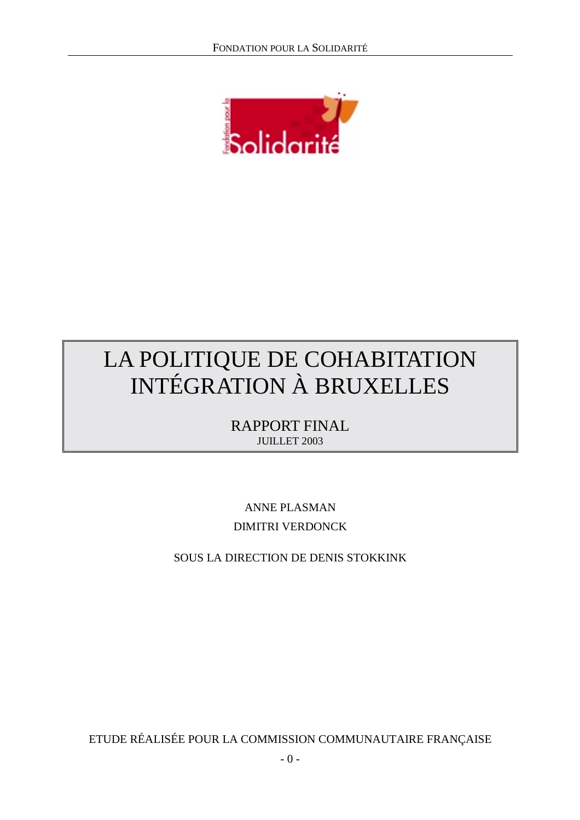

# LA POLITIQUE DE COHABITATION INTÉGRATION À BRUXELLES

RAPPORT FINAL JUILLET 2003

ANNE PLASMAN DIMITRI VERDONCK

SOUS LA DIRECTION DE DENIS STOKKINK

ETUDE RÉALISÉE POUR LA COMMISSION COMMUNAUTAIRE FRANÇAISE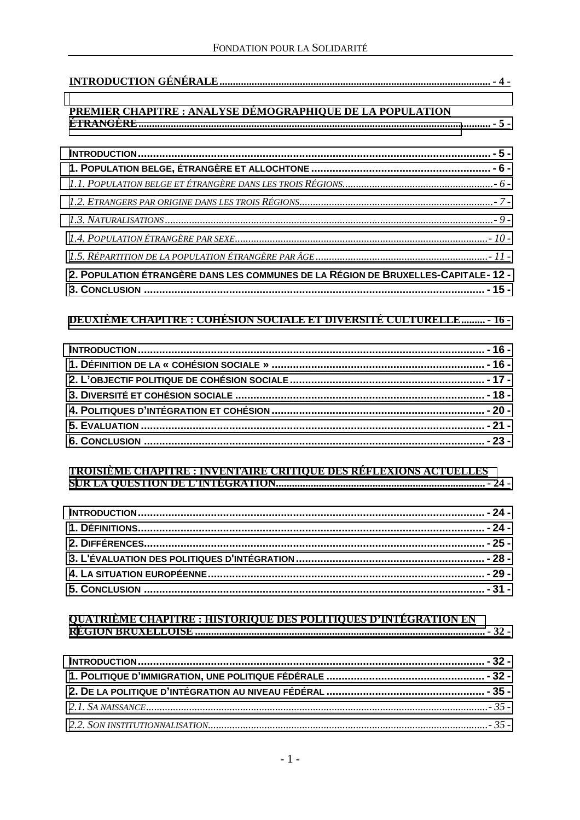| <u> PREMIER CHAPITRE : ANALYSE DÉMOGRAPHIQUE DE LA POPULATION</u>                |
|----------------------------------------------------------------------------------|
|                                                                                  |
|                                                                                  |
|                                                                                  |
|                                                                                  |
|                                                                                  |
|                                                                                  |
|                                                                                  |
|                                                                                  |
| 2. POPULATION ÉTRANGÈRE DANS LES COMMUNES DE LA RÉGION DE BRUXELLES-CAPITALE-12- |
|                                                                                  |
|                                                                                  |
| <b>DEUXIÈME CHAPITRE : COHÉSION SOCIALE ET DIVERSITÉ CULTURELLE - 16 -</b>       |
|                                                                                  |
|                                                                                  |
|                                                                                  |
|                                                                                  |
|                                                                                  |
|                                                                                  |
|                                                                                  |
|                                                                                  |
|                                                                                  |
|                                                                                  |
|                                                                                  |
|                                                                                  |
|                                                                                  |
|                                                                                  |
|                                                                                  |
|                                                                                  |
|                                                                                  |
|                                                                                  |
|                                                                                  |
|                                                                                  |
|                                                                                  |
|                                                                                  |
|                                                                                  |
|                                                                                  |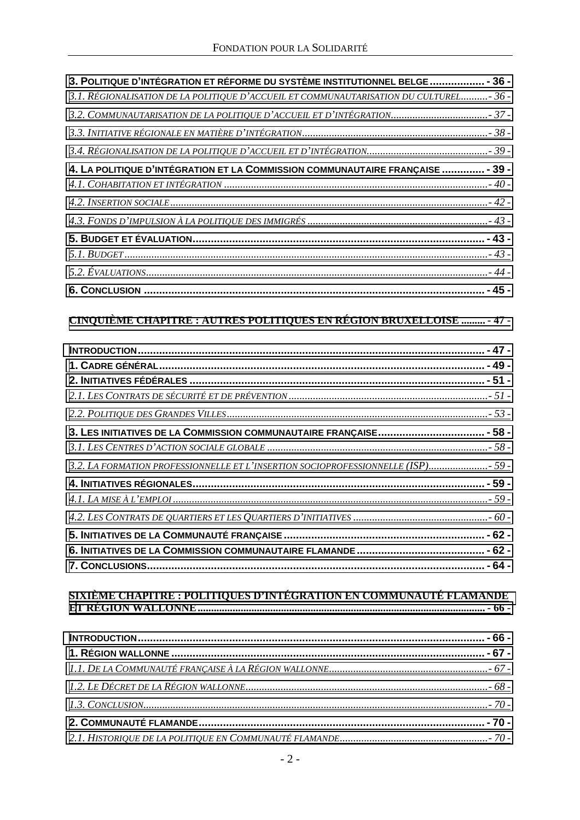| 3. POLITIQUE D'INTÉGRATION ET RÉFORME DU SYSTÈME INSTITUTIONNEL BELGE  - 36 -           |  |
|-----------------------------------------------------------------------------------------|--|
| 3.1. RÉGIONALISATION DE LA POLITIQUE D'ACCUEIL ET COMMUNAUTARISATION DU CULTUREL - 36 - |  |
|                                                                                         |  |
|                                                                                         |  |
|                                                                                         |  |
| 4. LA POLITIQUE D'INTÉGRATION ET LA COMMISSION COMMUNAUTAIRE FRANÇAISE  - 39 -          |  |
|                                                                                         |  |
|                                                                                         |  |
|                                                                                         |  |
|                                                                                         |  |
|                                                                                         |  |
|                                                                                         |  |
|                                                                                         |  |
|                                                                                         |  |
| <u>CINQUIÈME CHAPITRE : AUTRES POLITIQUES EN RÉGION BRUXELLOISE  - 47 -</u>             |  |
|                                                                                         |  |
|                                                                                         |  |
|                                                                                         |  |
|                                                                                         |  |
|                                                                                         |  |
| 3. LES INITIATIVES DE LA COMMISSION COMMUNAUTAIRE FRANÇAISE - 58 -                      |  |
|                                                                                         |  |
| 3.2. LA FORMATION PROFESSIONNELLE ET L'INSERTION SOCIOPROFESSIONNELLE (ISP) 59 -        |  |
|                                                                                         |  |
|                                                                                         |  |
|                                                                                         |  |
|                                                                                         |  |
|                                                                                         |  |
|                                                                                         |  |
|                                                                                         |  |
|                                                                                         |  |
|                                                                                         |  |
|                                                                                         |  |
|                                                                                         |  |
|                                                                                         |  |
|                                                                                         |  |
|                                                                                         |  |
|                                                                                         |  |
|                                                                                         |  |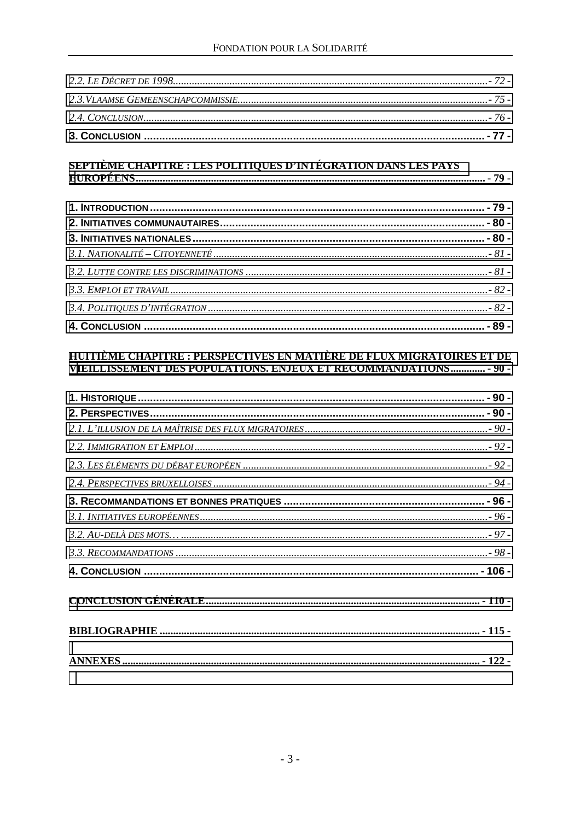| <u>SEPTIÈME CHAPITRE : LES POLITIQUES D'INTÉGRATION DANS LES PAYS</u>                                                                     |
|-------------------------------------------------------------------------------------------------------------------------------------------|
|                                                                                                                                           |
|                                                                                                                                           |
|                                                                                                                                           |
|                                                                                                                                           |
|                                                                                                                                           |
|                                                                                                                                           |
|                                                                                                                                           |
|                                                                                                                                           |
|                                                                                                                                           |
|                                                                                                                                           |
| HUITIÈME CHAPITRE : PERSPECTIVES EN MATIÈRE DE FLUX MIGRATOIRES ET DE<br>VIEILLISSEMENT DES POPULATIONS. ENJEUX ET RECOMMANDATIONS - 90 - |
|                                                                                                                                           |
|                                                                                                                                           |
|                                                                                                                                           |
|                                                                                                                                           |
|                                                                                                                                           |
|                                                                                                                                           |
|                                                                                                                                           |
|                                                                                                                                           |
|                                                                                                                                           |
|                                                                                                                                           |
|                                                                                                                                           |
|                                                                                                                                           |
|                                                                                                                                           |
|                                                                                                                                           |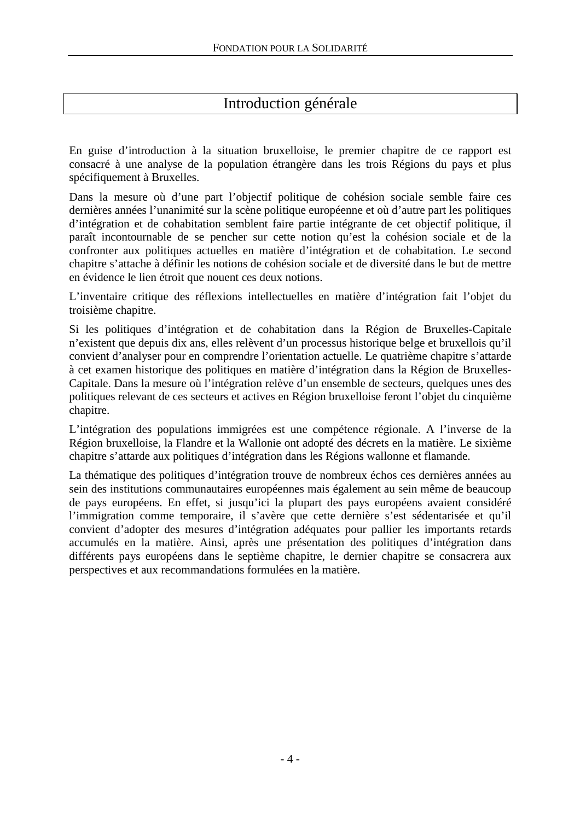# Introduction générale

En guise d'introduction à la situation bruxelloise, le premier chapitre de ce rapport est consacré à une analyse de la population étrangère dans les trois Régions du pays et plus spécifiquement à Bruxelles.

Dans la mesure où d'une part l'objectif politique de cohésion sociale semble faire ces dernières années l'unanimité sur la scène politique européenne et où d'autre part les politiques d'intégration et de cohabitation semblent faire partie intégrante de cet objectif politique, il paraît incontournable de se pencher sur cette notion qu'est la cohésion sociale et de la confronter aux politiques actuelles en matière d'intégration et de cohabitation. Le second chapitre s'attache à définir les notions de cohésion sociale et de diversité dans le but de mettre en évidence le lien étroit que nouent ces deux notions.

L'inventaire critique des réflexions intellectuelles en matière d'intégration fait l'objet du troisième chapitre.

Si les politiques d'intégration et de cohabitation dans la Région de Bruxelles-Capitale n'existent que depuis dix ans, elles relèvent d'un processus historique belge et bruxellois qu'il convient d'analyser pour en comprendre l'orientation actuelle. Le quatrième chapitre s'attarde à cet examen historique des politiques en matière d'intégration dans la Région de Bruxelles-Capitale. Dans la mesure où l'intégration relève d'un ensemble de secteurs, quelques unes des politiques relevant de ces secteurs et actives en Région bruxelloise feront l'objet du cinquième chapitre.

L'intégration des populations immigrées est une compétence régionale. A l'inverse de la Région bruxelloise, la Flandre et la Wallonie ont adopté des décrets en la matière. Le sixième chapitre s'attarde aux politiques d'intégration dans les Régions wallonne et flamande.

La thématique des politiques d'intégration trouve de nombreux échos ces dernières années au sein des institutions communautaires européennes mais également au sein même de beaucoup de pays européens. En effet, si jusqu'ici la plupart des pays européens avaient considéré l'immigration comme temporaire, il s'avère que cette dernière s'est sédentarisée et qu'il convient d'adopter des mesures d'intégration adéquates pour pallier les importants retards accumulés en la matière. Ainsi, après une présentation des politiques d'intégration dans différents pays européens dans le septième chapitre, le dernier chapitre se consacrera aux perspectives et aux recommandations formulées en la matière.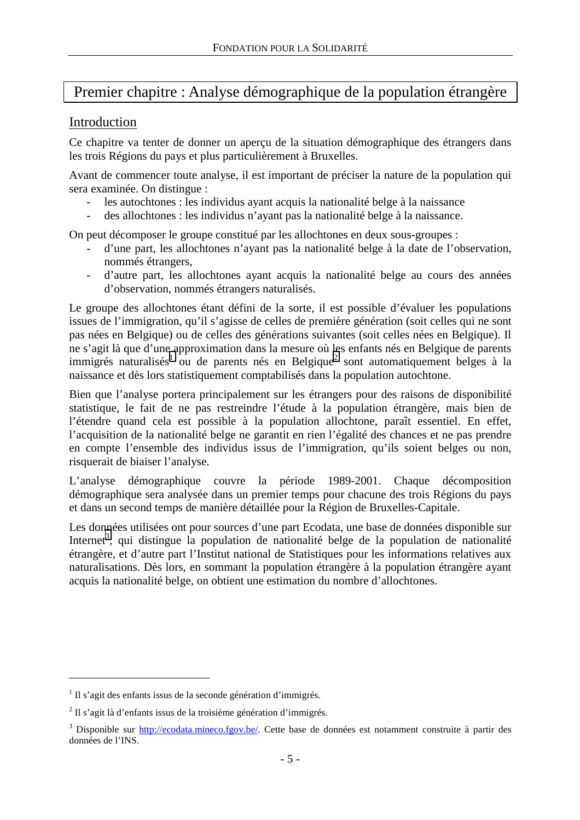# <span id="page-5-0"></span>Premier chapitre : Analyse démographique de la population étrangère

## Introduction

Ce chapitre va tenter de donner un aperçu de la situation démographique des étrangers dans les trois Régions du pays et plus particulièrement à Bruxelles.

Avant de commencer toute analyse, il est important de préciser la nature de la population qui sera examinée. On distingue :

- les autochtones : les individus ayant acquis la nationalité belge à la naissance
- des allochtones : les individus n'ayant pas la nationalité belge à la naissance.

On peut décomposer le groupe constitué par les allochtones en deux sous-groupes :

- d'une part, les allochtones n'ayant pas la nationalité belge à la date de l'observation, nommés étrangers,
- d'autre part, les allochtones ayant acquis la nationalité belge au cours des années d'observation, nommés étrangers naturalisés.

Le groupe des allochtones étant défini de la sorte, il est possible d'évaluer les populations issues de l'immigration, qu'il s'agisse de celles de première génération (soit celles qui ne sont pas nées en Belgique) ou de celles des générations suivantes (soit celles nées en Belgique). Il ne s'agit là que d'une approximation dans la mesure où les enfants nés en Belgique de parents immigrés naturalisés<sup>1</sup> ou de parents nés en Belgique<sup>2</sup> sont automatiquement belges à la naissance et dès lors statistiquement comptabilisés dans la population autochtone.

Bien que l'analyse portera principalement sur les étrangers pour des raisons de disponibilité statistique, le fait de ne pas restreindre l'étude à la population étrangère, mais bien de l'étendre quand cela est possible à la population allochtone, paraît essentiel. En effet, l'acquisition de la nationalité belge ne garantit en rien l'égalité des chances et ne pas prendre en compte l'ensemble des individus issus de l'immigration, qu'ils soient belges ou non, risquerait de biaiser l'analyse.

L'analyse démographique couvre la période 1989-2001. Chaque décomposition démographique sera analysée dans un premier temps pour chacune des trois Régions du pays et dans un second temps de manière détaillée pour la Région de Bruxelles-Capitale.

Les données utilisées ont pour sources d'une part Ecodata, une base de données disponible sur Internet<sup>3</sup>, qui distingue la population de nationalité belge de la population de nationalité étrangère, et d'autre part l'Institut national de Statistiques pour les informations relatives aux naturalisations. Dès lors, en sommant la population étrangère à la population étrangère ayant acquis la nationalité belge, on obtient une estimation du nombre d'allochtones.

 $1$  Il s'agit des enfants issus de la seconde génération d'immigrés.

<sup>&</sup>lt;sup>2</sup> Il s'agit là d'enfants issus de la troisième génération d'immigrés.

<sup>&</sup>lt;sup>3</sup> Disponible sur http://ecodata.mineco.fgov.be/. Cette base de données est notamment construite à partir des données de l'INS.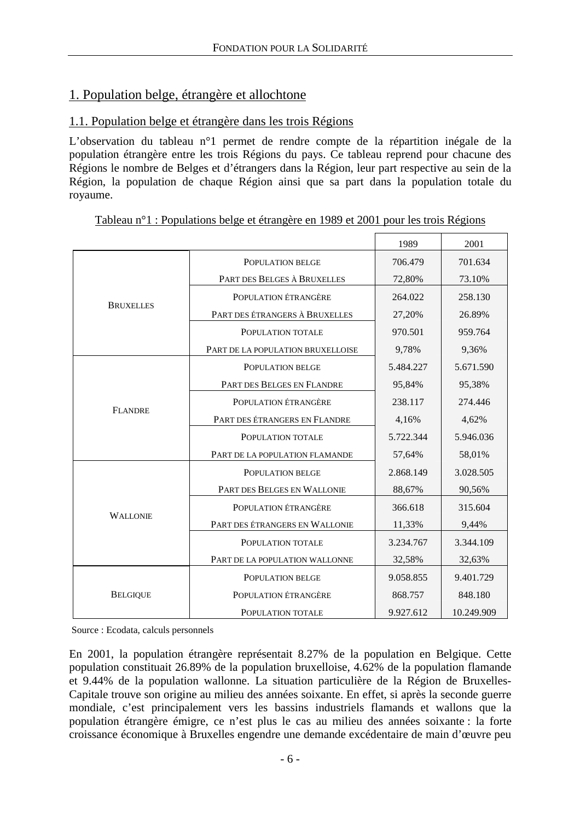## <span id="page-6-0"></span>1. Population belge, étrangère et allochtone

## 1.1. Population belge et étrangère dans les trois Régions

L'observation du tableau n°1 permet de rendre compte de la répartition inégale de la population étrangère entre les trois Régions du pays. Ce tableau reprend pour chacune des Régions le nombre de Belges et d'étrangers dans la Région, leur part respective au sein de la Région, la population de chaque Région ainsi que sa part dans la population totale du royaume.

#### Tableau n°1 : Populations belge et étrangère en 1989 et 2001 pour les trois Régions

|                  |                                   | 1989      | 2001       |
|------------------|-----------------------------------|-----------|------------|
|                  | POPULATION BELGE                  | 706.479   | 701.634    |
|                  | PART DES BELGES À BRUXELLES       | 72,80%    | 73.10%     |
|                  | POPULATION ÉTRANGÈRE              | 264.022   | 258.130    |
| <b>BRUXELLES</b> | PART DES ÉTRANGERS À BRUXELLES    | 27,20%    | 26.89%     |
|                  | POPULATION TOTALE                 | 970.501   | 959.764    |
|                  | PART DE LA POPULATION BRUXELLOISE | 9,78%     | 9,36%      |
|                  | POPULATION BELGE                  | 5.484.227 | 5.671.590  |
|                  | PART DES BELGES EN FLANDRE        | 95,84%    | 95,38%     |
|                  | POPULATION ÉTRANGÈRE              | 238.117   | 274.446    |
| <b>FLANDRE</b>   | PART DES ÉTRANGERS EN FLANDRE     | 4,16%     | 4,62%      |
|                  | POPULATION TOTALE                 | 5.722.344 | 5.946.036  |
|                  | PART DE LA POPULATION FLAMANDE    | 57,64%    | 58,01%     |
|                  | POPULATION BELGE                  | 2.868.149 | 3.028.505  |
| <b>WALLONIE</b>  | PART DES BELGES EN WALLONIE       | 88,67%    | 90,56%     |
|                  | POPULATION ÉTRANGÈRE              | 366.618   | 315.604    |
|                  | PART DES ÉTRANGERS EN WALLONIE    | 11,33%    | 9,44%      |
|                  | POPULATION TOTALE                 | 3.234.767 | 3.344.109  |
|                  | PART DE LA POPULATION WALLONNE    | 32,58%    | 32,63%     |
|                  | POPULATION BELGE                  | 9.058.855 | 9.401.729  |
| <b>BELGIQUE</b>  | POPULATION ÉTRANGÈRE              | 868.757   | 848.180    |
|                  | POPULATION TOTALE                 | 9.927.612 | 10.249.909 |

Source : Ecodata, calculs personnels

En 2001, la population étrangère représentait 8.27% de la population en Belgique. Cette population constituait 26.89% de la population bruxelloise, 4.62% de la population flamande et 9.44% de la population wallonne. La situation particulière de la Région de Bruxelles-Capitale trouve son origine au milieu des années soixante. En effet, si après la seconde guerre mondiale, c'est principalement vers les bassins industriels flamands et wallons que la population étrangère émigre, ce n'est plus le cas au milieu des années soixante : la forte croissance économique à Bruxelles engendre une demande excédentaire de main d'œuvre peu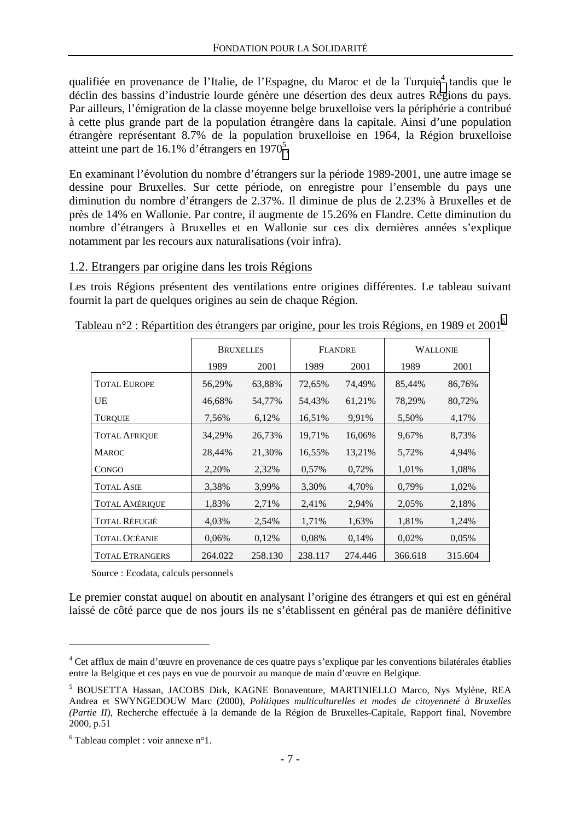<span id="page-7-0"></span>qualifiée en provenance de l'Italie, de l'Espagne, du Maroc et de la Turquie<sup>4</sup> tandis que le déclin des bassins d'industrie lourde génère une désertion des deux autres Régions du pays. Par ailleurs, l'émigration de la classe moyenne belge bruxelloise vers la périphérie a contribué à cette plus grande part de la population étrangère dans la capitale. Ainsi d'une population étrangère représentant 8.7% de la population bruxelloise en 1964, la Région bruxelloise atteint une part de 16.1% d'étrangers en 1970<sup>5</sup>.

En examinant l'évolution du nombre d'étrangers sur la période 1989-2001, une autre image se dessine pour Bruxelles. Sur cette période, on enregistre pour l'ensemble du pays une diminution du nombre d'étrangers de 2.37%. Il diminue de plus de 2.23% à Bruxelles et de près de 14% en Wallonie. Par contre, il augmente de 15.26% en Flandre. Cette diminution du nombre d'étrangers à Bruxelles et en Wallonie sur ces dix dernières années s'explique notamment par les recours aux naturalisations (voir infra).

#### 1.2. Etrangers par origine dans les trois Régions

Les trois Régions présentent des ventilations entre origines différentes. Le tableau suivant fournit la part de quelques origines au sein de chaque Région.

|                        | <b>BRUXELLES</b> |         | <b>FLANDRE</b> |         | <b>WALLONIE</b> |         |
|------------------------|------------------|---------|----------------|---------|-----------------|---------|
|                        | 1989             | 2001    | 1989           | 2001    | 1989            | 2001    |
| <b>TOTAL EUROPE</b>    | 56,29%           | 63,88%  | 72,65%         | 74,49%  | 85,44%          | 86,76%  |
| UE                     | 46,68%           | 54,77%  | 54,43%         | 61,21%  | 78,29%          | 80,72%  |
| <b>TUROUIE</b>         | 7,56%            | 6,12%   | 16,51%         | 9.91%   | 5,50%           | 4,17%   |
| <b>TOTAL AFRIQUE</b>   | 34,29%           | 26,73%  | 19,71%         | 16,06%  | 9,67%           | 8,73%   |
| <b>MAROC</b>           | 28,44%           | 21,30%  | 16,55%         | 13,21%  | 5,72%           | 4,94%   |
| <b>CONGO</b>           | 2,20%            | 2,32%   | 0.57%          | 0,72%   | 1,01%           | 1,08%   |
| <b>TOTAL ASIE</b>      | 3,38%            | 3,99%   | 3,30%          | 4,70%   | 0.79%           | 1,02%   |
| <b>TOTAL AMÉRIQUE</b>  | 1,83%            | 2,71%   | 2,41%          | 2,94%   | 2,05%           | 2,18%   |
| <b>TOTAL RÉFUGIÉ</b>   | 4,03%            | 2,54%   | 1,71%          | 1,63%   | 1,81%           | 1,24%   |
| <b>TOTAL OCÉANIE</b>   | 0.06%            | 0,12%   | 0,08%          | 0,14%   | 0,02%           | 0.05%   |
| <b>TOTAL ETRANGERS</b> | 264.022          | 258.130 | 238.117        | 274.446 | 366.618         | 315.604 |

Tableau n°2 : Répartition des étrangers par origine, pour les trois Régions, en 1989 et 20016

Source : Ecodata, calculs personnels

Le premier constat auquel on aboutit en analysant l'origine des étrangers et qui est en général laissé de côté parce que de nos jours ils ne s'établissent en général pas de manière définitive

<sup>&</sup>lt;sup>4</sup> Cet afflux de main d'œuvre en provenance de ces quatre pays s'explique par les conventions bilatérales établies entre la Belgique et ces pays en vue de pourvoir au manque de main d'œuvre en Belgique.

<sup>5</sup> BOUSETTA Hassan, JACOBS Dirk, KAGNE Bonaventure, MARTINIELLO Marco, Nys Mylène, REA Andrea et SWYNGEDOUW Marc (2000), *Politiques multiculturelles et modes de citoyenneté à Bruxelles (Partie II)*, Recherche effectuée à la demande de la Région de Bruxelles-Capitale, Rapport final, Novembre 2000, p.51

 $6$  Tableau complet : voir annexe n°1.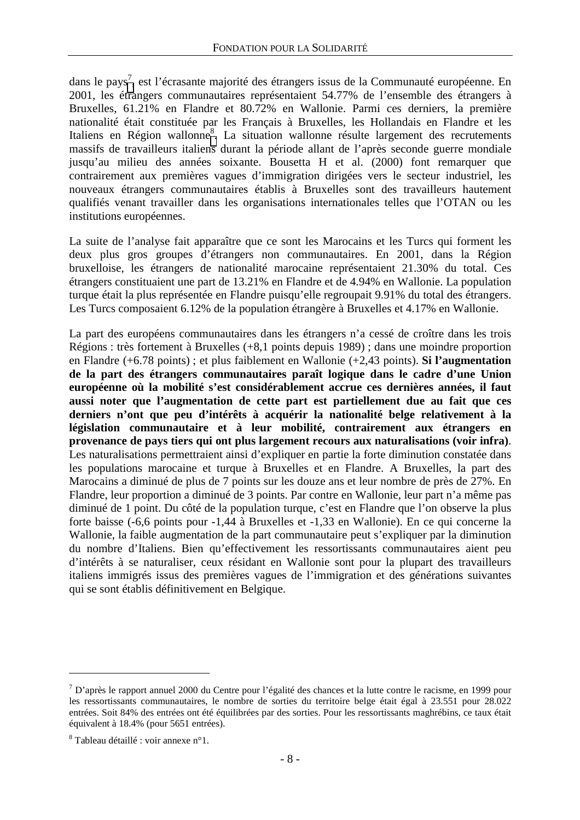dans le pays<sup>7</sup>, est l'écrasante majorité des étrangers issus de la Communauté européenne. En 2001, les étrangers communautaires représentaient 54.77% de l'ensemble des étrangers à Bruxelles, 61.21% en Flandre et 80.72% en Wallonie. Parmi ces derniers, la première nationalité était constituée par les Français à Bruxelles, les Hollandais en Flandre et les Italiens en Région wallonne<sup>8</sup>. La situation wallonne résulte largement des recrutements massifs de travailleurs italiens durant la période allant de l'après seconde guerre mondiale jusqu'au milieu des années soixante. Bousetta H et al. (2000) font remarquer que contrairement aux premières vagues d'immigration dirigées vers le secteur industriel, les nouveaux étrangers communautaires établis à Bruxelles sont des travailleurs hautement qualifiés venant travailler dans les organisations internationales telles que l'OTAN ou les institutions européennes.

La suite de l'analyse fait apparaître que ce sont les Marocains et les Turcs qui forment les deux plus gros groupes d'étrangers non communautaires. En 2001, dans la Région bruxelloise, les étrangers de nationalité marocaine représentaient 21.30% du total. Ces étrangers constituaient une part de 13.21% en Flandre et de 4.94% en Wallonie. La population turque était la plus représentée en Flandre puisqu'elle regroupait 9.91% du total des étrangers. Les Turcs composaient 6.12% de la population étrangère à Bruxelles et 4.17% en Wallonie.

La part des européens communautaires dans les étrangers n'a cessé de croître dans les trois Régions : très fortement à Bruxelles (+8,1 points depuis 1989) ; dans une moindre proportion en Flandre (+6.78 points) ; et plus faiblement en Wallonie (+2,43 points). **Si l'augmentation de la part des étrangers communautaires paraît logique dans le cadre d'une Union européenne où la mobilité s'est considérablement accrue ces dernières années, il faut aussi noter que l'augmentation de cette part est partiellement due au fait que ces derniers n'ont que peu d'intérêts à acquérir la nationalité belge relativement à la législation communautaire et à leur mobilité, contrairement aux étrangers en provenance de pays tiers qui ont plus largement recours aux naturalisations (voir infra)**. Les naturalisations permettraient ainsi d'expliquer en partie la forte diminution constatée dans les populations marocaine et turque à Bruxelles et en Flandre. A Bruxelles, la part des Marocains a diminué de plus de 7 points sur les douze ans et leur nombre de près de 27%. En Flandre, leur proportion a diminué de 3 points. Par contre en Wallonie, leur part n'a même pas diminué de 1 point. Du côté de la population turque, c'est en Flandre que l'on observe la plus forte baisse (-6,6 points pour -1,44 à Bruxelles et -1,33 en Wallonie). En ce qui concerne la Wallonie, la faible augmentation de la part communautaire peut s'expliquer par la diminution du nombre d'Italiens. Bien qu'effectivement les ressortissants communautaires aient peu d'intérêts à se naturaliser, ceux résidant en Wallonie sont pour la plupart des travailleurs italiens immigrés issus des premières vagues de l'immigration et des générations suivantes qui se sont établis définitivement en Belgique.

 $^7$  D'après le rapport annuel 2000 du Centre pour l'égalité des chances et la lutte contre le racisme, en 1999 pour les ressortissants communautaires, le nombre de sorties du territoire belge était égal à 23.551 pour 28.022 entrées. Soit 84% des entrées ont été équilibrées par des sorties. Pour les ressortissants maghrébins, ce taux était équivalent à 18.4% (pour 5651 entrées).

<sup>&</sup>lt;sup>8</sup> Tableau détaillé : voir annexe n°1.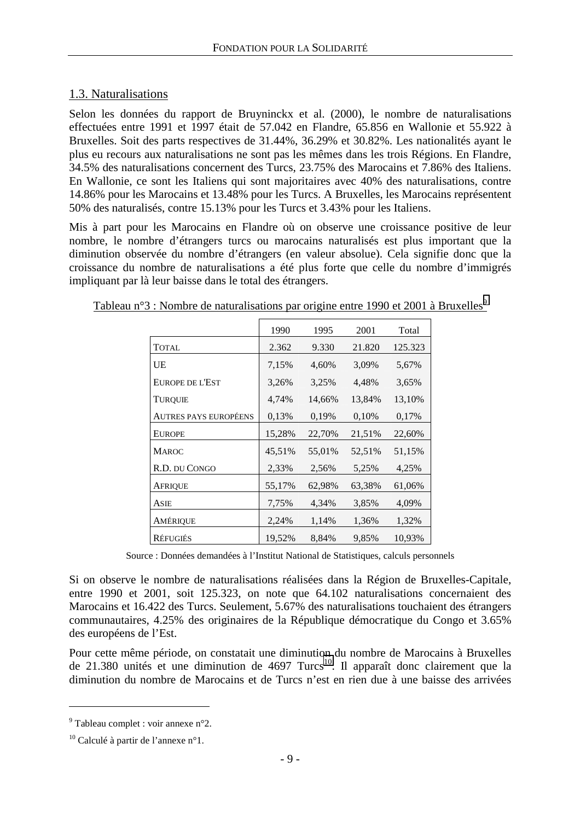## <span id="page-9-0"></span>1.3. Naturalisations

Selon les données du rapport de Bruyninckx et al. (2000), le nombre de naturalisations effectuées entre 1991 et 1997 était de 57.042 en Flandre, 65.856 en Wallonie et 55.922 à Bruxelles. Soit des parts respectives de 31.44%, 36.29% et 30.82%. Les nationalités ayant le plus eu recours aux naturalisations ne sont pas les mêmes dans les trois Régions. En Flandre, 34.5% des naturalisations concernent des Turcs, 23.75% des Marocains et 7.86% des Italiens. En Wallonie, ce sont les Italiens qui sont majoritaires avec 40% des naturalisations, contre 14.86% pour les Marocains et 13.48% pour les Turcs. A Bruxelles, les Marocains représentent 50% des naturalisés, contre 15.13% pour les Turcs et 3.43% pour les Italiens.

Mis à part pour les Marocains en Flandre où on observe une croissance positive de leur nombre, le nombre d'étrangers turcs ou marocains naturalisés est plus important que la diminution observée du nombre d'étrangers (en valeur absolue). Cela signifie donc que la croissance du nombre de naturalisations a été plus forte que celle du nombre d'immigrés impliquant par là leur baisse dans le total des étrangers.

|                              | 1990   | 1995   | 2001   | Total   |
|------------------------------|--------|--------|--------|---------|
| <b>TOTAL</b>                 | 2.362  | 9.330  | 21.820 | 125.323 |
| UE                           | 7,15%  | 4,60%  | 3,09%  | 5,67%   |
| EUROPE DE L'EST              | 3,26%  | 3,25%  | 4,48%  | 3,65%   |
| <b>TURQUIE</b>               | 4,74%  | 14,66% | 13,84% | 13,10%  |
| <b>AUTRES PAYS EUROPÉENS</b> | 0,13%  | 0,19%  | 0.10%  | 0,17%   |
| <b>EUROPE</b>                | 15,28% | 22,70% | 21,51% | 22,60%  |
| <b>MAROC</b>                 | 45,51% | 55,01% | 52,51% | 51,15%  |
| R.D. DU CONGO                | 2,33%  | 2,56%  | 5,25%  | 4,25%   |
| <b>AFRIQUE</b>               | 55,17% | 62,98% | 63,38% | 61,06%  |
| ASIE                         | 7,75%  | 4,34%  | 3,85%  | 4,09%   |
| AMÉRIQUE                     | 2,24%  | 1,14%  | 1,36%  | 1,32%   |
| <b>RÉFUGIÉS</b>              | 19,52% | 8,84%  | 9,85%  | 10,93%  |

Tableau n°3 : Nombre de naturalisations par origine entre 1990 et 2001 à Bruxelles<sup>9</sup>

Source : Données demandées à l'Institut National de Statistiques, calculs personnels

Si on observe le nombre de naturalisations réalisées dans la Région de Bruxelles-Capitale, entre 1990 et 2001, soit 125.323, on note que 64.102 naturalisations concernaient des Marocains et 16.422 des Turcs. Seulement, 5.67% des naturalisations touchaient des étrangers communautaires, 4.25% des originaires de la République démocratique du Congo et 3.65% des européens de l'Est.

Pour cette même période, on constatait une diminution du nombre de Marocains à Bruxelles de 21.380 unités et une diminution de 4697 Turcs<sup>10</sup>. Il apparaît donc clairement que la diminution du nombre de Marocains et de Turcs n'est en rien due à une baisse des arrivées

 $9^9$  Tableau complet : voir annexe n°2.

 $10$  Calculé à partir de l'annexe n°1.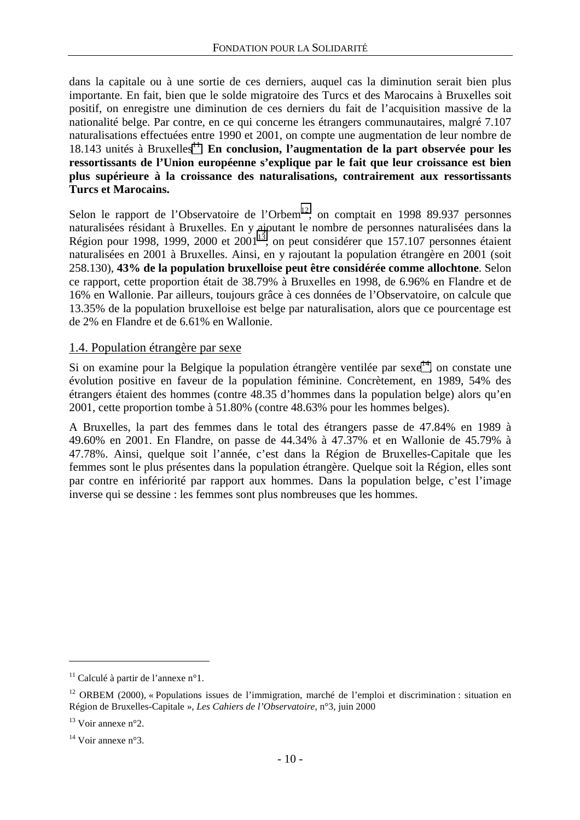<span id="page-10-0"></span>dans la capitale ou à une sortie de ces derniers, auquel cas la diminution serait bien plus importante. En fait, bien que le solde migratoire des Turcs et des Marocains à Bruxelles soit positif, on enregistre une diminution de ces derniers du fait de l'acquisition massive de la nationalité belge. Par contre, en ce qui concerne les étrangers communautaires, malgré 7.107 naturalisations effectuées entre 1990 et 2001, on compte une augmentation de leur nombre de  $18.143$  unités à Bruxelles<sup>11</sup>. En conclusion, l'augmentation de la part observée pour les **ressortissants de l'Union européenne s'explique par le fait que leur croissance est bien plus supérieure à la croissance des naturalisations, contrairement aux ressortissants Turcs et Marocains.**

Selon le rapport de l'Observatoire de l'Orbem<sup>12</sup>, on comptait en 1998 89.937 personnes naturalisées résidant à Bruxelles. En y ajoutant le nombre de personnes naturalisées dans la Région pour 1998, 1999, 2000 et  $2001^{13}$ , on peut considérer que 157.107 personnes étaient naturalisées en 2001 à Bruxelles. Ainsi, en y rajoutant la population étrangère en 2001 (soit 258.130), **43% de la population bruxelloise peut être considérée comme allochtone**. Selon ce rapport, cette proportion était de 38.79% à Bruxelles en 1998, de 6.96% en Flandre et de 16% en Wallonie. Par ailleurs, toujours grâce à ces données de l'Observatoire, on calcule que 13.35% de la population bruxelloise est belge par naturalisation, alors que ce pourcentage est de 2% en Flandre et de 6.61% en Wallonie.

#### 1.4. Population étrangère par sexe

Si on examine pour la Belgique la population étrangère ventilée par sexe<sup>14</sup>, on constate une évolution positive en faveur de la population féminine. Concrètement, en 1989, 54% des étrangers étaient des hommes (contre 48.35 d'hommes dans la population belge) alors qu'en 2001, cette proportion tombe à 51.80% (contre 48.63% pour les hommes belges).

A Bruxelles, la part des femmes dans le total des étrangers passe de 47.84% en 1989 à 49.60% en 2001. En Flandre, on passe de 44.34% à 47.37% et en Wallonie de 45.79% à 47.78%. Ainsi, quelque soit l'année, c'est dans la Région de Bruxelles-Capitale que les femmes sont le plus présentes dans la population étrangère. Quelque soit la Région, elles sont par contre en infériorité par rapport aux hommes. Dans la population belge, c'est l'image inverse qui se dessine : les femmes sont plus nombreuses que les hommes.

<sup>&</sup>lt;sup>11</sup> Calculé à partir de l'annexe n°1.

<sup>&</sup>lt;sup>12</sup> ORBEM (2000), « Populations issues de l'immigration, marché de l'emploi et discrimination : situation en Région de Bruxelles-Capitale », *Les Cahiers de l'Observatoire*, n°3, juin 2000

 $13$  Voir annexe n°2.

<sup>&</sup>lt;sup>14</sup> Voir annexe n°3.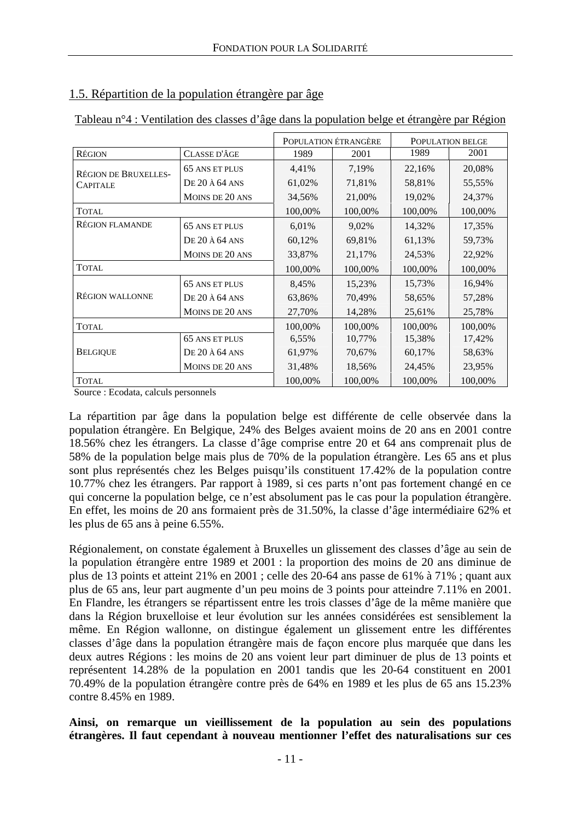|                             |                                   | POPULATION ÉTRANGÈRE |         | POPULATION BELGE |         |
|-----------------------------|-----------------------------------|----------------------|---------|------------------|---------|
| <b>RÉGION</b>               | CLASSE D'ÂGE                      | 1989                 | 2001    | 1989             | 2001    |
| <b>RÉGION DE BRUXELLES-</b> | 65 ANS ET PLUS                    | 4,41%                | 7,19%   | 22,16%           | 20,08%  |
| <b>CAPITALE</b>             | $DE 20 \text{ Å } 64 \text{ ANS}$ | 61,02%               | 71,81%  | 58,81%           | 55,55%  |
|                             | MOINS DE 20 ANS                   | 34,56%               | 21,00%  | 19,02%           | 24,37%  |
| <b>TOTAL</b>                |                                   | 100,00%              | 100,00% | 100,00%          | 100,00% |
| <b>RÉGION FLAMANDE</b>      | 65 ANS ET PLUS                    | 6,01%                | 9,02%   | 14,32%           | 17,35%  |
|                             | <b>DE 20 À 64 ANS</b>             | 60,12%               | 69,81%  | 61,13%           | 59,73%  |
|                             | MOINS DE 20 ANS                   | 33,87%               | 21,17%  | 24,53%           | 22,92%  |
| <b>TOTAL</b>                |                                   | 100,00%              | 100,00% | 100,00%          | 100,00% |
|                             | 65 ANS ET PLUS                    | 8,45%                | 15,23%  | 15,73%           | 16,94%  |
| <b>RÉGION WALLONNE</b>      | $DE 20 \text{ Å } 64 \text{ ANS}$ | 63,86%               | 70,49%  | 58,65%           | 57,28%  |
|                             | MOINS DE 20 ANS                   | 27,70%               | 14,28%  | 25,61%           | 25,78%  |
| <b>TOTAL</b>                |                                   | 100,00%              | 100,00% | 100,00%          | 100,00% |
|                             | <b>65 ANS ET PLUS</b>             | 6,55%                | 10,77%  | 15,38%           | 17,42%  |
| <b>BELGIOUE</b>             | $DE 20 \text{ Å } 64 \text{ ANS}$ | 61,97%               | 70,67%  | 60,17%           | 58,63%  |
|                             | MOINS DE 20 ANS                   | 31,48%               | 18,56%  | 24,45%           | 23,95%  |
| <b>TOTAL</b>                |                                   | 100,00%              | 100,00% | 100,00%          | 100,00% |

## <span id="page-11-0"></span>1.5. Répartition de la population étrangère par âge

| Tableau n°4 : Ventilation des classes d'âge dans la population belge et étrangère par Région |
|----------------------------------------------------------------------------------------------|
|----------------------------------------------------------------------------------------------|

Source : Ecodata, calculs personnels

La répartition par âge dans la population belge est différente de celle observée dans la population étrangère. En Belgique, 24% des Belges avaient moins de 20 ans en 2001 contre 18.56% chez les étrangers. La classe d'âge comprise entre 20 et 64 ans comprenait plus de 58% de la population belge mais plus de 70% de la population étrangère. Les 65 ans et plus sont plus représentés chez les Belges puisqu'ils constituent 17.42% de la population contre 10.77% chez les étrangers. Par rapport à 1989, si ces parts n'ont pas fortement changé en ce qui concerne la population belge, ce n'est absolument pas le cas pour la population étrangère. En effet, les moins de 20 ans formaient près de 31.50%, la classe d'âge intermédiaire 62% et les plus de 65 ans à peine 6.55%.

Régionalement, on constate également à Bruxelles un glissement des classes d'âge au sein de la population étrangère entre 1989 et 2001 : la proportion des moins de 20 ans diminue de plus de 13 points et atteint 21% en 2001 ; celle des 20-64 ans passe de 61% à 71% ; quant aux plus de 65 ans, leur part augmente d'un peu moins de 3 points pour atteindre 7.11% en 2001. En Flandre, les étrangers se répartissent entre les trois classes d'âge de la même manière que dans la Région bruxelloise et leur évolution sur les années considérées est sensiblement la même. En Région wallonne, on distingue également un glissement entre les différentes classes d'âge dans la population étrangère mais de façon encore plus marquée que dans les deux autres Régions : les moins de 20 ans voient leur part diminuer de plus de 13 points et représentent 14.28% de la population en 2001 tandis que les 20-64 constituent en 2001 70.49% de la population étrangère contre près de 64% en 1989 et les plus de 65 ans 15.23% contre 8.45% en 1989.

**Ainsi, on remarque un vieillissement de la population au sein des populations étrangères. Il faut cependant à nouveau mentionner l'effet des naturalisations sur ces**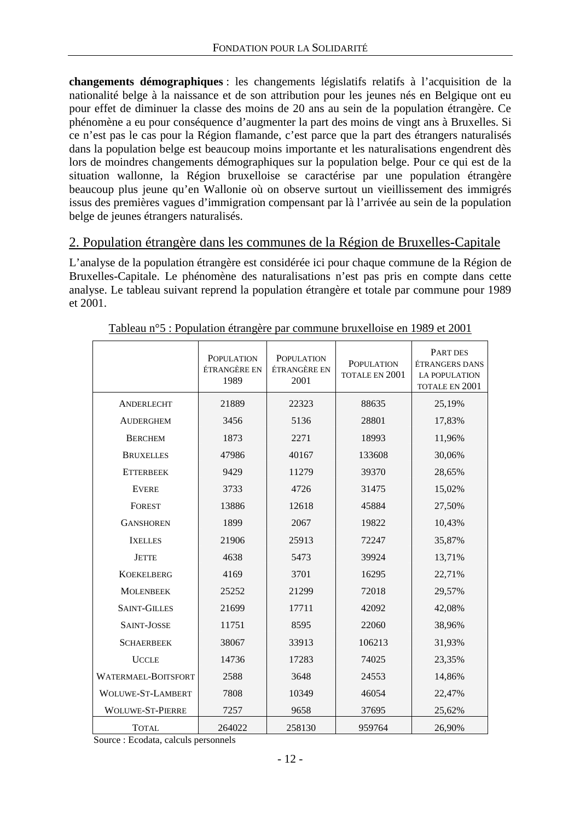<span id="page-12-0"></span>**changements démographiques** : les changements législatifs relatifs à l'acquisition de la nationalité belge à la naissance et de son attribution pour les jeunes nés en Belgique ont eu pour effet de diminuer la classe des moins de 20 ans au sein de la population étrangère. Ce phénomène a eu pour conséquence d'augmenter la part des moins de vingt ans à Bruxelles. Si ce n'est pas le cas pour la Région flamande, c'est parce que la part des étrangers naturalisés dans la population belge est beaucoup moins importante et les naturalisations engendrent dès lors de moindres changements démographiques sur la population belge. Pour ce qui est de la situation wallonne, la Région bruxelloise se caractérise par une population étrangère beaucoup plus jeune qu'en Wallonie où on observe surtout un vieillissement des immigrés issus des premières vagues d'immigration compensant par là l'arrivée au sein de la population belge de jeunes étrangers naturalisés.

## 2. Population étrangère dans les communes de la Région de Bruxelles-Capitale

L'analyse de la population étrangère est considérée ici pour chaque commune de la Région de Bruxelles-Capitale. Le phénomène des naturalisations n'est pas pris en compte dans cette analyse. Le tableau suivant reprend la population étrangère et totale par commune pour 1989 et 2001.

|                          | <b>POPULATION</b><br>ÉTRANGÈRE EN<br>1989 | <b>POPULATION</b><br>ÉTRANGÈRE EN<br>2001 | <b>POPULATION</b><br>TOTALE EN 2001 | PART DES<br><b>ÉTRANGERS DANS</b><br><b>LA POPULATION</b><br>TOTALE EN 2001 |
|--------------------------|-------------------------------------------|-------------------------------------------|-------------------------------------|-----------------------------------------------------------------------------|
| ANDERLECHT               | 21889                                     | 22323                                     | 88635                               | 25,19%                                                                      |
| <b>AUDERGHEM</b>         | 3456                                      | 5136                                      | 28801                               | 17,83%                                                                      |
| <b>BERCHEM</b>           | 1873                                      | 2271                                      | 18993                               | 11,96%                                                                      |
| <b>BRUXELLES</b>         | 47986                                     | 40167                                     | 133608                              | 30,06%                                                                      |
| <b>ETTERBEEK</b>         | 9429                                      | 11279                                     | 39370                               | 28,65%                                                                      |
| <b>EVERE</b>             | 3733                                      | 4726                                      | 31475                               | 15,02%                                                                      |
| <b>FOREST</b>            | 13886                                     | 12618                                     | 45884                               | 27,50%                                                                      |
| <b>GANSHOREN</b>         | 1899                                      | 2067                                      | 19822                               | 10,43%                                                                      |
| <b>IXELLES</b>           | 21906                                     | 25913                                     | 72247                               | 35,87%                                                                      |
| <b>JETTE</b>             | 4638                                      | 5473                                      | 39924                               | 13,71%                                                                      |
| <b>KOEKELBERG</b>        | 4169                                      | 3701                                      | 16295                               | 22,71%                                                                      |
| <b>MOLENBEEK</b>         | 25252                                     | 21299                                     | 72018                               | 29,57%                                                                      |
| <b>SAINT-GILLES</b>      | 21699                                     | 17711                                     | 42092                               | 42,08%                                                                      |
| SAINT-JOSSE              | 11751                                     | 8595                                      | 22060                               | 38,96%                                                                      |
| <b>SCHAERBEEK</b>        | 38067                                     | 33913                                     | 106213                              | 31,93%                                                                      |
| <b>UCCLE</b>             | 14736                                     | 17283                                     | 74025                               | 23,35%                                                                      |
| WATERMAEL-BOITSFORT      | 2588                                      | 3648                                      | 24553                               | 14,86%                                                                      |
| <b>WOLUWE-ST-LAMBERT</b> | 7808                                      | 10349                                     | 46054                               | 22,47%                                                                      |
| <b>WOLUWE-ST-PIERRE</b>  | 7257                                      | 9658                                      | 37695                               | 25,62%                                                                      |
| <b>TOTAL</b>             | 264022                                    | 258130                                    | 959764                              | 26,90%                                                                      |

Tableau n°5 : Population étrangère par commune bruxelloise en 1989 et 2001

Source : Ecodata, calculs personnels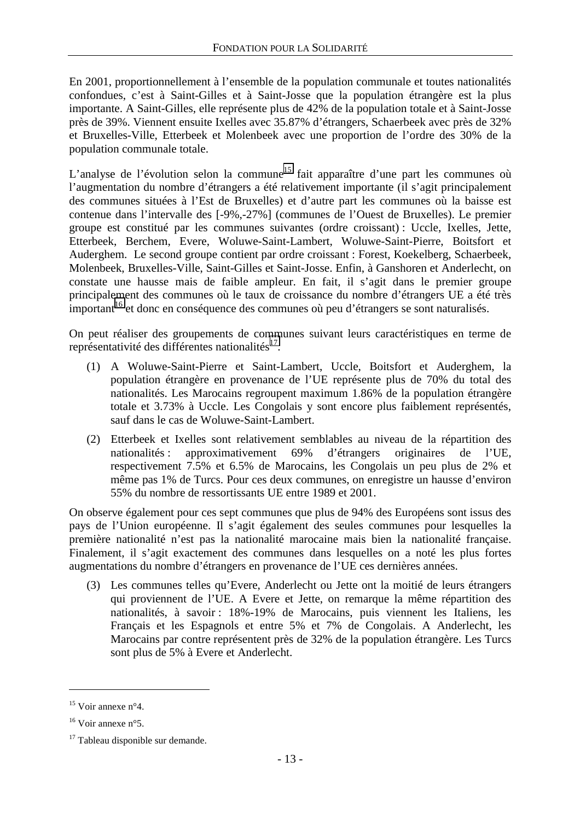En 2001, proportionnellement à l'ensemble de la population communale et toutes nationalités confondues, c'est à Saint-Gilles et à Saint-Josse que la population étrangère est la plus importante. A Saint-Gilles, elle représente plus de 42% de la population totale et à Saint-Josse près de 39%. Viennent ensuite Ixelles avec 35.87% d'étrangers, Schaerbeek avec près de 32% et Bruxelles-Ville, Etterbeek et Molenbeek avec une proportion de l'ordre des 30% de la population communale totale.

L'analyse de l'évolution selon la commune<sup>15</sup> fait apparaître d'une part les communes où l'augmentation du nombre d'étrangers a été relativement importante (il s'agit principalement des communes situées à l'Est de Bruxelles) et d'autre part les communes où la baisse est contenue dans l'intervalle des [-9%,-27%] (communes de l'Ouest de Bruxelles). Le premier groupe est constitué par les communes suivantes (ordre croissant) : Uccle, Ixelles, Jette, Etterbeek, Berchem, Evere, Woluwe-Saint-Lambert, Woluwe-Saint-Pierre, Boitsfort et Auderghem. Le second groupe contient par ordre croissant : Forest, Koekelberg, Schaerbeek, Molenbeek, Bruxelles-Ville, Saint-Gilles et Saint-Josse. Enfin, à Ganshoren et Anderlecht, on constate une hausse mais de faible ampleur. En fait, il s'agit dans le premier groupe principalement des communes où le taux de croissance du nombre d'étrangers UE a été très important<sup>16</sup> et donc en conséquence des communes où peu d'étrangers se sont naturalisés.

On peut réaliser des groupements de communes suivant leurs caractéristiques en terme de représentativité des différentes nationalités $^{17}$ .

- (1) A Woluwe-Saint-Pierre et Saint-Lambert, Uccle, Boitsfort et Auderghem, la population étrangère en provenance de l'UE représente plus de 70% du total des nationalités. Les Marocains regroupent maximum 1.86% de la population étrangère totale et 3.73% à Uccle. Les Congolais y sont encore plus faiblement représentés, sauf dans le cas de Woluwe-Saint-Lambert.
- (2) Etterbeek et Ixelles sont relativement semblables au niveau de la répartition des nationalités : approximativement 69% d'étrangers originaires de l'UE, respectivement 7.5% et 6.5% de Marocains, les Congolais un peu plus de 2% et même pas 1% de Turcs. Pour ces deux communes, on enregistre un hausse d'environ 55% du nombre de ressortissants UE entre 1989 et 2001.

On observe également pour ces sept communes que plus de 94% des Européens sont issus des pays de l'Union européenne. Il s'agit également des seules communes pour lesquelles la première nationalité n'est pas la nationalité marocaine mais bien la nationalité française. Finalement, il s'agit exactement des communes dans lesquelles on a noté les plus fortes augmentations du nombre d'étrangers en provenance de l'UE ces dernières années.

(3) Les communes telles qu'Evere, Anderlecht ou Jette ont la moitié de leurs étrangers qui proviennent de l'UE. A Evere et Jette, on remarque la même répartition des nationalités, à savoir : 18%-19% de Marocains, puis viennent les Italiens, les Français et les Espagnols et entre 5% et 7% de Congolais. A Anderlecht, les Marocains par contre représentent près de 32% de la population étrangère. Les Turcs sont plus de 5% à Evere et Anderlecht.

 $15$  Voir annexe n°4.

 $16$  Voir annexe n°5.

<sup>&</sup>lt;sup>17</sup> Tableau disponible sur demande.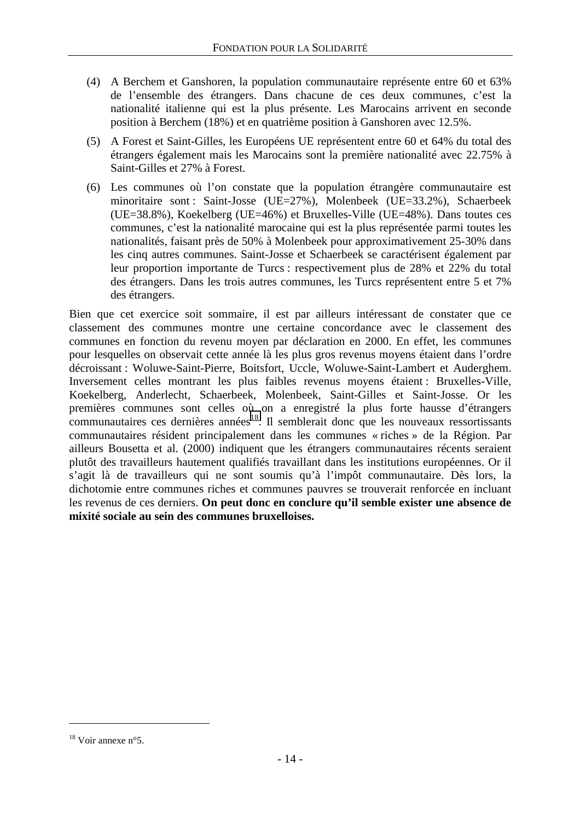- (4) A Berchem et Ganshoren, la population communautaire représente entre 60 et 63% de l'ensemble des étrangers. Dans chacune de ces deux communes, c'est la nationalité italienne qui est la plus présente. Les Marocains arrivent en seconde position à Berchem (18%) et en quatrième position à Ganshoren avec 12.5%.
- (5) A Forest et Saint-Gilles, les Européens UE représentent entre 60 et 64% du total des étrangers également mais les Marocains sont la première nationalité avec 22.75% à Saint-Gilles et 27% à Forest.
- (6) Les communes où l'on constate que la population étrangère communautaire est minoritaire sont : Saint-Josse (UE=27%), Molenbeek (UE=33.2%), Schaerbeek (UE=38.8%), Koekelberg (UE=46%) et Bruxelles-Ville (UE=48%). Dans toutes ces communes, c'est la nationalité marocaine qui est la plus représentée parmi toutes les nationalités, faisant près de 50% à Molenbeek pour approximativement 25-30% dans les cinq autres communes. Saint-Josse et Schaerbeek se caractérisent également par leur proportion importante de Turcs : respectivement plus de 28% et 22% du total des étrangers. Dans les trois autres communes, les Turcs représentent entre 5 et 7% des étrangers.

Bien que cet exercice soit sommaire, il est par ailleurs intéressant de constater que ce classement des communes montre une certaine concordance avec le classement des communes en fonction du revenu moyen par déclaration en 2000. En effet, les communes pour lesquelles on observait cette année là les plus gros revenus moyens étaient dans l'ordre décroissant : Woluwe-Saint-Pierre, Boitsfort, Uccle, Woluwe-Saint-Lambert et Auderghem. Inversement celles montrant les plus faibles revenus moyens étaient : Bruxelles-Ville, Koekelberg, Anderlecht, Schaerbeek, Molenbeek, Saint-Gilles et Saint-Josse. Or les premières communes sont celles où on a enregistré la plus forte hausse d'étrangers  $\overline{\text{c}}$ communautaires ces dernières années<sup>18</sup>. Il semblerait donc que les nouveaux ressortissants communautaires résident principalement dans les communes « riches » de la Région. Par ailleurs Bousetta et al. (2000) indiquent que les étrangers communautaires récents seraient plutôt des travailleurs hautement qualifiés travaillant dans les institutions européennes. Or il s'agit là de travailleurs qui ne sont soumis qu'à l'impôt communautaire. Dès lors, la dichotomie entre communes riches et communes pauvres se trouverait renforcée en incluant les revenus de ces derniers. **On peut donc en conclure qu'il semble exister une absence de mixité sociale au sein des communes bruxelloises.**

<sup>18</sup> Voir annexe n°5.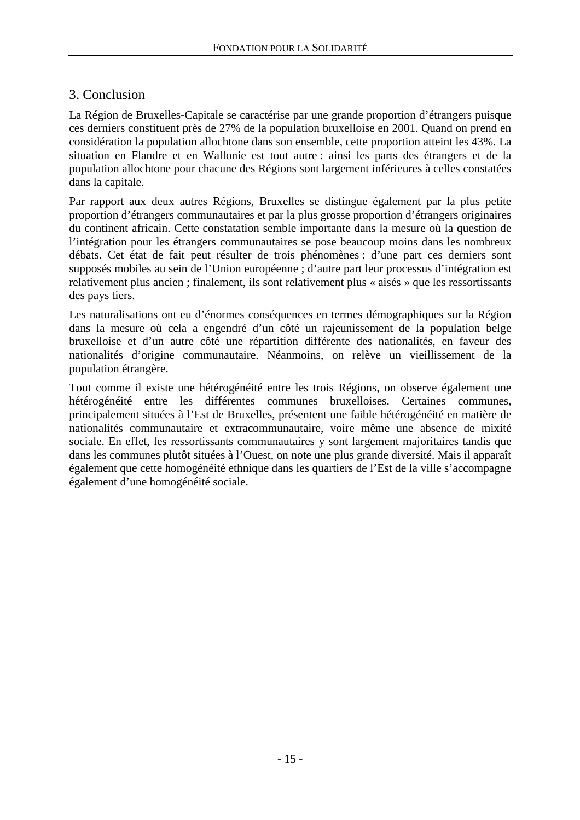## <span id="page-15-0"></span>3. Conclusion

La Région de Bruxelles-Capitale se caractérise par une grande proportion d'étrangers puisque ces derniers constituent près de 27% de la population bruxelloise en 2001. Quand on prend en considération la population allochtone dans son ensemble, cette proportion atteint les 43%. La situation en Flandre et en Wallonie est tout autre : ainsi les parts des étrangers et de la population allochtone pour chacune des Régions sont largement inférieures à celles constatées dans la capitale.

Par rapport aux deux autres Régions, Bruxelles se distingue également par la plus petite proportion d'étrangers communautaires et par la plus grosse proportion d'étrangers originaires du continent africain. Cette constatation semble importante dans la mesure où la question de l'intégration pour les étrangers communautaires se pose beaucoup moins dans les nombreux débats. Cet état de fait peut résulter de trois phénomènes : d'une part ces derniers sont supposés mobiles au sein de l'Union européenne ; d'autre part leur processus d'intégration est relativement plus ancien ; finalement, ils sont relativement plus « aisés » que les ressortissants des pays tiers.

Les naturalisations ont eu d'énormes conséquences en termes démographiques sur la Région dans la mesure où cela a engendré d'un côté un rajeunissement de la population belge bruxelloise et d'un autre côté une répartition différente des nationalités, en faveur des nationalités d'origine communautaire. Néanmoins, on relève un vieillissement de la population étrangère.

Tout comme il existe une hétérogénéité entre les trois Régions, on observe également une hétérogénéité entre les différentes communes bruxelloises. Certaines communes, principalement situées à l'Est de Bruxelles, présentent une faible hétérogénéité en matière de nationalités communautaire et extracommunautaire, voire même une absence de mixité sociale. En effet, les ressortissants communautaires y sont largement majoritaires tandis que dans les communes plutôt situées à l'Ouest, on note une plus grande diversité. Mais il apparaît également que cette homogénéité ethnique dans les quartiers de l'Est de la ville s'accompagne également d'une homogénéité sociale.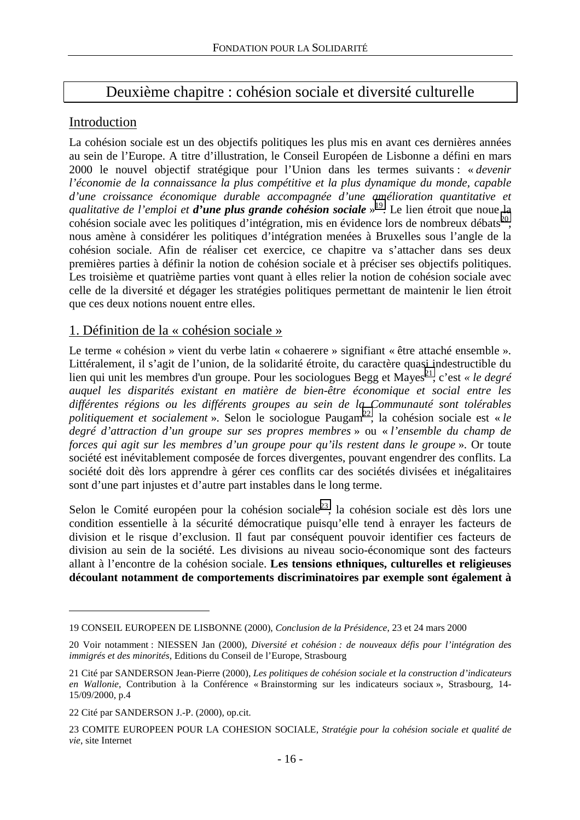# Deuxième chapitre : cohésion sociale et diversité culturelle

## <span id="page-16-0"></span>**Introduction**

La cohésion sociale est un des objectifs politiques les plus mis en avant ces dernières années au sein de l'Europe. A titre d'illustration, le Conseil Européen de Lisbonne a défini en mars 2000 le nouvel objectif stratégique pour l'Union dans les termes suivants : « *devenir l'économie de la connaissance la plus compétitive et la plus dynamique du monde, capable d'une croissance économique durable accompagnée d'une amélioration quantitative et qualitative de l'emploi et d'une plus grande cohésion sociale* » 19. Le lien étroit que noue la cohésion sociale avec les politiques d'intégration, mis en évidence lors de nombreux débats<sup>20</sup>, nous amène à considérer les politiques d'intégration menées à Bruxelles sous l'angle de la cohésion sociale. Afin de réaliser cet exercice, ce chapitre va s'attacher dans ses deux premières parties à définir la notion de cohésion sociale et à préciser ses objectifs politiques. Les troisième et quatrième parties vont quant à elles relier la notion de cohésion sociale avec celle de la diversité et dégager les stratégies politiques permettant de maintenir le lien étroit que ces deux notions nouent entre elles.

## 1. Définition de la « cohésion sociale »

Le terme « cohésion » vient du verbe latin « cohaerere » signifiant « être attaché ensemble ». Littéralement, il s'agit de l'union, de la solidarité étroite, du caractère quasi indestructible du lien qui unit les membres d'un groupe. Pour les sociologues Begg et Mayes<sup>21</sup>, c'est *« le degré auquel les disparités existant en matière de bien-être économique et social entre les différentes régions ou les différents groupes au sein de la Communauté sont tolérables politiquement et socialement* ». Selon le sociologue Paugam<sup>22</sup>, la cohésion sociale est « *le degré d'attraction d'un groupe sur ses propres membres* » ou « *l'ensemble du champ de forces qui agit sur les membres d'un groupe pour qu'ils restent dans le groupe* ». Or toute société est inévitablement composée de forces divergentes, pouvant engendrer des conflits. La société doit dès lors apprendre à gérer ces conflits car des sociétés divisées et inégalitaires sont d'une part injustes et d'autre part instables dans le long terme.

Selon le Comité européen pour la cohésion sociale<sup>23</sup>, la cohésion sociale est dès lors une condition essentielle à la sécurité démocratique puisqu'elle tend à enrayer les facteurs de division et le risque d'exclusion. Il faut par conséquent pouvoir identifier ces facteurs de division au sein de la société. Les divisions au niveau socio-économique sont des facteurs allant à l'encontre de la cohésion sociale. **Les tensions ethniques, culturelles et religieuses découlant notamment de comportements discriminatoires par exemple sont également à** 

<sup>19</sup> CONSEIL EUROPEEN DE LISBONNE (2000), *Conclusion de la Présidence*, 23 et 24 mars 2000

<sup>20</sup> Voir notamment : NIESSEN Jan (2000), *Diversité et cohésion : de nouveaux défis pour l'intégration des immigrés et des minorités*, Editions du Conseil de l'Europe, Strasbourg

<sup>21</sup> Cité par SANDERSON Jean-Pierre (2000), *Les politiques de cohésion sociale et la construction d'indicateurs en Wallonie*, Contribution à la Conférence « Brainstorming sur les indicateurs sociaux », Strasbourg, 14- 15/09/2000, p.4

<sup>22</sup> Cité par SANDERSON J.-P. (2000), op.cit.

<sup>23</sup> COMITE EUROPEEN POUR LA COHESION SOCIALE, *Stratégie pour la cohésion sociale et qualité de vie*, site Internet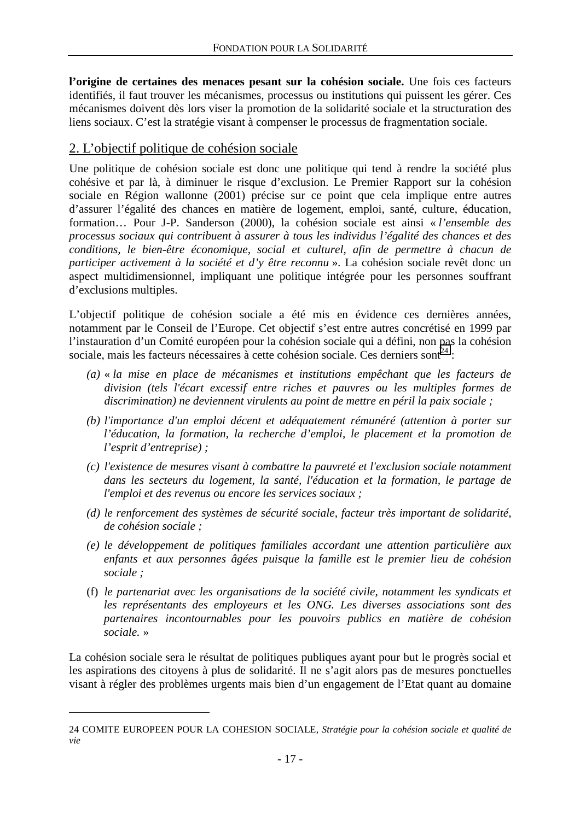<span id="page-17-0"></span>**l'origine de certaines des menaces pesant sur la cohésion sociale.** Une fois ces facteurs identifiés, il faut trouver les mécanismes, processus ou institutions qui puissent les gérer. Ces mécanismes doivent dès lors viser la promotion de la solidarité sociale et la structuration des liens sociaux. C'est la stratégie visant à compenser le processus de fragmentation sociale.

## 2. L'objectif politique de cohésion sociale

Une politique de cohésion sociale est donc une politique qui tend à rendre la société plus cohésive et par là, à diminuer le risque d'exclusion. Le Premier Rapport sur la cohésion sociale en Région wallonne (2001) précise sur ce point que cela implique entre autres d'assurer l'égalité des chances en matière de logement, emploi, santé, culture, éducation, formation… Pour J-P. Sanderson (2000), la cohésion sociale est ainsi « *l'ensemble des processus sociaux qui contribuent à assurer à tous les individus l'égalité des chances et des conditions, le bien-être économique, social et culturel, afin de permettre à chacun de participer activement à la société et d'y être reconnu* ». La cohésion sociale revêt donc un aspect multidimensionnel, impliquant une politique intégrée pour les personnes souffrant d'exclusions multiples.

L'objectif politique de cohésion sociale a été mis en évidence ces dernières années, notamment par le Conseil de l'Europe. Cet objectif s'est entre autres concrétisé en 1999 par l'instauration d'un Comité européen pour la cohésion sociale qui a défini, non pas la cohésion sociale, mais les facteurs nécessaires à cette cohésion sociale. Ces derniers sont<sup>24</sup> :

- *(a)* « *la mise en place de mécanismes et institutions empêchant que les facteurs de division (tels l'écart excessif entre riches et pauvres ou les multiples formes de discrimination) ne deviennent virulents au point de mettre en péril la paix sociale ;*
- *(b) l'importance d'un emploi décent et adéquatement rémunéré (attention à porter sur l'éducation, la formation, la recherche d'emploi, le placement et la promotion de l'esprit d'entreprise) ;*
- *(c) l'existence de mesures visant à combattre la pauvreté et l'exclusion sociale notamment dans les secteurs du logement, la santé, l'éducation et la formation, le partage de l'emploi et des revenus ou encore les services sociaux ;*
- *(d) le renforcement des systèmes de sécurité sociale, facteur très important de solidarité, de cohésion sociale ;*
- *(e) le développement de politiques familiales accordant une attention particulière aux enfants et aux personnes âgées puisque la famille est le premier lieu de cohésion sociale ;*
- (f) *le partenariat avec les organisations de la société civile, notamment les syndicats et les représentants des employeurs et les ONG. Les diverses associations sont des partenaires incontournables pour les pouvoirs publics en matière de cohésion sociale.* »

La cohésion sociale sera le résultat de politiques publiques ayant pour but le progrès social et les aspirations des citoyens à plus de solidarité. Il ne s'agit alors pas de mesures ponctuelles visant à régler des problèmes urgents mais bien d'un engagement de l'Etat quant au domaine

<sup>24</sup> COMITE EUROPEEN POUR LA COHESION SOCIALE, *Stratégie pour la cohésion sociale et qualité de vie*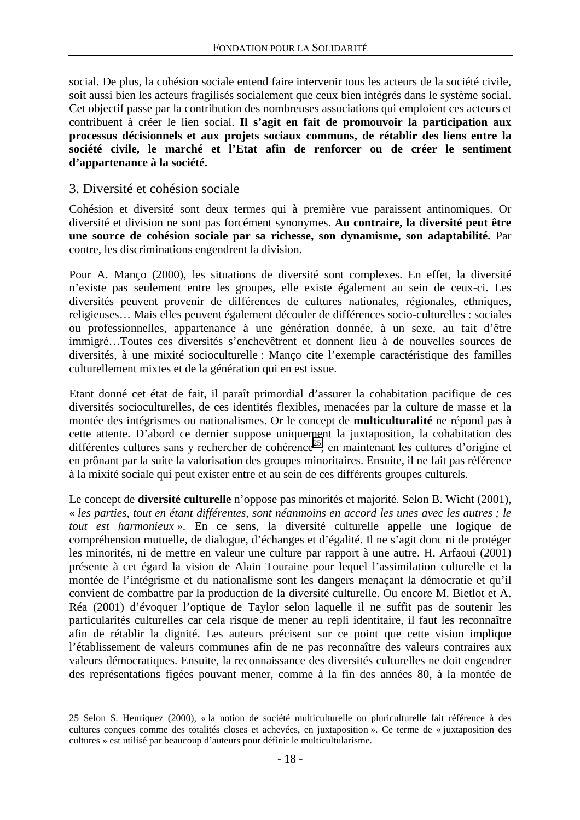<span id="page-18-0"></span>social. De plus, la cohésion sociale entend faire intervenir tous les acteurs de la société civile, soit aussi bien les acteurs fragilisés socialement que ceux bien intégrés dans le système social. Cet objectif passe par la contribution des nombreuses associations qui emploient ces acteurs et contribuent à créer le lien social. **Il s'agit en fait de promouvoir la participation aux processus décisionnels et aux projets sociaux communs, de rétablir des liens entre la société civile, le marché et l'Etat afin de renforcer ou de créer le sentiment d'appartenance à la société.**

#### 3. Diversité et cohésion sociale

 $\overline{a}$ 

Cohésion et diversité sont deux termes qui à première vue paraissent antinomiques. Or diversité et division ne sont pas forcément synonymes. **Au contraire, la diversité peut être une source de cohésion sociale par sa richesse, son dynamisme, son adaptabilité.** Par contre, les discriminations engendrent la division.

Pour A. Manço (2000), les situations de diversité sont complexes. En effet, la diversité n'existe pas seulement entre les groupes, elle existe également au sein de ceux-ci. Les diversités peuvent provenir de différences de cultures nationales, régionales, ethniques, religieuses… Mais elles peuvent également découler de différences socio-culturelles : sociales ou professionnelles, appartenance à une génération donnée, à un sexe, au fait d'être immigré…Toutes ces diversités s'enchevêtrent et donnent lieu à de nouvelles sources de diversités, à une mixité socioculturelle : Manço cite l'exemple caractéristique des familles culturellement mixtes et de la génération qui en est issue.

Etant donné cet état de fait, il paraît primordial d'assurer la cohabitation pacifique de ces diversités socioculturelles, de ces identités flexibles, menacées par la culture de masse et la montée des intégrismes ou nationalismes. Or le concept de **multiculturalité** ne répond pas à cette attente. D'abord ce dernier suppose uniquement la juxtaposition, la cohabitation des différentes cultures sans y rechercher de cohérence<sup>25</sup>, en maintenant les cultures d'origine et en prônant par la suite la valorisation des groupes minoritaires. Ensuite, il ne fait pas référence à la mixité sociale qui peut exister entre et au sein de ces différents groupes culturels.

Le concept de **diversité culturelle** n'oppose pas minorités et majorité. Selon B. Wicht (2001), « *les parties, tout en étant différentes, sont néanmoins en accord les unes avec les autres ; le tout est harmonieux* ». En ce sens, la diversité culturelle appelle une logique de compréhension mutuelle, de dialogue, d'échanges et d'égalité. Il ne s'agit donc ni de protéger les minorités, ni de mettre en valeur une culture par rapport à une autre. H. Arfaoui (2001) présente à cet égard la vision de Alain Touraine pour lequel l'assimilation culturelle et la montée de l'intégrisme et du nationalisme sont les dangers menaçant la démocratie et qu'il convient de combattre par la production de la diversité culturelle. Ou encore M. Bietlot et A. Réa (2001) d'évoquer l'optique de Taylor selon laquelle il ne suffit pas de soutenir les particularités culturelles car cela risque de mener au repli identitaire, il faut les reconnaître afin de rétablir la dignité. Les auteurs précisent sur ce point que cette vision implique l'établissement de valeurs communes afin de ne pas reconnaître des valeurs contraires aux valeurs démocratiques. Ensuite, la reconnaissance des diversités culturelles ne doit engendrer des représentations figées pouvant mener, comme à la fin des années 80, à la montée de

<sup>25</sup> Selon S. Henriquez (2000), « la notion de société multiculturelle ou pluriculturelle fait référence à des cultures conçues comme des totalités closes et achevées, en juxtaposition ». Ce terme de « juxtaposition des cultures » est utilisé par beaucoup d'auteurs pour définir le multicultularisme.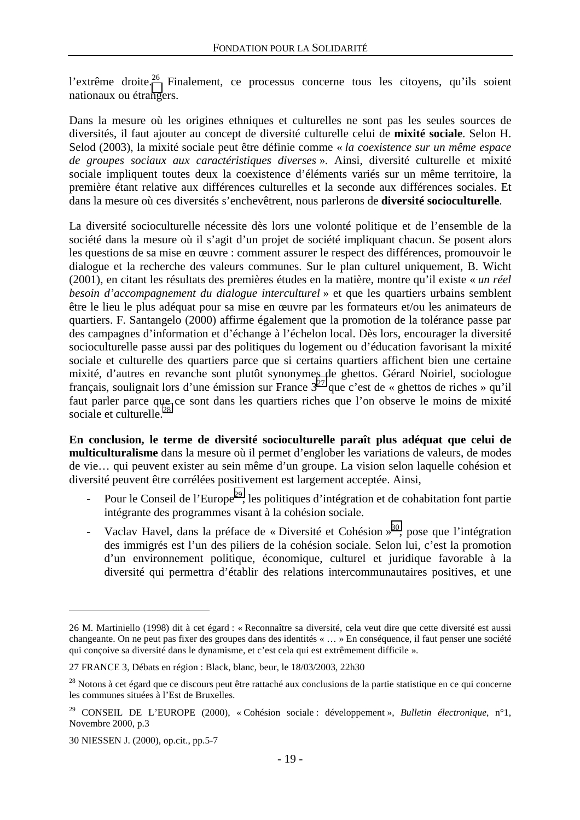l'extrême droite.<sup>26</sup> Finalement, ce processus concerne tous les citoyens, qu'ils soient nationaux ou étrangers.

Dans la mesure où les origines ethniques et culturelles ne sont pas les seules sources de diversités, il faut ajouter au concept de diversité culturelle celui de **mixité sociale**. Selon H. Selod (2003), la mixité sociale peut être définie comme « *la coexistence sur un même espace de groupes sociaux aux caractéristiques diverses* ». Ainsi, diversité culturelle et mixité sociale impliquent toutes deux la coexistence d'éléments variés sur un même territoire, la première étant relative aux différences culturelles et la seconde aux différences sociales. Et dans la mesure où ces diversités s'enchevêtrent, nous parlerons de **diversité socioculturelle**.

La diversité socioculturelle nécessite dès lors une volonté politique et de l'ensemble de la société dans la mesure où il s'agit d'un projet de société impliquant chacun. Se posent alors les questions de sa mise en œuvre : comment assurer le respect des différences, promouvoir le dialogue et la recherche des valeurs communes. Sur le plan culturel uniquement, B. Wicht (2001), en citant les résultats des premières études en la matière, montre qu'il existe « *un réel besoin d'accompagnement du dialogue interculturel* » et que les quartiers urbains semblent être le lieu le plus adéquat pour sa mise en œuvre par les formateurs et/ou les animateurs de quartiers. F. Santangelo (2000) affirme également que la promotion de la tolérance passe par des campagnes d'information et d'échange à l'échelon local. Dès lors, encourager la diversité socioculturelle passe aussi par des politiques du logement ou d'éducation favorisant la mixité sociale et culturelle des quartiers parce que si certains quartiers affichent bien une certaine mixité, d'autres en revanche sont plutôt synonymes de ghettos. Gérard Noiriel, sociologue français, soulignait lors d'une émission sur France  $3^{27}$  que c'est de « ghettos de riches » qu'il faut parler parce que ce sont dans les quartiers riches que l'on observe le moins de mixité sociale et culturelle.<sup>28</sup>

**En conclusion, le terme de diversité socioculturelle paraît plus adéquat que celui de multiculturalisme** dans la mesure où il permet d'englober les variations de valeurs, de modes de vie… qui peuvent exister au sein même d'un groupe. La vision selon laquelle cohésion et diversité peuvent être corrélées positivement est largement acceptée. Ainsi,

- Pour le Conseil de l'Europe<sup>29</sup>, les politiques d'intégration et de cohabitation font partie intégrante des programmes visant à la cohésion sociale.
- Vaclav Havel, dans la préface de « Diversité et Cohésion »<sup>30</sup>, pose que l'intégration des immigrés est l'un des piliers de la cohésion sociale. Selon lui, c'est la promotion d'un environnement politique, économique, culturel et juridique favorable à la diversité qui permettra d'établir des relations intercommunautaires positives, et une

<sup>26</sup> M. Martiniello (1998) dit à cet égard : « Reconnaître sa diversité, cela veut dire que cette diversité est aussi changeante. On ne peut pas fixer des groupes dans des identités « … » En conséquence, il faut penser une société qui conçoive sa diversité dans le dynamisme, et c'est cela qui est extrêmement difficile ».

<sup>27</sup> FRANCE 3, Débats en région : Black, blanc, beur, le 18/03/2003, 22h30

<sup>&</sup>lt;sup>28</sup> Notons à cet égard que ce discours peut être rattaché aux conclusions de la partie statistique en ce qui concerne les communes situées à l'Est de Bruxelles.

<sup>29</sup> CONSEIL DE L'EUROPE (2000), « Cohésion sociale : développement », *Bulletin électronique*, n°1, Novembre 2000, p.3

<sup>30</sup> NIESSEN J. (2000), op.cit., pp.5-7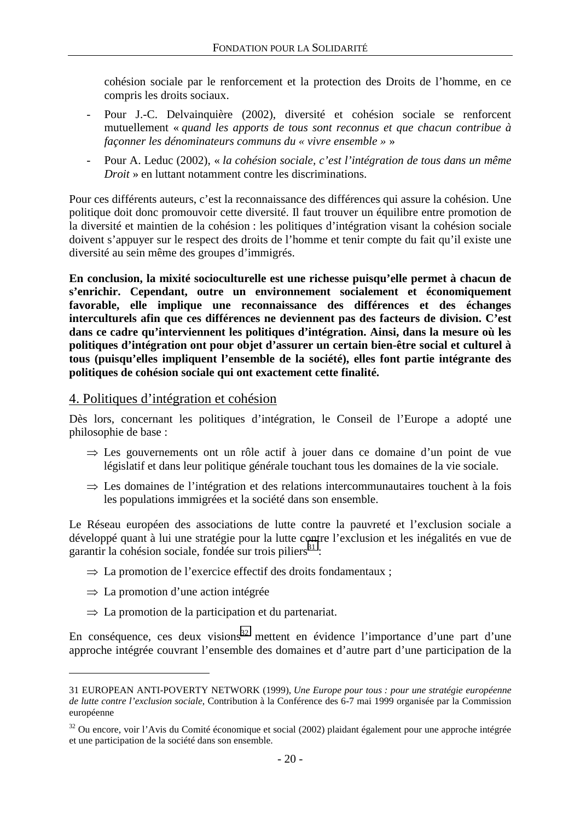<span id="page-20-0"></span>cohésion sociale par le renforcement et la protection des Droits de l'homme, en ce compris les droits sociaux.

- Pour J.-C. Delvainquière (2002), diversité et cohésion sociale se renforcent mutuellement « *quand les apports de tous sont reconnus et que chacun contribue à façonner les dénominateurs communs du « vivre ensemble »* »
- Pour A. Leduc (2002), « *la cohésion sociale, c'est l'intégration de tous dans un même Droit* » en luttant notamment contre les discriminations.

Pour ces différents auteurs, c'est la reconnaissance des différences qui assure la cohésion. Une politique doit donc promouvoir cette diversité. Il faut trouver un équilibre entre promotion de la diversité et maintien de la cohésion : les politiques d'intégration visant la cohésion sociale doivent s'appuyer sur le respect des droits de l'homme et tenir compte du fait qu'il existe une diversité au sein même des groupes d'immigrés.

**En conclusion, la mixité socioculturelle est une richesse puisqu'elle permet à chacun de s'enrichir. Cependant, outre un environnement socialement et économiquement favorable, elle implique une reconnaissance des différences et des échanges interculturels afin que ces différences ne deviennent pas des facteurs de division. C'est dans ce cadre qu'interviennent les politiques d'intégration. Ainsi, dans la mesure où les politiques d'intégration ont pour objet d'assurer un certain bien-être social et culturel à tous (puisqu'elles impliquent l'ensemble de la société), elles font partie intégrante des politiques de cohésion sociale qui ont exactement cette finalité.** 

#### 4. Politiques d'intégration et cohésion

Dès lors, concernant les politiques d'intégration, le Conseil de l'Europe a adopté une philosophie de base :

- ⇒ Les gouvernements ont un rôle actif à jouer dans ce domaine d'un point de vue législatif et dans leur politique générale touchant tous les domaines de la vie sociale.
- ⇒ Les domaines de l'intégration et des relations intercommunautaires touchent à la fois les populations immigrées et la société dans son ensemble.

Le Réseau européen des associations de lutte contre la pauvreté et l'exclusion sociale a développé quant à lui une stratégie pour la lutte contre l'exclusion et les inégalités en vue de garantir la cohésion sociale, fondée sur trois piliers<sup>31</sup> :

- $\Rightarrow$  La promotion de l'exercice effectif des droits fondamentaux ;
- ⇒ La promotion d'une action intégrée

 $\overline{a}$ 

 $\Rightarrow$  La promotion de la participation et du partenariat.

En conséquence, ces deux visions<sup>32</sup> mettent en évidence l'importance d'une part d'une approche intégrée couvrant l'ensemble des domaines et d'autre part d'une participation de la

<sup>31</sup> EUROPEAN ANTI-POVERTY NETWORK (1999), *Une Europe pour tous : pour une stratégie européenne de lutte contre l'exclusion sociale*, Contribution à la Conférence des 6-7 mai 1999 organisée par la Commission européenne

<sup>&</sup>lt;sup>32</sup> Ou encore, voir l'Avis du Comité économique et social (2002) plaidant également pour une approche intégrée et une participation de la société dans son ensemble.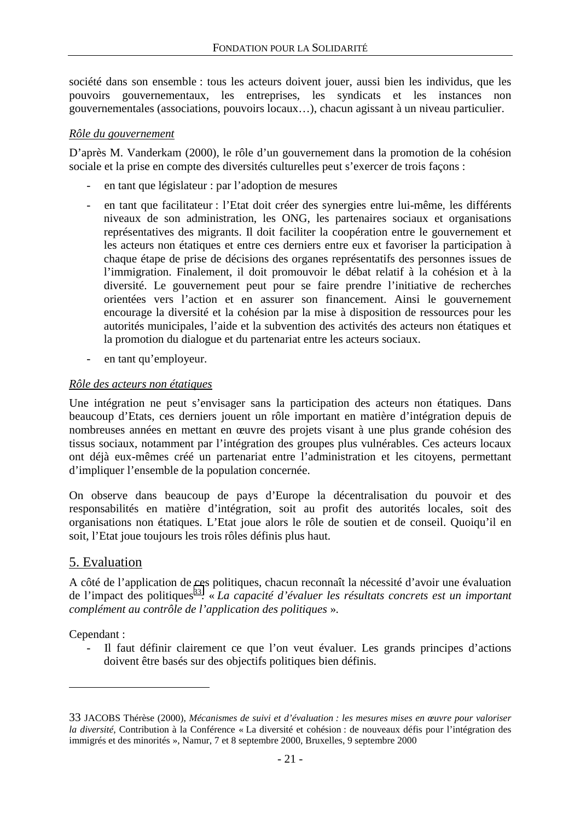<span id="page-21-0"></span>société dans son ensemble : tous les acteurs doivent jouer, aussi bien les individus, que les pouvoirs gouvernementaux, les entreprises, les syndicats et les instances non gouvernementales (associations, pouvoirs locaux…), chacun agissant à un niveau particulier.

#### *Rôle du gouvernement*

D'après M. Vanderkam (2000), le rôle d'un gouvernement dans la promotion de la cohésion sociale et la prise en compte des diversités culturelles peut s'exercer de trois façons :

- en tant que législateur : par l'adoption de mesures
- en tant que facilitateur : l'Etat doit créer des synergies entre lui-même, les différents niveaux de son administration, les ONG, les partenaires sociaux et organisations représentatives des migrants. Il doit faciliter la coopération entre le gouvernement et les acteurs non étatiques et entre ces derniers entre eux et favoriser la participation à chaque étape de prise de décisions des organes représentatifs des personnes issues de l'immigration. Finalement, il doit promouvoir le débat relatif à la cohésion et à la diversité. Le gouvernement peut pour se faire prendre l'initiative de recherches orientées vers l'action et en assurer son financement. Ainsi le gouvernement encourage la diversité et la cohésion par la mise à disposition de ressources pour les autorités municipales, l'aide et la subvention des activités des acteurs non étatiques et la promotion du dialogue et du partenariat entre les acteurs sociaux.
- en tant qu'employeur.

#### *Rôle des acteurs non étatiques*

Une intégration ne peut s'envisager sans la participation des acteurs non étatiques. Dans beaucoup d'Etats, ces derniers jouent un rôle important en matière d'intégration depuis de nombreuses années en mettant en œuvre des projets visant à une plus grande cohésion des tissus sociaux, notamment par l'intégration des groupes plus vulnérables. Ces acteurs locaux ont déjà eux-mêmes créé un partenariat entre l'administration et les citoyens, permettant d'impliquer l'ensemble de la population concernée.

On observe dans beaucoup de pays d'Europe la décentralisation du pouvoir et des responsabilités en matière d'intégration, soit au profit des autorités locales, soit des organisations non étatiques. L'Etat joue alors le rôle de soutien et de conseil. Quoiqu'il en soit, l'Etat joue toujours les trois rôles définis plus haut.

## 5. Evaluation

A côté de l'application de ces politiques, chacun reconnaît la nécessité d'avoir une évaluation de l'impact des politiques<sup>33</sup>. « La capacité d'évaluer les résultats concrets est un important *complément au contrôle de l'application des politiques* ».

Cependant :

 $\overline{a}$ 

- Il faut définir clairement ce que l'on veut évaluer. Les grands principes d'actions doivent être basés sur des objectifs politiques bien définis.

<sup>33</sup> JACOBS Thérèse (2000), *Mécanismes de suivi et d'évaluation : les mesures mises en œuvre pour valoriser la diversité*, Contribution à la Conférence « La diversité et cohésion : de nouveaux défis pour l'intégration des immigrés et des minorités », Namur, 7 et 8 septembre 2000, Bruxelles, 9 septembre 2000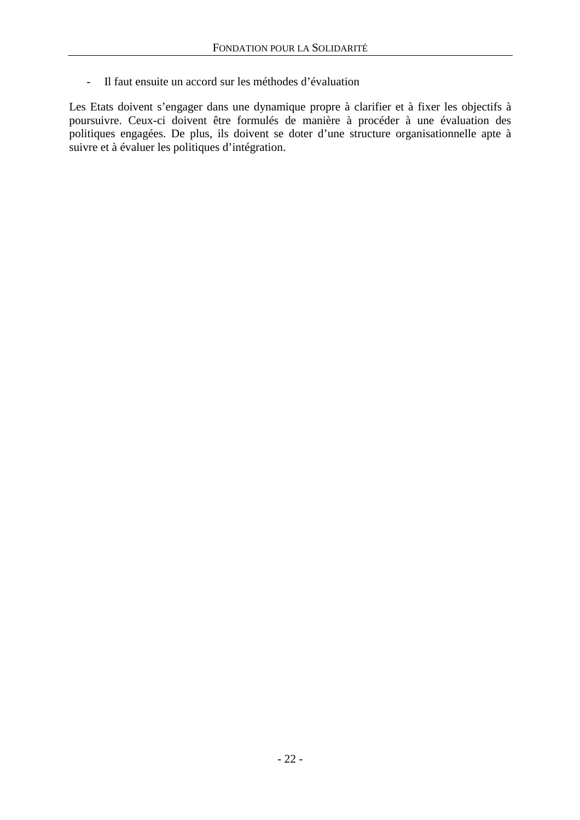- Il faut ensuite un accord sur les méthodes d'évaluation

Les Etats doivent s'engager dans une dynamique propre à clarifier et à fixer les objectifs à poursuivre. Ceux-ci doivent être formulés de manière à procéder à une évaluation des politiques engagées. De plus, ils doivent se doter d'une structure organisationnelle apte à suivre et à évaluer les politiques d'intégration.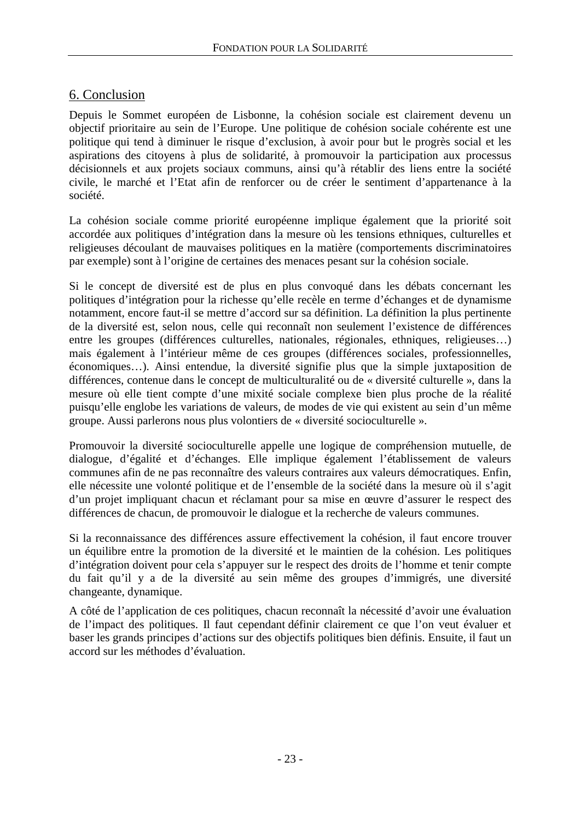## <span id="page-23-0"></span>6. Conclusion

Depuis le Sommet européen de Lisbonne, la cohésion sociale est clairement devenu un objectif prioritaire au sein de l'Europe. Une politique de cohésion sociale cohérente est une politique qui tend à diminuer le risque d'exclusion, à avoir pour but le progrès social et les aspirations des citoyens à plus de solidarité, à promouvoir la participation aux processus décisionnels et aux projets sociaux communs, ainsi qu'à rétablir des liens entre la société civile, le marché et l'Etat afin de renforcer ou de créer le sentiment d'appartenance à la société.

La cohésion sociale comme priorité européenne implique également que la priorité soit accordée aux politiques d'intégration dans la mesure où les tensions ethniques, culturelles et religieuses découlant de mauvaises politiques en la matière (comportements discriminatoires par exemple) sont à l'origine de certaines des menaces pesant sur la cohésion sociale.

Si le concept de diversité est de plus en plus convoqué dans les débats concernant les politiques d'intégration pour la richesse qu'elle recèle en terme d'échanges et de dynamisme notamment, encore faut-il se mettre d'accord sur sa définition. La définition la plus pertinente de la diversité est, selon nous, celle qui reconnaît non seulement l'existence de différences entre les groupes (différences culturelles, nationales, régionales, ethniques, religieuses…) mais également à l'intérieur même de ces groupes (différences sociales, professionnelles, économiques…). Ainsi entendue, la diversité signifie plus que la simple juxtaposition de différences, contenue dans le concept de multiculturalité ou de « diversité culturelle », dans la mesure où elle tient compte d'une mixité sociale complexe bien plus proche de la réalité puisqu'elle englobe les variations de valeurs, de modes de vie qui existent au sein d'un même groupe. Aussi parlerons nous plus volontiers de « diversité socioculturelle ».

Promouvoir la diversité socioculturelle appelle une logique de compréhension mutuelle, de dialogue, d'égalité et d'échanges. Elle implique également l'établissement de valeurs communes afin de ne pas reconnaître des valeurs contraires aux valeurs démocratiques. Enfin, elle nécessite une volonté politique et de l'ensemble de la société dans la mesure où il s'agit d'un projet impliquant chacun et réclamant pour sa mise en œuvre d'assurer le respect des différences de chacun, de promouvoir le dialogue et la recherche de valeurs communes.

Si la reconnaissance des différences assure effectivement la cohésion, il faut encore trouver un équilibre entre la promotion de la diversité et le maintien de la cohésion. Les politiques d'intégration doivent pour cela s'appuyer sur le respect des droits de l'homme et tenir compte du fait qu'il y a de la diversité au sein même des groupes d'immigrés, une diversité changeante, dynamique.

A côté de l'application de ces politiques, chacun reconnaît la nécessité d'avoir une évaluation de l'impact des politiques. Il faut cependant définir clairement ce que l'on veut évaluer et baser les grands principes d'actions sur des objectifs politiques bien définis. Ensuite, il faut un accord sur les méthodes d'évaluation.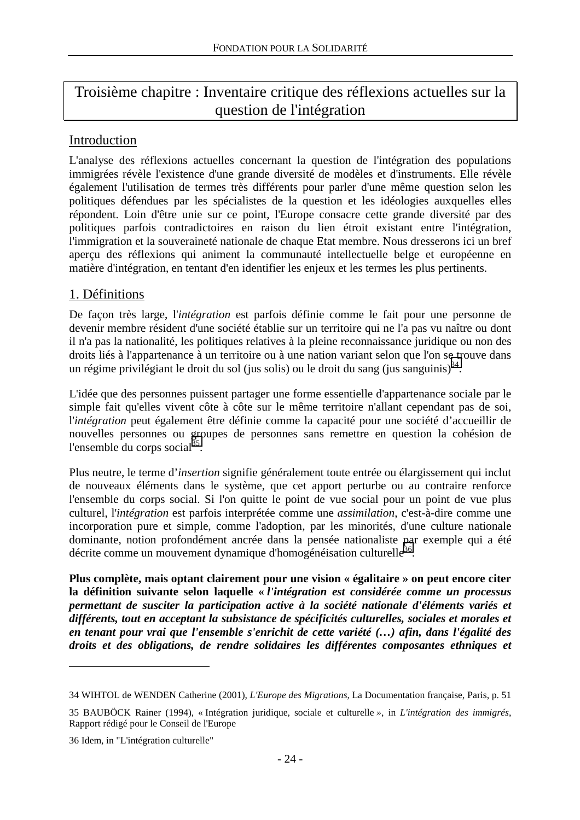# <span id="page-24-0"></span>Troisième chapitre : Inventaire critique des réflexions actuelles sur la question de l'intégration

## Introduction

L'analyse des réflexions actuelles concernant la question de l'intégration des populations immigrées révèle l'existence d'une grande diversité de modèles et d'instruments. Elle révèle également l'utilisation de termes très différents pour parler d'une même question selon les politiques défendues par les spécialistes de la question et les idéologies auxquelles elles répondent. Loin d'être unie sur ce point, l'Europe consacre cette grande diversité par des politiques parfois contradictoires en raison du lien étroit existant entre l'intégration, l'immigration et la souveraineté nationale de chaque Etat membre. Nous dresserons ici un bref aperçu des réflexions qui animent la communauté intellectuelle belge et européenne en matière d'intégration, en tentant d'en identifier les enjeux et les termes les plus pertinents.

## 1. Définitions

De façon très large, l'*intégration* est parfois définie comme le fait pour une personne de devenir membre résident d'une société établie sur un territoire qui ne l'a pas vu naître ou dont il n'a pas la nationalité, les politiques relatives à la pleine reconnaissance juridique ou non des droits liés à l'appartenance à un territoire ou à une nation variant selon que l'on se trouve dans un régime privilégiant le droit du sol (jus solis) ou le droit du sang (jus sanguinis)<sup>34</sup>.

L'idée que des personnes puissent partager une forme essentielle d'appartenance sociale par le simple fait qu'elles vivent côte à côte sur le même territoire n'allant cependant pas de soi, l'*intégration* peut également être définie comme la capacité pour une société d'accueillir de nouvelles personnes ou groupes de personnes sans remettre en question la cohésion de l'ensemble du corps social $^{35}$ .

Plus neutre, le terme d'*insertion* signifie généralement toute entrée ou élargissement qui inclut de nouveaux éléments dans le système, que cet apport perturbe ou au contraire renforce l'ensemble du corps social. Si l'on quitte le point de vue social pour un point de vue plus culturel, l'*intégration* est parfois interprétée comme une *assimilation*, c'est-à-dire comme une incorporation pure et simple, comme l'adoption, par les minorités, d'une culture nationale dominante, notion profondément ancrée dans la pensée nationaliste par exemple qui a été décrite comme un mouvement dynamique d'homogénéisation culturelle<sup>36</sup>.

**Plus complète, mais optant clairement pour une vision « égalitaire » on peut encore citer la définition suivante selon laquelle «** *l'intégration est considérée comme un processus permettant de susciter la participation active à la société nationale d'éléments variés et*  différents, tout en acceptant la subsistance de spécificités culturelles, sociales et morales et *en tenant pour vrai que l'ensemble s'enrichit de cette variété (…) afin, dans l'égalité des droits et des obligations, de rendre solidaires les différentes composantes ethniques et* 

<sup>34</sup> WIHTOL de WENDEN Catherine (2001), *L'Europe des Migrations*, La Documentation française, Paris, p. 51

<sup>35</sup> BAUBÖCK Rainer (1994), « Intégration juridique, sociale et culturelle *»*, in *L'intégration des immigrés*, Rapport rédigé pour le Conseil de l'Europe

<sup>36</sup> Idem, in "L'intégration culturelle"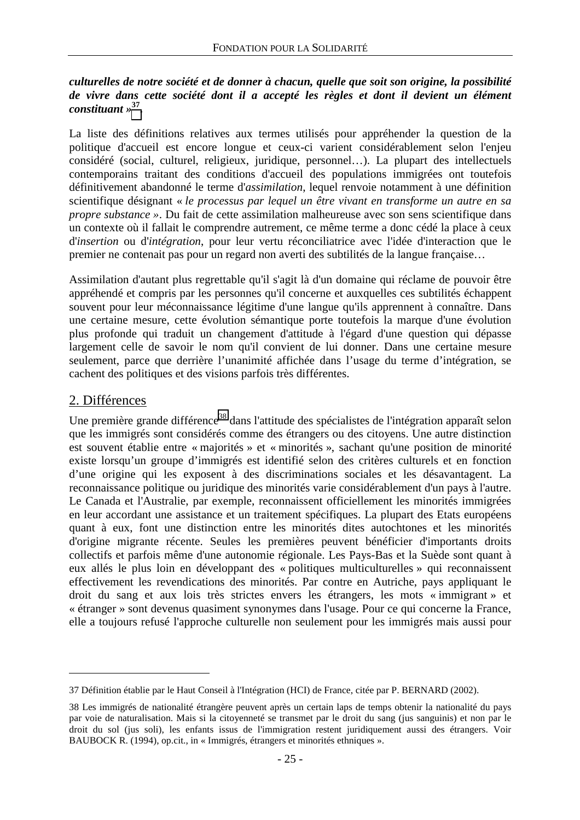#### <span id="page-25-0"></span>*culturelles de notre société et de donner à chacun, quelle que soit son origine, la possibilité de vivre dans cette société dont il a accepté les règles et dont il devient un élément constituant »***37.**

La liste des définitions relatives aux termes utilisés pour appréhender la question de la politique d'accueil est encore longue et ceux-ci varient considérablement selon l'enjeu considéré (social, culturel, religieux, juridique, personnel…). La plupart des intellectuels contemporains traitant des conditions d'accueil des populations immigrées ont toutefois définitivement abandonné le terme d'*assimilation*, lequel renvoie notamment à une définition scientifique désignant « *le processus par lequel un être vivant en transforme un autre en sa propre substance »*. Du fait de cette assimilation malheureuse avec son sens scientifique dans un contexte où il fallait le comprendre autrement, ce même terme a donc cédé la place à ceux d'*insertion* ou d'*intégration*, pour leur vertu réconciliatrice avec l'idée d'interaction que le premier ne contenait pas pour un regard non averti des subtilités de la langue française…

Assimilation d'autant plus regrettable qu'il s'agit là d'un domaine qui réclame de pouvoir être appréhendé et compris par les personnes qu'il concerne et auxquelles ces subtilités échappent souvent pour leur méconnaissance légitime d'une langue qu'ils apprennent à connaître. Dans une certaine mesure, cette évolution sémantique porte toutefois la marque d'une évolution plus profonde qui traduit un changement d'attitude à l'égard d'une question qui dépasse largement celle de savoir le nom qu'il convient de lui donner. Dans une certaine mesure seulement, parce que derrière l'unanimité affichée dans l'usage du terme d'intégration, se cachent des politiques et des visions parfois très différentes.

## 2. Différences

 $\overline{a}$ 

Une première grande différence<sup>38</sup> dans l'attitude des spécialistes de l'intégration apparaît selon que les immigrés sont considérés comme des étrangers ou des citoyens. Une autre distinction est souvent établie entre « majorités » et « minorités », sachant qu'une position de minorité existe lorsqu'un groupe d'immigrés est identifié selon des critères culturels et en fonction d'une origine qui les exposent à des discriminations sociales et les désavantagent. La reconnaissance politique ou juridique des minorités varie considérablement d'un pays à l'autre. Le Canada et l'Australie, par exemple, reconnaissent officiellement les minorités immigrées en leur accordant une assistance et un traitement spécifiques. La plupart des Etats européens quant à eux, font une distinction entre les minorités dites autochtones et les minorités d'origine migrante récente. Seules les premières peuvent bénéficier d'importants droits collectifs et parfois même d'une autonomie régionale. Les Pays-Bas et la Suède sont quant à eux allés le plus loin en développant des « politiques multiculturelles » qui reconnaissent effectivement les revendications des minorités. Par contre en Autriche, pays appliquant le droit du sang et aux lois très strictes envers les étrangers, les mots « immigrant » et « étranger » sont devenus quasiment synonymes dans l'usage. Pour ce qui concerne la France, elle a toujours refusé l'approche culturelle non seulement pour les immigrés mais aussi pour

<sup>37</sup> Définition établie par le Haut Conseil à l'Intégration (HCI) de France, citée par P. BERNARD (2002).

<sup>38</sup> Les immigrés de nationalité étrangère peuvent après un certain laps de temps obtenir la nationalité du pays par voie de naturalisation. Mais si la citoyenneté se transmet par le droit du sang (jus sanguinis) et non par le droit du sol (jus soli), les enfants issus de l'immigration restent juridiquement aussi des étrangers. Voir BAUBOCK R. (1994), op.cit., in « Immigrés, étrangers et minorités ethniques ».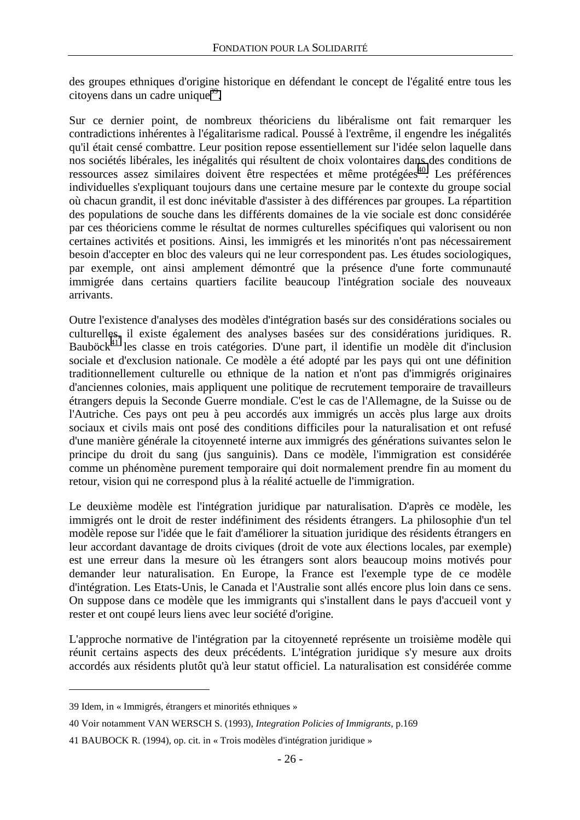des groupes ethniques d'origine historique en défendant le concept de l'égalité entre tous les citoyens dans un cadre unique $^{39}$ .

Sur ce dernier point, de nombreux théoriciens du libéralisme ont fait remarquer les contradictions inhérentes à l'égalitarisme radical. Poussé à l'extrême, il engendre les inégalités qu'il était censé combattre. Leur position repose essentiellement sur l'idée selon laquelle dans nos sociétés libérales, les inégalités qui résultent de choix volontaires dans des conditions de ressources assez similaires doivent être respectées et même protégées<sup>40</sup>. Les préférences individuelles s'expliquant toujours dans une certaine mesure par le contexte du groupe social où chacun grandit, il est donc inévitable d'assister à des différences par groupes. La répartition des populations de souche dans les différents domaines de la vie sociale est donc considérée par ces théoriciens comme le résultat de normes culturelles spécifiques qui valorisent ou non certaines activités et positions. Ainsi, les immigrés et les minorités n'ont pas nécessairement besoin d'accepter en bloc des valeurs qui ne leur correspondent pas. Les études sociologiques, par exemple, ont ainsi amplement démontré que la présence d'une forte communauté immigrée dans certains quartiers facilite beaucoup l'intégration sociale des nouveaux arrivants.

Outre l'existence d'analyses des modèles d'intégration basés sur des considérations sociales ou culturelles, il existe également des analyses basées sur des considérations juridiques. R. Bauböck $^{41}$  les classe en trois catégories. D'une part, il identifie un modèle dit d'inclusion sociale et d'exclusion nationale. Ce modèle a été adopté par les pays qui ont une définition traditionnellement culturelle ou ethnique de la nation et n'ont pas d'immigrés originaires d'anciennes colonies, mais appliquent une politique de recrutement temporaire de travailleurs étrangers depuis la Seconde Guerre mondiale. C'est le cas de l'Allemagne, de la Suisse ou de l'Autriche. Ces pays ont peu à peu accordés aux immigrés un accès plus large aux droits sociaux et civils mais ont posé des conditions difficiles pour la naturalisation et ont refusé d'une manière générale la citoyenneté interne aux immigrés des générations suivantes selon le principe du droit du sang (jus sanguinis). Dans ce modèle, l'immigration est considérée comme un phénomène purement temporaire qui doit normalement prendre fin au moment du retour, vision qui ne correspond plus à la réalité actuelle de l'immigration.

Le deuxième modèle est l'intégration juridique par naturalisation. D'après ce modèle, les immigrés ont le droit de rester indéfiniment des résidents étrangers. La philosophie d'un tel modèle repose sur l'idée que le fait d'améliorer la situation juridique des résidents étrangers en leur accordant davantage de droits civiques (droit de vote aux élections locales, par exemple) est une erreur dans la mesure où les étrangers sont alors beaucoup moins motivés pour demander leur naturalisation. En Europe, la France est l'exemple type de ce modèle d'intégration. Les Etats-Unis, le Canada et l'Australie sont allés encore plus loin dans ce sens. On suppose dans ce modèle que les immigrants qui s'installent dans le pays d'accueil vont y rester et ont coupé leurs liens avec leur société d'origine.

L'approche normative de l'intégration par la citoyenneté représente un troisième modèle qui réunit certains aspects des deux précédents. L'intégration juridique s'y mesure aux droits accordés aux résidents plutôt qu'à leur statut officiel. La naturalisation est considérée comme

<sup>39</sup> Idem, in « Immigrés, étrangers et minorités ethniques »

<sup>40</sup> Voir notamment VAN WERSCH S. (1993), *Integration Policies of Immigrants*, p.169

<sup>41</sup> BAUBOCK R. (1994), op. cit. in « Trois modèles d'intégration juridique »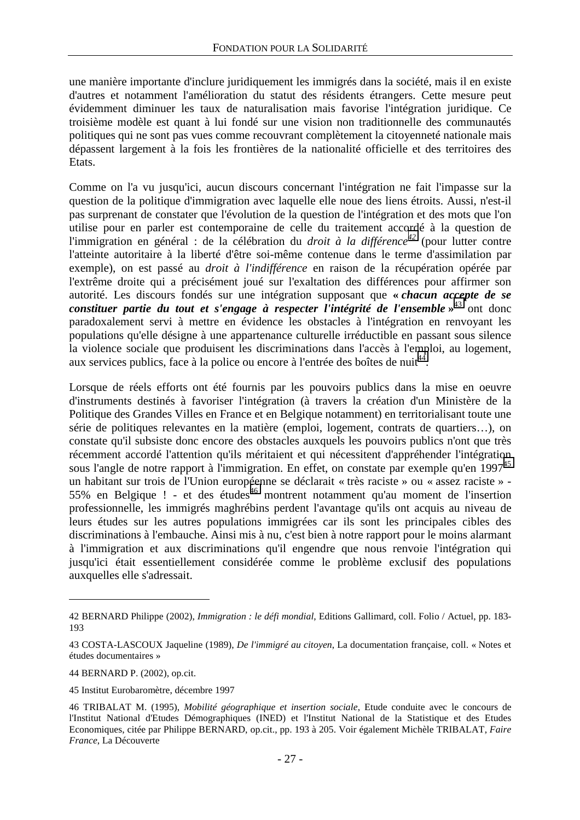une manière importante d'inclure juridiquement les immigrés dans la société, mais il en existe d'autres et notamment l'amélioration du statut des résidents étrangers. Cette mesure peut évidemment diminuer les taux de naturalisation mais favorise l'intégration juridique. Ce troisième modèle est quant à lui fondé sur une vision non traditionnelle des communautés politiques qui ne sont pas vues comme recouvrant complètement la citoyenneté nationale mais dépassent largement à la fois les frontières de la nationalité officielle et des territoires des Etats.

Comme on l'a vu jusqu'ici, aucun discours concernant l'intégration ne fait l'impasse sur la question de la politique d'immigration avec laquelle elle noue des liens étroits. Aussi, n'est-il pas surprenant de constater que l'évolution de la question de l'intégration et des mots que l'on utilise pour en parler est contemporaine de celle du traitement accordé à la question de l'immigration en général : de la célébration du *droit à la différence<sup>42</sup>* (pour lutter contre l'atteinte autoritaire à la liberté d'être soi-même contenue dans le terme d'assimilation par exemple), on est passé au *droit à l'indifférence* en raison de la récupération opérée par l'extrême droite qui a précisément joué sur l'exaltation des différences pour affirmer son autorité. Les discours fondés sur une intégration supposant que **«** *chacun accepte de se*  constituer partie du tout et s'engage à respecter l'intégrité de l'ensemble »<sup>43</sup> ont donc paradoxalement servi à mettre en évidence les obstacles à l'intégration en renvoyant les populations qu'elle désigne à une appartenance culturelle irréductible en passant sous silence la violence sociale que produisent les discriminations dans l'accès à l'emploi, au logement, aux services publics, face à la police ou encore à l'entrée des boîtes de nuit<sup>44</sup>.

Lorsque de réels efforts ont été fournis par les pouvoirs publics dans la mise en oeuvre d'instruments destinés à favoriser l'intégration (à travers la création d'un Ministère de la Politique des Grandes Villes en France et en Belgique notamment) en territorialisant toute une série de politiques relevantes en la matière (emploi, logement, contrats de quartiers…), on constate qu'il subsiste donc encore des obstacles auxquels les pouvoirs publics n'ont que très récemment accordé l'attention qu'ils méritaient et qui nécessitent d'appréhender l'intégration sous l'angle de notre rapport à l'immigration. En effet, on constate par exemple qu'en  $1997<sup>45</sup>$ un habitant sur trois de l'Union européenne se déclarait « très raciste » ou « assez raciste » - $55\%$  en Belgique ! - et des études<sup>46</sup> montrent notamment qu'au moment de l'insertion professionnelle, les immigrés maghrébins perdent l'avantage qu'ils ont acquis au niveau de leurs études sur les autres populations immigrées car ils sont les principales cibles des discriminations à l'embauche. Ainsi mis à nu, c'est bien à notre rapport pour le moins alarmant à l'immigration et aux discriminations qu'il engendre que nous renvoie l'intégration qui jusqu'ici était essentiellement considérée comme le problème exclusif des populations auxquelles elle s'adressait.

44 BERNARD P. (2002), op.cit.

 $\overline{a}$ 

45 Institut Eurobaromètre, décembre 1997

<sup>42</sup> BERNARD Philippe (2002), *Immigration : le défi mondial*, Editions Gallimard, coll. Folio / Actuel, pp. 183- 193

<sup>43</sup> COSTA-LASCOUX Jaqueline (1989), *De l'immigré au citoyen*, La documentation française, coll. « Notes et études documentaires »

<sup>46</sup> TRIBALAT M. (1995), *Mobilité géographique et insertion sociale*, Etude conduite avec le concours de l'Institut National d'Etudes Démographiques (INED) et l'Institut National de la Statistique et des Etudes Economiques, citée par Philippe BERNARD, op.cit., pp. 193 à 205. Voir également Michèle TRIBALAT, *Faire France*, La Découverte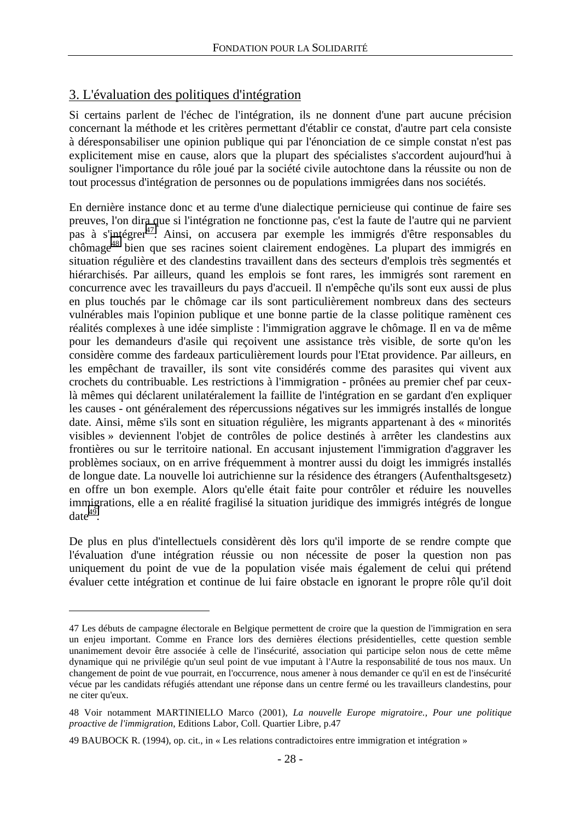## <span id="page-28-0"></span>3. L'évaluation des politiques d'intégration

 $\overline{a}$ 

Si certains parlent de l'échec de l'intégration, ils ne donnent d'une part aucune précision concernant la méthode et les critères permettant d'établir ce constat, d'autre part cela consiste à déresponsabiliser une opinion publique qui par l'énonciation de ce simple constat n'est pas explicitement mise en cause, alors que la plupart des spécialistes s'accordent aujourd'hui à souligner l'importance du rôle joué par la société civile autochtone dans la réussite ou non de tout processus d'intégration de personnes ou de populations immigrées dans nos sociétés.

En dernière instance donc et au terme d'une dialectique pernicieuse qui continue de faire ses preuves, l'on dira que si l'intégration ne fonctionne pas, c'est la faute de l'autre qui ne parvient pas à s'intégrer<sup>47</sup>. Ainsi, on accusera par exemple les immigrés d'être responsables du chômage<sup>48</sup> bien que ses racines soient clairement endogènes. La plupart des immigrés en situation régulière et des clandestins travaillent dans des secteurs d'emplois très segmentés et hiérarchisés. Par ailleurs, quand les emplois se font rares, les immigrés sont rarement en concurrence avec les travailleurs du pays d'accueil. Il n'empêche qu'ils sont eux aussi de plus en plus touchés par le chômage car ils sont particulièrement nombreux dans des secteurs vulnérables mais l'opinion publique et une bonne partie de la classe politique ramènent ces réalités complexes à une idée simpliste : l'immigration aggrave le chômage. Il en va de même pour les demandeurs d'asile qui reçoivent une assistance très visible, de sorte qu'on les considère comme des fardeaux particulièrement lourds pour l'Etat providence. Par ailleurs, en les empêchant de travailler, ils sont vite considérés comme des parasites qui vivent aux crochets du contribuable. Les restrictions à l'immigration - prônées au premier chef par ceuxlà mêmes qui déclarent unilatéralement la faillite de l'intégration en se gardant d'en expliquer les causes - ont généralement des répercussions négatives sur les immigrés installés de longue date. Ainsi, même s'ils sont en situation régulière, les migrants appartenant à des « minorités visibles » deviennent l'objet de contrôles de police destinés à arrêter les clandestins aux frontières ou sur le territoire national. En accusant injustement l'immigration d'aggraver les problèmes sociaux, on en arrive fréquemment à montrer aussi du doigt les immigrés installés de longue date. La nouvelle loi autrichienne sur la résidence des étrangers (Aufenthaltsgesetz) en offre un bon exemple. Alors qu'elle était faite pour contrôler et réduire les nouvelles immigrations, elle a en réalité fragilisé la situation juridique des immigrés intégrés de longue date $49$ .

De plus en plus d'intellectuels considèrent dès lors qu'il importe de se rendre compte que l'évaluation d'une intégration réussie ou non nécessite de poser la question non pas uniquement du point de vue de la population visée mais également de celui qui prétend évaluer cette intégration et continue de lui faire obstacle en ignorant le propre rôle qu'il doit

<sup>47</sup> Les débuts de campagne électorale en Belgique permettent de croire que la question de l'immigration en sera un enjeu important. Comme en France lors des dernières élections présidentielles, cette question semble unanimement devoir être associée à celle de l'insécurité, association qui participe selon nous de cette même dynamique qui ne privilégie qu'un seul point de vue imputant à l'Autre la responsabilité de tous nos maux. Un changement de point de vue pourrait, en l'occurrence, nous amener à nous demander ce qu'il en est de l'insécurité vécue par les candidats réfugiés attendant une réponse dans un centre fermé ou les travailleurs clandestins, pour ne citer qu'eux.

<sup>48</sup> Voir notamment MARTINIELLO Marco (2001), *La nouvelle Europe migratoire., Pour une politique proactive de l'immigration*, Editions Labor, Coll. Quartier Libre, p.47

<sup>49</sup> BAUBOCK R. (1994), op. cit., in « Les relations contradictoires entre immigration et intégration »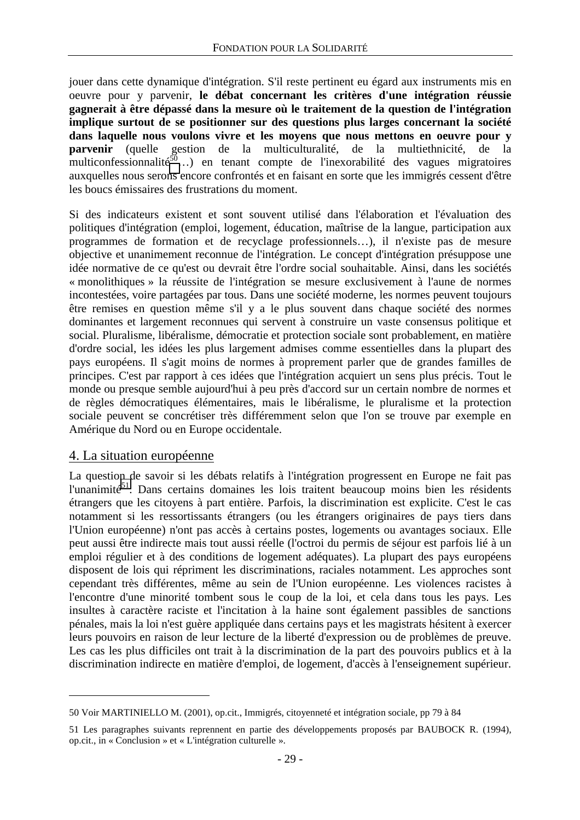<span id="page-29-0"></span>jouer dans cette dynamique d'intégration. S'il reste pertinent eu égard aux instruments mis en oeuvre pour y parvenir, **le débat concernant les critères d'une intégration réussie gagnerait à être dépassé dans la mesure où le traitement de la question de l'intégration implique surtout de se positionner sur des questions plus larges concernant la société dans laquelle nous voulons vivre et les moyens que nous mettons en oeuvre pour y parvenir** (quelle gestion de la multiculturalité, de la multiethnicité, de la multiconfessionnalité<sup>50</sup>…) en tenant compte de l'inexorabilité des vagues migratoires auxquelles nous serons encore confrontés et en faisant en sorte que les immigrés cessent d'être les boucs émissaires des frustrations du moment.

Si des indicateurs existent et sont souvent utilisé dans l'élaboration et l'évaluation des politiques d'intégration (emploi, logement, éducation, maîtrise de la langue, participation aux programmes de formation et de recyclage professionnels…), il n'existe pas de mesure objective et unanimement reconnue de l'intégration. Le concept d'intégration présuppose une idée normative de ce qu'est ou devrait être l'ordre social souhaitable. Ainsi, dans les sociétés « monolithiques » la réussite de l'intégration se mesure exclusivement à l'aune de normes incontestées, voire partagées par tous. Dans une société moderne, les normes peuvent toujours être remises en question même s'il y a le plus souvent dans chaque société des normes dominantes et largement reconnues qui servent à construire un vaste consensus politique et social. Pluralisme, libéralisme, démocratie et protection sociale sont probablement, en matière d'ordre social, les idées les plus largement admises comme essentielles dans la plupart des pays européens. Il s'agit moins de normes à proprement parler que de grandes familles de principes. C'est par rapport à ces idées que l'intégration acquiert un sens plus précis. Tout le monde ou presque semble aujourd'hui à peu près d'accord sur un certain nombre de normes et de règles démocratiques élémentaires, mais le libéralisme, le pluralisme et la protection sociale peuvent se concrétiser très différemment selon que l'on se trouve par exemple en Amérique du Nord ou en Europe occidentale.

#### 4. La situation européenne

 $\overline{a}$ 

La question de savoir si les débats relatifs à l'intégration progressent en Europe ne fait pas l'unanimité<sup>51</sup>. Dans certains domaines les lois traitent beaucoup moins bien les résidents étrangers que les citoyens à part entière. Parfois, la discrimination est explicite. C'est le cas notamment si les ressortissants étrangers (ou les étrangers originaires de pays tiers dans l'Union européenne) n'ont pas accès à certains postes, logements ou avantages sociaux. Elle peut aussi être indirecte mais tout aussi réelle (l'octroi du permis de séjour est parfois lié à un emploi régulier et à des conditions de logement adéquates). La plupart des pays européens disposent de lois qui répriment les discriminations, raciales notamment. Les approches sont cependant très différentes, même au sein de l'Union européenne. Les violences racistes à l'encontre d'une minorité tombent sous le coup de la loi, et cela dans tous les pays. Les insultes à caractère raciste et l'incitation à la haine sont également passibles de sanctions pénales, mais la loi n'est guère appliquée dans certains pays et les magistrats hésitent à exercer leurs pouvoirs en raison de leur lecture de la liberté d'expression ou de problèmes de preuve. Les cas les plus difficiles ont trait à la discrimination de la part des pouvoirs publics et à la discrimination indirecte en matière d'emploi, de logement, d'accès à l'enseignement supérieur.

<sup>50</sup> Voir MARTINIELLO M. (2001), op.cit., Immigrés, citoyenneté et intégration sociale, pp 79 à 84

<sup>51</sup> Les paragraphes suivants reprennent en partie des développements proposés par BAUBOCK R. (1994), op.cit., in « Conclusion » et « L'intégration culturelle ».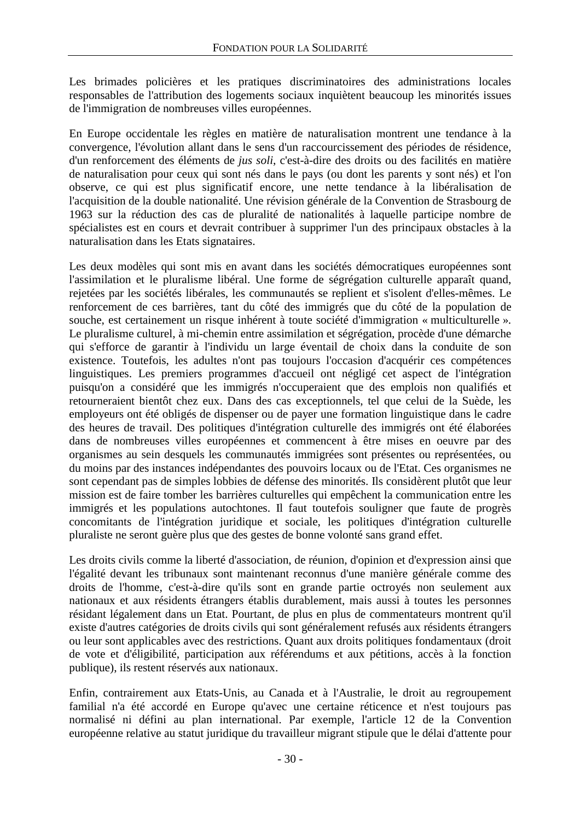Les brimades policières et les pratiques discriminatoires des administrations locales responsables de l'attribution des logements sociaux inquiètent beaucoup les minorités issues de l'immigration de nombreuses villes européennes.

En Europe occidentale les règles en matière de naturalisation montrent une tendance à la convergence, l'évolution allant dans le sens d'un raccourcissement des périodes de résidence, d'un renforcement des éléments de *jus soli*, c'est-à-dire des droits ou des facilités en matière de naturalisation pour ceux qui sont nés dans le pays (ou dont les parents y sont nés) et l'on observe, ce qui est plus significatif encore, une nette tendance à la libéralisation de l'acquisition de la double nationalité. Une révision générale de la Convention de Strasbourg de 1963 sur la réduction des cas de pluralité de nationalités à laquelle participe nombre de spécialistes est en cours et devrait contribuer à supprimer l'un des principaux obstacles à la naturalisation dans les Etats signataires.

Les deux modèles qui sont mis en avant dans les sociétés démocratiques européennes sont l'assimilation et le pluralisme libéral. Une forme de ségrégation culturelle apparaît quand, rejetées par les sociétés libérales, les communautés se replient et s'isolent d'elles-mêmes. Le renforcement de ces barrières, tant du côté des immigrés que du côté de la population de souche, est certainement un risque inhérent à toute société d'immigration « multiculturelle ». Le pluralisme culturel, à mi-chemin entre assimilation et ségrégation, procède d'une démarche qui s'efforce de garantir à l'individu un large éventail de choix dans la conduite de son existence. Toutefois, les adultes n'ont pas toujours l'occasion d'acquérir ces compétences linguistiques. Les premiers programmes d'accueil ont négligé cet aspect de l'intégration puisqu'on a considéré que les immigrés n'occuperaient que des emplois non qualifiés et retourneraient bientôt chez eux. Dans des cas exceptionnels, tel que celui de la Suède, les employeurs ont été obligés de dispenser ou de payer une formation linguistique dans le cadre des heures de travail. Des politiques d'intégration culturelle des immigrés ont été élaborées dans de nombreuses villes européennes et commencent à être mises en oeuvre par des organismes au sein desquels les communautés immigrées sont présentes ou représentées, ou du moins par des instances indépendantes des pouvoirs locaux ou de l'Etat. Ces organismes ne sont cependant pas de simples lobbies de défense des minorités. Ils considèrent plutôt que leur mission est de faire tomber les barrières culturelles qui empêchent la communication entre les immigrés et les populations autochtones. Il faut toutefois souligner que faute de progrès concomitants de l'intégration juridique et sociale, les politiques d'intégration culturelle pluraliste ne seront guère plus que des gestes de bonne volonté sans grand effet.

Les droits civils comme la liberté d'association, de réunion, d'opinion et d'expression ainsi que l'égalité devant les tribunaux sont maintenant reconnus d'une manière générale comme des droits de l'homme, c'est-à-dire qu'ils sont en grande partie octroyés non seulement aux nationaux et aux résidents étrangers établis durablement, mais aussi à toutes les personnes résidant légalement dans un Etat. Pourtant, de plus en plus de commentateurs montrent qu'il existe d'autres catégories de droits civils qui sont généralement refusés aux résidents étrangers ou leur sont applicables avec des restrictions. Quant aux droits politiques fondamentaux (droit de vote et d'éligibilité, participation aux référendums et aux pétitions, accès à la fonction publique), ils restent réservés aux nationaux.

Enfin, contrairement aux Etats-Unis, au Canada et à l'Australie, le droit au regroupement familial n'a été accordé en Europe qu'avec une certaine réticence et n'est toujours pas normalisé ni défini au plan international. Par exemple, l'article 12 de la Convention européenne relative au statut juridique du travailleur migrant stipule que le délai d'attente pour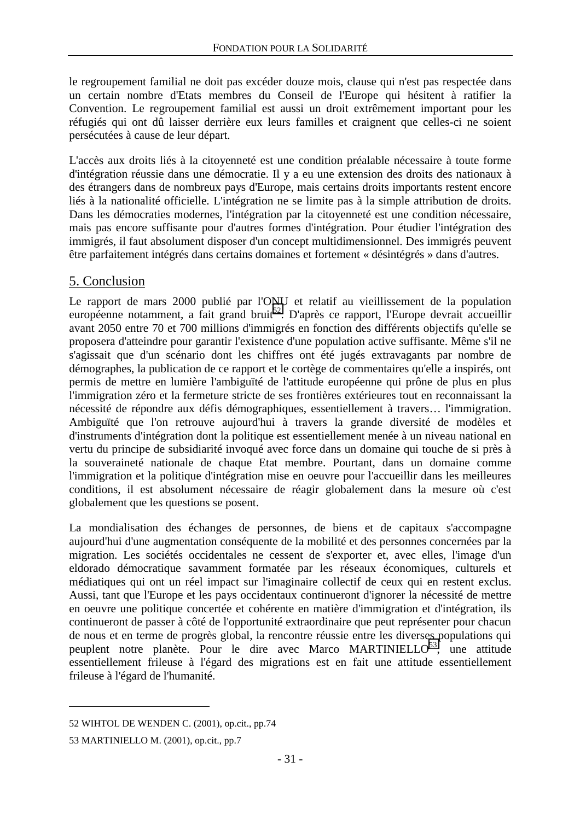<span id="page-31-0"></span>le regroupement familial ne doit pas excéder douze mois, clause qui n'est pas respectée dans un certain nombre d'Etats membres du Conseil de l'Europe qui hésitent à ratifier la Convention. Le regroupement familial est aussi un droit extrêmement important pour les réfugiés qui ont dû laisser derrière eux leurs familles et craignent que celles-ci ne soient persécutées à cause de leur départ.

L'accès aux droits liés à la citoyenneté est une condition préalable nécessaire à toute forme d'intégration réussie dans une démocratie. Il y a eu une extension des droits des nationaux à des étrangers dans de nombreux pays d'Europe, mais certains droits importants restent encore liés à la nationalité officielle. L'intégration ne se limite pas à la simple attribution de droits. Dans les démocraties modernes, l'intégration par la citoyenneté est une condition nécessaire, mais pas encore suffisante pour d'autres formes d'intégration. Pour étudier l'intégration des immigrés, il faut absolument disposer d'un concept multidimensionnel. Des immigrés peuvent être parfaitement intégrés dans certains domaines et fortement « désintégrés » dans d'autres.

## 5. Conclusion

Le rapport de mars 2000 publié par l'ONU et relatif au vieillissement de la population européenne notamment, a fait grand bruit<sup>52</sup>. D'après ce rapport, l'Europe devrait accueillir avant 2050 entre 70 et 700 millions d'immigrés en fonction des différents objectifs qu'elle se proposera d'atteindre pour garantir l'existence d'une population active suffisante. Même s'il ne s'agissait que d'un scénario dont les chiffres ont été jugés extravagants par nombre de démographes, la publication de ce rapport et le cortège de commentaires qu'elle a inspirés, ont permis de mettre en lumière l'ambiguïté de l'attitude européenne qui prône de plus en plus l'immigration zéro et la fermeture stricte de ses frontières extérieures tout en reconnaissant la nécessité de répondre aux défis démographiques, essentiellement à travers… l'immigration. Ambiguïté que l'on retrouve aujourd'hui à travers la grande diversité de modèles et d'instruments d'intégration dont la politique est essentiellement menée à un niveau national en vertu du principe de subsidiarité invoqué avec force dans un domaine qui touche de si près à la souveraineté nationale de chaque Etat membre. Pourtant, dans un domaine comme l'immigration et la politique d'intégration mise en oeuvre pour l'accueillir dans les meilleures conditions, il est absolument nécessaire de réagir globalement dans la mesure où c'est globalement que les questions se posent.

La mondialisation des échanges de personnes, de biens et de capitaux s'accompagne aujourd'hui d'une augmentation conséquente de la mobilité et des personnes concernées par la migration. Les sociétés occidentales ne cessent de s'exporter et, avec elles, l'image d'un eldorado démocratique savamment formatée par les réseaux économiques, culturels et médiatiques qui ont un réel impact sur l'imaginaire collectif de ceux qui en restent exclus. Aussi, tant que l'Europe et les pays occidentaux continueront d'ignorer la nécessité de mettre en oeuvre une politique concertée et cohérente en matière d'immigration et d'intégration, ils continueront de passer à côté de l'opportunité extraordinaire que peut représenter pour chacun de nous et en terme de progrès global, la rencontre réussie entre les diverses populations qui peuplent notre planète. Pour le dire avec Marco MARTINIELLO<sup>53</sup>, une attitude essentiellement frileuse à l'égard des migrations est en fait une attitude essentiellement frileuse à l'égard de l'humanité.

<sup>52</sup> WIHTOL DE WENDEN C. (2001), op.cit., pp.74

<sup>53</sup> MARTINIELLO M. (2001), op.cit., pp.7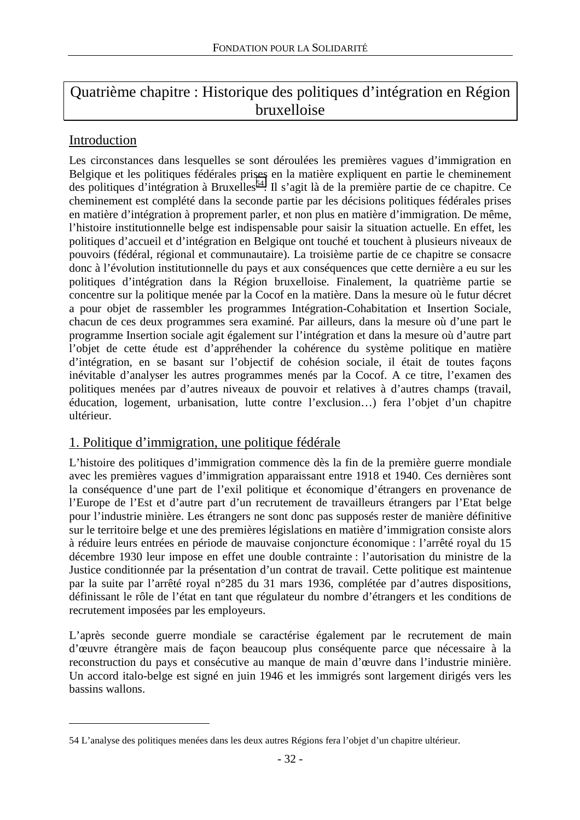# <span id="page-32-0"></span>Quatrième chapitre : Historique des politiques d'intégration en Région bruxelloise

## Introduction

 $\overline{a}$ 

Les circonstances dans lesquelles se sont déroulées les premières vagues d'immigration en Belgique et les politiques fédérales prises en la matière expliquent en partie le cheminement des politiques d'intégration à Bruxelles<sup>54</sup>. Il s'agit là de la première partie de ce chapitre. Ce cheminement est complété dans la seconde partie par les décisions politiques fédérales prises en matière d'intégration à proprement parler, et non plus en matière d'immigration. De même, l'histoire institutionnelle belge est indispensable pour saisir la situation actuelle. En effet, les politiques d'accueil et d'intégration en Belgique ont touché et touchent à plusieurs niveaux de pouvoirs (fédéral, régional et communautaire). La troisième partie de ce chapitre se consacre donc à l'évolution institutionnelle du pays et aux conséquences que cette dernière a eu sur les politiques d'intégration dans la Région bruxelloise. Finalement, la quatrième partie se concentre sur la politique menée par la Cocof en la matière. Dans la mesure où le futur décret a pour objet de rassembler les programmes Intégration-Cohabitation et Insertion Sociale, chacun de ces deux programmes sera examiné. Par ailleurs, dans la mesure où d'une part le programme Insertion sociale agit également sur l'intégration et dans la mesure où d'autre part l'objet de cette étude est d'appréhender la cohérence du système politique en matière d'intégration, en se basant sur l'objectif de cohésion sociale, il était de toutes façons inévitable d'analyser les autres programmes menés par la Cocof. A ce titre, l'examen des politiques menées par d'autres niveaux de pouvoir et relatives à d'autres champs (travail, éducation, logement, urbanisation, lutte contre l'exclusion…) fera l'objet d'un chapitre ultérieur.

## 1. Politique d'immigration, une politique fédérale

L'histoire des politiques d'immigration commence dès la fin de la première guerre mondiale avec les premières vagues d'immigration apparaissant entre 1918 et 1940. Ces dernières sont la conséquence d'une part de l'exil politique et économique d'étrangers en provenance de l'Europe de l'Est et d'autre part d'un recrutement de travailleurs étrangers par l'Etat belge pour l'industrie minière. Les étrangers ne sont donc pas supposés rester de manière définitive sur le territoire belge et une des premières législations en matière d'immigration consiste alors à réduire leurs entrées en période de mauvaise conjoncture économique : l'arrêté royal du 15 décembre 1930 leur impose en effet une double contrainte : l'autorisation du ministre de la Justice conditionnée par la présentation d'un contrat de travail. Cette politique est maintenue par la suite par l'arrêté royal n°285 du 31 mars 1936, complétée par d'autres dispositions, définissant le rôle de l'état en tant que régulateur du nombre d'étrangers et les conditions de recrutement imposées par les employeurs.

L'après seconde guerre mondiale se caractérise également par le recrutement de main d'œuvre étrangère mais de façon beaucoup plus conséquente parce que nécessaire à la reconstruction du pays et consécutive au manque de main d'œuvre dans l'industrie minière. Un accord italo-belge est signé en juin 1946 et les immigrés sont largement dirigés vers les bassins wallons.

<sup>54</sup> L'analyse des politiques menées dans les deux autres Régions fera l'objet d'un chapitre ultérieur.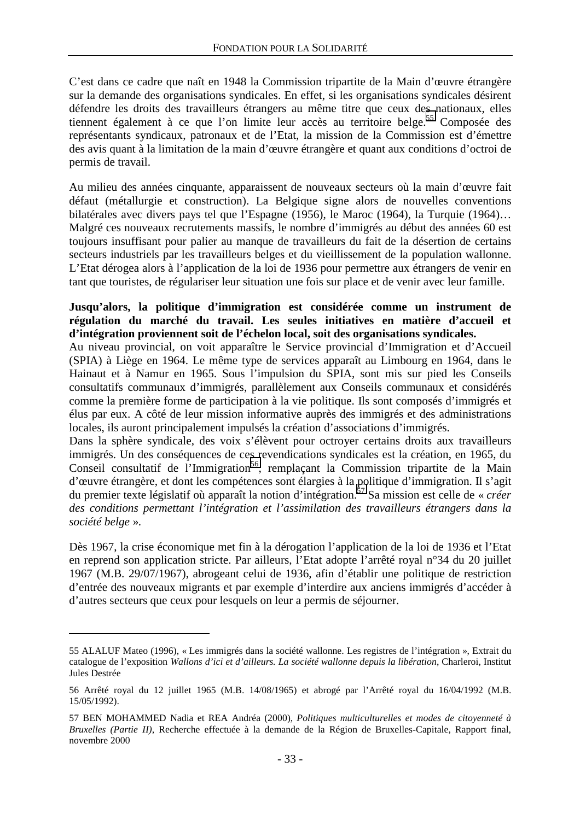C'est dans ce cadre que naît en 1948 la Commission tripartite de la Main d'œuvre étrangère sur la demande des organisations syndicales. En effet, si les organisations syndicales désirent défendre les droits des travailleurs étrangers au même titre que ceux des nationaux, elles tiennent également à ce que l'on limite leur accès au territoire belge.<sup>55</sup> Composée des représentants syndicaux, patronaux et de l'Etat, la mission de la Commission est d'émettre des avis quant à la limitation de la main d'œuvre étrangère et quant aux conditions d'octroi de permis de travail.

Au milieu des années cinquante, apparaissent de nouveaux secteurs où la main d'œuvre fait défaut (métallurgie et construction). La Belgique signe alors de nouvelles conventions bilatérales avec divers pays tel que l'Espagne (1956), le Maroc (1964), la Turquie (1964)… Malgré ces nouveaux recrutements massifs, le nombre d'immigrés au début des années 60 est toujours insuffisant pour palier au manque de travailleurs du fait de la désertion de certains secteurs industriels par les travailleurs belges et du vieillissement de la population wallonne. L'Etat dérogea alors à l'application de la loi de 1936 pour permettre aux étrangers de venir en tant que touristes, de régulariser leur situation une fois sur place et de venir avec leur famille.

#### **Jusqu'alors, la politique d'immigration est considérée comme un instrument de régulation du marché du travail. Les seules initiatives en matière d'accueil et d'intégration proviennent soit de l'échelon local, soit des organisations syndicales.**

Au niveau provincial, on voit apparaître le Service provincial d'Immigration et d'Accueil (SPIA) à Liège en 1964. Le même type de services apparaît au Limbourg en 1964, dans le Hainaut et à Namur en 1965. Sous l'impulsion du SPIA, sont mis sur pied les Conseils consultatifs communaux d'immigrés, parallèlement aux Conseils communaux et considérés comme la première forme de participation à la vie politique. Ils sont composés d'immigrés et élus par eux. A côté de leur mission informative auprès des immigrés et des administrations locales, ils auront principalement impulsés la création d'associations d'immigrés.

Dans la sphère syndicale, des voix s'élèvent pour octroyer certains droits aux travailleurs immigrés. Un des conséquences de ces revendications syndicales est la création, en 1965, du Conseil consultatif de l'Immigration<sup>56</sup>, remplaçant la Commission tripartite de la Main d'œuvre étrangère, et dont les compétences sont élargies à la politique d'immigration. Il s'agit du premier texte législatif où apparaît la notion d'intégration.57 Sa mission est celle de « *créer des conditions permettant l'intégration et l'assimilation des travailleurs étrangers dans la société belge* ».

Dès 1967, la crise économique met fin à la dérogation l'application de la loi de 1936 et l'Etat en reprend son application stricte. Par ailleurs, l'Etat adopte l'arrêté royal n°34 du 20 juillet 1967 (M.B. 29/07/1967), abrogeant celui de 1936, afin d'établir une politique de restriction d'entrée des nouveaux migrants et par exemple d'interdire aux anciens immigrés d'accéder à d'autres secteurs que ceux pour lesquels on leur a permis de séjourner.

<sup>55</sup> ALALUF Mateo (1996), « Les immigrés dans la société wallonne. Les registres de l'intégration », Extrait du catalogue de l'exposition *Wallons d'ici et d'ailleurs. La société wallonne depuis la libération*, Charleroi, Institut Jules Destrée

<sup>56</sup> Arrêté royal du 12 juillet 1965 (M.B. 14/08/1965) et abrogé par l'Arrêté royal du 16/04/1992 (M.B. 15/05/1992).

<sup>57</sup> BEN MOHAMMED Nadia et REA Andréa (2000), *Politiques multiculturelles et modes de citoyenneté à Bruxelles (Partie II)*, Recherche effectuée à la demande de la Région de Bruxelles-Capitale, Rapport final, novembre 2000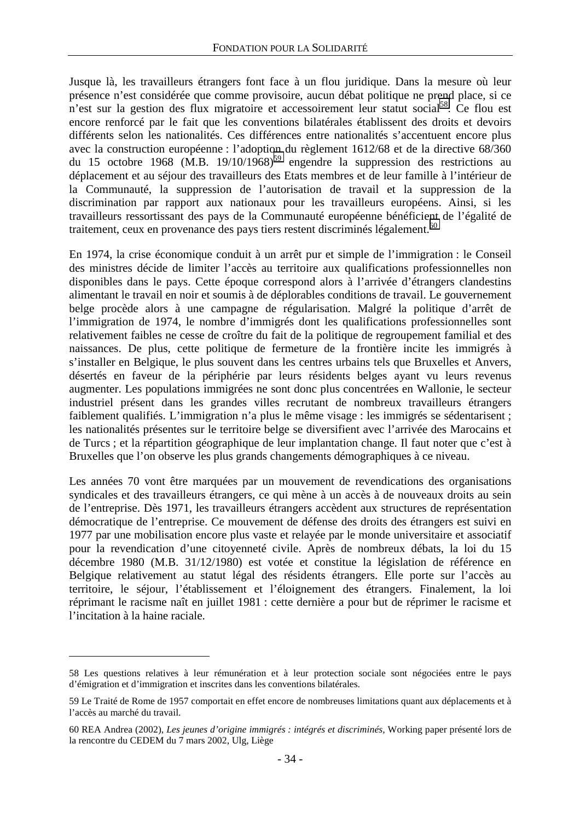Jusque là, les travailleurs étrangers font face à un flou juridique. Dans la mesure où leur présence n'est considérée que comme provisoire, aucun débat politique ne prend place, si ce n'est sur la gestion des flux migratoire et accessoirement leur statut social<sup>58</sup>. Ce flou est encore renforcé par le fait que les conventions bilatérales établissent des droits et devoirs différents selon les nationalités. Ces différences entre nationalités s'accentuent encore plus avec la construction européenne : l'adoption du règlement 1612/68 et de la directive 68/360 du 15 octobre 1968 (M.B. 19/10/1968)<sup>59</sup> engendre la suppression des restrictions au déplacement et au séjour des travailleurs des Etats membres et de leur famille à l'intérieur de la Communauté, la suppression de l'autorisation de travail et la suppression de la discrimination par rapport aux nationaux pour les travailleurs européens. Ainsi, si les travailleurs ressortissant des pays de la Communauté européenne bénéficient de l'égalité de traitement, ceux en provenance des pays tiers restent discriminés légalement.<sup>60</sup>

En 1974, la crise économique conduit à un arrêt pur et simple de l'immigration : le Conseil des ministres décide de limiter l'accès au territoire aux qualifications professionnelles non disponibles dans le pays. Cette époque correspond alors à l'arrivée d'étrangers clandestins alimentant le travail en noir et soumis à de déplorables conditions de travail. Le gouvernement belge procède alors à une campagne de régularisation. Malgré la politique d'arrêt de l'immigration de 1974, le nombre d'immigrés dont les qualifications professionnelles sont relativement faibles ne cesse de croître du fait de la politique de regroupement familial et des naissances. De plus, cette politique de fermeture de la frontière incite les immigrés à s'installer en Belgique, le plus souvent dans les centres urbains tels que Bruxelles et Anvers, désertés en faveur de la périphérie par leurs résidents belges ayant vu leurs revenus augmenter. Les populations immigrées ne sont donc plus concentrées en Wallonie, le secteur industriel présent dans les grandes villes recrutant de nombreux travailleurs étrangers faiblement qualifiés. L'immigration n'a plus le même visage : les immigrés se sédentarisent ; les nationalités présentes sur le territoire belge se diversifient avec l'arrivée des Marocains et de Turcs ; et la répartition géographique de leur implantation change. Il faut noter que c'est à Bruxelles que l'on observe les plus grands changements démographiques à ce niveau.

Les années 70 vont être marquées par un mouvement de revendications des organisations syndicales et des travailleurs étrangers, ce qui mène à un accès à de nouveaux droits au sein de l'entreprise. Dès 1971, les travailleurs étrangers accèdent aux structures de représentation démocratique de l'entreprise. Ce mouvement de défense des droits des étrangers est suivi en 1977 par une mobilisation encore plus vaste et relayée par le monde universitaire et associatif pour la revendication d'une citoyenneté civile. Après de nombreux débats, la loi du 15 décembre 1980 (M.B. 31/12/1980) est votée et constitue la législation de référence en Belgique relativement au statut légal des résidents étrangers. Elle porte sur l'accès au territoire, le séjour, l'établissement et l'éloignement des étrangers. Finalement, la loi réprimant le racisme naît en juillet 1981 : cette dernière a pour but de réprimer le racisme et l'incitation à la haine raciale.

<sup>58</sup> Les questions relatives à leur rémunération et à leur protection sociale sont négociées entre le pays d'émigration et d'immigration et inscrites dans les conventions bilatérales.

<sup>59</sup> Le Traité de Rome de 1957 comportait en effet encore de nombreuses limitations quant aux déplacements et à l'accès au marché du travail.

<sup>60</sup> REA Andrea (2002), *Les jeunes d'origine immigrés : intégrés et discriminés*, Working paper présenté lors de la rencontre du CEDEM du 7 mars 2002, Ulg, Liège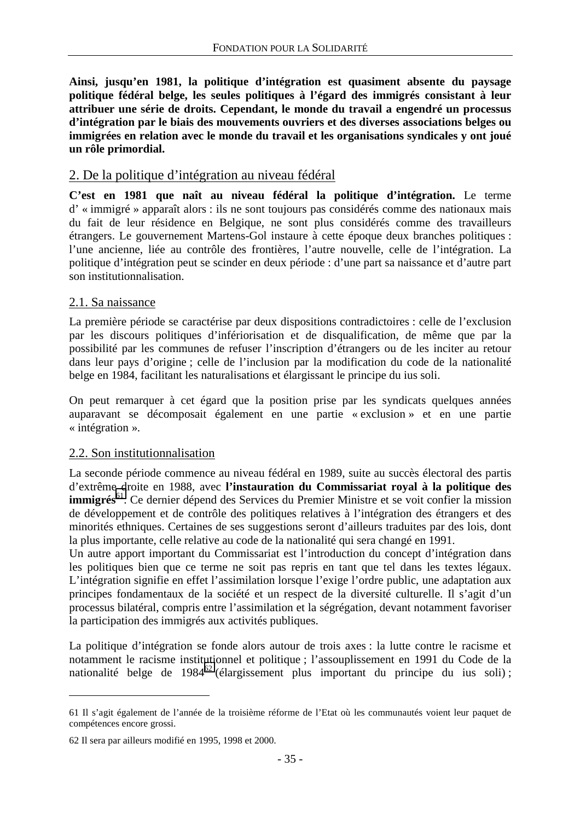<span id="page-35-0"></span>**Ainsi, jusqu'en 1981, la politique d'intégration est quasiment absente du paysage politique fédéral belge, les seules politiques à l'égard des immigrés consistant à leur attribuer une série de droits. Cependant, le monde du travail a engendré un processus d'intégration par le biais des mouvements ouvriers et des diverses associations belges ou immigrées en relation avec le monde du travail et les organisations syndicales y ont joué un rôle primordial.** 

#### 2. De la politique d'intégration au niveau fédéral

**C'est en 1981 que naît au niveau fédéral la politique d'intégration.** Le terme d' « immigré » apparaît alors : ils ne sont toujours pas considérés comme des nationaux mais du fait de leur résidence en Belgique, ne sont plus considérés comme des travailleurs étrangers. Le gouvernement Martens-Gol instaure à cette époque deux branches politiques : l'une ancienne, liée au contrôle des frontières, l'autre nouvelle, celle de l'intégration. La politique d'intégration peut se scinder en deux période : d'une part sa naissance et d'autre part son institutionnalisation.

#### 2.1. Sa naissance

La première période se caractérise par deux dispositions contradictoires : celle de l'exclusion par les discours politiques d'infériorisation et de disqualification, de même que par la possibilité par les communes de refuser l'inscription d'étrangers ou de les inciter au retour dans leur pays d'origine ; celle de l'inclusion par la modification du code de la nationalité belge en 1984, facilitant les naturalisations et élargissant le principe du ius soli.

On peut remarquer à cet égard que la position prise par les syndicats quelques années auparavant se décomposait également en une partie « exclusion » et en une partie « intégration ».

#### 2.2. Son institutionnalisation

La seconde période commence au niveau fédéral en 1989, suite au succès électoral des partis d'extrême droite en 1988, avec **l'instauration du Commissariat royal à la politique des immigrés**<sup>61</sup>. Ce dernier dépend des Services du Premier Ministre et se voit confier la mission de développement et de contrôle des politiques relatives à l'intégration des étrangers et des minorités ethniques. Certaines de ses suggestions seront d'ailleurs traduites par des lois, dont la plus importante, celle relative au code de la nationalité qui sera changé en 1991.

Un autre apport important du Commissariat est l'introduction du concept d'intégration dans les politiques bien que ce terme ne soit pas repris en tant que tel dans les textes légaux. L'intégration signifie en effet l'assimilation lorsque l'exige l'ordre public, une adaptation aux principes fondamentaux de la société et un respect de la diversité culturelle. Il s'agit d'un processus bilatéral, compris entre l'assimilation et la ségrégation, devant notamment favoriser la participation des immigrés aux activités publiques.

La politique d'intégration se fonde alors autour de trois axes : la lutte contre le racisme et notamment le racisme institutionnel et politique ; l'assouplissement en 1991 du Code de la nationalité belge de 1984<sup>62</sup> (élargissement plus important du principe du ius soli);

<sup>61</sup> Il s'agit également de l'année de la troisième réforme de l'Etat où les communautés voient leur paquet de compétences encore grossi.

<sup>62</sup> Il sera par ailleurs modifié en 1995, 1998 et 2000.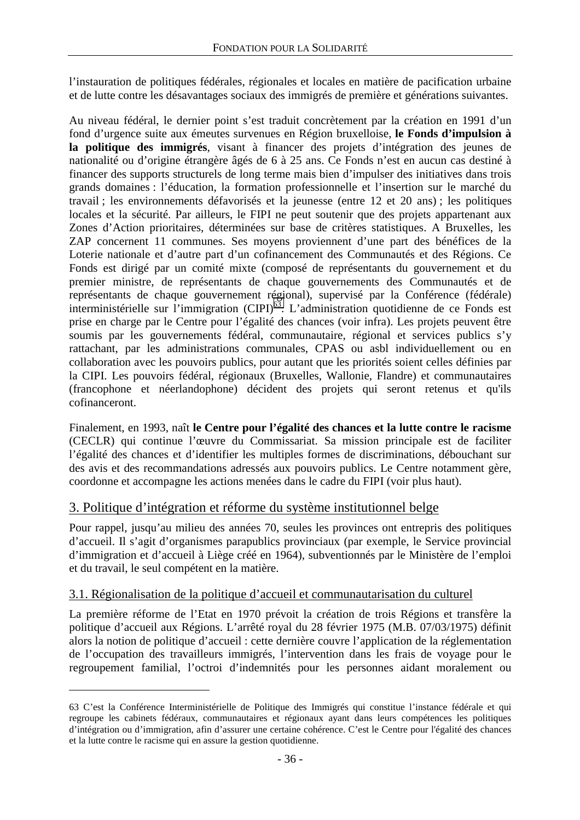l'instauration de politiques fédérales, régionales et locales en matière de pacification urbaine et de lutte contre les désavantages sociaux des immigrés de première et générations suivantes.

Au niveau fédéral, le dernier point s'est traduit concrètement par la création en 1991 d'un fond d'urgence suite aux émeutes survenues en Région bruxelloise, **le Fonds d'impulsion à la politique des immigrés**, visant à financer des projets d'intégration des jeunes de nationalité ou d'origine étrangère âgés de 6 à 25 ans. Ce Fonds n'est en aucun cas destiné à financer des supports structurels de long terme mais bien d'impulser des initiatives dans trois grands domaines : l'éducation, la formation professionnelle et l'insertion sur le marché du travail ; les environnements défavorisés et la jeunesse (entre 12 et 20 ans) ; les politiques locales et la sécurité. Par ailleurs, le FIPI ne peut soutenir que des projets appartenant aux Zones d'Action prioritaires, déterminées sur base de critères statistiques. A Bruxelles, les ZAP concernent 11 communes. Ses moyens proviennent d'une part des bénéfices de la Loterie nationale et d'autre part d'un cofinancement des Communautés et des Régions. Ce Fonds est dirigé par un comité mixte (composé de représentants du gouvernement et du premier ministre, de représentants de chaque gouvernements des Communautés et de représentants de chaque gouvernement régional), supervisé par la Conférence (fédérale) interministérielle sur l'immigration (CIPI)<sup>63</sup>. L'administration quotidienne de ce Fonds est prise en charge par le Centre pour l'égalité des chances (voir infra). Les projets peuvent être soumis par les gouvernements fédéral, communautaire, régional et services publics s'y rattachant, par les administrations communales, CPAS ou asbl individuellement ou en collaboration avec les pouvoirs publics, pour autant que les priorités soient celles définies par la CIPI. Les pouvoirs fédéral, régionaux (Bruxelles, Wallonie, Flandre) et communautaires (francophone et néerlandophone) décident des projets qui seront retenus et qu'ils cofinanceront.

Finalement, en 1993, naît **le Centre pour l'égalité des chances et la lutte contre le racisme** (CECLR) qui continue l'œuvre du Commissariat. Sa mission principale est de faciliter l'égalité des chances et d'identifier les multiples formes de discriminations, débouchant sur des avis et des recommandations adressés aux pouvoirs publics. Le Centre notamment gère, coordonne et accompagne les actions menées dans le cadre du FIPI (voir plus haut).

## 3. Politique d'intégration et réforme du système institutionnel belge

Pour rappel, jusqu'au milieu des années 70, seules les provinces ont entrepris des politiques d'accueil. Il s'agit d'organismes parapublics provinciaux (par exemple, le Service provincial d'immigration et d'accueil à Liège créé en 1964), subventionnés par le Ministère de l'emploi et du travail, le seul compétent en la matière.

## 3.1. Régionalisation de la politique d'accueil et communautarisation du culturel

 $\overline{a}$ 

La première réforme de l'Etat en 1970 prévoit la création de trois Régions et transfère la politique d'accueil aux Régions. L'arrêté royal du 28 février 1975 (M.B. 07/03/1975) définit alors la notion de politique d'accueil : cette dernière couvre l'application de la réglementation de l'occupation des travailleurs immigrés, l'intervention dans les frais de voyage pour le regroupement familial, l'octroi d'indemnités pour les personnes aidant moralement ou

<sup>63</sup> C'est la Conférence Interministérielle de Politique des Immigrés qui constitue l'instance fédérale et qui regroupe les cabinets fédéraux, communautaires et régionaux ayant dans leurs compétences les politiques d'intégration ou d'immigration, afin d'assurer une certaine cohérence. C'est le Centre pour l'égalité des chances et la lutte contre le racisme qui en assure la gestion quotidienne.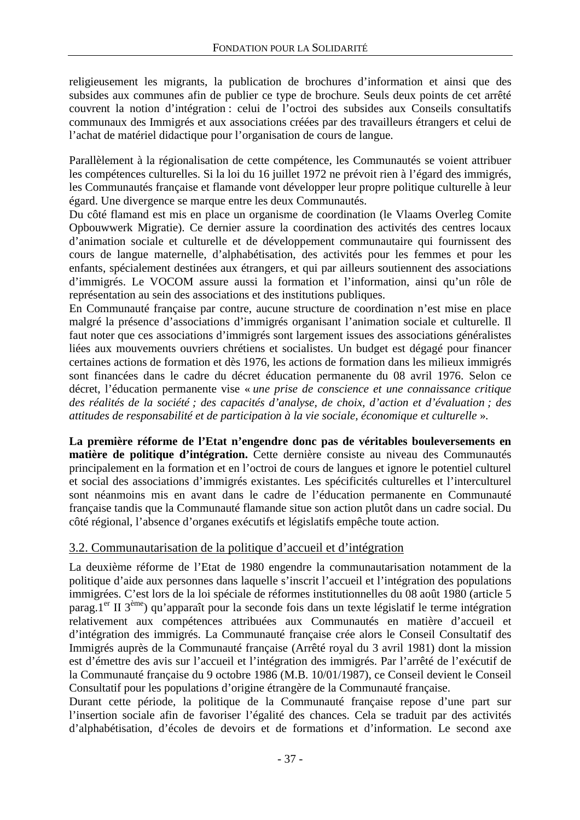religieusement les migrants, la publication de brochures d'information et ainsi que des subsides aux communes afin de publier ce type de brochure. Seuls deux points de cet arrêté couvrent la notion d'intégration : celui de l'octroi des subsides aux Conseils consultatifs communaux des Immigrés et aux associations créées par des travailleurs étrangers et celui de l'achat de matériel didactique pour l'organisation de cours de langue.

Parallèlement à la régionalisation de cette compétence, les Communautés se voient attribuer les compétences culturelles. Si la loi du 16 juillet 1972 ne prévoit rien à l'égard des immigrés, les Communautés française et flamande vont développer leur propre politique culturelle à leur égard. Une divergence se marque entre les deux Communautés.

Du côté flamand est mis en place un organisme de coordination (le Vlaams Overleg Comite Opbouwwerk Migratie). Ce dernier assure la coordination des activités des centres locaux d'animation sociale et culturelle et de développement communautaire qui fournissent des cours de langue maternelle, d'alphabétisation, des activités pour les femmes et pour les enfants, spécialement destinées aux étrangers, et qui par ailleurs soutiennent des associations d'immigrés. Le VOCOM assure aussi la formation et l'information, ainsi qu'un rôle de représentation au sein des associations et des institutions publiques.

En Communauté française par contre, aucune structure de coordination n'est mise en place malgré la présence d'associations d'immigrés organisant l'animation sociale et culturelle. Il faut noter que ces associations d'immigrés sont largement issues des associations généralistes liées aux mouvements ouvriers chrétiens et socialistes. Un budget est dégagé pour financer certaines actions de formation et dès 1976, les actions de formation dans les milieux immigrés sont financées dans le cadre du décret éducation permanente du 08 avril 1976. Selon ce décret, l'éducation permanente vise « *une prise de conscience et une connaissance critique des réalités de la société ; des capacités d'analyse, de choix, d'action et d'évaluation ; des attitudes de responsabilité et de participation à la vie sociale, économique et culturelle* ».

**La première réforme de l'Etat n'engendre donc pas de véritables bouleversements en matière de politique d'intégration.** Cette dernière consiste au niveau des Communautés principalement en la formation et en l'octroi de cours de langues et ignore le potentiel culturel et social des associations d'immigrés existantes. Les spécificités culturelles et l'interculturel sont néanmoins mis en avant dans le cadre de l'éducation permanente en Communauté française tandis que la Communauté flamande situe son action plutôt dans un cadre social. Du côté régional, l'absence d'organes exécutifs et législatifs empêche toute action.

## 3.2. Communautarisation de la politique d'accueil et d'intégration

La deuxième réforme de l'Etat de 1980 engendre la communautarisation notamment de la politique d'aide aux personnes dans laquelle s'inscrit l'accueil et l'intégration des populations immigrées. C'est lors de la loi spéciale de réformes institutionnelles du 08 août 1980 (article 5 parag.<sup>1er</sup> II  $3^{eme}$ ) qu'apparaît pour la seconde fois dans un texte législatif le terme intégration relativement aux compétences attribuées aux Communautés en matière d'accueil et d'intégration des immigrés. La Communauté française crée alors le Conseil Consultatif des Immigrés auprès de la Communauté française (Arrêté royal du 3 avril 1981) dont la mission est d'émettre des avis sur l'accueil et l'intégration des immigrés. Par l'arrêté de l'exécutif de la Communauté française du 9 octobre 1986 (M.B. 10/01/1987), ce Conseil devient le Conseil Consultatif pour les populations d'origine étrangère de la Communauté française.

Durant cette période, la politique de la Communauté française repose d'une part sur l'insertion sociale afin de favoriser l'égalité des chances. Cela se traduit par des activités d'alphabétisation, d'écoles de devoirs et de formations et d'information. Le second axe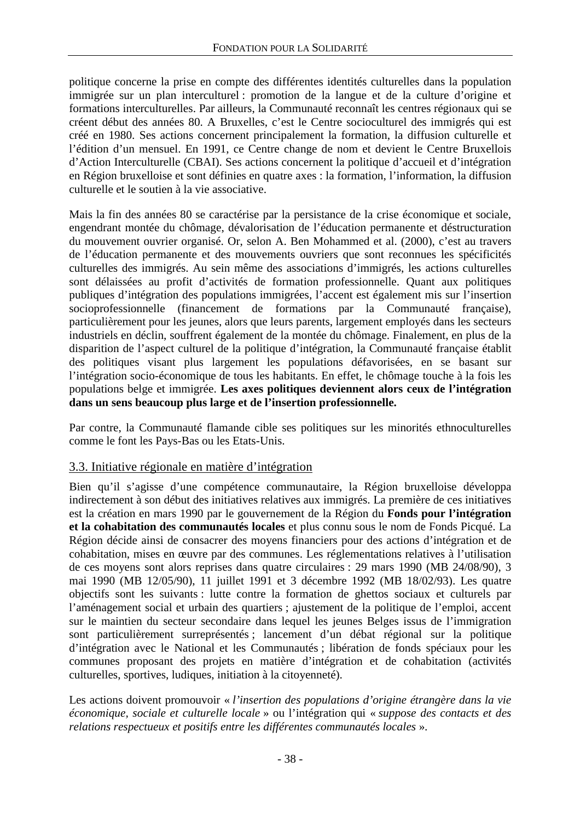politique concerne la prise en compte des différentes identités culturelles dans la population immigrée sur un plan interculturel : promotion de la langue et de la culture d'origine et formations interculturelles. Par ailleurs, la Communauté reconnaît les centres régionaux qui se créent début des années 80. A Bruxelles, c'est le Centre socioculturel des immigrés qui est créé en 1980. Ses actions concernent principalement la formation, la diffusion culturelle et l'édition d'un mensuel. En 1991, ce Centre change de nom et devient le Centre Bruxellois d'Action Interculturelle (CBAI). Ses actions concernent la politique d'accueil et d'intégration en Région bruxelloise et sont définies en quatre axes : la formation, l'information, la diffusion culturelle et le soutien à la vie associative.

Mais la fin des années 80 se caractérise par la persistance de la crise économique et sociale, engendrant montée du chômage, dévalorisation de l'éducation permanente et déstructuration du mouvement ouvrier organisé. Or, selon A. Ben Mohammed et al. (2000), c'est au travers de l'éducation permanente et des mouvements ouvriers que sont reconnues les spécificités culturelles des immigrés. Au sein même des associations d'immigrés, les actions culturelles sont délaissées au profit d'activités de formation professionnelle. Quant aux politiques publiques d'intégration des populations immigrées, l'accent est également mis sur l'insertion socioprofessionnelle (financement de formations par la Communauté française), particulièrement pour les jeunes, alors que leurs parents, largement employés dans les secteurs industriels en déclin, souffrent également de la montée du chômage. Finalement, en plus de la disparition de l'aspect culturel de la politique d'intégration, la Communauté française établit des politiques visant plus largement les populations défavorisées, en se basant sur l'intégration socio-économique de tous les habitants. En effet, le chômage touche à la fois les populations belge et immigrée. **Les axes politiques deviennent alors ceux de l'intégration dans un sens beaucoup plus large et de l'insertion professionnelle.**

Par contre, la Communauté flamande cible ses politiques sur les minorités ethnoculturelles comme le font les Pays-Bas ou les Etats-Unis.

## 3.3. Initiative régionale en matière d'intégration

Bien qu'il s'agisse d'une compétence communautaire, la Région bruxelloise développa indirectement à son début des initiatives relatives aux immigrés. La première de ces initiatives est la création en mars 1990 par le gouvernement de la Région du **Fonds pour l'intégration et la cohabitation des communautés locales** et plus connu sous le nom de Fonds Picqué. La Région décide ainsi de consacrer des moyens financiers pour des actions d'intégration et de cohabitation, mises en œuvre par des communes. Les réglementations relatives à l'utilisation de ces moyens sont alors reprises dans quatre circulaires : 29 mars 1990 (MB 24/08/90), 3 mai 1990 (MB 12/05/90), 11 juillet 1991 et 3 décembre 1992 (MB 18/02/93). Les quatre objectifs sont les suivants : lutte contre la formation de ghettos sociaux et culturels par l'aménagement social et urbain des quartiers ; ajustement de la politique de l'emploi, accent sur le maintien du secteur secondaire dans lequel les jeunes Belges issus de l'immigration sont particulièrement surreprésentés ; lancement d'un débat régional sur la politique d'intégration avec le National et les Communautés ; libération de fonds spéciaux pour les communes proposant des projets en matière d'intégration et de cohabitation (activités culturelles, sportives, ludiques, initiation à la citoyenneté).

Les actions doivent promouvoir « *l'insertion des populations d'origine étrangère dans la vie économique, sociale et culturelle locale* » ou l'intégration qui « *suppose des contacts et des relations respectueux et positifs entre les différentes communautés locales* ».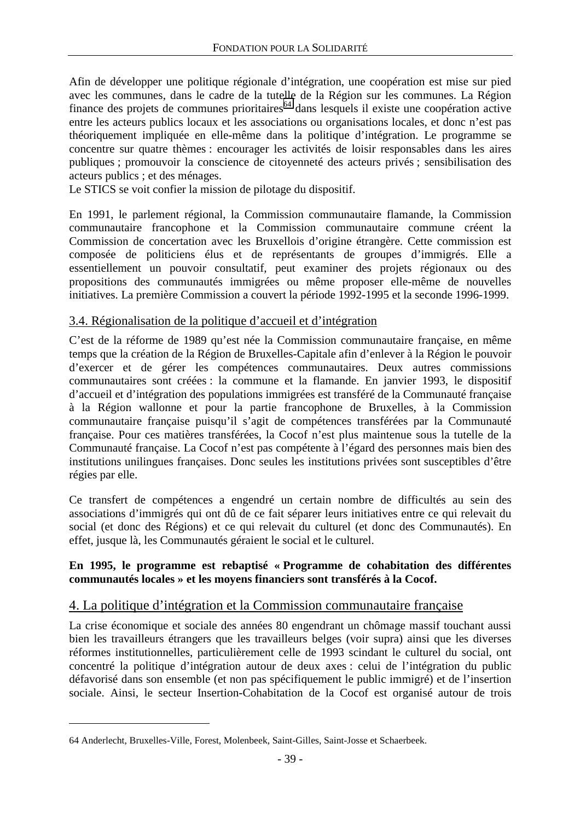Afin de développer une politique régionale d'intégration, une coopération est mise sur pied avec les communes, dans le cadre de la tutelle de la Région sur les communes. La Région finance des projets de communes prioritaires<sup>64</sup> dans lesquels il existe une coopération active entre les acteurs publics locaux et les associations ou organisations locales, et donc n'est pas théoriquement impliquée en elle-même dans la politique d'intégration. Le programme se concentre sur quatre thèmes : encourager les activités de loisir responsables dans les aires publiques ; promouvoir la conscience de citoyenneté des acteurs privés ; sensibilisation des acteurs publics ; et des ménages.

Le STICS se voit confier la mission de pilotage du dispositif.

En 1991, le parlement régional, la Commission communautaire flamande, la Commission communautaire francophone et la Commission communautaire commune créent la Commission de concertation avec les Bruxellois d'origine étrangère. Cette commission est composée de politiciens élus et de représentants de groupes d'immigrés. Elle a essentiellement un pouvoir consultatif, peut examiner des projets régionaux ou des propositions des communautés immigrées ou même proposer elle-même de nouvelles initiatives. La première Commission a couvert la période 1992-1995 et la seconde 1996-1999.

### 3.4. Régionalisation de la politique d'accueil et d'intégration

C'est de la réforme de 1989 qu'est née la Commission communautaire française, en même temps que la création de la Région de Bruxelles-Capitale afin d'enlever à la Région le pouvoir d'exercer et de gérer les compétences communautaires. Deux autres commissions communautaires sont créées : la commune et la flamande. En janvier 1993, le dispositif d'accueil et d'intégration des populations immigrées est transféré de la Communauté française à la Région wallonne et pour la partie francophone de Bruxelles, à la Commission communautaire française puisqu'il s'agit de compétences transférées par la Communauté française. Pour ces matières transférées, la Cocof n'est plus maintenue sous la tutelle de la Communauté française. La Cocof n'est pas compétente à l'égard des personnes mais bien des institutions unilingues françaises. Donc seules les institutions privées sont susceptibles d'être régies par elle.

Ce transfert de compétences a engendré un certain nombre de difficultés au sein des associations d'immigrés qui ont dû de ce fait séparer leurs initiatives entre ce qui relevait du social (et donc des Régions) et ce qui relevait du culturel (et donc des Communautés). En effet, jusque là, les Communautés géraient le social et le culturel.

#### **En 1995, le programme est rebaptisé « Programme de cohabitation des différentes communautés locales » et les moyens financiers sont transférés à la Cocof.**

## 4. La politique d'intégration et la Commission communautaire française

La crise économique et sociale des années 80 engendrant un chômage massif touchant aussi bien les travailleurs étrangers que les travailleurs belges (voir supra) ainsi que les diverses réformes institutionnelles, particulièrement celle de 1993 scindant le culturel du social, ont concentré la politique d'intégration autour de deux axes : celui de l'intégration du public défavorisé dans son ensemble (et non pas spécifiquement le public immigré) et de l'insertion sociale. Ainsi, le secteur Insertion-Cohabitation de la Cocof est organisé autour de trois

<sup>64</sup> Anderlecht, Bruxelles-Ville, Forest, Molenbeek, Saint-Gilles, Saint-Josse et Schaerbeek.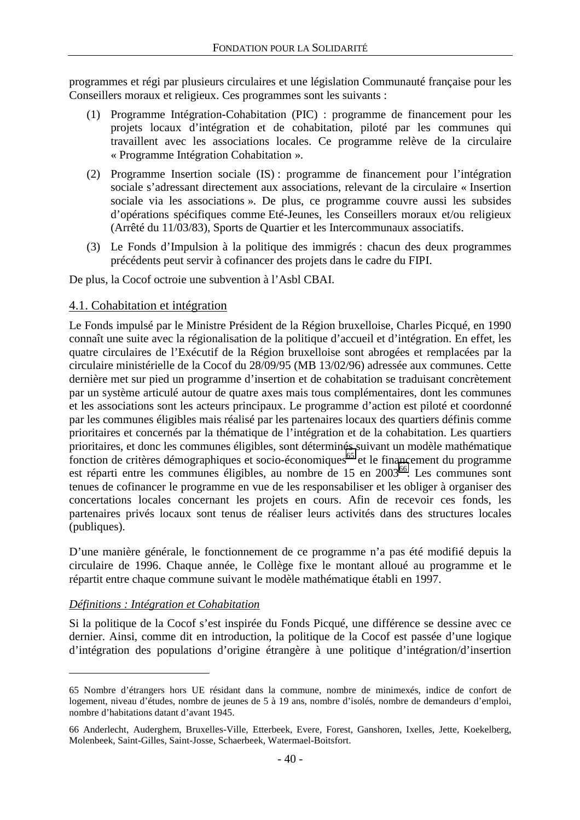programmes et régi par plusieurs circulaires et une législation Communauté française pour les Conseillers moraux et religieux. Ces programmes sont les suivants :

- (1) Programme Intégration-Cohabitation (PIC) : programme de financement pour les projets locaux d'intégration et de cohabitation, piloté par les communes qui travaillent avec les associations locales. Ce programme relève de la circulaire « Programme Intégration Cohabitation ».
- (2) Programme Insertion sociale (IS) : programme de financement pour l'intégration sociale s'adressant directement aux associations, relevant de la circulaire « Insertion sociale via les associations ». De plus, ce programme couvre aussi les subsides d'opérations spécifiques comme Eté-Jeunes, les Conseillers moraux et/ou religieux (Arrêté du 11/03/83), Sports de Quartier et les Intercommunaux associatifs.
- (3) Le Fonds d'Impulsion à la politique des immigrés : chacun des deux programmes précédents peut servir à cofinancer des projets dans le cadre du FIPI.

De plus, la Cocof octroie une subvention à l'Asbl CBAI.

#### 4.1. Cohabitation et intégration

Le Fonds impulsé par le Ministre Président de la Région bruxelloise, Charles Picqué, en 1990 connaît une suite avec la régionalisation de la politique d'accueil et d'intégration. En effet, les quatre circulaires de l'Exécutif de la Région bruxelloise sont abrogées et remplacées par la circulaire ministérielle de la Cocof du 28/09/95 (MB 13/02/96) adressée aux communes. Cette dernière met sur pied un programme d'insertion et de cohabitation se traduisant concrètement par un système articulé autour de quatre axes mais tous complémentaires, dont les communes et les associations sont les acteurs principaux. Le programme d'action est piloté et coordonné par les communes éligibles mais réalisé par les partenaires locaux des quartiers définis comme prioritaires et concernés par la thématique de l'intégration et de la cohabitation. Les quartiers prioritaires, et donc les communes éligibles, sont déterminés suivant un modèle mathématique fonction de critères démographiques et socio-économiques<sup>65</sup> et le financement du programme est réparti entre les communes éligibles, au nombre de 15 en 2003<sup>66</sup>. Les communes sont tenues de cofinancer le programme en vue de les responsabiliser et les obliger à organiser des concertations locales concernant les projets en cours. Afin de recevoir ces fonds, les partenaires privés locaux sont tenus de réaliser leurs activités dans des structures locales (publiques).

D'une manière générale, le fonctionnement de ce programme n'a pas été modifié depuis la circulaire de 1996. Chaque année, le Collège fixe le montant alloué au programme et le répartit entre chaque commune suivant le modèle mathématique établi en 1997.

#### *Définitions : Intégration et Cohabitation*

 $\overline{a}$ 

Si la politique de la Cocof s'est inspirée du Fonds Picqué, une différence se dessine avec ce dernier. Ainsi, comme dit en introduction, la politique de la Cocof est passée d'une logique d'intégration des populations d'origine étrangère à une politique d'intégration/d'insertion

<sup>65</sup> Nombre d'étrangers hors UE résidant dans la commune, nombre de minimexés, indice de confort de logement, niveau d'études, nombre de jeunes de 5 à 19 ans, nombre d'isolés, nombre de demandeurs d'emploi, nombre d'habitations datant d'avant 1945.

<sup>66</sup> Anderlecht, Auderghem, Bruxelles-Ville, Etterbeek, Evere, Forest, Ganshoren, Ixelles, Jette, Koekelberg, Molenbeek, Saint-Gilles, Saint-Josse, Schaerbeek, Watermael-Boitsfort.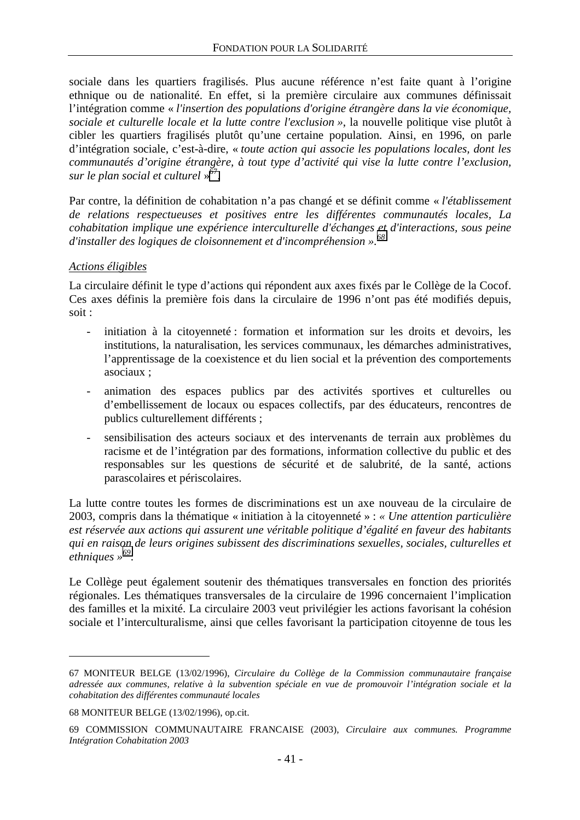sociale dans les quartiers fragilisés. Plus aucune référence n'est faite quant à l'origine ethnique ou de nationalité. En effet, si la première circulaire aux communes définissait l'intégration comme « *l'insertion des populations d'origine étrangère dans la vie économique, sociale et culturelle locale et la lutte contre l'exclusion »*, la nouvelle politique vise plutôt à cibler les quartiers fragilisés plutôt qu'une certaine population. Ainsi, en 1996, on parle d'intégration sociale, c'est-à-dire, « *toute action qui associe les populations locales, dont les communautés d'origine étrangère, à tout type d'activité qui vise la lutte contre l'exclusion, sur le plan social et culturel* » 67.

Par contre, la définition de cohabitation n'a pas changé et se définit comme « *l'établissement de relations respectueuses et positives entre les différentes communautés locales, La cohabitation implique une expérience interculturelle d'échanges et d'interactions, sous peine d'installer des logiques de cloisonnement et d'incompréhension ».<sup>68</sup>*

#### *Actions éligibles*

La circulaire définit le type d'actions qui répondent aux axes fixés par le Collège de la Cocof. Ces axes définis la première fois dans la circulaire de 1996 n'ont pas été modifiés depuis, soit :

- initiation à la citoyenneté : formation et information sur les droits et devoirs, les institutions, la naturalisation, les services communaux, les démarches administratives, l'apprentissage de la coexistence et du lien social et la prévention des comportements asociaux ;
- animation des espaces publics par des activités sportives et culturelles ou d'embellissement de locaux ou espaces collectifs, par des éducateurs, rencontres de publics culturellement différents ;
- sensibilisation des acteurs sociaux et des intervenants de terrain aux problèmes du racisme et de l'intégration par des formations, information collective du public et des responsables sur les questions de sécurité et de salubrité, de la santé, actions parascolaires et périscolaires.

La lutte contre toutes les formes de discriminations est un axe nouveau de la circulaire de 2003, compris dans la thématique « initiation à la citoyenneté » : *« Une attention particulière est réservée aux actions qui assurent une véritable politique d'égalité en faveur des habitants qui en raison de leurs origines subissent des discriminations sexuelles, sociales, culturelles et ethniques »69*.

Le Collège peut également soutenir des thématiques transversales en fonction des priorités régionales. Les thématiques transversales de la circulaire de 1996 concernaient l'implication des familles et la mixité. La circulaire 2003 veut privilégier les actions favorisant la cohésion sociale et l'interculturalisme, ainsi que celles favorisant la participation citoyenne de tous les

<sup>67</sup> MONITEUR BELGE (13/02/1996), *Circulaire du Collège de la Commission communautaire française adressée aux communes, relative à la subvention spéciale en vue de promouvoir l'intégration sociale et la cohabitation des différentes communauté locales*

<sup>68</sup> MONITEUR BELGE (13/02/1996), op.cit.

<sup>69</sup> COMMISSION COMMUNAUTAIRE FRANCAISE (2003), *Circulaire aux communes. Programme Intégration Cohabitation 2003*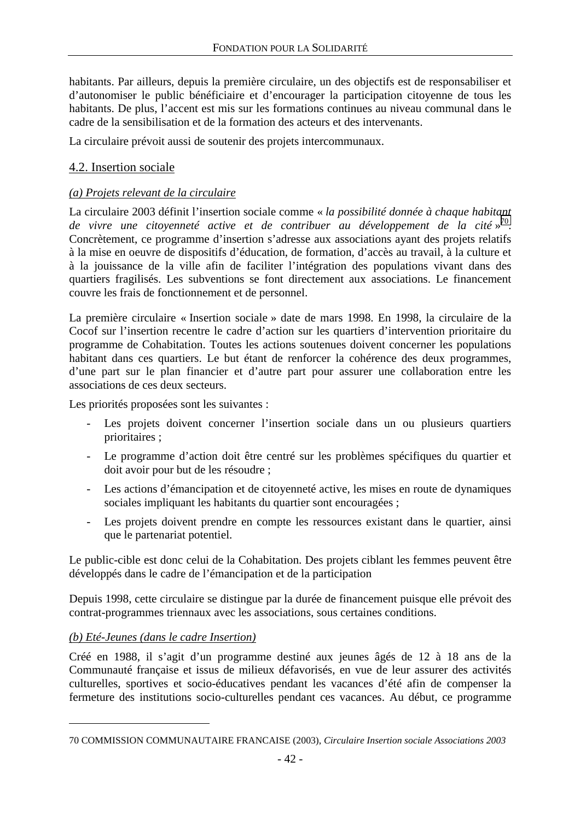habitants. Par ailleurs, depuis la première circulaire, un des objectifs est de responsabiliser et d'autonomiser le public bénéficiaire et d'encourager la participation citoyenne de tous les habitants. De plus, l'accent est mis sur les formations continues au niveau communal dans le cadre de la sensibilisation et de la formation des acteurs et des intervenants.

La circulaire prévoit aussi de soutenir des projets intercommunaux.

#### 4.2. Insertion sociale

#### *(a) Projets relevant de la circulaire*

La circulaire 2003 définit l'insertion sociale comme « *la possibilité donnée à chaque habitant de vivre une citoyenneté active et de contribuer au développement de la cité* » 70. Concrètement, ce programme d'insertion s'adresse aux associations ayant des projets relatifs à la mise en oeuvre de dispositifs d'éducation, de formation, d'accès au travail, à la culture et à la jouissance de la ville afin de faciliter l'intégration des populations vivant dans des quartiers fragilisés. Les subventions se font directement aux associations. Le financement couvre les frais de fonctionnement et de personnel.

La première circulaire « Insertion sociale » date de mars 1998. En 1998, la circulaire de la Cocof sur l'insertion recentre le cadre d'action sur les quartiers d'intervention prioritaire du programme de Cohabitation. Toutes les actions soutenues doivent concerner les populations habitant dans ces quartiers. Le but étant de renforcer la cohérence des deux programmes, d'une part sur le plan financier et d'autre part pour assurer une collaboration entre les associations de ces deux secteurs.

Les priorités proposées sont les suivantes :

- Les projets doivent concerner l'insertion sociale dans un ou plusieurs quartiers prioritaires ;
- Le programme d'action doit être centré sur les problèmes spécifiques du quartier et doit avoir pour but de les résoudre ;
- Les actions d'émancipation et de citoyenneté active, les mises en route de dynamiques sociales impliquant les habitants du quartier sont encouragées ;
- Les projets doivent prendre en compte les ressources existant dans le quartier, ainsi que le partenariat potentiel.

Le public-cible est donc celui de la Cohabitation. Des projets ciblant les femmes peuvent être développés dans le cadre de l'émancipation et de la participation

Depuis 1998, cette circulaire se distingue par la durée de financement puisque elle prévoit des contrat-programmes triennaux avec les associations, sous certaines conditions.

#### *(b) Eté-Jeunes (dans le cadre Insertion)*

 $\overline{a}$ 

Créé en 1988, il s'agit d'un programme destiné aux jeunes âgés de 12 à 18 ans de la Communauté française et issus de milieux défavorisés, en vue de leur assurer des activités culturelles, sportives et socio-éducatives pendant les vacances d'été afin de compenser la fermeture des institutions socio-culturelles pendant ces vacances. Au début, ce programme

<sup>70</sup> COMMISSION COMMUNAUTAIRE FRANCAISE (2003), *Circulaire Insertion sociale Associations 2003*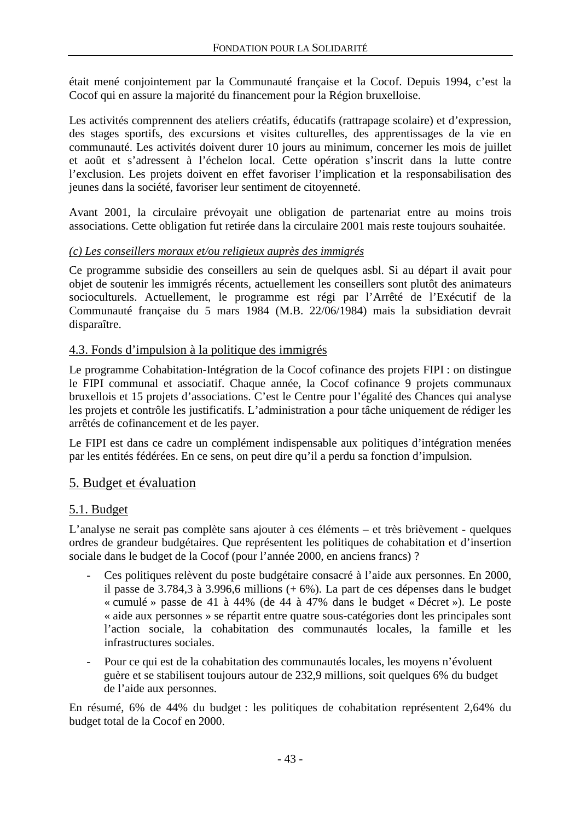était mené conjointement par la Communauté française et la Cocof. Depuis 1994, c'est la Cocof qui en assure la majorité du financement pour la Région bruxelloise.

Les activités comprennent des ateliers créatifs, éducatifs (rattrapage scolaire) et d'expression, des stages sportifs, des excursions et visites culturelles, des apprentissages de la vie en communauté. Les activités doivent durer 10 jours au minimum, concerner les mois de juillet et août et s'adressent à l'échelon local. Cette opération s'inscrit dans la lutte contre l'exclusion. Les projets doivent en effet favoriser l'implication et la responsabilisation des jeunes dans la société, favoriser leur sentiment de citoyenneté.

Avant 2001, la circulaire prévoyait une obligation de partenariat entre au moins trois associations. Cette obligation fut retirée dans la circulaire 2001 mais reste toujours souhaitée.

### *(c) Les conseillers moraux et/ou religieux auprès des immigrés*

Ce programme subsidie des conseillers au sein de quelques asbl. Si au départ il avait pour objet de soutenir les immigrés récents, actuellement les conseillers sont plutôt des animateurs socioculturels. Actuellement, le programme est régi par l'Arrêté de l'Exécutif de la Communauté française du 5 mars 1984 (M.B. 22/06/1984) mais la subsidiation devrait disparaître.

## 4.3. Fonds d'impulsion à la politique des immigrés

Le programme Cohabitation-Intégration de la Cocof cofinance des projets FIPI : on distingue le FIPI communal et associatif. Chaque année, la Cocof cofinance 9 projets communaux bruxellois et 15 projets d'associations. C'est le Centre pour l'égalité des Chances qui analyse les projets et contrôle les justificatifs. L'administration a pour tâche uniquement de rédiger les arrêtés de cofinancement et de les payer.

Le FIPI est dans ce cadre un complément indispensable aux politiques d'intégration menées par les entités fédérées. En ce sens, on peut dire qu'il a perdu sa fonction d'impulsion.

## 5. Budget et évaluation

## 5.1. Budget

L'analyse ne serait pas complète sans ajouter à ces éléments – et très brièvement - quelques ordres de grandeur budgétaires. Que représentent les politiques de cohabitation et d'insertion sociale dans le budget de la Cocof (pour l'année 2000, en anciens francs) ?

- Ces politiques relèvent du poste budgétaire consacré à l'aide aux personnes. En 2000, il passe de 3.784,3 à 3.996,6 millions (+ 6%). La part de ces dépenses dans le budget « cumulé » passe de 41 à 44% (de 44 à 47% dans le budget « Décret »). Le poste « aide aux personnes » se répartit entre quatre sous-catégories dont les principales sont l'action sociale, la cohabitation des communautés locales, la famille et les infrastructures sociales.
- Pour ce qui est de la cohabitation des communautés locales, les moyens n'évoluent guère et se stabilisent toujours autour de 232,9 millions, soit quelques 6% du budget de l'aide aux personnes.

En résumé, 6% de 44% du budget : les politiques de cohabitation représentent 2,64% du budget total de la Cocof en 2000.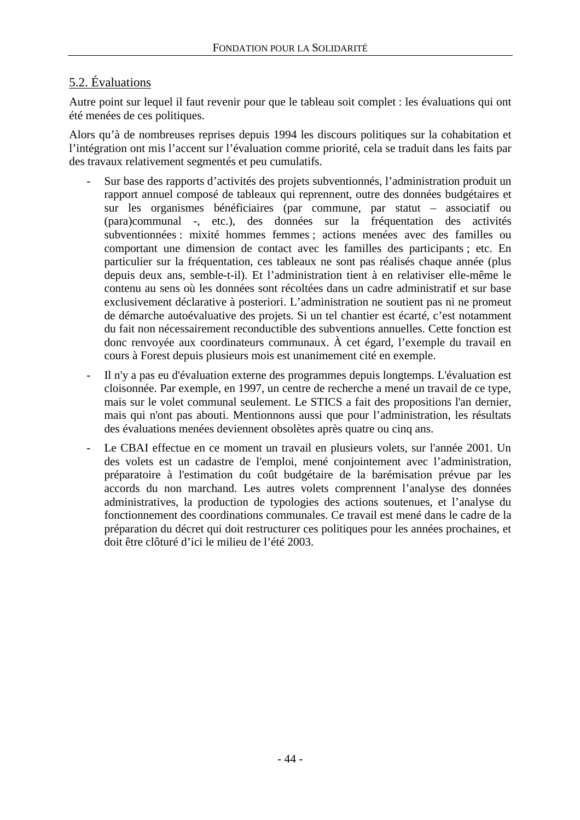## 5.2. Évaluations

Autre point sur lequel il faut revenir pour que le tableau soit complet : les évaluations qui ont été menées de ces politiques.

Alors qu'à de nombreuses reprises depuis 1994 les discours politiques sur la cohabitation et l'intégration ont mis l'accent sur l'évaluation comme priorité, cela se traduit dans les faits par des travaux relativement segmentés et peu cumulatifs.

- Sur base des rapports d'activités des projets subventionnés, l'administration produit un rapport annuel composé de tableaux qui reprennent, outre des données budgétaires et sur les organismes bénéficiaires (par commune, par statut – associatif ou (para)communal -, etc.), des données sur la fréquentation des activités subventionnées : mixité hommes femmes ; actions menées avec des familles ou comportant une dimension de contact avec les familles des participants ; etc. En particulier sur la fréquentation, ces tableaux ne sont pas réalisés chaque année (plus depuis deux ans, semble-t-il). Et l'administration tient à en relativiser elle-même le contenu au sens où les données sont récoltées dans un cadre administratif et sur base exclusivement déclarative à posteriori. L'administration ne soutient pas ni ne promeut de démarche autoévaluative des projets. Si un tel chantier est écarté, c'est notamment du fait non nécessairement reconductible des subventions annuelles. Cette fonction est donc renvoyée aux coordinateurs communaux. À cet égard, l'exemple du travail en cours à Forest depuis plusieurs mois est unanimement cité en exemple.
- Il n'y a pas eu d'évaluation externe des programmes depuis longtemps. L'évaluation est cloisonnée. Par exemple, en 1997, un centre de recherche a mené un travail de ce type, mais sur le volet communal seulement. Le STICS a fait des propositions l'an dernier, mais qui n'ont pas abouti. Mentionnons aussi que pour l'administration, les résultats des évaluations menées deviennent obsolètes après quatre ou cinq ans.
- Le CBAI effectue en ce moment un travail en plusieurs volets, sur l'année 2001. Un des volets est un cadastre de l'emploi, mené conjointement avec l'administration, préparatoire à l'estimation du coût budgétaire de la barémisation prévue par les accords du non marchand. Les autres volets comprennent l'analyse des données administratives, la production de typologies des actions soutenues, et l'analyse du fonctionnement des coordinations communales. Ce travail est mené dans le cadre de la préparation du décret qui doit restructurer ces politiques pour les années prochaines, et doit être clôturé d'ici le milieu de l'été 2003.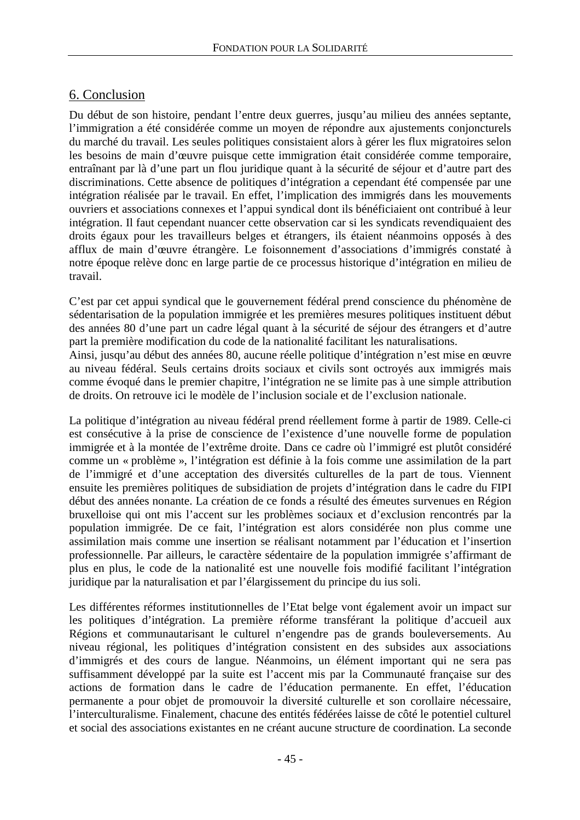## 6. Conclusion

Du début de son histoire, pendant l'entre deux guerres, jusqu'au milieu des années septante, l'immigration a été considérée comme un moyen de répondre aux ajustements conjoncturels du marché du travail. Les seules politiques consistaient alors à gérer les flux migratoires selon les besoins de main d'œuvre puisque cette immigration était considérée comme temporaire, entraînant par là d'une part un flou juridique quant à la sécurité de séjour et d'autre part des discriminations. Cette absence de politiques d'intégration a cependant été compensée par une intégration réalisée par le travail. En effet, l'implication des immigrés dans les mouvements ouvriers et associations connexes et l'appui syndical dont ils bénéficiaient ont contribué à leur intégration. Il faut cependant nuancer cette observation car si les syndicats revendiquaient des droits égaux pour les travailleurs belges et étrangers, ils étaient néanmoins opposés à des afflux de main d'œuvre étrangère. Le foisonnement d'associations d'immigrés constaté à notre époque relève donc en large partie de ce processus historique d'intégration en milieu de travail.

C'est par cet appui syndical que le gouvernement fédéral prend conscience du phénomène de sédentarisation de la population immigrée et les premières mesures politiques instituent début des années 80 d'une part un cadre légal quant à la sécurité de séjour des étrangers et d'autre part la première modification du code de la nationalité facilitant les naturalisations.

Ainsi, jusqu'au début des années 80, aucune réelle politique d'intégration n'est mise en œuvre au niveau fédéral. Seuls certains droits sociaux et civils sont octroyés aux immigrés mais comme évoqué dans le premier chapitre, l'intégration ne se limite pas à une simple attribution de droits. On retrouve ici le modèle de l'inclusion sociale et de l'exclusion nationale.

La politique d'intégration au niveau fédéral prend réellement forme à partir de 1989. Celle-ci est consécutive à la prise de conscience de l'existence d'une nouvelle forme de population immigrée et à la montée de l'extrême droite. Dans ce cadre où l'immigré est plutôt considéré comme un « problème », l'intégration est définie à la fois comme une assimilation de la part de l'immigré et d'une acceptation des diversités culturelles de la part de tous. Viennent ensuite les premières politiques de subsidiation de projets d'intégration dans le cadre du FIPI début des années nonante. La création de ce fonds a résulté des émeutes survenues en Région bruxelloise qui ont mis l'accent sur les problèmes sociaux et d'exclusion rencontrés par la population immigrée. De ce fait, l'intégration est alors considérée non plus comme une assimilation mais comme une insertion se réalisant notamment par l'éducation et l'insertion professionnelle. Par ailleurs, le caractère sédentaire de la population immigrée s'affirmant de plus en plus, le code de la nationalité est une nouvelle fois modifié facilitant l'intégration juridique par la naturalisation et par l'élargissement du principe du ius soli.

Les différentes réformes institutionnelles de l'Etat belge vont également avoir un impact sur les politiques d'intégration. La première réforme transférant la politique d'accueil aux Régions et communautarisant le culturel n'engendre pas de grands bouleversements. Au niveau régional, les politiques d'intégration consistent en des subsides aux associations d'immigrés et des cours de langue. Néanmoins, un élément important qui ne sera pas suffisamment développé par la suite est l'accent mis par la Communauté française sur des actions de formation dans le cadre de l'éducation permanente. En effet, l'éducation permanente a pour objet de promouvoir la diversité culturelle et son corollaire nécessaire, l'interculturalisme. Finalement, chacune des entités fédérées laisse de côté le potentiel culturel et social des associations existantes en ne créant aucune structure de coordination. La seconde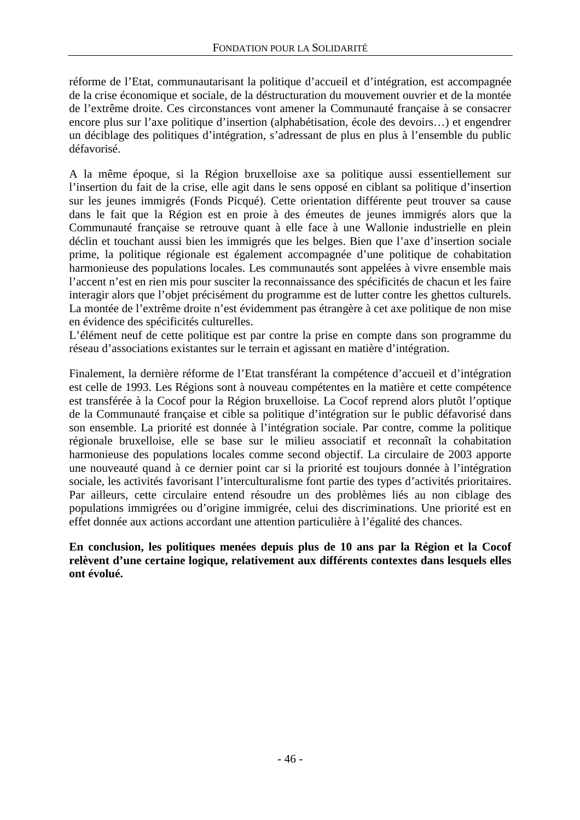réforme de l'Etat, communautarisant la politique d'accueil et d'intégration, est accompagnée de la crise économique et sociale, de la déstructuration du mouvement ouvrier et de la montée de l'extrême droite. Ces circonstances vont amener la Communauté française à se consacrer encore plus sur l'axe politique d'insertion (alphabétisation, école des devoirs…) et engendrer un déciblage des politiques d'intégration, s'adressant de plus en plus à l'ensemble du public défavorisé.

A la même époque, si la Région bruxelloise axe sa politique aussi essentiellement sur l'insertion du fait de la crise, elle agit dans le sens opposé en ciblant sa politique d'insertion sur les jeunes immigrés (Fonds Picqué). Cette orientation différente peut trouver sa cause dans le fait que la Région est en proie à des émeutes de jeunes immigrés alors que la Communauté française se retrouve quant à elle face à une Wallonie industrielle en plein déclin et touchant aussi bien les immigrés que les belges. Bien que l'axe d'insertion sociale prime, la politique régionale est également accompagnée d'une politique de cohabitation harmonieuse des populations locales. Les communautés sont appelées à vivre ensemble mais l'accent n'est en rien mis pour susciter la reconnaissance des spécificités de chacun et les faire interagir alors que l'objet précisément du programme est de lutter contre les ghettos culturels. La montée de l'extrême droite n'est évidemment pas étrangère à cet axe politique de non mise en évidence des spécificités culturelles.

L'élément neuf de cette politique est par contre la prise en compte dans son programme du réseau d'associations existantes sur le terrain et agissant en matière d'intégration.

Finalement, la dernière réforme de l'Etat transférant la compétence d'accueil et d'intégration est celle de 1993. Les Régions sont à nouveau compétentes en la matière et cette compétence est transférée à la Cocof pour la Région bruxelloise. La Cocof reprend alors plutôt l'optique de la Communauté française et cible sa politique d'intégration sur le public défavorisé dans son ensemble. La priorité est donnée à l'intégration sociale. Par contre, comme la politique régionale bruxelloise, elle se base sur le milieu associatif et reconnaît la cohabitation harmonieuse des populations locales comme second objectif. La circulaire de 2003 apporte une nouveauté quand à ce dernier point car si la priorité est toujours donnée à l'intégration sociale, les activités favorisant l'interculturalisme font partie des types d'activités prioritaires. Par ailleurs, cette circulaire entend résoudre un des problèmes liés au non ciblage des populations immigrées ou d'origine immigrée, celui des discriminations. Une priorité est en effet donnée aux actions accordant une attention particulière à l'égalité des chances.

**En conclusion, les politiques menées depuis plus de 10 ans par la Région et la Cocof relèvent d'une certaine logique, relativement aux différents contextes dans lesquels elles ont évolué.**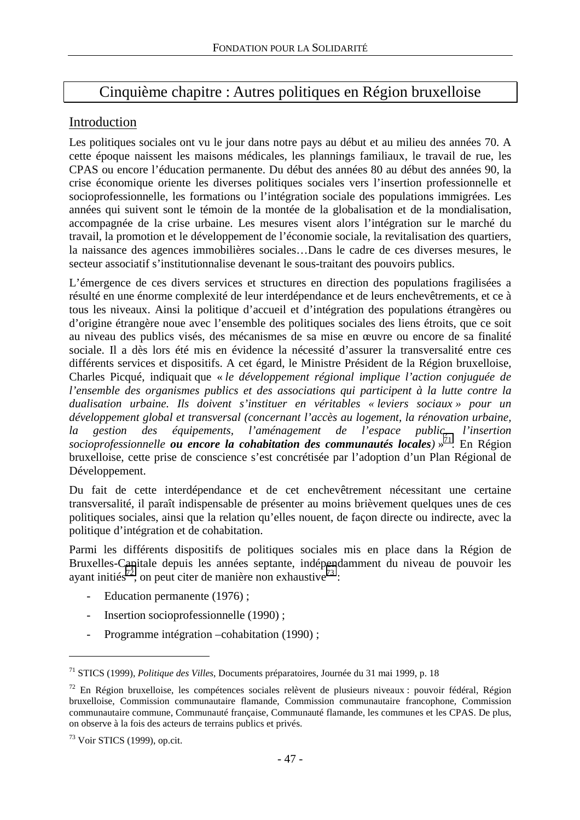# Cinquième chapitre : Autres politiques en Région bruxelloise

## Introduction

Les politiques sociales ont vu le jour dans notre pays au début et au milieu des années 70. A cette époque naissent les maisons médicales, les plannings familiaux, le travail de rue, les CPAS ou encore l'éducation permanente. Du début des années 80 au début des années 90, la crise économique oriente les diverses politiques sociales vers l'insertion professionnelle et socioprofessionnelle, les formations ou l'intégration sociale des populations immigrées. Les années qui suivent sont le témoin de la montée de la globalisation et de la mondialisation, accompagnée de la crise urbaine. Les mesures visent alors l'intégration sur le marché du travail, la promotion et le développement de l'économie sociale, la revitalisation des quartiers, la naissance des agences immobilières sociales…Dans le cadre de ces diverses mesures, le secteur associatif s'institutionnalise devenant le sous-traitant des pouvoirs publics.

L'émergence de ces divers services et structures en direction des populations fragilisées a résulté en une énorme complexité de leur interdépendance et de leurs enchevêtrements, et ce à tous les niveaux. Ainsi la politique d'accueil et d'intégration des populations étrangères ou d'origine étrangère noue avec l'ensemble des politiques sociales des liens étroits, que ce soit au niveau des publics visés, des mécanismes de sa mise en œuvre ou encore de sa finalité sociale. Il a dès lors été mis en évidence la nécessité d'assurer la transversalité entre ces différents services et dispositifs. A cet égard, le Ministre Président de la Région bruxelloise, Charles Picqué, indiquait que « *le développement régional implique l'action conjuguée de l'ensemble des organismes publics et des associations qui participent à la lutte contre la dualisation urbaine. Ils doivent s'instituer en véritables « leviers sociaux » pour un développement global et transversal (concernant l'accès au logement, la rénovation urbaine, la gestion des équipements, l'aménagement de l'espace public, l'insertion socioprofessionnelle ou encore la cohabitation des communautés locales)* » 71. En Région bruxelloise, cette prise de conscience s'est concrétisée par l'adoption d'un Plan Régional de Développement.

Du fait de cette interdépendance et de cet enchevêtrement nécessitant une certaine transversalité, il paraît indispensable de présenter au moins brièvement quelques unes de ces politiques sociales, ainsi que la relation qu'elles nouent, de façon directe ou indirecte, avec la politique d'intégration et de cohabitation.

Parmi les différents dispositifs de politiques sociales mis en place dans la Région de Bruxelles-Capitale depuis les années septante, indépendamment du niveau de pouvoir les ayant initiés<sup>72</sup>, on peut citer de manière non exhaustive<sup>73</sup> :

- Education permanente (1976) ;
- Insertion socioprofessionnelle (1990);
- Programme intégration –cohabitation (1990);

<sup>71</sup> STICS (1999), *Politique des Villes*, Documents préparatoires, Journée du 31 mai 1999, p. 18

<sup>&</sup>lt;sup>72</sup> En Région bruxelloise, les compétences sociales relèvent de plusieurs niveaux : pouvoir fédéral, Région bruxelloise, Commission communautaire flamande, Commission communautaire francophone, Commission communautaire commune, Communauté française, Communauté flamande, les communes et les CPAS. De plus, on observe à la fois des acteurs de terrains publics et privés.

 $73$  Voir STICS (1999), op.cit.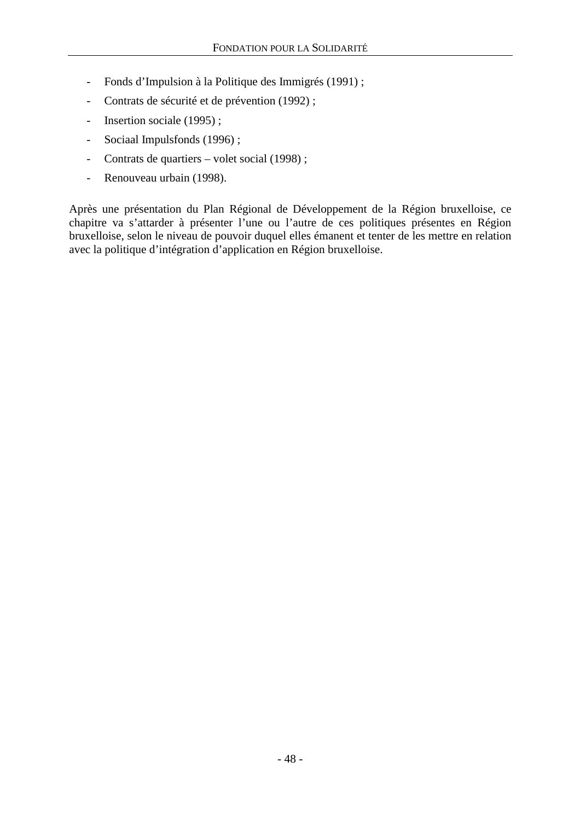- Fonds d'Impulsion à la Politique des Immigrés (1991) ;
- Contrats de sécurité et de prévention (1992) ;
- Insertion sociale (1995);
- Sociaal Impulsfonds (1996) ;
- Contrats de quartiers volet social (1998) ;
- Renouveau urbain (1998).

Après une présentation du Plan Régional de Développement de la Région bruxelloise, ce chapitre va s'attarder à présenter l'une ou l'autre de ces politiques présentes en Région bruxelloise, selon le niveau de pouvoir duquel elles émanent et tenter de les mettre en relation avec la politique d'intégration d'application en Région bruxelloise.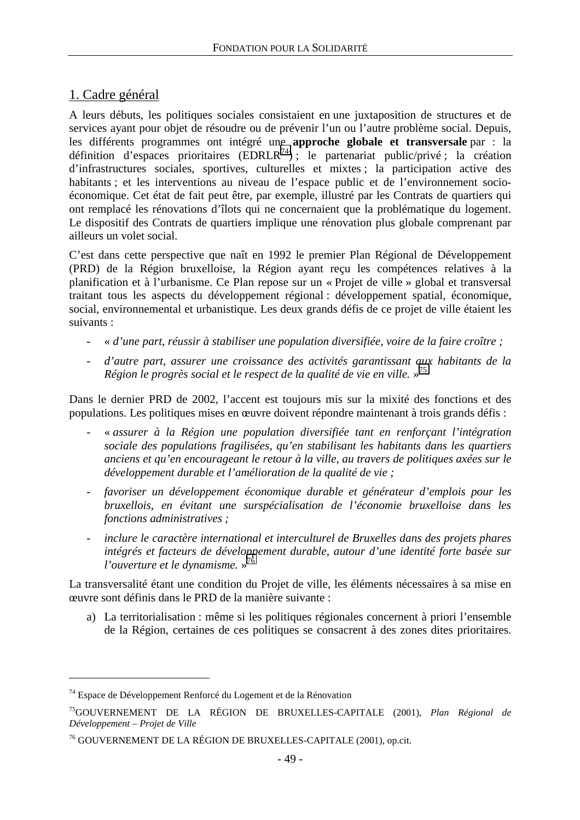## 1. Cadre général

A leurs débuts, les politiques sociales consistaient en une juxtaposition de structures et de services ayant pour objet de résoudre ou de prévenir l'un ou l'autre problème social. Depuis, les différents programmes ont intégré une **approche globale et transversale** par : la définition d'espaces prioritaires (EDRLR<sup>74</sup>); le partenariat public/privé ; la création d'infrastructures sociales, sportives, culturelles et mixtes ; la participation active des habitants ; et les interventions au niveau de l'espace public et de l'environnement socioéconomique. Cet état de fait peut être, par exemple, illustré par les Contrats de quartiers qui ont remplacé les rénovations d'îlots qui ne concernaient que la problématique du logement. Le dispositif des Contrats de quartiers implique une rénovation plus globale comprenant par ailleurs un volet social.

C'est dans cette perspective que naît en 1992 le premier Plan Régional de Développement (PRD) de la Région bruxelloise, la Région ayant reçu les compétences relatives à la planification et à l'urbanisme. Ce Plan repose sur un « Projet de ville » global et transversal traitant tous les aspects du développement régional : développement spatial, économique, social, environnemental et urbanistique. Les deux grands défis de ce projet de ville étaient les suivants :

- « *d'une part, réussir à stabiliser une population diversifiée, voire de la faire croître ;*
- *d'autre part, assurer une croissance des activités garantissant aux habitants de la Région le progrès social et le respect de la qualité de vie en ville.* » 75

Dans le dernier PRD de 2002, l'accent est toujours mis sur la mixité des fonctions et des populations. Les politiques mises en œuvre doivent répondre maintenant à trois grands défis :

- « *assurer à la Région une population diversifiée tant en renforçant l'intégration sociale des populations fragilisées, qu'en stabilisant les habitants dans les quartiers anciens et qu'en encourageant le retour à la ville, au travers de politiques axées sur le développement durable et l'amélioration de la qualité de vie ;*
- *favoriser un développement économique durable et générateur d'emplois pour les bruxellois, en évitant une surspécialisation de l'économie bruxelloise dans les fonctions administratives ;*
- *inclure le caractère international et interculturel de Bruxelles dans des projets phares intégrés et facteurs de développement durable, autour d'une identité forte basée sur l'ouverture et le dynamisme.* » 76

La transversalité étant une condition du Projet de ville, les éléments nécessaires à sa mise en œuvre sont définis dans le PRD de la manière suivante :

a) La territorialisation : même si les politiques régionales concernent à priori l'ensemble de la Région, certaines de ces politiques se consacrent à des zones dites prioritaires.

<sup>74</sup> Espace de Développement Renforcé du Logement et de la Rénovation

<sup>75</sup>GOUVERNEMENT DE LA RÉGION DE BRUXELLES-CAPITALE (2001), *Plan Régional de Développement – Projet de Ville*

<sup>76</sup> GOUVERNEMENT DE LA RÉGION DE BRUXELLES-CAPITALE (2001), op.cit.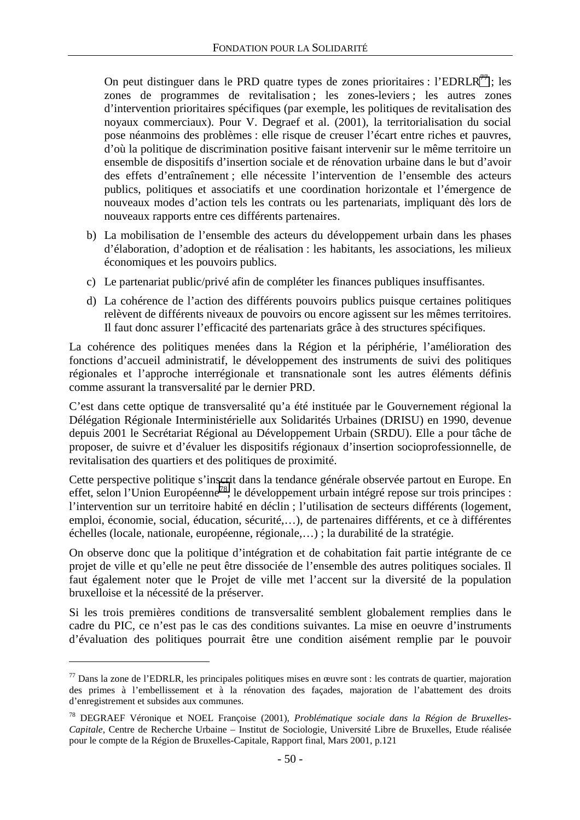On peut distinguer dans le PRD quatre types de zones prioritaires : l'EDRLR<sup>77</sup> ; les zones de programmes de revitalisation ; les zones-leviers ; les autres zones d'intervention prioritaires spécifiques (par exemple, les politiques de revitalisation des noyaux commerciaux). Pour V. Degraef et al. (2001), la territorialisation du social pose néanmoins des problèmes : elle risque de creuser l'écart entre riches et pauvres, d'où la politique de discrimination positive faisant intervenir sur le même territoire un ensemble de dispositifs d'insertion sociale et de rénovation urbaine dans le but d'avoir des effets d'entraînement ; elle nécessite l'intervention de l'ensemble des acteurs publics, politiques et associatifs et une coordination horizontale et l'émergence de nouveaux modes d'action tels les contrats ou les partenariats, impliquant dès lors de nouveaux rapports entre ces différents partenaires.

- b) La mobilisation de l'ensemble des acteurs du développement urbain dans les phases d'élaboration, d'adoption et de réalisation : les habitants, les associations, les milieux économiques et les pouvoirs publics.
- c) Le partenariat public/privé afin de compléter les finances publiques insuffisantes.
- d) La cohérence de l'action des différents pouvoirs publics puisque certaines politiques relèvent de différents niveaux de pouvoirs ou encore agissent sur les mêmes territoires. Il faut donc assurer l'efficacité des partenariats grâce à des structures spécifiques.

La cohérence des politiques menées dans la Région et la périphérie, l'amélioration des fonctions d'accueil administratif, le développement des instruments de suivi des politiques régionales et l'approche interrégionale et transnationale sont les autres éléments définis comme assurant la transversalité par le dernier PRD.

C'est dans cette optique de transversalité qu'a été instituée par le Gouvernement régional la Délégation Régionale Interministérielle aux Solidarités Urbaines (DRISU) en 1990, devenue depuis 2001 le Secrétariat Régional au Développement Urbain (SRDU). Elle a pour tâche de proposer, de suivre et d'évaluer les dispositifs régionaux d'insertion socioprofessionnelle, de revitalisation des quartiers et des politiques de proximité.

Cette perspective politique s'inscrit dans la tendance générale observée partout en Europe. En effet, selon l'Union Européenne78, le développement urbain intégré repose sur trois principes : l'intervention sur un territoire habité en déclin ; l'utilisation de secteurs différents (logement, emploi, économie, social, éducation, sécurité,…), de partenaires différents, et ce à différentes échelles (locale, nationale, européenne, régionale,…) ; la durabilité de la stratégie.

On observe donc que la politique d'intégration et de cohabitation fait partie intégrante de ce projet de ville et qu'elle ne peut être dissociée de l'ensemble des autres politiques sociales. Il faut également noter que le Projet de ville met l'accent sur la diversité de la population bruxelloise et la nécessité de la préserver.

Si les trois premières conditions de transversalité semblent globalement remplies dans le cadre du PIC, ce n'est pas le cas des conditions suivantes. La mise en oeuvre d'instruments d'évaluation des politiques pourrait être une condition aisément remplie par le pouvoir

 $77$  Dans la zone de l'EDRLR, les principales politiques mises en œuvre sont : les contrats de quartier, majoration des primes à l'embellissement et à la rénovation des façades, majoration de l'abattement des droits d'enregistrement et subsides aux communes.

<sup>78</sup> DEGRAEF Véronique et NOEL Françoise (2001), *Problématique sociale dans la Région de Bruxelles-Capitale*, Centre de Recherche Urbaine – Institut de Sociologie, Université Libre de Bruxelles, Etude réalisée pour le compte de la Région de Bruxelles-Capitale, Rapport final, Mars 2001, p.121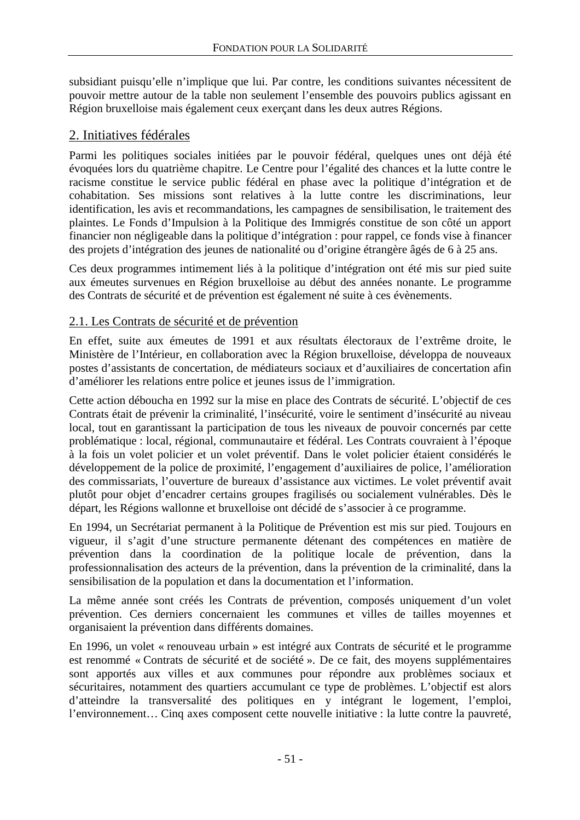subsidiant puisqu'elle n'implique que lui. Par contre, les conditions suivantes nécessitent de pouvoir mettre autour de la table non seulement l'ensemble des pouvoirs publics agissant en Région bruxelloise mais également ceux exerçant dans les deux autres Régions.

## 2. Initiatives fédérales

Parmi les politiques sociales initiées par le pouvoir fédéral, quelques unes ont déjà été évoquées lors du quatrième chapitre. Le Centre pour l'égalité des chances et la lutte contre le racisme constitue le service public fédéral en phase avec la politique d'intégration et de cohabitation. Ses missions sont relatives à la lutte contre les discriminations, leur identification, les avis et recommandations, les campagnes de sensibilisation, le traitement des plaintes. Le Fonds d'Impulsion à la Politique des Immigrés constitue de son côté un apport financier non négligeable dans la politique d'intégration : pour rappel, ce fonds vise à financer des projets d'intégration des jeunes de nationalité ou d'origine étrangère âgés de 6 à 25 ans.

Ces deux programmes intimement liés à la politique d'intégration ont été mis sur pied suite aux émeutes survenues en Région bruxelloise au début des années nonante. Le programme des Contrats de sécurité et de prévention est également né suite à ces évènements.

## 2.1. Les Contrats de sécurité et de prévention

En effet, suite aux émeutes de 1991 et aux résultats électoraux de l'extrême droite, le Ministère de l'Intérieur, en collaboration avec la Région bruxelloise, développa de nouveaux postes d'assistants de concertation, de médiateurs sociaux et d'auxiliaires de concertation afin d'améliorer les relations entre police et jeunes issus de l'immigration.

Cette action déboucha en 1992 sur la mise en place des Contrats de sécurité. L'objectif de ces Contrats était de prévenir la criminalité, l'insécurité, voire le sentiment d'insécurité au niveau local, tout en garantissant la participation de tous les niveaux de pouvoir concernés par cette problématique : local, régional, communautaire et fédéral. Les Contrats couvraient à l'époque à la fois un volet policier et un volet préventif. Dans le volet policier étaient considérés le développement de la police de proximité, l'engagement d'auxiliaires de police, l'amélioration des commissariats, l'ouverture de bureaux d'assistance aux victimes. Le volet préventif avait plutôt pour objet d'encadrer certains groupes fragilisés ou socialement vulnérables. Dès le départ, les Régions wallonne et bruxelloise ont décidé de s'associer à ce programme.

En 1994, un Secrétariat permanent à la Politique de Prévention est mis sur pied. Toujours en vigueur, il s'agit d'une structure permanente détenant des compétences en matière de prévention dans la coordination de la politique locale de prévention, dans la professionnalisation des acteurs de la prévention, dans la prévention de la criminalité, dans la sensibilisation de la population et dans la documentation et l'information.

La même année sont créés les Contrats de prévention, composés uniquement d'un volet prévention. Ces derniers concernaient les communes et villes de tailles moyennes et organisaient la prévention dans différents domaines.

En 1996, un volet « renouveau urbain » est intégré aux Contrats de sécurité et le programme est renommé « Contrats de sécurité et de société ». De ce fait, des moyens supplémentaires sont apportés aux villes et aux communes pour répondre aux problèmes sociaux et sécuritaires, notamment des quartiers accumulant ce type de problèmes. L'objectif est alors d'atteindre la transversalité des politiques en y intégrant le logement, l'emploi, l'environnement… Cinq axes composent cette nouvelle initiative : la lutte contre la pauvreté,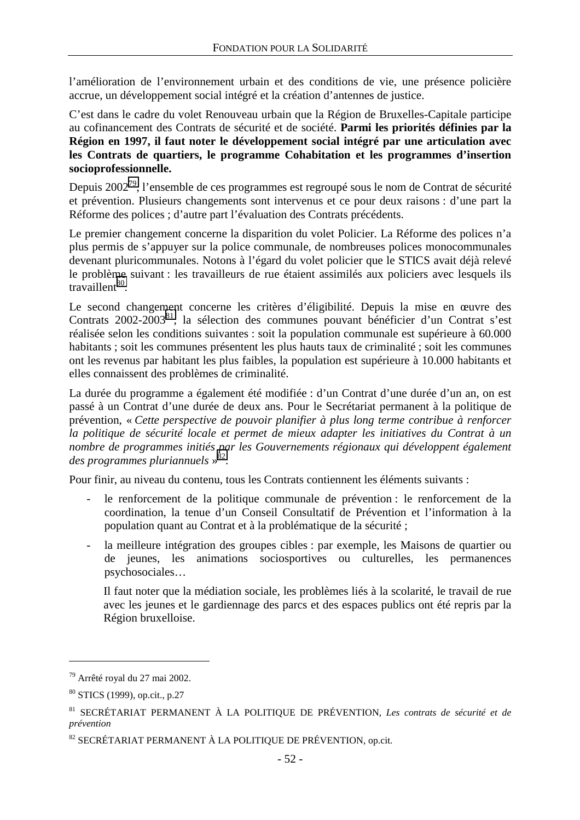l'amélioration de l'environnement urbain et des conditions de vie, une présence policière accrue, un développement social intégré et la création d'antennes de justice.

C'est dans le cadre du volet Renouveau urbain que la Région de Bruxelles-Capitale participe au cofinancement des Contrats de sécurité et de société. **Parmi les priorités définies par la Région en 1997, il faut noter le développement social intégré par une articulation avec les Contrats de quartiers, le programme Cohabitation et les programmes d'insertion socioprofessionnelle.** 

Depuis 2002<sup>79</sup>, l'ensemble de ces programmes est regroupé sous le nom de Contrat de sécurité et prévention. Plusieurs changements sont intervenus et ce pour deux raisons : d'une part la Réforme des polices ; d'autre part l'évaluation des Contrats précédents.

Le premier changement concerne la disparition du volet Policier. La Réforme des polices n'a plus permis de s'appuyer sur la police communale, de nombreuses polices monocommunales devenant pluricommunales. Notons à l'égard du volet policier que le STICS avait déjà relevé le problème suivant : les travailleurs de rue étaient assimilés aux policiers avec lesquels ils  $transi$ llent $80$ 

Le second changement concerne les critères d'éligibilité. Depuis la mise en œuvre des Contrats 2002-2003<sup>81</sup>, la sélection des communes pouvant bénéficier d'un Contrat s'est réalisée selon les conditions suivantes : soit la population communale est supérieure à 60.000 habitants ; soit les communes présentent les plus hauts taux de criminalité ; soit les communes ont les revenus par habitant les plus faibles, la population est supérieure à 10.000 habitants et elles connaissent des problèmes de criminalité.

La durée du programme a également été modifiée : d'un Contrat d'une durée d'un an, on est passé à un Contrat d'une durée de deux ans. Pour le Secrétariat permanent à la politique de prévention, « *Cette perspective de pouvoir planifier à plus long terme contribue à renforcer la politique de sécurité locale et permet de mieux adapter les initiatives du Contrat à un nombre de programmes initiés par les Gouvernements régionaux qui développent également des programmes pluriannuels* » 82.

Pour finir, au niveau du contenu, tous les Contrats contiennent les éléments suivants :

- le renforcement de la politique communale de prévention : le renforcement de la coordination, la tenue d'un Conseil Consultatif de Prévention et l'information à la population quant au Contrat et à la problématique de la sécurité ;
- la meilleure intégration des groupes cibles : par exemple, les Maisons de quartier ou de jeunes, les animations sociosportives ou culturelles, les permanences psychosociales…

Il faut noter que la médiation sociale, les problèmes liés à la scolarité, le travail de rue avec les jeunes et le gardiennage des parcs et des espaces publics ont été repris par la Région bruxelloise.

<sup>79</sup> Arrêté royal du 27 mai 2002.

<sup>80</sup> STICS (1999), op.cit., p.27

<sup>81</sup> SECRÉTARIAT PERMANENT À LA POLITIQUE DE PRÉVENTION, *Les contrats de sécurité et de prévention*

<sup>82</sup> SECRÉTARIAT PERMANENT À LA POLITIQUE DE PRÉVENTION, op.cit.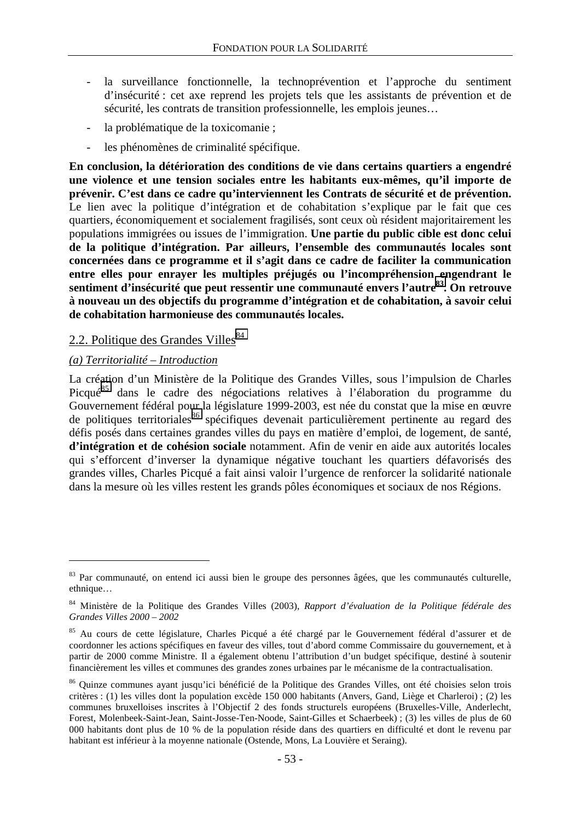- la surveillance fonctionnelle, la technoprévention et l'approche du sentiment d'insécurité : cet axe reprend les projets tels que les assistants de prévention et de sécurité, les contrats de transition professionnelle, les emplois jeunes…
- la problématique de la toxicomanie ;
- les phénomènes de criminalité spécifique.

**En conclusion, la détérioration des conditions de vie dans certains quartiers a engendré une violence et une tension sociales entre les habitants eux-mêmes, qu'il importe de prévenir. C'est dans ce cadre qu'interviennent les Contrats de sécurité et de prévention.**  Le lien avec la politique d'intégration et de cohabitation s'explique par le fait que ces quartiers, économiquement et socialement fragilisés, sont ceux où résident majoritairement les populations immigrées ou issues de l'immigration. **Une partie du public cible est donc celui de la politique d'intégration. Par ailleurs, l'ensemble des communautés locales sont concernées dans ce programme et il s'agit dans ce cadre de faciliter la communication entre elles pour enrayer les multiples préjugés ou l'incompréhension engendrant le sentiment d'insécurité que peut ressentir une communauté envers l'autre83. On retrouve à nouveau un des objectifs du programme d'intégration et de cohabitation, à savoir celui de cohabitation harmonieuse des communautés locales.**

### 2.2. Politique des Grandes Villes $^{84}$

#### *(a) Territorialité – Introduction*

 $\overline{a}$ 

La création d'un Ministère de la Politique des Grandes Villes, sous l'impulsion de Charles Picque<sup>85</sup> dans le cadre des négociations relatives à l'élaboration du programme du Gouvernement fédéral pour la législature 1999-2003, est née du constat que la mise en œuvre de politiques territoriales<sup>86</sup> spécifiques devenait particulièrement pertinente au regard des défis posés dans certaines grandes villes du pays en matière d'emploi, de logement, de santé, **d'intégration et de cohésion sociale** notamment. Afin de venir en aide aux autorités locales qui s'efforcent d'inverser la dynamique négative touchant les quartiers défavorisés des grandes villes, Charles Picqué a fait ainsi valoir l'urgence de renforcer la solidarité nationale dans la mesure où les villes restent les grands pôles économiques et sociaux de nos Régions.

<sup>83</sup> Par communauté, on entend ici aussi bien le groupe des personnes âgées, que les communautés culturelle, ethnique…

<sup>84</sup> Ministère de la Politique des Grandes Villes (2003), *Rapport d'évaluation de la Politique fédérale des Grandes Villes 2000 – 2002* 

<sup>85</sup> Au cours de cette législature, Charles Picqué a été chargé par le Gouvernement fédéral d'assurer et de coordonner les actions spécifiques en faveur des villes, tout d'abord comme Commissaire du gouvernement, et à partir de 2000 comme Ministre. Il a également obtenu l'attribution d'un budget spécifique, destiné à soutenir financièrement les villes et communes des grandes zones urbaines par le mécanisme de la contractualisation.

<sup>86</sup> Quinze communes ayant jusqu'ici bénéficié de la Politique des Grandes Villes, ont été choisies selon trois critères : (1) les villes dont la population excède 150 000 habitants (Anvers, Gand, Liège et Charleroi) ; (2) les communes bruxelloises inscrites à l'Objectif 2 des fonds structurels européens (Bruxelles-Ville, Anderlecht, Forest, Molenbeek-Saint-Jean, Saint-Josse-Ten-Noode, Saint-Gilles et Schaerbeek) ; (3) les villes de plus de 60 000 habitants dont plus de 10 % de la population réside dans des quartiers en difficulté et dont le revenu par habitant est inférieur à la moyenne nationale (Ostende, Mons, La Louvière et Seraing).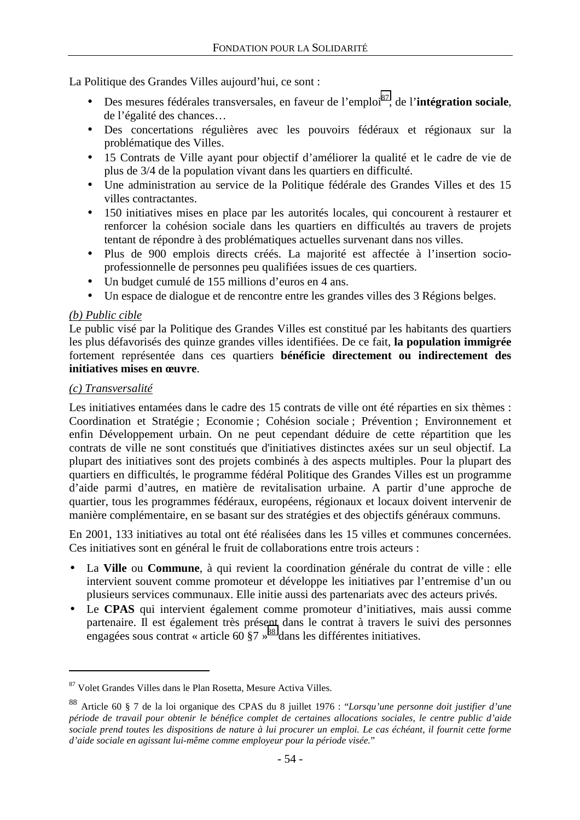La Politique des Grandes Villes aujourd'hui, ce sont :

- Des mesures fédérales transversales, en faveur de l'emploi<sup>87</sup>, de l'**intégration sociale**, de l'égalité des chances…
- Des concertations régulières avec les pouvoirs fédéraux et régionaux sur la problématique des Villes.
- 15 Contrats de Ville ayant pour objectif d'améliorer la qualité et le cadre de vie de plus de 3/4 de la population vivant dans les quartiers en difficulté.
- Une administration au service de la Politique fédérale des Grandes Villes et des 15 villes contractantes.
- 150 initiatives mises en place par les autorités locales, qui concourent à restaurer et renforcer la cohésion sociale dans les quartiers en difficultés au travers de projets tentant de répondre à des problématiques actuelles survenant dans nos villes.
- Plus de 900 emplois directs créés. La majorité est affectée à l'insertion socioprofessionnelle de personnes peu qualifiées issues de ces quartiers.
- Un budget cumulé de 155 millions d'euros en 4 ans.
- Un espace de dialogue et de rencontre entre les grandes villes des 3 Régions belges.

### *(b) Public cible*

Le public visé par la Politique des Grandes Villes est constitué par les habitants des quartiers les plus défavorisés des quinze grandes villes identifiées. De ce fait, **la population immigrée** fortement représentée dans ces quartiers **bénéficie directement ou indirectement des initiatives mises en œuvre**.

#### *(c) Transversalité*

 $\overline{a}$ 

Les initiatives entamées dans le cadre des 15 contrats de ville ont été réparties en six thèmes : Coordination et Stratégie ; Economie ; Cohésion sociale ; Prévention ; Environnement et enfin Développement urbain. On ne peut cependant déduire de cette répartition que les contrats de ville ne sont constitués que d'initiatives distinctes axées sur un seul objectif. La plupart des initiatives sont des projets combinés à des aspects multiples. Pour la plupart des quartiers en difficultés, le programme fédéral Politique des Grandes Villes est un programme d'aide parmi d'autres, en matière de revitalisation urbaine. A partir d'une approche de quartier, tous les programmes fédéraux, européens, régionaux et locaux doivent intervenir de manière complémentaire, en se basant sur des stratégies et des objectifs généraux communs.

En 2001, 133 initiatives au total ont été réalisées dans les 15 villes et communes concernées. Ces initiatives sont en général le fruit de collaborations entre trois acteurs :

- La **Ville** ou **Commune**, à qui revient la coordination générale du contrat de ville : elle intervient souvent comme promoteur et développe les initiatives par l'entremise d'un ou plusieurs services communaux. Elle initie aussi des partenariats avec des acteurs privés.
- Le **CPAS** qui intervient également comme promoteur d'initiatives, mais aussi comme partenaire. Il est également très présent dans le contrat à travers le suivi des personnes engagées sous contrat « article 60  $\S$ 7 »<sup>88</sup> dans les différentes initiatives.

<sup>87</sup> Volet Grandes Villes dans le Plan Rosetta, Mesure Activa Villes.

<sup>88</sup> Article 60 § 7 de la loi organique des CPAS du 8 juillet 1976 : "*Lorsqu'une personne doit justifier d'une période de travail pour obtenir le bénéfice complet de certaines allocations sociales, le centre public d'aide sociale prend toutes les dispositions de nature à lui procurer un emploi. Le cas échéant, il fournit cette forme d'aide sociale en agissant lui-même comme employeur pour la période visée.*"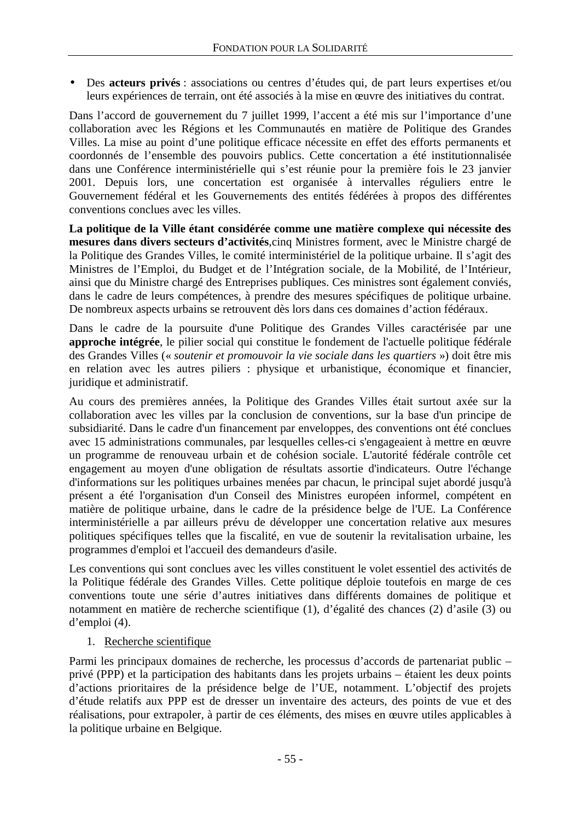• Des **acteurs privés** : associations ou centres d'études qui, de part leurs expertises et/ou leurs expériences de terrain, ont été associés à la mise en œuvre des initiatives du contrat.

Dans l'accord de gouvernement du 7 juillet 1999, l'accent a été mis sur l'importance d'une collaboration avec les Régions et les Communautés en matière de Politique des Grandes Villes. La mise au point d'une politique efficace nécessite en effet des efforts permanents et coordonnés de l'ensemble des pouvoirs publics. Cette concertation a été institutionnalisée dans une Conférence interministérielle qui s'est réunie pour la première fois le 23 janvier 2001. Depuis lors, une concertation est organisée à intervalles réguliers entre le Gouvernement fédéral et les Gouvernements des entités fédérées à propos des différentes conventions conclues avec les villes.

**La politique de la Ville étant considérée comme une matière complexe qui nécessite des mesures dans divers secteurs d'activités**,cinq Ministres forment, avec le Ministre chargé de la Politique des Grandes Villes, le comité interministériel de la politique urbaine. Il s'agit des Ministres de l'Emploi, du Budget et de l'Intégration sociale, de la Mobilité, de l'Intérieur, ainsi que du Ministre chargé des Entreprises publiques. Ces ministres sont également conviés, dans le cadre de leurs compétences, à prendre des mesures spécifiques de politique urbaine. De nombreux aspects urbains se retrouvent dès lors dans ces domaines d'action fédéraux.

Dans le cadre de la poursuite d'une Politique des Grandes Villes caractérisée par une **approche intégrée**, le pilier social qui constitue le fondement de l'actuelle politique fédérale des Grandes Villes (« *soutenir et promouvoir la vie sociale dans les quartiers* ») doit être mis en relation avec les autres piliers : physique et urbanistique, économique et financier, juridique et administratif.

Au cours des premières années, la Politique des Grandes Villes était surtout axée sur la collaboration avec les villes par la conclusion de conventions, sur la base d'un principe de subsidiarité. Dans le cadre d'un financement par enveloppes, des conventions ont été conclues avec 15 administrations communales, par lesquelles celles-ci s'engageaient à mettre en œuvre un programme de renouveau urbain et de cohésion sociale. L'autorité fédérale contrôle cet engagement au moyen d'une obligation de résultats assortie d'indicateurs. Outre l'échange d'informations sur les politiques urbaines menées par chacun, le principal sujet abordé jusqu'à présent a été l'organisation d'un Conseil des Ministres européen informel, compétent en matière de politique urbaine, dans le cadre de la présidence belge de l'UE. La Conférence interministérielle a par ailleurs prévu de développer une concertation relative aux mesures politiques spécifiques telles que la fiscalité, en vue de soutenir la revitalisation urbaine, les programmes d'emploi et l'accueil des demandeurs d'asile.

Les conventions qui sont conclues avec les villes constituent le volet essentiel des activités de la Politique fédérale des Grandes Villes. Cette politique déploie toutefois en marge de ces conventions toute une série d'autres initiatives dans différents domaines de politique et notamment en matière de recherche scientifique (1), d'égalité des chances (2) d'asile (3) ou d'emploi (4).

## 1. Recherche scientifique

Parmi les principaux domaines de recherche, les processus d'accords de partenariat public – privé (PPP) et la participation des habitants dans les projets urbains – étaient les deux points d'actions prioritaires de la présidence belge de l'UE, notamment. L'objectif des projets d'étude relatifs aux PPP est de dresser un inventaire des acteurs, des points de vue et des réalisations, pour extrapoler, à partir de ces éléments, des mises en œuvre utiles applicables à la politique urbaine en Belgique.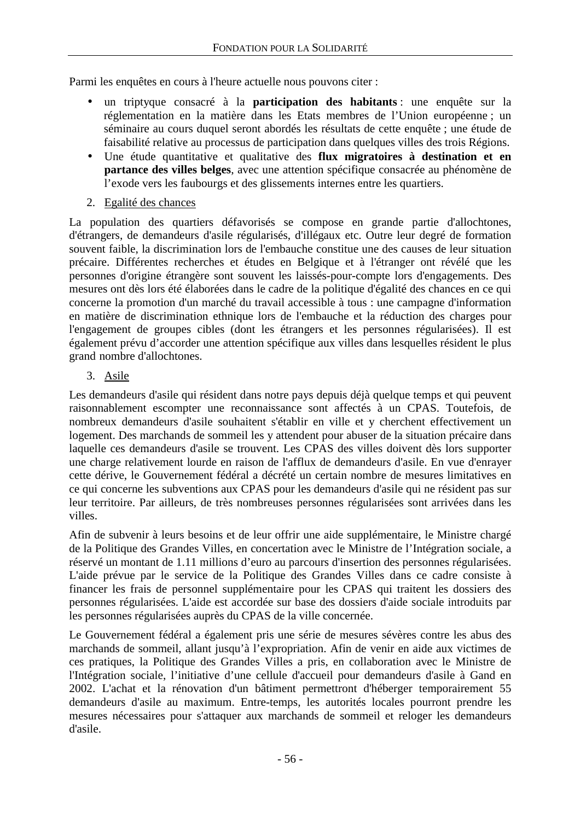Parmi les enquêtes en cours à l'heure actuelle nous pouvons citer :

- un triptyque consacré à la **participation des habitants** : une enquête sur la réglementation en la matière dans les Etats membres de l'Union européenne ; un séminaire au cours duquel seront abordés les résultats de cette enquête ; une étude de faisabilité relative au processus de participation dans quelques villes des trois Régions.
- Une étude quantitative et qualitative des **flux migratoires à destination et en partance des villes belges**, avec une attention spécifique consacrée au phénomène de l'exode vers les faubourgs et des glissements internes entre les quartiers.
- 2. Egalité des chances

La population des quartiers défavorisés se compose en grande partie d'allochtones, d'étrangers, de demandeurs d'asile régularisés, d'illégaux etc. Outre leur degré de formation souvent faible, la discrimination lors de l'embauche constitue une des causes de leur situation précaire. Différentes recherches et études en Belgique et à l'étranger ont révélé que les personnes d'origine étrangère sont souvent les laissés-pour-compte lors d'engagements. Des mesures ont dès lors été élaborées dans le cadre de la politique d'égalité des chances en ce qui concerne la promotion d'un marché du travail accessible à tous : une campagne d'information en matière de discrimination ethnique lors de l'embauche et la réduction des charges pour l'engagement de groupes cibles (dont les étrangers et les personnes régularisées). Il est également prévu d'accorder une attention spécifique aux villes dans lesquelles résident le plus grand nombre d'allochtones.

3. Asile

Les demandeurs d'asile qui résident dans notre pays depuis déjà quelque temps et qui peuvent raisonnablement escompter une reconnaissance sont affectés à un CPAS. Toutefois, de nombreux demandeurs d'asile souhaitent s'établir en ville et y cherchent effectivement un logement. Des marchands de sommeil les y attendent pour abuser de la situation précaire dans laquelle ces demandeurs d'asile se trouvent. Les CPAS des villes doivent dès lors supporter une charge relativement lourde en raison de l'afflux de demandeurs d'asile. En vue d'enrayer cette dérive, le Gouvernement fédéral a décrété un certain nombre de mesures limitatives en ce qui concerne les subventions aux CPAS pour les demandeurs d'asile qui ne résident pas sur leur territoire. Par ailleurs, de très nombreuses personnes régularisées sont arrivées dans les villes.

Afin de subvenir à leurs besoins et de leur offrir une aide supplémentaire, le Ministre chargé de la Politique des Grandes Villes, en concertation avec le Ministre de l'Intégration sociale, a réservé un montant de 1.11 millions d'euro au parcours d'insertion des personnes régularisées. L'aide prévue par le service de la Politique des Grandes Villes dans ce cadre consiste à financer les frais de personnel supplémentaire pour les CPAS qui traitent les dossiers des personnes régularisées. L'aide est accordée sur base des dossiers d'aide sociale introduits par les personnes régularisées auprès du CPAS de la ville concernée.

Le Gouvernement fédéral a également pris une série de mesures sévères contre les abus des marchands de sommeil, allant jusqu'à l'expropriation. Afin de venir en aide aux victimes de ces pratiques, la Politique des Grandes Villes a pris, en collaboration avec le Ministre de l'Intégration sociale, l'initiative d'une cellule d'accueil pour demandeurs d'asile à Gand en 2002. L'achat et la rénovation d'un bâtiment permettront d'héberger temporairement 55 demandeurs d'asile au maximum. Entre-temps, les autorités locales pourront prendre les mesures nécessaires pour s'attaquer aux marchands de sommeil et reloger les demandeurs d'asile.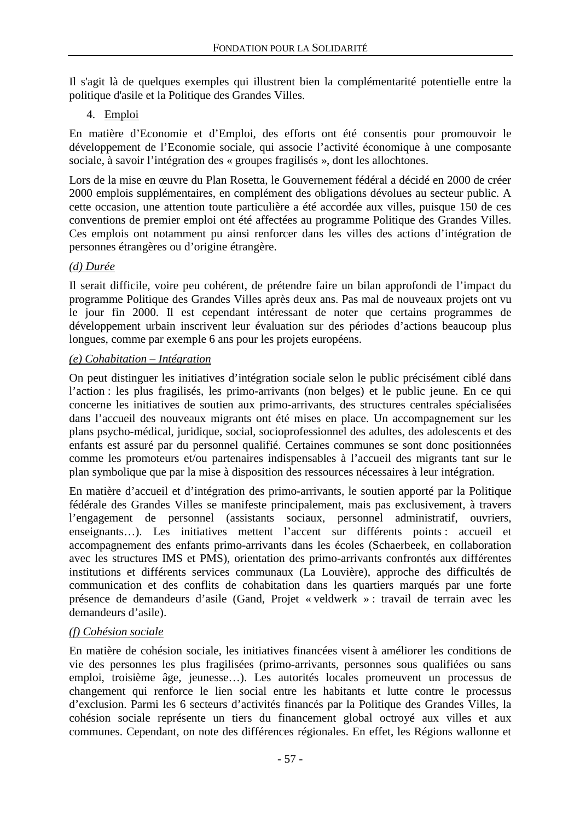Il s'agit là de quelques exemples qui illustrent bien la complémentarité potentielle entre la politique d'asile et la Politique des Grandes Villes.

### 4. Emploi

En matière d'Economie et d'Emploi, des efforts ont été consentis pour promouvoir le développement de l'Economie sociale, qui associe l'activité économique à une composante sociale, à savoir l'intégration des « groupes fragilisés », dont les allochtones.

Lors de la mise en œuvre du Plan Rosetta, le Gouvernement fédéral a décidé en 2000 de créer 2000 emplois supplémentaires, en complément des obligations dévolues au secteur public. A cette occasion, une attention toute particulière a été accordée aux villes, puisque 150 de ces conventions de premier emploi ont été affectées au programme Politique des Grandes Villes. Ces emplois ont notamment pu ainsi renforcer dans les villes des actions d'intégration de personnes étrangères ou d'origine étrangère.

### *(d) Durée*

Il serait difficile, voire peu cohérent, de prétendre faire un bilan approfondi de l'impact du programme Politique des Grandes Villes après deux ans. Pas mal de nouveaux projets ont vu le jour fin 2000. Il est cependant intéressant de noter que certains programmes de développement urbain inscrivent leur évaluation sur des périodes d'actions beaucoup plus longues, comme par exemple 6 ans pour les projets européens.

#### *(e) Cohabitation – Intégration*

On peut distinguer les initiatives d'intégration sociale selon le public précisément ciblé dans l'action : les plus fragilisés, les primo-arrivants (non belges) et le public jeune. En ce qui concerne les initiatives de soutien aux primo-arrivants, des structures centrales spécialisées dans l'accueil des nouveaux migrants ont été mises en place. Un accompagnement sur les plans psycho-médical, juridique, social, socioprofessionnel des adultes, des adolescents et des enfants est assuré par du personnel qualifié. Certaines communes se sont donc positionnées comme les promoteurs et/ou partenaires indispensables à l'accueil des migrants tant sur le plan symbolique que par la mise à disposition des ressources nécessaires à leur intégration.

En matière d'accueil et d'intégration des primo-arrivants, le soutien apporté par la Politique fédérale des Grandes Villes se manifeste principalement, mais pas exclusivement, à travers l'engagement de personnel (assistants sociaux, personnel administratif, ouvriers, enseignants…). Les initiatives mettent l'accent sur différents points : accueil et accompagnement des enfants primo-arrivants dans les écoles (Schaerbeek, en collaboration avec les structures IMS et PMS), orientation des primo-arrivants confrontés aux différentes institutions et différents services communaux (La Louvière), approche des difficultés de communication et des conflits de cohabitation dans les quartiers marqués par une forte présence de demandeurs d'asile (Gand, Projet « veldwerk » : travail de terrain avec les demandeurs d'asile).

#### *(f) Cohésion sociale*

En matière de cohésion sociale, les initiatives financées visent à améliorer les conditions de vie des personnes les plus fragilisées (primo-arrivants, personnes sous qualifiées ou sans emploi, troisième âge, jeunesse…). Les autorités locales promeuvent un processus de changement qui renforce le lien social entre les habitants et lutte contre le processus d'exclusion. Parmi les 6 secteurs d'activités financés par la Politique des Grandes Villes, la cohésion sociale représente un tiers du financement global octroyé aux villes et aux communes. Cependant, on note des différences régionales. En effet, les Régions wallonne et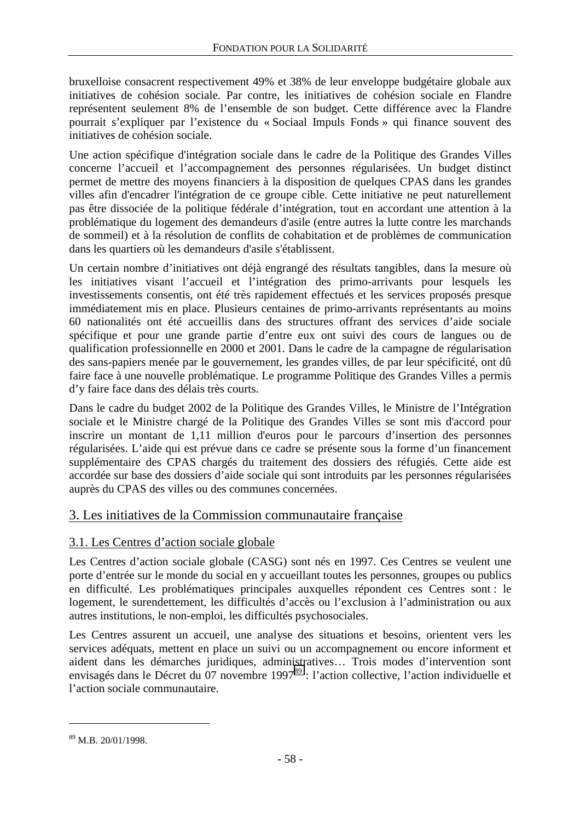bruxelloise consacrent respectivement 49% et 38% de leur enveloppe budgétaire globale aux initiatives de cohésion sociale. Par contre, les initiatives de cohésion sociale en Flandre représentent seulement 8% de l'ensemble de son budget. Cette différence avec la Flandre pourrait s'expliquer par l'existence du « Sociaal Impuls Fonds » qui finance souvent des initiatives de cohésion sociale.

Une action spécifique d'intégration sociale dans le cadre de la Politique des Grandes Villes concerne l'accueil et l'accompagnement des personnes régularisées. Un budget distinct permet de mettre des moyens financiers à la disposition de quelques CPAS dans les grandes villes afin d'encadrer l'intégration de ce groupe cible. Cette initiative ne peut naturellement pas être dissociée de la politique fédérale d'intégration, tout en accordant une attention à la problématique du logement des demandeurs d'asile (entre autres la lutte contre les marchands de sommeil) et à la résolution de conflits de cohabitation et de problèmes de communication dans les quartiers où les demandeurs d'asile s'établissent.

Un certain nombre d'initiatives ont déjà engrangé des résultats tangibles, dans la mesure où les initiatives visant l'accueil et l'intégration des primo-arrivants pour lesquels les investissements consentis, ont été très rapidement effectués et les services proposés presque immédiatement mis en place. Plusieurs centaines de primo-arrivants représentants au moins 60 nationalités ont été accueillis dans des structures offrant des services d'aide sociale spécifique et pour une grande partie d'entre eux ont suivi des cours de langues ou de qualification professionnelle en 2000 et 2001. Dans le cadre de la campagne de régularisation des sans-papiers menée par le gouvernement, les grandes villes, de par leur spécificité, ont dû faire face à une nouvelle problématique. Le programme Politique des Grandes Villes a permis d'y faire face dans des délais très courts.

Dans le cadre du budget 2002 de la Politique des Grandes Villes, le Ministre de l'Intégration sociale et le Ministre chargé de la Politique des Grandes Villes se sont mis d'accord pour inscrire un montant de 1,11 million d'euros pour le parcours d'insertion des personnes régularisées. L'aide qui est prévue dans ce cadre se présente sous la forme d'un financement supplémentaire des CPAS chargés du traitement des dossiers des réfugiés. Cette aide est accordée sur base des dossiers d'aide sociale qui sont introduits par les personnes régularisées auprès du CPAS des villes ou des communes concernées.

## 3. Les initiatives de la Commission communautaire française

## 3.1. Les Centres d'action sociale globale

Les Centres d'action sociale globale (CASG) sont nés en 1997. Ces Centres se veulent une porte d'entrée sur le monde du social en y accueillant toutes les personnes, groupes ou publics en difficulté. Les problématiques principales auxquelles répondent ces Centres sont : le logement, le surendettement, les difficultés d'accès ou l'exclusion à l'administration ou aux autres institutions, le non-emploi, les difficultés psychosociales.

Les Centres assurent un accueil, une analyse des situations et besoins, orientent vers les services adéquats, mettent en place un suivi ou un accompagnement ou encore informent et aident dans les démarches juridiques, administratives… Trois modes d'intervention sont envisagés dans le Décret du 07 novembre 1997<sup>89</sup> : l'action collective, l'action individuelle et l'action sociale communautaire.

<sup>89</sup> M.B. 20/01/1998.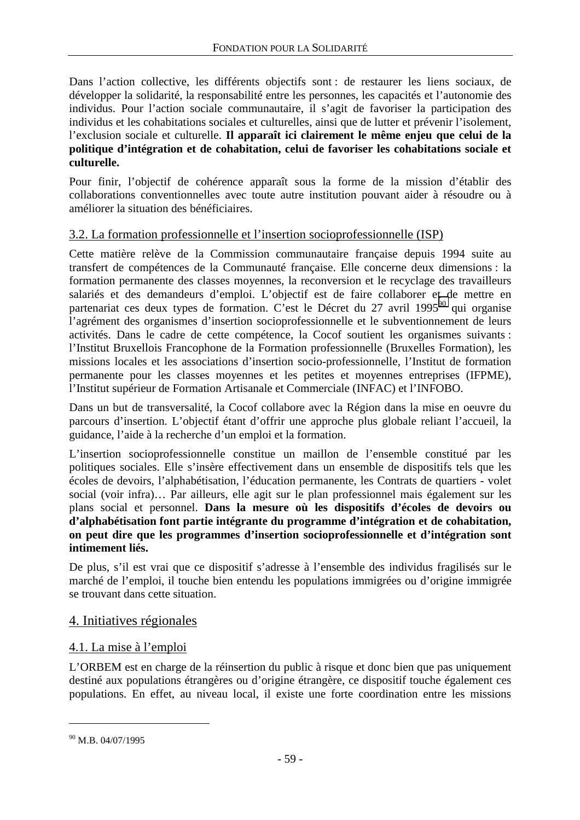Dans l'action collective, les différents objectifs sont : de restaurer les liens sociaux, de développer la solidarité, la responsabilité entre les personnes, les capacités et l'autonomie des individus. Pour l'action sociale communautaire, il s'agit de favoriser la participation des individus et les cohabitations sociales et culturelles, ainsi que de lutter et prévenir l'isolement, l'exclusion sociale et culturelle. **Il apparaît ici clairement le même enjeu que celui de la politique d'intégration et de cohabitation, celui de favoriser les cohabitations sociale et culturelle.**

Pour finir, l'objectif de cohérence apparaît sous la forme de la mission d'établir des collaborations conventionnelles avec toute autre institution pouvant aider à résoudre ou à améliorer la situation des bénéficiaires.

## 3.2. La formation professionnelle et l'insertion socioprofessionnelle (ISP)

Cette matière relève de la Commission communautaire française depuis 1994 suite au transfert de compétences de la Communauté française. Elle concerne deux dimensions : la formation permanente des classes moyennes, la reconversion et le recyclage des travailleurs salariés et des demandeurs d'emploi. L'objectif est de faire collaborer et de mettre en partenariat ces deux types de formation. C'est le Décret du 27 avril 1995<sup>90</sup> qui organise l'agrément des organismes d'insertion socioprofessionnelle et le subventionnement de leurs activités. Dans le cadre de cette compétence, la Cocof soutient les organismes suivants : l'Institut Bruxellois Francophone de la Formation professionnelle (Bruxelles Formation), les missions locales et les associations d'insertion socio-professionnelle, l'Institut de formation permanente pour les classes moyennes et les petites et moyennes entreprises (IFPME), l'Institut supérieur de Formation Artisanale et Commerciale (INFAC) et l'INFOBO.

Dans un but de transversalité, la Cocof collabore avec la Région dans la mise en oeuvre du parcours d'insertion. L'objectif étant d'offrir une approche plus globale reliant l'accueil, la guidance, l'aide à la recherche d'un emploi et la formation.

L'insertion socioprofessionnelle constitue un maillon de l'ensemble constitué par les politiques sociales. Elle s'insère effectivement dans un ensemble de dispositifs tels que les écoles de devoirs, l'alphabétisation, l'éducation permanente, les Contrats de quartiers - volet social (voir infra)… Par ailleurs, elle agit sur le plan professionnel mais également sur les plans social et personnel. **Dans la mesure où les dispositifs d'écoles de devoirs ou d'alphabétisation font partie intégrante du programme d'intégration et de cohabitation, on peut dire que les programmes d'insertion socioprofessionnelle et d'intégration sont intimement liés.** 

De plus, s'il est vrai que ce dispositif s'adresse à l'ensemble des individus fragilisés sur le marché de l'emploi, il touche bien entendu les populations immigrées ou d'origine immigrée se trouvant dans cette situation.

## 4. Initiatives régionales

## 4.1. La mise à l'emploi

L'ORBEM est en charge de la réinsertion du public à risque et donc bien que pas uniquement destiné aux populations étrangères ou d'origine étrangère, ce dispositif touche également ces populations. En effet, au niveau local, il existe une forte coordination entre les missions

<sup>90</sup> M.B. 04/07/1995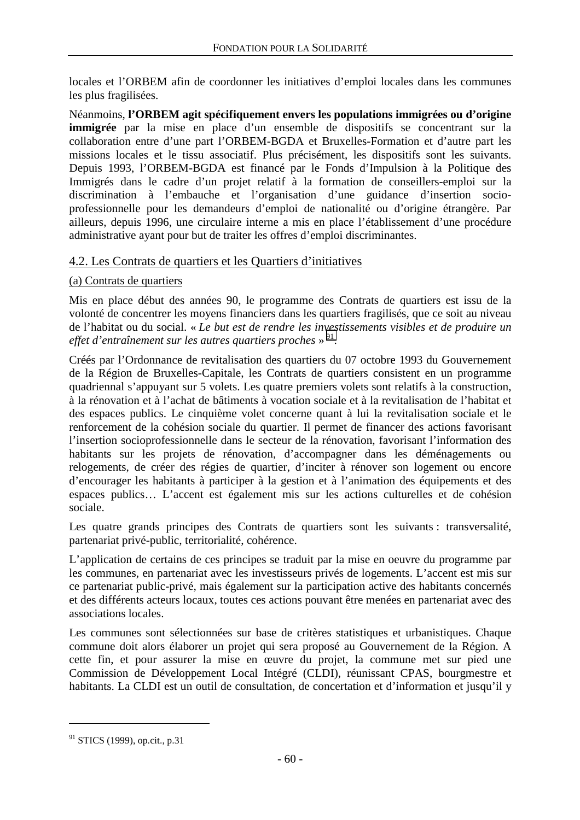locales et l'ORBEM afin de coordonner les initiatives d'emploi locales dans les communes les plus fragilisées.

Néanmoins, **l'ORBEM agit spécifiquement envers les populations immigrées ou d'origine immigrée** par la mise en place d'un ensemble de dispositifs se concentrant sur la collaboration entre d'une part l'ORBEM-BGDA et Bruxelles-Formation et d'autre part les missions locales et le tissu associatif. Plus précisément, les dispositifs sont les suivants. Depuis 1993, l'ORBEM-BGDA est financé par le Fonds d'Impulsion à la Politique des Immigrés dans le cadre d'un projet relatif à la formation de conseillers-emploi sur la discrimination à l'embauche et l'organisation d'une guidance d'insertion socioprofessionnelle pour les demandeurs d'emploi de nationalité ou d'origine étrangère. Par ailleurs, depuis 1996, une circulaire interne a mis en place l'établissement d'une procédure administrative ayant pour but de traiter les offres d'emploi discriminantes.

### 4.2. Les Contrats de quartiers et les Quartiers d'initiatives

### (a) Contrats de quartiers

Mis en place début des années 90, le programme des Contrats de quartiers est issu de la volonté de concentrer les moyens financiers dans les quartiers fragilisés, que ce soit au niveau de l'habitat ou du social. « *Le but est de rendre les investissements visibles et de produire un*  effet d'entraînement sur les autres quartiers proches » <sup>91</sup>.

Créés par l'Ordonnance de revitalisation des quartiers du 07 octobre 1993 du Gouvernement de la Région de Bruxelles-Capitale, les Contrats de quartiers consistent en un programme quadriennal s'appuyant sur 5 volets. Les quatre premiers volets sont relatifs à la construction, à la rénovation et à l'achat de bâtiments à vocation sociale et à la revitalisation de l'habitat et des espaces publics. Le cinquième volet concerne quant à lui la revitalisation sociale et le renforcement de la cohésion sociale du quartier. Il permet de financer des actions favorisant l'insertion socioprofessionnelle dans le secteur de la rénovation, favorisant l'information des habitants sur les projets de rénovation, d'accompagner dans les déménagements ou relogements, de créer des régies de quartier, d'inciter à rénover son logement ou encore d'encourager les habitants à participer à la gestion et à l'animation des équipements et des espaces publics… L'accent est également mis sur les actions culturelles et de cohésion sociale.

Les quatre grands principes des Contrats de quartiers sont les suivants : transversalité, partenariat privé-public, territorialité, cohérence.

L'application de certains de ces principes se traduit par la mise en oeuvre du programme par les communes, en partenariat avec les investisseurs privés de logements. L'accent est mis sur ce partenariat public-privé, mais également sur la participation active des habitants concernés et des différents acteurs locaux, toutes ces actions pouvant être menées en partenariat avec des associations locales.

Les communes sont sélectionnées sur base de critères statistiques et urbanistiques. Chaque commune doit alors élaborer un projet qui sera proposé au Gouvernement de la Région. A cette fin, et pour assurer la mise en œuvre du projet, la commune met sur pied une Commission de Développement Local Intégré (CLDI), réunissant CPAS, bourgmestre et habitants. La CLDI est un outil de consultation, de concertation et d'information et jusqu'il y

<sup>&</sup>lt;sup>91</sup> STICS (1999), op.cit., p.31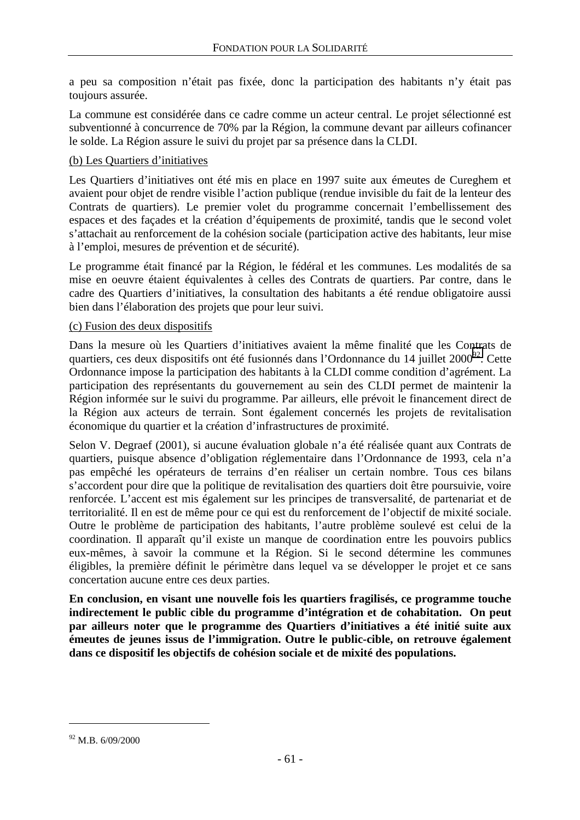a peu sa composition n'était pas fixée, donc la participation des habitants n'y était pas toujours assurée.

La commune est considérée dans ce cadre comme un acteur central. Le projet sélectionné est subventionné à concurrence de 70% par la Région, la commune devant par ailleurs cofinancer le solde. La Région assure le suivi du projet par sa présence dans la CLDI.

#### (b) Les Quartiers d'initiatives

Les Quartiers d'initiatives ont été mis en place en 1997 suite aux émeutes de Cureghem et avaient pour objet de rendre visible l'action publique (rendue invisible du fait de la lenteur des Contrats de quartiers). Le premier volet du programme concernait l'embellissement des espaces et des façades et la création d'équipements de proximité, tandis que le second volet s'attachait au renforcement de la cohésion sociale (participation active des habitants, leur mise à l'emploi, mesures de prévention et de sécurité).

Le programme était financé par la Région, le fédéral et les communes. Les modalités de sa mise en oeuvre étaient équivalentes à celles des Contrats de quartiers. Par contre, dans le cadre des Quartiers d'initiatives, la consultation des habitants a été rendue obligatoire aussi bien dans l'élaboration des projets que pour leur suivi.

#### (c) Fusion des deux dispositifs

Dans la mesure où les Quartiers d'initiatives avaient la même finalité que les Contrats de quartiers, ces deux dispositifs ont été fusionnés dans l'Ordonnance du 14 juillet 2000<sup>92</sup>. Cette Ordonnance impose la participation des habitants à la CLDI comme condition d'agrément. La participation des représentants du gouvernement au sein des CLDI permet de maintenir la Région informée sur le suivi du programme. Par ailleurs, elle prévoit le financement direct de la Région aux acteurs de terrain. Sont également concernés les projets de revitalisation économique du quartier et la création d'infrastructures de proximité.

Selon V. Degraef (2001), si aucune évaluation globale n'a été réalisée quant aux Contrats de quartiers, puisque absence d'obligation réglementaire dans l'Ordonnance de 1993, cela n'a pas empêché les opérateurs de terrains d'en réaliser un certain nombre. Tous ces bilans s'accordent pour dire que la politique de revitalisation des quartiers doit être poursuivie, voire renforcée. L'accent est mis également sur les principes de transversalité, de partenariat et de territorialité. Il en est de même pour ce qui est du renforcement de l'objectif de mixité sociale. Outre le problème de participation des habitants, l'autre problème soulevé est celui de la coordination. Il apparaît qu'il existe un manque de coordination entre les pouvoirs publics eux-mêmes, à savoir la commune et la Région. Si le second détermine les communes éligibles, la première définit le périmètre dans lequel va se développer le projet et ce sans concertation aucune entre ces deux parties.

**En conclusion, en visant une nouvelle fois les quartiers fragilisés, ce programme touche indirectement le public cible du programme d'intégration et de cohabitation. On peut par ailleurs noter que le programme des Quartiers d'initiatives a été initié suite aux émeutes de jeunes issus de l'immigration. Outre le public-cible, on retrouve également dans ce dispositif les objectifs de cohésion sociale et de mixité des populations.** 

<sup>92</sup> M.B. 6/09/2000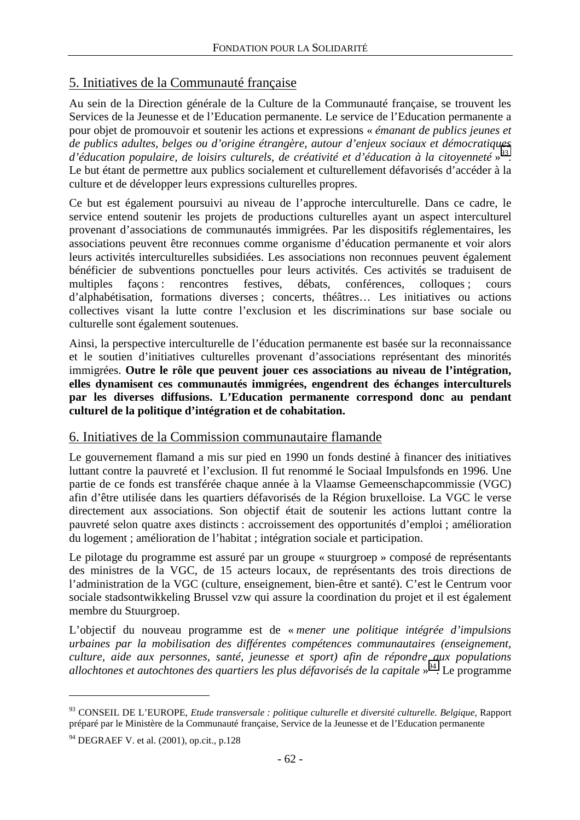## 5. Initiatives de la Communauté française

Au sein de la Direction générale de la Culture de la Communauté française, se trouvent les Services de la Jeunesse et de l'Education permanente. Le service de l'Education permanente a pour objet de promouvoir et soutenir les actions et expressions « *émanant de publics jeunes et de publics adultes, belges ou d'origine étrangère, autour d'enjeux sociaux et démocratiques d'éducation populaire, de loisirs culturels, de créativité et d'éducation à la citoyenneté* » 93. Le but étant de permettre aux publics socialement et culturellement défavorisés d'accéder à la culture et de développer leurs expressions culturelles propres.

Ce but est également poursuivi au niveau de l'approche interculturelle. Dans ce cadre, le service entend soutenir les projets de productions culturelles ayant un aspect interculturel provenant d'associations de communautés immigrées. Par les dispositifs réglementaires, les associations peuvent être reconnues comme organisme d'éducation permanente et voir alors leurs activités interculturelles subsidiées. Les associations non reconnues peuvent également bénéficier de subventions ponctuelles pour leurs activités. Ces activités se traduisent de multiples façons : rencontres festives, débats, conférences, colloques ; cours d'alphabétisation, formations diverses ; concerts, théâtres… Les initiatives ou actions collectives visant la lutte contre l'exclusion et les discriminations sur base sociale ou culturelle sont également soutenues.

Ainsi, la perspective interculturelle de l'éducation permanente est basée sur la reconnaissance et le soutien d'initiatives culturelles provenant d'associations représentant des minorités immigrées. **Outre le rôle que peuvent jouer ces associations au niveau de l'intégration, elles dynamisent ces communautés immigrées, engendrent des échanges interculturels par les diverses diffusions. L'Education permanente correspond donc au pendant culturel de la politique d'intégration et de cohabitation.**

## 6. Initiatives de la Commission communautaire flamande

Le gouvernement flamand a mis sur pied en 1990 un fonds destiné à financer des initiatives luttant contre la pauvreté et l'exclusion. Il fut renommé le Sociaal Impulsfonds en 1996. Une partie de ce fonds est transférée chaque année à la Vlaamse Gemeenschapcommissie (VGC) afin d'être utilisée dans les quartiers défavorisés de la Région bruxelloise. La VGC le verse directement aux associations. Son objectif était de soutenir les actions luttant contre la pauvreté selon quatre axes distincts : accroissement des opportunités d'emploi ; amélioration du logement ; amélioration de l'habitat ; intégration sociale et participation.

Le pilotage du programme est assuré par un groupe « stuurgroep » composé de représentants des ministres de la VGC, de 15 acteurs locaux, de représentants des trois directions de l'administration de la VGC (culture, enseignement, bien-être et santé). C'est le Centrum voor sociale stadsontwikkeling Brussel vzw qui assure la coordination du projet et il est également membre du Stuurgroep.

L'objectif du nouveau programme est de « *mener une politique intégrée d'impulsions urbaines par la mobilisation des différentes compétences communautaires (enseignement, culture, aide aux personnes, santé, jeunesse et sport) afin de répondre aux populations*  allochtones et autochtones des quartiers les plus défavorisés de la capitale »<sup>94</sup>. Le programme

<sup>93</sup> CONSEIL DE L'EUROPE, *Etude transversale : politique culturelle et diversité culturelle. Belgique*, Rapport préparé par le Ministère de la Communauté française, Service de la Jeunesse et de l'Education permanente

 $94$  DEGRAEF V. et al. (2001), op.cit., p.128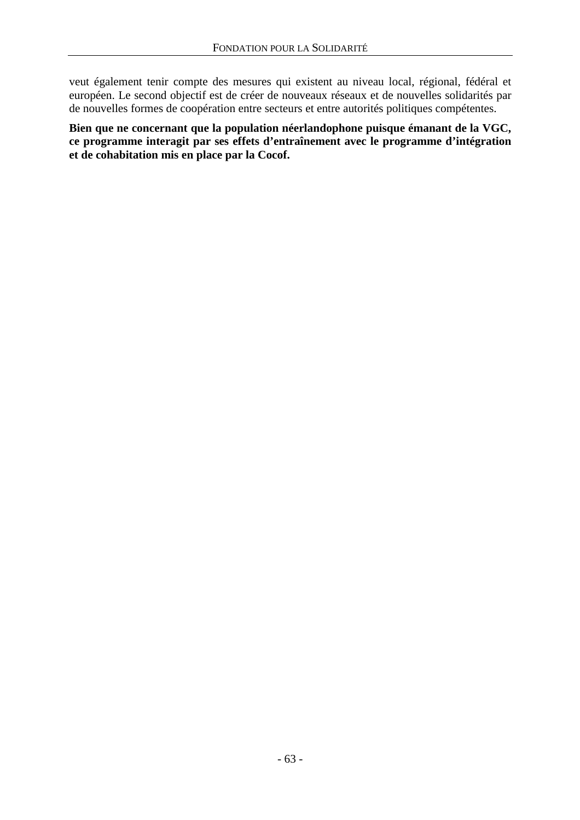veut également tenir compte des mesures qui existent au niveau local, régional, fédéral et européen. Le second objectif est de créer de nouveaux réseaux et de nouvelles solidarités par de nouvelles formes de coopération entre secteurs et entre autorités politiques compétentes.

**Bien que ne concernant que la population néerlandophone puisque émanant de la VGC, ce programme interagit par ses effets d'entraînement avec le programme d'intégration et de cohabitation mis en place par la Cocof.**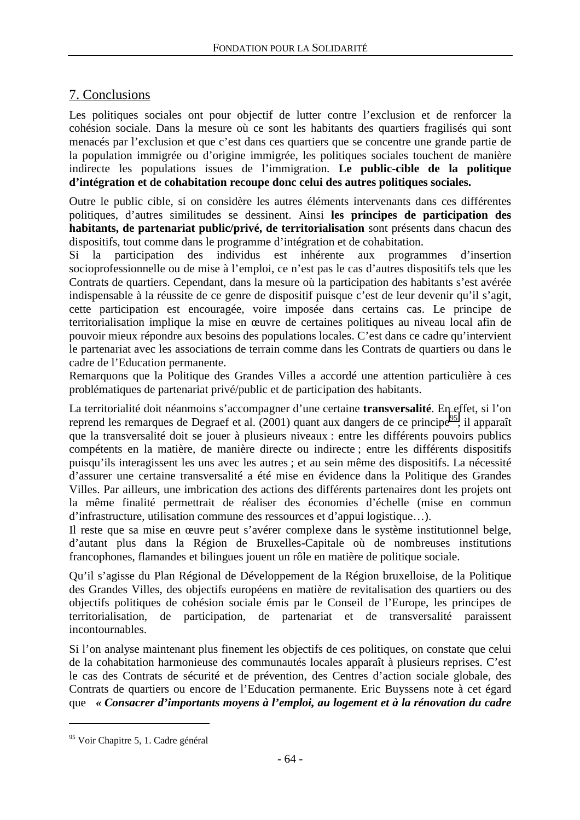## 7. Conclusions

Les politiques sociales ont pour objectif de lutter contre l'exclusion et de renforcer la cohésion sociale. Dans la mesure où ce sont les habitants des quartiers fragilisés qui sont menacés par l'exclusion et que c'est dans ces quartiers que se concentre une grande partie de la population immigrée ou d'origine immigrée, les politiques sociales touchent de manière indirecte les populations issues de l'immigration. **Le public-cible de la politique d'intégration et de cohabitation recoupe donc celui des autres politiques sociales.**

Outre le public cible, si on considère les autres éléments intervenants dans ces différentes politiques, d'autres similitudes se dessinent. Ainsi **les principes de participation des habitants, de partenariat public/privé, de territorialisation** sont présents dans chacun des dispositifs, tout comme dans le programme d'intégration et de cohabitation.

Si la participation des individus est inhérente aux programmes d'insertion socioprofessionnelle ou de mise à l'emploi, ce n'est pas le cas d'autres dispositifs tels que les Contrats de quartiers. Cependant, dans la mesure où la participation des habitants s'est avérée indispensable à la réussite de ce genre de dispositif puisque c'est de leur devenir qu'il s'agit, cette participation est encouragée, voire imposée dans certains cas. Le principe de territorialisation implique la mise en œuvre de certaines politiques au niveau local afin de pouvoir mieux répondre aux besoins des populations locales. C'est dans ce cadre qu'intervient le partenariat avec les associations de terrain comme dans les Contrats de quartiers ou dans le cadre de l'Education permanente.

Remarquons que la Politique des Grandes Villes a accordé une attention particulière à ces problématiques de partenariat privé/public et de participation des habitants.

La territorialité doit néanmoins s'accompagner d'une certaine **transversalité**. En effet, si l'on reprend les remarques de Degraef et al.  $(2001)$  quant aux dangers de ce principe<sup>95</sup>, il apparaît que la transversalité doit se jouer à plusieurs niveaux : entre les différents pouvoirs publics compétents en la matière, de manière directe ou indirecte ; entre les différents dispositifs puisqu'ils interagissent les uns avec les autres ; et au sein même des dispositifs. La nécessité d'assurer une certaine transversalité a été mise en évidence dans la Politique des Grandes Villes. Par ailleurs, une imbrication des actions des différents partenaires dont les projets ont la même finalité permettrait de réaliser des économies d'échelle (mise en commun d'infrastructure, utilisation commune des ressources et d'appui logistique…).

Il reste que sa mise en œuvre peut s'avérer complexe dans le système institutionnel belge, d'autant plus dans la Région de Bruxelles-Capitale où de nombreuses institutions francophones, flamandes et bilingues jouent un rôle en matière de politique sociale.

Qu'il s'agisse du Plan Régional de Développement de la Région bruxelloise, de la Politique des Grandes Villes, des objectifs européens en matière de revitalisation des quartiers ou des objectifs politiques de cohésion sociale émis par le Conseil de l'Europe, les principes de territorialisation, de participation, de partenariat et de transversalité paraissent incontournables.

Si l'on analyse maintenant plus finement les objectifs de ces politiques, on constate que celui de la cohabitation harmonieuse des communautés locales apparaît à plusieurs reprises. C'est le cas des Contrats de sécurité et de prévention, des Centres d'action sociale globale, des Contrats de quartiers ou encore de l'Education permanente. Eric Buyssens note à cet égard que *« Consacrer d'importants moyens à l'emploi, au logement et à la rénovation du cadre* 

<sup>&</sup>lt;sup>95</sup> Voir Chapitre 5, 1. Cadre général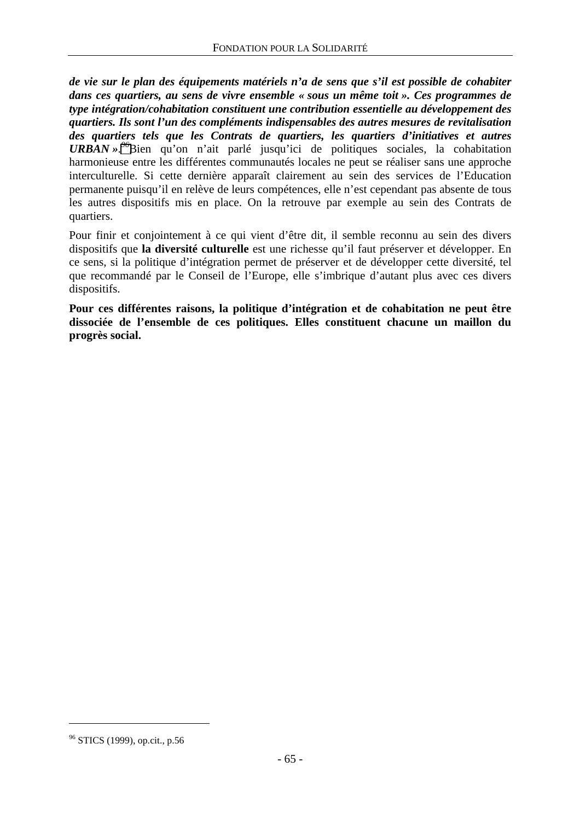*de vie sur le plan des équipements matériels n'a de sens que s'il est possible de cohabiter dans ces quartiers, au sens de vivre ensemble « sous un même toit ». Ces programmes de type intégration/cohabitation constituent une contribution essentielle au développement des quartiers. Ils sont l'un des compléments indispensables des autres mesures de revitalisation des quartiers tels que les Contrats de quartiers, les quartiers d'initiatives et autres URBAN ». <sup>96</sup>*Bien qu'on n'ait parlé jusqu'ici de politiques sociales, la cohabitation harmonieuse entre les différentes communautés locales ne peut se réaliser sans une approche interculturelle. Si cette dernière apparaît clairement au sein des services de l'Education permanente puisqu'il en relève de leurs compétences, elle n'est cependant pas absente de tous les autres dispositifs mis en place. On la retrouve par exemple au sein des Contrats de quartiers.

Pour finir et conjointement à ce qui vient d'être dit, il semble reconnu au sein des divers dispositifs que **la diversité culturelle** est une richesse qu'il faut préserver et développer. En ce sens, si la politique d'intégration permet de préserver et de développer cette diversité, tel que recommandé par le Conseil de l'Europe, elle s'imbrique d'autant plus avec ces divers dispositifs.

**Pour ces différentes raisons, la politique d'intégration et de cohabitation ne peut être dissociée de l'ensemble de ces politiques. Elles constituent chacune un maillon du progrès social.**

<sup>96</sup> STICS (1999), op.cit., p.56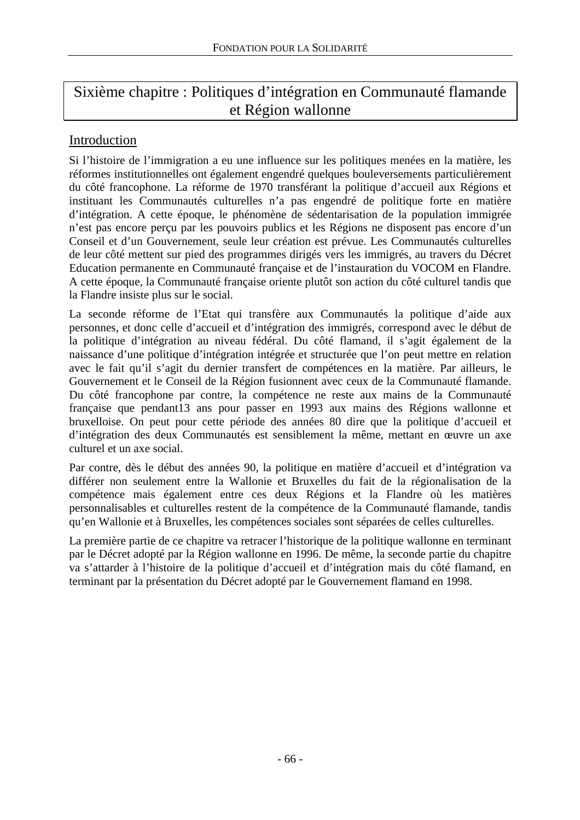# Sixième chapitre : Politiques d'intégration en Communauté flamande et Région wallonne

## Introduction

Si l'histoire de l'immigration a eu une influence sur les politiques menées en la matière, les réformes institutionnelles ont également engendré quelques bouleversements particulièrement du côté francophone. La réforme de 1970 transférant la politique d'accueil aux Régions et instituant les Communautés culturelles n'a pas engendré de politique forte en matière d'intégration. A cette époque, le phénomène de sédentarisation de la population immigrée n'est pas encore perçu par les pouvoirs publics et les Régions ne disposent pas encore d'un Conseil et d'un Gouvernement, seule leur création est prévue. Les Communautés culturelles de leur côté mettent sur pied des programmes dirigés vers les immigrés, au travers du Décret Education permanente en Communauté française et de l'instauration du VOCOM en Flandre. A cette époque, la Communauté française oriente plutôt son action du côté culturel tandis que la Flandre insiste plus sur le social.

La seconde réforme de l'Etat qui transfère aux Communautés la politique d'aide aux personnes, et donc celle d'accueil et d'intégration des immigrés, correspond avec le début de la politique d'intégration au niveau fédéral. Du côté flamand, il s'agit également de la naissance d'une politique d'intégration intégrée et structurée que l'on peut mettre en relation avec le fait qu'il s'agit du dernier transfert de compétences en la matière. Par ailleurs, le Gouvernement et le Conseil de la Région fusionnent avec ceux de la Communauté flamande. Du côté francophone par contre, la compétence ne reste aux mains de la Communauté française que pendant13 ans pour passer en 1993 aux mains des Régions wallonne et bruxelloise. On peut pour cette période des années 80 dire que la politique d'accueil et d'intégration des deux Communautés est sensiblement la même, mettant en œuvre un axe culturel et un axe social.

Par contre, dès le début des années 90, la politique en matière d'accueil et d'intégration va différer non seulement entre la Wallonie et Bruxelles du fait de la régionalisation de la compétence mais également entre ces deux Régions et la Flandre où les matières personnalisables et culturelles restent de la compétence de la Communauté flamande, tandis qu'en Wallonie et à Bruxelles, les compétences sociales sont séparées de celles culturelles.

La première partie de ce chapitre va retracer l'historique de la politique wallonne en terminant par le Décret adopté par la Région wallonne en 1996. De même, la seconde partie du chapitre va s'attarder à l'histoire de la politique d'accueil et d'intégration mais du côté flamand, en terminant par la présentation du Décret adopté par le Gouvernement flamand en 1998.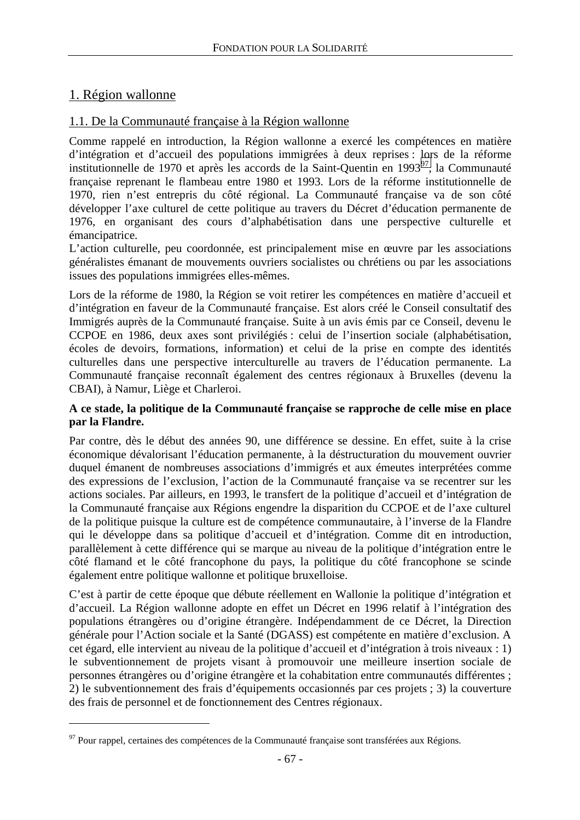## 1. Région wallonne

 $\overline{a}$ 

## 1.1. De la Communauté française à la Région wallonne

Comme rappelé en introduction, la Région wallonne a exercé les compétences en matière d'intégration et d'accueil des populations immigrées à deux reprises : lors de la réforme institutionnelle de 1970 et après les accords de la Saint-Ouentin en 1993<sup>97</sup>, la Communauté française reprenant le flambeau entre 1980 et 1993. Lors de la réforme institutionnelle de 1970, rien n'est entrepris du côté régional. La Communauté française va de son côté développer l'axe culturel de cette politique au travers du Décret d'éducation permanente de 1976, en organisant des cours d'alphabétisation dans une perspective culturelle et émancipatrice.

L'action culturelle, peu coordonnée, est principalement mise en œuvre par les associations généralistes émanant de mouvements ouvriers socialistes ou chrétiens ou par les associations issues des populations immigrées elles-mêmes.

Lors de la réforme de 1980, la Région se voit retirer les compétences en matière d'accueil et d'intégration en faveur de la Communauté française. Est alors créé le Conseil consultatif des Immigrés auprès de la Communauté française. Suite à un avis émis par ce Conseil, devenu le CCPOE en 1986, deux axes sont privilégiés : celui de l'insertion sociale (alphabétisation, écoles de devoirs, formations, information) et celui de la prise en compte des identités culturelles dans une perspective interculturelle au travers de l'éducation permanente. La Communauté française reconnaît également des centres régionaux à Bruxelles (devenu la CBAI), à Namur, Liège et Charleroi.

#### **A ce stade, la politique de la Communauté française se rapproche de celle mise en place par la Flandre.**

Par contre, dès le début des années 90, une différence se dessine. En effet, suite à la crise économique dévalorisant l'éducation permanente, à la déstructuration du mouvement ouvrier duquel émanent de nombreuses associations d'immigrés et aux émeutes interprétées comme des expressions de l'exclusion, l'action de la Communauté française va se recentrer sur les actions sociales. Par ailleurs, en 1993, le transfert de la politique d'accueil et d'intégration de la Communauté française aux Régions engendre la disparition du CCPOE et de l'axe culturel de la politique puisque la culture est de compétence communautaire, à l'inverse de la Flandre qui le développe dans sa politique d'accueil et d'intégration. Comme dit en introduction, parallèlement à cette différence qui se marque au niveau de la politique d'intégration entre le côté flamand et le côté francophone du pays, la politique du côté francophone se scinde également entre politique wallonne et politique bruxelloise.

C'est à partir de cette époque que débute réellement en Wallonie la politique d'intégration et d'accueil. La Région wallonne adopte en effet un Décret en 1996 relatif à l'intégration des populations étrangères ou d'origine étrangère. Indépendamment de ce Décret, la Direction générale pour l'Action sociale et la Santé (DGASS) est compétente en matière d'exclusion. A cet égard, elle intervient au niveau de la politique d'accueil et d'intégration à trois niveaux : 1) le subventionnement de projets visant à promouvoir une meilleure insertion sociale de personnes étrangères ou d'origine étrangère et la cohabitation entre communautés différentes ; 2) le subventionnement des frais d'équipements occasionnés par ces projets ; 3) la couverture des frais de personnel et de fonctionnement des Centres régionaux.

 $97$  Pour rappel, certaines des compétences de la Communauté française sont transférées aux Régions.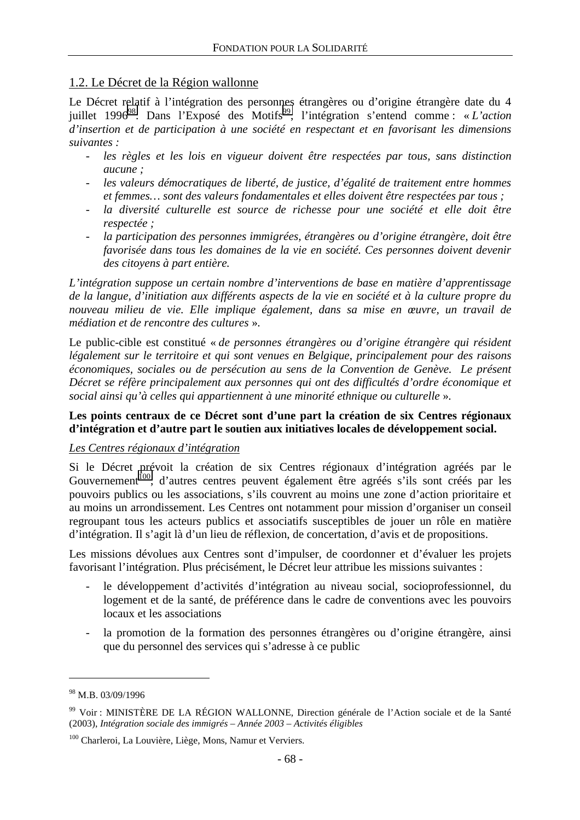## 1.2. Le Décret de la Région wallonne

Le Décret relatif à l'intégration des personnes étrangères ou d'origine étrangère date du 4 juillet 1996<sup>98</sup>. Dans l'Exposé des Motifs<sup>99</sup>, l'intégration s'entend comme : « *L'action d'insertion et de participation à une société en respectant et en favorisant les dimensions suivantes :* 

- *les règles et les lois en vigueur doivent être respectées par tous, sans distinction aucune ;*
- *les valeurs démocratiques de liberté, de justice, d'égalité de traitement entre hommes et femmes… sont des valeurs fondamentales et elles doivent être respectées par tous ;*
- *la diversité culturelle est source de richesse pour une société et elle doit être respectée ;*
- *la participation des personnes immigrées, étrangères ou d'origine étrangère, doit être favorisée dans tous les domaines de la vie en société. Ces personnes doivent devenir des citoyens à part entière.*

*L'intégration suppose un certain nombre d'interventions de base en matière d'apprentissage de la langue, d'initiation aux différents aspects de la vie en société et à la culture propre du nouveau milieu de vie. Elle implique également, dans sa mise en œuvre, un travail de médiation et de rencontre des cultures* ».

Le public-cible est constitué « *de personnes étrangères ou d'origine étrangère qui résident légalement sur le territoire et qui sont venues en Belgique, principalement pour des raisons économiques, sociales ou de persécution au sens de la Convention de Genève. Le présent Décret se réfère principalement aux personnes qui ont des difficultés d'ordre économique et social ainsi qu'à celles qui appartiennent à une minorité ethnique ou culturelle* ».

#### **Les points centraux de ce Décret sont d'une part la création de six Centres régionaux d'intégration et d'autre part le soutien aux initiatives locales de développement social.**

#### *Les Centres régionaux d'intégration*

Si le Décret prévoit la création de six Centres régionaux d'intégration agréés par le Gouvernement<sup>100</sup>, d'autres centres peuvent également être agréés s'ils sont créés par les pouvoirs publics ou les associations, s'ils couvrent au moins une zone d'action prioritaire et au moins un arrondissement. Les Centres ont notamment pour mission d'organiser un conseil regroupant tous les acteurs publics et associatifs susceptibles de jouer un rôle en matière d'intégration. Il s'agit là d'un lieu de réflexion, de concertation, d'avis et de propositions.

Les missions dévolues aux Centres sont d'impulser, de coordonner et d'évaluer les projets favorisant l'intégration. Plus précisément, le Décret leur attribue les missions suivantes :

- le développement d'activités d'intégration au niveau social, socioprofessionnel, du logement et de la santé, de préférence dans le cadre de conventions avec les pouvoirs locaux et les associations
- la promotion de la formation des personnes étrangères ou d'origine étrangère, ainsi que du personnel des services qui s'adresse à ce public

 $98$  M.B. 03/09/1996

<sup>99</sup> Voir : MINISTÈRE DE LA RÉGION WALLONNE, Direction générale de l'Action sociale et de la Santé (2003), *Intégration sociale des immigrés – Année 2003 – Activités éligibles*

<sup>&</sup>lt;sup>100</sup> Charleroi, La Louvière, Liège, Mons, Namur et Verviers.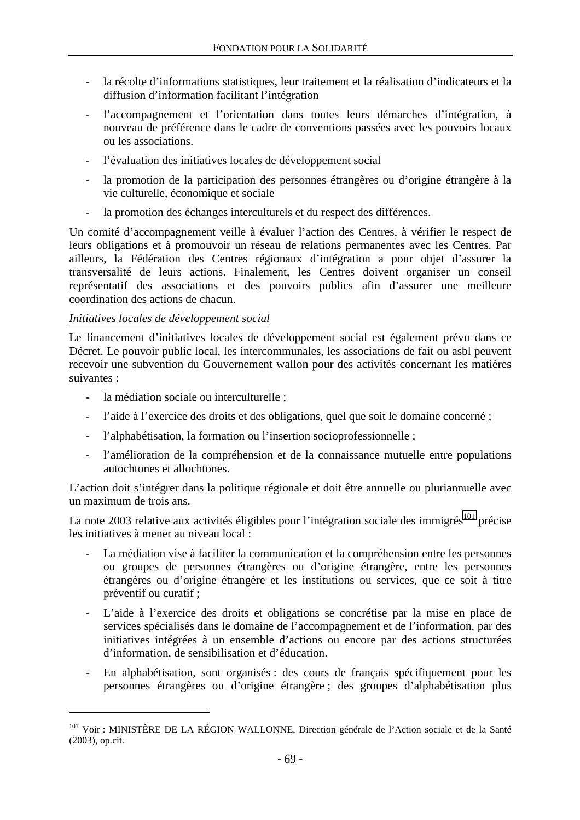- la récolte d'informations statistiques, leur traitement et la réalisation d'indicateurs et la diffusion d'information facilitant l'intégration
- l'accompagnement et l'orientation dans toutes leurs démarches d'intégration, à nouveau de préférence dans le cadre de conventions passées avec les pouvoirs locaux ou les associations.
- l'évaluation des initiatives locales de développement social
- la promotion de la participation des personnes étrangères ou d'origine étrangère à la vie culturelle, économique et sociale
- la promotion des échanges interculturels et du respect des différences.

Un comité d'accompagnement veille à évaluer l'action des Centres, à vérifier le respect de leurs obligations et à promouvoir un réseau de relations permanentes avec les Centres. Par ailleurs, la Fédération des Centres régionaux d'intégration a pour objet d'assurer la transversalité de leurs actions. Finalement, les Centres doivent organiser un conseil représentatif des associations et des pouvoirs publics afin d'assurer une meilleure coordination des actions de chacun.

#### *Initiatives locales de développement social*

 $\overline{a}$ 

Le financement d'initiatives locales de développement social est également prévu dans ce Décret. Le pouvoir public local, les intercommunales, les associations de fait ou asbl peuvent recevoir une subvention du Gouvernement wallon pour des activités concernant les matières suivantes :

- la médiation sociale ou interculturelle :
- l'aide à l'exercice des droits et des obligations, quel que soit le domaine concerné ;
- l'alphabétisation, la formation ou l'insertion socioprofessionnelle ;
- l'amélioration de la compréhension et de la connaissance mutuelle entre populations autochtones et allochtones.

L'action doit s'intégrer dans la politique régionale et doit être annuelle ou pluriannuelle avec un maximum de trois ans.

La note 2003 relative aux activités éligibles pour l'intégration sociale des immigrés<sup>101</sup> précise les initiatives à mener au niveau local :

- La médiation vise à faciliter la communication et la compréhension entre les personnes ou groupes de personnes étrangères ou d'origine étrangère, entre les personnes étrangères ou d'origine étrangère et les institutions ou services, que ce soit à titre préventif ou curatif ;
- L'aide à l'exercice des droits et obligations se concrétise par la mise en place de services spécialisés dans le domaine de l'accompagnement et de l'information, par des initiatives intégrées à un ensemble d'actions ou encore par des actions structurées d'information, de sensibilisation et d'éducation.
- En alphabétisation, sont organisés : des cours de français spécifiquement pour les personnes étrangères ou d'origine étrangère ; des groupes d'alphabétisation plus

<sup>&</sup>lt;sup>101</sup> Voir : MINISTÈRE DE LA RÉGION WALLONNE, Direction générale de l'Action sociale et de la Santé (2003), op.cit.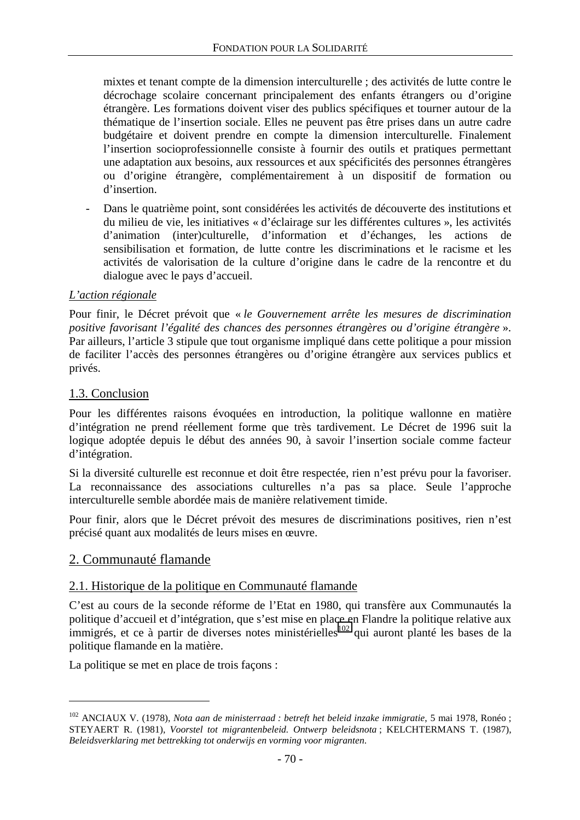mixtes et tenant compte de la dimension interculturelle ; des activités de lutte contre le décrochage scolaire concernant principalement des enfants étrangers ou d'origine étrangère. Les formations doivent viser des publics spécifiques et tourner autour de la thématique de l'insertion sociale. Elles ne peuvent pas être prises dans un autre cadre budgétaire et doivent prendre en compte la dimension interculturelle. Finalement l'insertion socioprofessionnelle consiste à fournir des outils et pratiques permettant une adaptation aux besoins, aux ressources et aux spécificités des personnes étrangères ou d'origine étrangère, complémentairement à un dispositif de formation ou d'insertion.

- Dans le quatrième point, sont considérées les activités de découverte des institutions et du milieu de vie, les initiatives « d'éclairage sur les différentes cultures », les activités d'animation (inter)culturelle, d'information et d'échanges, les actions de sensibilisation et formation, de lutte contre les discriminations et le racisme et les activités de valorisation de la culture d'origine dans le cadre de la rencontre et du dialogue avec le pays d'accueil.

### *L'action régionale*

Pour finir, le Décret prévoit que « *le Gouvernement arrête les mesures de discrimination positive favorisant l'égalité des chances des personnes étrangères ou d'origine étrangère* ». Par ailleurs, l'article 3 stipule que tout organisme impliqué dans cette politique a pour mission de faciliter l'accès des personnes étrangères ou d'origine étrangère aux services publics et privés.

## 1.3. Conclusion

Pour les différentes raisons évoquées en introduction, la politique wallonne en matière d'intégration ne prend réellement forme que très tardivement. Le Décret de 1996 suit la logique adoptée depuis le début des années 90, à savoir l'insertion sociale comme facteur d'intégration.

Si la diversité culturelle est reconnue et doit être respectée, rien n'est prévu pour la favoriser. La reconnaissance des associations culturelles n'a pas sa place. Seule l'approche interculturelle semble abordée mais de manière relativement timide.

Pour finir, alors que le Décret prévoit des mesures de discriminations positives, rien n'est précisé quant aux modalités de leurs mises en œuvre.

## 2. Communauté flamande

 $\overline{a}$ 

#### 2.1. Historique de la politique en Communauté flamande

C'est au cours de la seconde réforme de l'Etat en 1980, qui transfère aux Communautés la politique d'accueil et d'intégration, que s'est mise en place en Flandre la politique relative aux immigrés, et ce à partir de diverses notes ministérielles<sup>102</sup> qui auront planté les bases de la politique flamande en la matière.

La politique se met en place de trois façons :

<sup>102</sup> ANCIAUX V. (1978), *Nota aan de ministerraad : betreft het beleid inzake immigratie*, 5 mai 1978, Ronéo ; STEYAERT R. (1981), *Voorstel tot migrantenbeleid. Ontwerp beleidsnota* ; KELCHTERMANS T. (1987), *Beleidsverklaring met bettrekking tot onderwijs en vorming voor migranten*.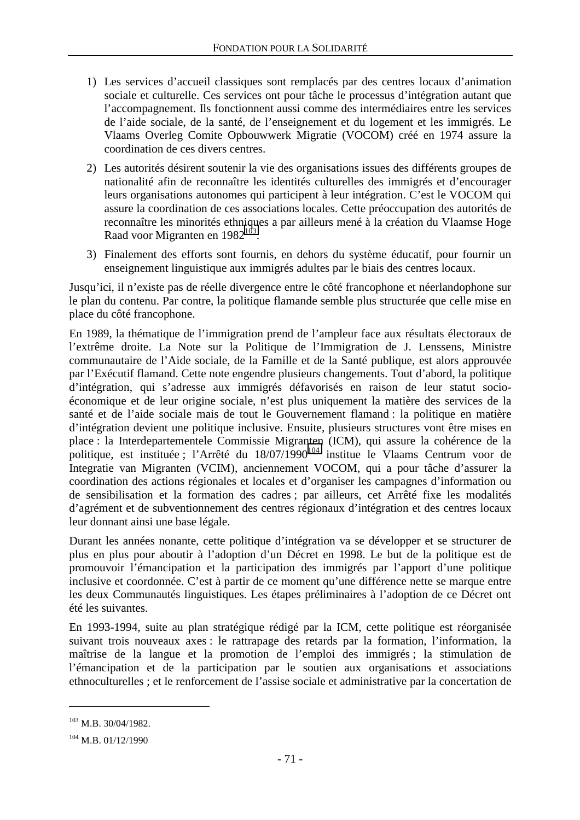- 1) Les services d'accueil classiques sont remplacés par des centres locaux d'animation sociale et culturelle. Ces services ont pour tâche le processus d'intégration autant que l'accompagnement. Ils fonctionnent aussi comme des intermédiaires entre les services de l'aide sociale, de la santé, de l'enseignement et du logement et les immigrés. Le Vlaams Overleg Comite Opbouwwerk Migratie (VOCOM) créé en 1974 assure la coordination de ces divers centres.
- 2) Les autorités désirent soutenir la vie des organisations issues des différents groupes de nationalité afin de reconnaître les identités culturelles des immigrés et d'encourager leurs organisations autonomes qui participent à leur intégration. C'est le VOCOM qui assure la coordination de ces associations locales. Cette préoccupation des autorités de reconnaître les minorités ethniques a par ailleurs mené à la création du Vlaamse Hoge Raad voor Migranten en 1982<sup>103</sup>.
- 3) Finalement des efforts sont fournis, en dehors du système éducatif, pour fournir un enseignement linguistique aux immigrés adultes par le biais des centres locaux.

Jusqu'ici, il n'existe pas de réelle divergence entre le côté francophone et néerlandophone sur le plan du contenu. Par contre, la politique flamande semble plus structurée que celle mise en place du côté francophone.

En 1989, la thématique de l'immigration prend de l'ampleur face aux résultats électoraux de l'extrême droite. La Note sur la Politique de l'Immigration de J. Lenssens, Ministre communautaire de l'Aide sociale, de la Famille et de la Santé publique, est alors approuvée par l'Exécutif flamand. Cette note engendre plusieurs changements. Tout d'abord, la politique d'intégration, qui s'adresse aux immigrés défavorisés en raison de leur statut socioéconomique et de leur origine sociale, n'est plus uniquement la matière des services de la santé et de l'aide sociale mais de tout le Gouvernement flamand : la politique en matière d'intégration devient une politique inclusive. Ensuite, plusieurs structures vont être mises en place : la Interdepartementele Commissie Migranten (ICM), qui assure la cohérence de la politique, est instituée ; l'Arrêté du 18/07/1990<sup>104</sup> institue le Vlaams Centrum voor de Integratie van Migranten (VCIM), anciennement VOCOM, qui a pour tâche d'assurer la coordination des actions régionales et locales et d'organiser les campagnes d'information ou de sensibilisation et la formation des cadres ; par ailleurs, cet Arrêté fixe les modalités d'agrément et de subventionnement des centres régionaux d'intégration et des centres locaux leur donnant ainsi une base légale.

Durant les années nonante, cette politique d'intégration va se développer et se structurer de plus en plus pour aboutir à l'adoption d'un Décret en 1998. Le but de la politique est de promouvoir l'émancipation et la participation des immigrés par l'apport d'une politique inclusive et coordonnée. C'est à partir de ce moment qu'une différence nette se marque entre les deux Communautés linguistiques. Les étapes préliminaires à l'adoption de ce Décret ont été les suivantes.

En 1993-1994, suite au plan stratégique rédigé par la ICM, cette politique est réorganisée suivant trois nouveaux axes : le rattrapage des retards par la formation, l'information, la maîtrise de la langue et la promotion de l'emploi des immigrés ; la stimulation de l'émancipation et de la participation par le soutien aux organisations et associations ethnoculturelles ; et le renforcement de l'assise sociale et administrative par la concertation de

<sup>103</sup> M.B. 30/04/1982.

<sup>104</sup> M.B. 01/12/1990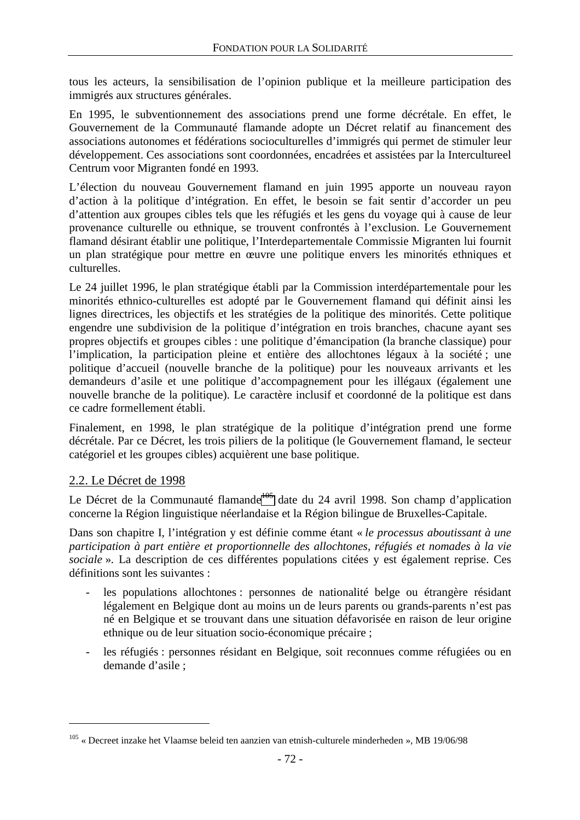tous les acteurs, la sensibilisation de l'opinion publique et la meilleure participation des immigrés aux structures générales.

En 1995, le subventionnement des associations prend une forme décrétale. En effet, le Gouvernement de la Communauté flamande adopte un Décret relatif au financement des associations autonomes et fédérations socioculturelles d'immigrés qui permet de stimuler leur développement. Ces associations sont coordonnées, encadrées et assistées par la Intercultureel Centrum voor Migranten fondé en 1993.

L'élection du nouveau Gouvernement flamand en juin 1995 apporte un nouveau rayon d'action à la politique d'intégration. En effet, le besoin se fait sentir d'accorder un peu d'attention aux groupes cibles tels que les réfugiés et les gens du voyage qui à cause de leur provenance culturelle ou ethnique, se trouvent confrontés à l'exclusion. Le Gouvernement flamand désirant établir une politique, l'Interdepartementale Commissie Migranten lui fournit un plan stratégique pour mettre en œuvre une politique envers les minorités ethniques et culturelles.

Le 24 juillet 1996, le plan stratégique établi par la Commission interdépartementale pour les minorités ethnico-culturelles est adopté par le Gouvernement flamand qui définit ainsi les lignes directrices, les objectifs et les stratégies de la politique des minorités. Cette politique engendre une subdivision de la politique d'intégration en trois branches, chacune ayant ses propres objectifs et groupes cibles : une politique d'émancipation (la branche classique) pour l'implication, la participation pleine et entière des allochtones légaux à la société ; une politique d'accueil (nouvelle branche de la politique) pour les nouveaux arrivants et les demandeurs d'asile et une politique d'accompagnement pour les illégaux (également une nouvelle branche de la politique). Le caractère inclusif et coordonné de la politique est dans ce cadre formellement établi.

Finalement, en 1998, le plan stratégique de la politique d'intégration prend une forme décrétale. Par ce Décret, les trois piliers de la politique (le Gouvernement flamand, le secteur catégoriel et les groupes cibles) acquièrent une base politique.

## 2.2. Le Décret de 1998

 $\overline{a}$ 

Le Décret de la Communauté flamande<sup>105</sup> date du 24 avril 1998. Son champ d'application concerne la Région linguistique néerlandaise et la Région bilingue de Bruxelles-Capitale.

Dans son chapitre I, l'intégration y est définie comme étant « *le processus aboutissant à une participation à part entière et proportionnelle des allochtones, réfugiés et nomades à la vie sociale* ». La description de ces différentes populations citées y est également reprise. Ces définitions sont les suivantes :

- les populations allochtones : personnes de nationalité belge ou étrangère résidant légalement en Belgique dont au moins un de leurs parents ou grands-parents n'est pas né en Belgique et se trouvant dans une situation défavorisée en raison de leur origine ethnique ou de leur situation socio-économique précaire ;
- les réfugiés : personnes résidant en Belgique, soit reconnues comme réfugiées ou en demande d'asile ;

<sup>105 «</sup> Decreet inzake het Vlaamse beleid ten aanzien van etnish-culturele minderheden », MB 19/06/98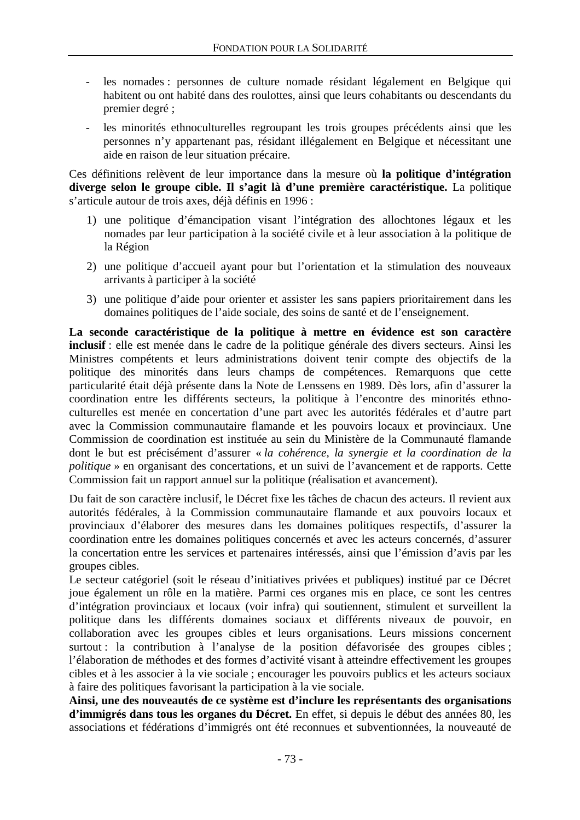- les nomades : personnes de culture nomade résidant légalement en Belgique qui habitent ou ont habité dans des roulottes, ainsi que leurs cohabitants ou descendants du premier degré ;
- les minorités ethnoculturelles regroupant les trois groupes précédents ainsi que les personnes n'y appartenant pas, résidant illégalement en Belgique et nécessitant une aide en raison de leur situation précaire.

Ces définitions relèvent de leur importance dans la mesure où **la politique d'intégration diverge selon le groupe cible. Il s'agit là d'une première caractéristique.** La politique s'articule autour de trois axes, déjà définis en 1996 :

- 1) une politique d'émancipation visant l'intégration des allochtones légaux et les nomades par leur participation à la société civile et à leur association à la politique de la Région
- 2) une politique d'accueil ayant pour but l'orientation et la stimulation des nouveaux arrivants à participer à la société
- 3) une politique d'aide pour orienter et assister les sans papiers prioritairement dans les domaines politiques de l'aide sociale, des soins de santé et de l'enseignement.

**La seconde caractéristique de la politique à mettre en évidence est son caractère inclusif** : elle est menée dans le cadre de la politique générale des divers secteurs. Ainsi les Ministres compétents et leurs administrations doivent tenir compte des objectifs de la politique des minorités dans leurs champs de compétences. Remarquons que cette particularité était déjà présente dans la Note de Lenssens en 1989. Dès lors, afin d'assurer la coordination entre les différents secteurs, la politique à l'encontre des minorités ethnoculturelles est menée en concertation d'une part avec les autorités fédérales et d'autre part avec la Commission communautaire flamande et les pouvoirs locaux et provinciaux. Une Commission de coordination est instituée au sein du Ministère de la Communauté flamande dont le but est précisément d'assurer « *la cohérence, la synergie et la coordination de la politique* » en organisant des concertations, et un suivi de l'avancement et de rapports. Cette Commission fait un rapport annuel sur la politique (réalisation et avancement).

Du fait de son caractère inclusif, le Décret fixe les tâches de chacun des acteurs. Il revient aux autorités fédérales, à la Commission communautaire flamande et aux pouvoirs locaux et provinciaux d'élaborer des mesures dans les domaines politiques respectifs, d'assurer la coordination entre les domaines politiques concernés et avec les acteurs concernés, d'assurer la concertation entre les services et partenaires intéressés, ainsi que l'émission d'avis par les groupes cibles.

Le secteur catégoriel (soit le réseau d'initiatives privées et publiques) institué par ce Décret joue également un rôle en la matière. Parmi ces organes mis en place, ce sont les centres d'intégration provinciaux et locaux (voir infra) qui soutiennent, stimulent et surveillent la politique dans les différents domaines sociaux et différents niveaux de pouvoir, en collaboration avec les groupes cibles et leurs organisations. Leurs missions concernent surtout : la contribution à l'analyse de la position défavorisée des groupes cibles ; l'élaboration de méthodes et des formes d'activité visant à atteindre effectivement les groupes cibles et à les associer à la vie sociale ; encourager les pouvoirs publics et les acteurs sociaux à faire des politiques favorisant la participation à la vie sociale.

**Ainsi, une des nouveautés de ce système est d'inclure les représentants des organisations d'immigrés dans tous les organes du Décret.** En effet, si depuis le début des années 80, les associations et fédérations d'immigrés ont été reconnues et subventionnées, la nouveauté de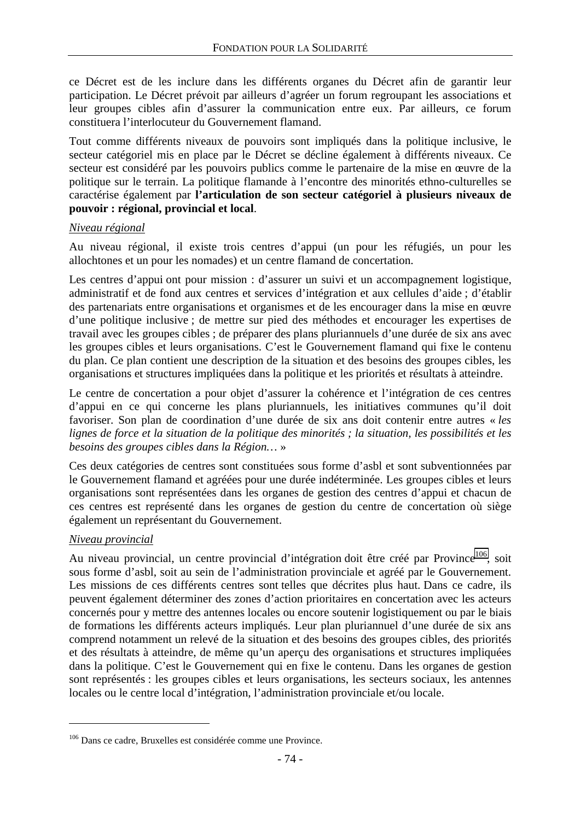ce Décret est de les inclure dans les différents organes du Décret afin de garantir leur participation. Le Décret prévoit par ailleurs d'agréer un forum regroupant les associations et leur groupes cibles afin d'assurer la communication entre eux. Par ailleurs, ce forum constituera l'interlocuteur du Gouvernement flamand.

Tout comme différents niveaux de pouvoirs sont impliqués dans la politique inclusive, le secteur catégoriel mis en place par le Décret se décline également à différents niveaux. Ce secteur est considéré par les pouvoirs publics comme le partenaire de la mise en œuvre de la politique sur le terrain. La politique flamande à l'encontre des minorités ethno-culturelles se caractérise également par **l'articulation de son secteur catégoriel à plusieurs niveaux de pouvoir : régional, provincial et local**.

#### *Niveau régional*

Au niveau régional, il existe trois centres d'appui (un pour les réfugiés, un pour les allochtones et un pour les nomades) et un centre flamand de concertation.

Les centres d'appui ont pour mission : d'assurer un suivi et un accompagnement logistique, administratif et de fond aux centres et services d'intégration et aux cellules d'aide ; d'établir des partenariats entre organisations et organismes et de les encourager dans la mise en œuvre d'une politique inclusive ; de mettre sur pied des méthodes et encourager les expertises de travail avec les groupes cibles ; de préparer des plans pluriannuels d'une durée de six ans avec les groupes cibles et leurs organisations. C'est le Gouvernement flamand qui fixe le contenu du plan. Ce plan contient une description de la situation et des besoins des groupes cibles, les organisations et structures impliquées dans la politique et les priorités et résultats à atteindre.

Le centre de concertation a pour objet d'assurer la cohérence et l'intégration de ces centres d'appui en ce qui concerne les plans pluriannuels, les initiatives communes qu'il doit favoriser. Son plan de coordination d'une durée de six ans doit contenir entre autres « *les lignes de force et la situation de la politique des minorités ; la situation, les possibilités et les besoins des groupes cibles dans la Région…* »

Ces deux catégories de centres sont constituées sous forme d'asbl et sont subventionnées par le Gouvernement flamand et agréées pour une durée indéterminée. Les groupes cibles et leurs organisations sont représentées dans les organes de gestion des centres d'appui et chacun de ces centres est représenté dans les organes de gestion du centre de concertation où siège également un représentant du Gouvernement.

#### *Niveau provincial*

 $\overline{a}$ 

Au niveau provincial, un centre provincial d'intégration doit être créé par Province<sup>106</sup>, soit sous forme d'asbl, soit au sein de l'administration provinciale et agréé par le Gouvernement. Les missions de ces différents centres sont telles que décrites plus haut. Dans ce cadre, ils peuvent également déterminer des zones d'action prioritaires en concertation avec les acteurs concernés pour y mettre des antennes locales ou encore soutenir logistiquement ou par le biais de formations les différents acteurs impliqués. Leur plan pluriannuel d'une durée de six ans comprend notamment un relevé de la situation et des besoins des groupes cibles, des priorités et des résultats à atteindre, de même qu'un aperçu des organisations et structures impliquées dans la politique. C'est le Gouvernement qui en fixe le contenu. Dans les organes de gestion sont représentés : les groupes cibles et leurs organisations, les secteurs sociaux, les antennes locales ou le centre local d'intégration, l'administration provinciale et/ou locale.

<sup>106</sup> Dans ce cadre, Bruxelles est considérée comme une Province.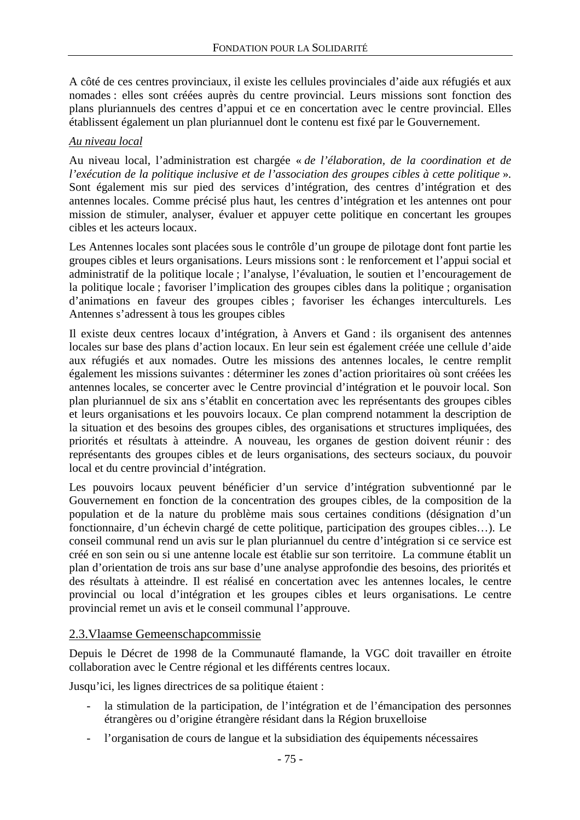A côté de ces centres provinciaux, il existe les cellules provinciales d'aide aux réfugiés et aux nomades : elles sont créées auprès du centre provincial. Leurs missions sont fonction des plans pluriannuels des centres d'appui et ce en concertation avec le centre provincial. Elles établissent également un plan pluriannuel dont le contenu est fixé par le Gouvernement.

#### *Au niveau local*

Au niveau local, l'administration est chargée « *de l'élaboration, de la coordination et de l'exécution de la politique inclusive et de l'association des groupes cibles à cette politique* ». Sont également mis sur pied des services d'intégration, des centres d'intégration et des antennes locales. Comme précisé plus haut, les centres d'intégration et les antennes ont pour mission de stimuler, analyser, évaluer et appuyer cette politique en concertant les groupes cibles et les acteurs locaux.

Les Antennes locales sont placées sous le contrôle d'un groupe de pilotage dont font partie les groupes cibles et leurs organisations. Leurs missions sont : le renforcement et l'appui social et administratif de la politique locale ; l'analyse, l'évaluation, le soutien et l'encouragement de la politique locale ; favoriser l'implication des groupes cibles dans la politique ; organisation d'animations en faveur des groupes cibles ; favoriser les échanges interculturels. Les Antennes s'adressent à tous les groupes cibles

Il existe deux centres locaux d'intégration, à Anvers et Gand : ils organisent des antennes locales sur base des plans d'action locaux. En leur sein est également créée une cellule d'aide aux réfugiés et aux nomades. Outre les missions des antennes locales, le centre remplit également les missions suivantes : déterminer les zones d'action prioritaires où sont créées les antennes locales, se concerter avec le Centre provincial d'intégration et le pouvoir local. Son plan pluriannuel de six ans s'établit en concertation avec les représentants des groupes cibles et leurs organisations et les pouvoirs locaux. Ce plan comprend notamment la description de la situation et des besoins des groupes cibles, des organisations et structures impliquées, des priorités et résultats à atteindre. A nouveau, les organes de gestion doivent réunir : des représentants des groupes cibles et de leurs organisations, des secteurs sociaux, du pouvoir local et du centre provincial d'intégration.

Les pouvoirs locaux peuvent bénéficier d'un service d'intégration subventionné par le Gouvernement en fonction de la concentration des groupes cibles, de la composition de la population et de la nature du problème mais sous certaines conditions (désignation d'un fonctionnaire, d'un échevin chargé de cette politique, participation des groupes cibles…). Le conseil communal rend un avis sur le plan pluriannuel du centre d'intégration si ce service est créé en son sein ou si une antenne locale est établie sur son territoire. La commune établit un plan d'orientation de trois ans sur base d'une analyse approfondie des besoins, des priorités et des résultats à atteindre. Il est réalisé en concertation avec les antennes locales, le centre provincial ou local d'intégration et les groupes cibles et leurs organisations. Le centre provincial remet un avis et le conseil communal l'approuve.

### 2.3.Vlaamse Gemeenschapcommissie

Depuis le Décret de 1998 de la Communauté flamande, la VGC doit travailler en étroite collaboration avec le Centre régional et les différents centres locaux.

Jusqu'ici, les lignes directrices de sa politique étaient :

- la stimulation de la participation, de l'intégration et de l'émancipation des personnes étrangères ou d'origine étrangère résidant dans la Région bruxelloise
- l'organisation de cours de langue et la subsidiation des équipements nécessaires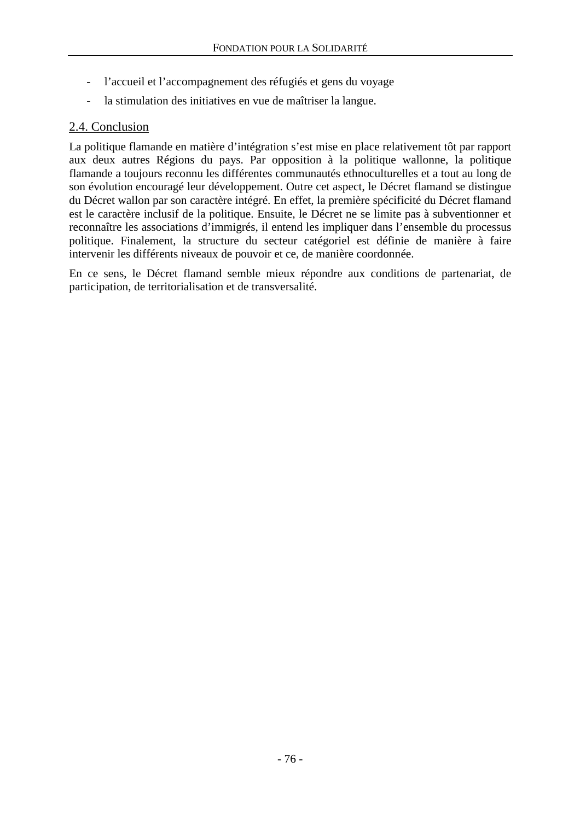- l'accueil et l'accompagnement des réfugiés et gens du voyage
- la stimulation des initiatives en vue de maîtriser la langue.

## 2.4. Conclusion

La politique flamande en matière d'intégration s'est mise en place relativement tôt par rapport aux deux autres Régions du pays. Par opposition à la politique wallonne, la politique flamande a toujours reconnu les différentes communautés ethnoculturelles et a tout au long de son évolution encouragé leur développement. Outre cet aspect, le Décret flamand se distingue du Décret wallon par son caractère intégré. En effet, la première spécificité du Décret flamand est le caractère inclusif de la politique. Ensuite, le Décret ne se limite pas à subventionner et reconnaître les associations d'immigrés, il entend les impliquer dans l'ensemble du processus politique. Finalement, la structure du secteur catégoriel est définie de manière à faire intervenir les différents niveaux de pouvoir et ce, de manière coordonnée.

En ce sens, le Décret flamand semble mieux répondre aux conditions de partenariat, de participation, de territorialisation et de transversalité.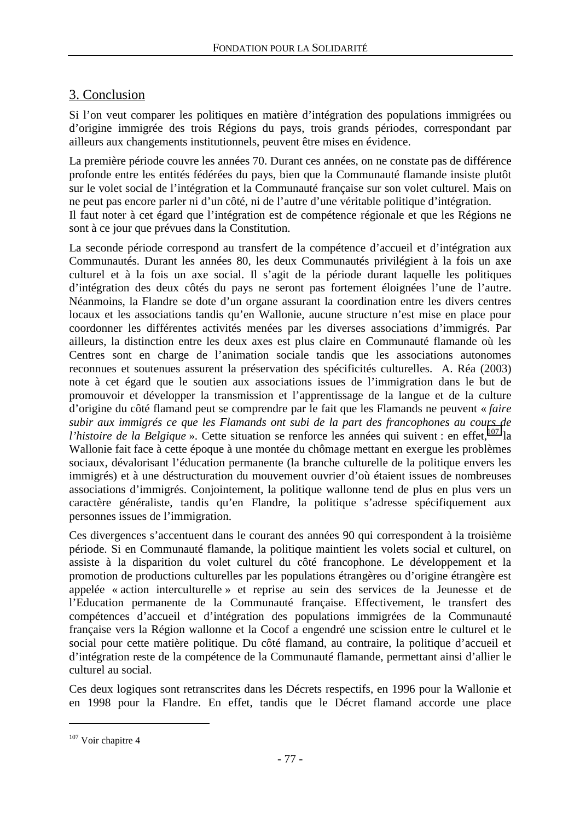# 3. Conclusion

Si l'on veut comparer les politiques en matière d'intégration des populations immigrées ou d'origine immigrée des trois Régions du pays, trois grands périodes, correspondant par ailleurs aux changements institutionnels, peuvent être mises en évidence.

La première période couvre les années 70. Durant ces années, on ne constate pas de différence profonde entre les entités fédérées du pays, bien que la Communauté flamande insiste plutôt sur le volet social de l'intégration et la Communauté française sur son volet culturel. Mais on ne peut pas encore parler ni d'un côté, ni de l'autre d'une véritable politique d'intégration. Il faut noter à cet égard que l'intégration est de compétence régionale et que les Régions ne sont à ce jour que prévues dans la Constitution.

La seconde période correspond au transfert de la compétence d'accueil et d'intégration aux Communautés. Durant les années 80, les deux Communautés privilégient à la fois un axe culturel et à la fois un axe social. Il s'agit de la période durant laquelle les politiques d'intégration des deux côtés du pays ne seront pas fortement éloignées l'une de l'autre. Néanmoins, la Flandre se dote d'un organe assurant la coordination entre les divers centres locaux et les associations tandis qu'en Wallonie, aucune structure n'est mise en place pour coordonner les différentes activités menées par les diverses associations d'immigrés. Par ailleurs, la distinction entre les deux axes est plus claire en Communauté flamande où les Centres sont en charge de l'animation sociale tandis que les associations autonomes reconnues et soutenues assurent la préservation des spécificités culturelles. A. Réa (2003) note à cet égard que le soutien aux associations issues de l'immigration dans le but de promouvoir et développer la transmission et l'apprentissage de la langue et de la culture d'origine du côté flamand peut se comprendre par le fait que les Flamands ne peuvent « *faire subir aux immigrés ce que les Flamands ont subi de la part des francophones au cours de l'histoire de la Belgique* ». Cette situation se renforce les années qui suivent : en effet,<sup>107</sup> la Wallonie fait face à cette époque à une montée du chômage mettant en exergue les problèmes sociaux, dévalorisant l'éducation permanente (la branche culturelle de la politique envers les immigrés) et à une déstructuration du mouvement ouvrier d'où étaient issues de nombreuses associations d'immigrés. Conjointement, la politique wallonne tend de plus en plus vers un caractère généraliste, tandis qu'en Flandre, la politique s'adresse spécifiquement aux personnes issues de l'immigration.

Ces divergences s'accentuent dans le courant des années 90 qui correspondent à la troisième période. Si en Communauté flamande, la politique maintient les volets social et culturel, on assiste à la disparition du volet culturel du côté francophone. Le développement et la promotion de productions culturelles par les populations étrangères ou d'origine étrangère est appelée « action interculturelle » et reprise au sein des services de la Jeunesse et de l'Education permanente de la Communauté française. Effectivement, le transfert des compétences d'accueil et d'intégration des populations immigrées de la Communauté française vers la Région wallonne et la Cocof a engendré une scission entre le culturel et le social pour cette matière politique. Du côté flamand, au contraire, la politique d'accueil et d'intégration reste de la compétence de la Communauté flamande, permettant ainsi d'allier le culturel au social.

Ces deux logiques sont retranscrites dans les Décrets respectifs, en 1996 pour la Wallonie et en 1998 pour la Flandre. En effet, tandis que le Décret flamand accorde une place

<sup>&</sup>lt;sup>107</sup> Voir chapitre 4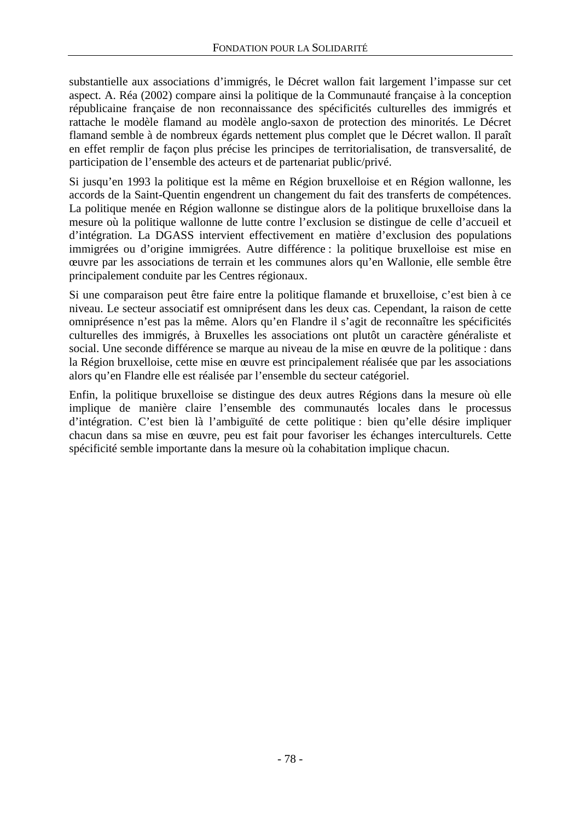substantielle aux associations d'immigrés, le Décret wallon fait largement l'impasse sur cet aspect. A. Réa (2002) compare ainsi la politique de la Communauté française à la conception républicaine française de non reconnaissance des spécificités culturelles des immigrés et rattache le modèle flamand au modèle anglo-saxon de protection des minorités. Le Décret flamand semble à de nombreux égards nettement plus complet que le Décret wallon. Il paraît en effet remplir de façon plus précise les principes de territorialisation, de transversalité, de participation de l'ensemble des acteurs et de partenariat public/privé.

Si jusqu'en 1993 la politique est la même en Région bruxelloise et en Région wallonne, les accords de la Saint-Quentin engendrent un changement du fait des transferts de compétences. La politique menée en Région wallonne se distingue alors de la politique bruxelloise dans la mesure où la politique wallonne de lutte contre l'exclusion se distingue de celle d'accueil et d'intégration. La DGASS intervient effectivement en matière d'exclusion des populations immigrées ou d'origine immigrées. Autre différence : la politique bruxelloise est mise en œuvre par les associations de terrain et les communes alors qu'en Wallonie, elle semble être principalement conduite par les Centres régionaux.

Si une comparaison peut être faire entre la politique flamande et bruxelloise, c'est bien à ce niveau. Le secteur associatif est omniprésent dans les deux cas. Cependant, la raison de cette omniprésence n'est pas la même. Alors qu'en Flandre il s'agit de reconnaître les spécificités culturelles des immigrés, à Bruxelles les associations ont plutôt un caractère généraliste et social. Une seconde différence se marque au niveau de la mise en œuvre de la politique : dans la Région bruxelloise, cette mise en œuvre est principalement réalisée que par les associations alors qu'en Flandre elle est réalisée par l'ensemble du secteur catégoriel.

Enfin, la politique bruxelloise se distingue des deux autres Régions dans la mesure où elle implique de manière claire l'ensemble des communautés locales dans le processus d'intégration. C'est bien là l'ambiguïté de cette politique : bien qu'elle désire impliquer chacun dans sa mise en œuvre, peu est fait pour favoriser les échanges interculturels. Cette spécificité semble importante dans la mesure où la cohabitation implique chacun.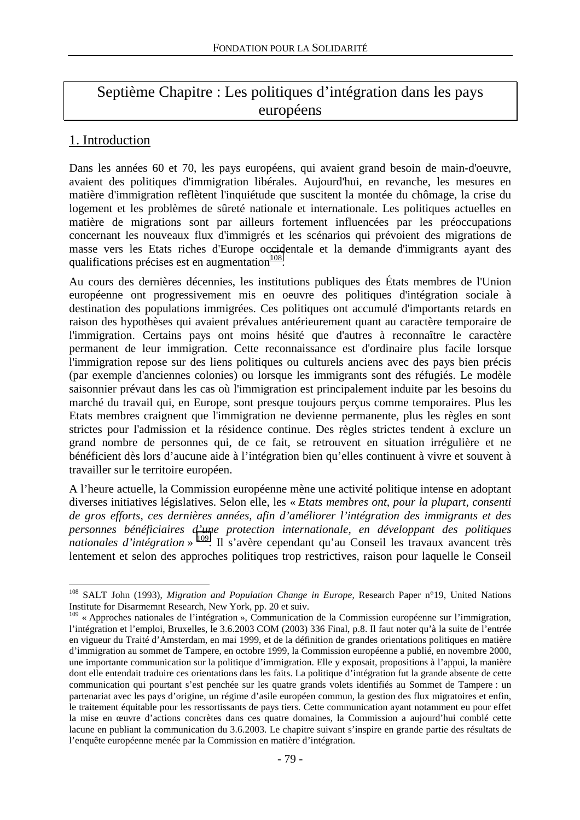# Septième Chapitre : Les politiques d'intégration dans les pays européens

# 1. Introduction

 $\overline{a}$ 

Dans les années 60 et 70, les pays européens, qui avaient grand besoin de main-d'oeuvre, avaient des politiques d'immigration libérales. Aujourd'hui, en revanche, les mesures en matière d'immigration reflètent l'inquiétude que suscitent la montée du chômage, la crise du logement et les problèmes de sûreté nationale et internationale. Les politiques actuelles en matière de migrations sont par ailleurs fortement influencées par les préoccupations concernant les nouveaux flux d'immigrés et les scénarios qui prévoient des migrations de masse vers les Etats riches d'Europe occidentale et la demande d'immigrants ayant des qualifications précises est en augmentation $108$ .

Au cours des dernières décennies, les institutions publiques des États membres de l'Union européenne ont progressivement mis en oeuvre des politiques d'intégration sociale à destination des populations immigrées. Ces politiques ont accumulé d'importants retards en raison des hypothèses qui avaient prévalues antérieurement quant au caractère temporaire de l'immigration. Certains pays ont moins hésité que d'autres à reconnaître le caractère permanent de leur immigration. Cette reconnaissance est d'ordinaire plus facile lorsque l'immigration repose sur des liens politiques ou culturels anciens avec des pays bien précis (par exemple d'anciennes colonies) ou lorsque les immigrants sont des réfugiés. Le modèle saisonnier prévaut dans les cas où l'immigration est principalement induite par les besoins du marché du travail qui, en Europe, sont presque toujours perçus comme temporaires. Plus les Etats membres craignent que l'immigration ne devienne permanente, plus les règles en sont strictes pour l'admission et la résidence continue. Des règles strictes tendent à exclure un grand nombre de personnes qui, de ce fait, se retrouvent en situation irrégulière et ne bénéficient dès lors d'aucune aide à l'intégration bien qu'elles continuent à vivre et souvent à travailler sur le territoire européen.

A l'heure actuelle, la Commission européenne mène une activité politique intense en adoptant diverses initiatives législatives. Selon elle, les « *Etats membres ont, pour la plupart, consenti de gros efforts, ces dernières années, afin d'améliorer l'intégration des immigrants et des personnes bénéficiaires d'une protection internationale, en développant des politiques*  nationales d'intégration » <sup>109</sup>. Il s'avère cependant qu'au Conseil les travaux avancent très lentement et selon des approches politiques trop restrictives, raison pour laquelle le Conseil

<sup>&</sup>lt;sup>108</sup> SALT John (1993), *Migration and Population Change in Europe*, Research Paper n°19, United Nations Institute for Disarmemnt Research, New York, pp. 20 et suiv.

<sup>109 «</sup> Approches nationales de l'intégration », Communication de la Commission européenne sur l'immigration, l'intégration et l'emploi, Bruxelles, le 3.6.2003 COM (2003) 336 Final, p.8. Il faut noter qu'à la suite de l'entrée en vigueur du Traité d'Amsterdam, en mai 1999, et de la définition de grandes orientations politiques en matière d'immigration au sommet de Tampere, en octobre 1999, la Commission européenne a publié, en novembre 2000, une importante communication sur la politique d'immigration. Elle y exposait, propositions à l'appui, la manière dont elle entendait traduire ces orientations dans les faits. La politique d'intégration fut la grande absente de cette communication qui pourtant s'est penchée sur les quatre grands volets identifiés au Sommet de Tampere : un partenariat avec les pays d'origine, un régime d'asile européen commun, la gestion des flux migratoires et enfin, le traitement équitable pour les ressortissants de pays tiers. Cette communication ayant notamment eu pour effet la mise en œuvre d'actions concrètes dans ces quatre domaines, la Commission a aujourd'hui comblé cette lacune en publiant la communication du 3.6.2003. Le chapitre suivant s'inspire en grande partie des résultats de l'enquête européenne menée par la Commission en matière d'intégration.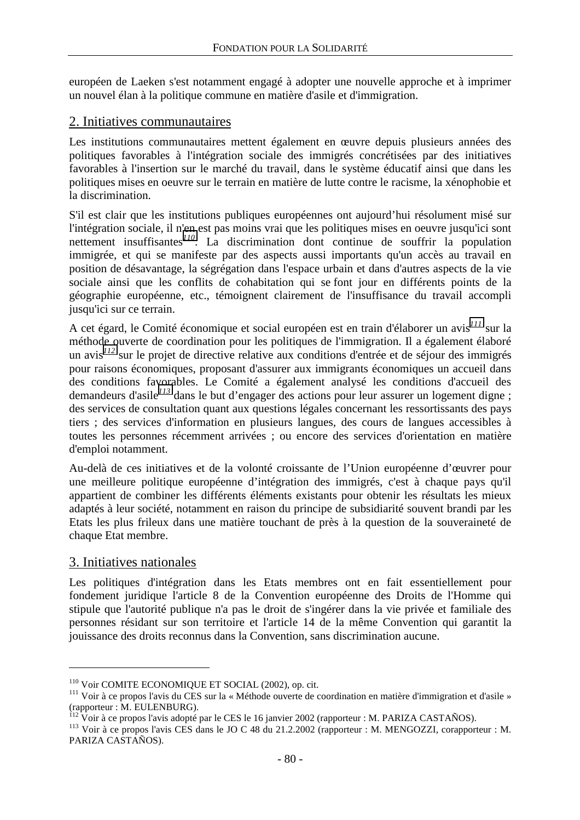européen de Laeken s'est notamment engagé à adopter une nouvelle approche et à imprimer un nouvel élan à la politique commune en matière d'asile et d'immigration.

## 2. Initiatives communautaires

Les institutions communautaires mettent également en œuvre depuis plusieurs années des politiques favorables à l'intégration sociale des immigrés concrétisées par des initiatives favorables à l'insertion sur le marché du travail, dans le système éducatif ainsi que dans les politiques mises en oeuvre sur le terrain en matière de lutte contre le racisme, la xénophobie et la discrimination.

S'il est clair que les institutions publiques européennes ont aujourd'hui résolument misé sur l'intégration sociale, il n'en est pas moins vrai que les politiques mises en oeuvre jusqu'ici sont nettement insuffisantes*<sup>110</sup>*. La discrimination dont continue de souffrir la population immigrée, et qui se manifeste par des aspects aussi importants qu'un accès au travail en position de désavantage, la ségrégation dans l'espace urbain et dans d'autres aspects de la vie sociale ainsi que les conflits de cohabitation qui se font jour en différents points de la géographie européenne, etc., témoignent clairement de l'insuffisance du travail accompli jusqu'ici sur ce terrain.

A cet égard, le Comité économique et social européen est en train d'élaborer un avis*<sup>111</sup>* sur la méthode ouverte de coordination pour les politiques de l'immigration. Il a également élaboré un avis*<sup>112</sup>* sur le projet de directive relative aux conditions d'entrée et de séjour des immigrés pour raisons économiques, proposant d'assurer aux immigrants économiques un accueil dans des conditions favorables. Le Comité a également analysé les conditions d'accueil des demandeurs d'asile*<sup>113</sup>* dans le but d'engager des actions pour leur assurer un logement digne ; des services de consultation quant aux questions légales concernant les ressortissants des pays tiers ; des services d'information en plusieurs langues, des cours de langues accessibles à toutes les personnes récemment arrivées ; ou encore des services d'orientation en matière d'emploi notamment.

Au-delà de ces initiatives et de la volonté croissante de l'Union européenne d'œuvrer pour une meilleure politique européenne d'intégration des immigrés, c'est à chaque pays qu'il appartient de combiner les différents éléments existants pour obtenir les résultats les mieux adaptés à leur société, notamment en raison du principe de subsidiarité souvent brandi par les Etats les plus frileux dans une matière touchant de près à la question de la souveraineté de chaque Etat membre.

## 3. Initiatives nationales

 $\overline{a}$ 

Les politiques d'intégration dans les Etats membres ont en fait essentiellement pour fondement juridique l'article 8 de la Convention européenne des Droits de l'Homme qui stipule que l'autorité publique n'a pas le droit de s'ingérer dans la vie privée et familiale des personnes résidant sur son territoire et l'article 14 de la même Convention qui garantit la jouissance des droits reconnus dans la Convention, sans discrimination aucune.

<sup>&</sup>lt;sup>110</sup> Voir COMITE ECONOMIQUE ET SOCIAL (2002), op. cit.<br><sup>111</sup> Voir à ce propos l'avis du CES sur la « Méthode ouverte de coordination en matière d'immigration et d'asile » (rapporteur : M. EULENBURG).<br><sup>112</sup> Voir à ce propos l'avis adopté par le CES le 16 janvier 2002 (rapporteur : M. PARIZA CASTAÑOS).

<sup>&</sup>lt;sup>113</sup> Voir à ce propos l'avis CES dans le JO C 48 du 21.2.2002 (rapporteur : M. MENGOZZI, corapporteur : M. PARIZA CASTAÑOS).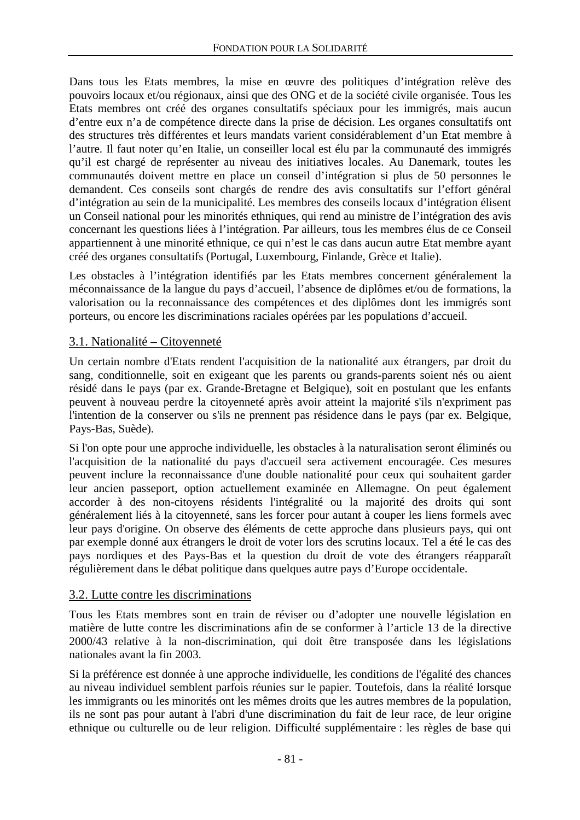Dans tous les Etats membres, la mise en œuvre des politiques d'intégration relève des pouvoirs locaux et/ou régionaux, ainsi que des ONG et de la société civile organisée. Tous les Etats membres ont créé des organes consultatifs spéciaux pour les immigrés, mais aucun d'entre eux n'a de compétence directe dans la prise de décision. Les organes consultatifs ont des structures très différentes et leurs mandats varient considérablement d'un Etat membre à l'autre. Il faut noter qu'en Italie, un conseiller local est élu par la communauté des immigrés qu'il est chargé de représenter au niveau des initiatives locales. Au Danemark, toutes les communautés doivent mettre en place un conseil d'intégration si plus de 50 personnes le demandent. Ces conseils sont chargés de rendre des avis consultatifs sur l'effort général d'intégration au sein de la municipalité. Les membres des conseils locaux d'intégration élisent un Conseil national pour les minorités ethniques, qui rend au ministre de l'intégration des avis concernant les questions liées à l'intégration. Par ailleurs, tous les membres élus de ce Conseil appartiennent à une minorité ethnique, ce qui n'est le cas dans aucun autre Etat membre ayant créé des organes consultatifs (Portugal, Luxembourg, Finlande, Grèce et Italie).

Les obstacles à l'intégration identifiés par les Etats membres concernent généralement la méconnaissance de la langue du pays d'accueil, l'absence de diplômes et/ou de formations, la valorisation ou la reconnaissance des compétences et des diplômes dont les immigrés sont porteurs, ou encore les discriminations raciales opérées par les populations d'accueil.

## 3.1. Nationalité – Citoyenneté

Un certain nombre d'Etats rendent l'acquisition de la nationalité aux étrangers, par droit du sang, conditionnelle, soit en exigeant que les parents ou grands-parents soient nés ou aient résidé dans le pays (par ex. Grande-Bretagne et Belgique), soit en postulant que les enfants peuvent à nouveau perdre la citoyenneté après avoir atteint la majorité s'ils n'expriment pas l'intention de la conserver ou s'ils ne prennent pas résidence dans le pays (par ex. Belgique, Pays-Bas, Suède).

Si l'on opte pour une approche individuelle, les obstacles à la naturalisation seront éliminés ou l'acquisition de la nationalité du pays d'accueil sera activement encouragée. Ces mesures peuvent inclure la reconnaissance d'une double nationalité pour ceux qui souhaitent garder leur ancien passeport, option actuellement examinée en Allemagne. On peut également accorder à des non-citoyens résidents l'intégralité ou la majorité des droits qui sont généralement liés à la citoyenneté, sans les forcer pour autant à couper les liens formels avec leur pays d'origine. On observe des éléments de cette approche dans plusieurs pays, qui ont par exemple donné aux étrangers le droit de voter lors des scrutins locaux. Tel a été le cas des pays nordiques et des Pays-Bas et la question du droit de vote des étrangers réapparaît régulièrement dans le débat politique dans quelques autre pays d'Europe occidentale.

## 3.2. Lutte contre les discriminations

Tous les Etats membres sont en train de réviser ou d'adopter une nouvelle législation en matière de lutte contre les discriminations afin de se conformer à l'article 13 de la directive 2000/43 relative à la non-discrimination, qui doit être transposée dans les législations nationales avant la fin 2003.

Si la préférence est donnée à une approche individuelle, les conditions de l'égalité des chances au niveau individuel semblent parfois réunies sur le papier. Toutefois, dans la réalité lorsque les immigrants ou les minorités ont les mêmes droits que les autres membres de la population, ils ne sont pas pour autant à l'abri d'une discrimination du fait de leur race, de leur origine ethnique ou culturelle ou de leur religion. Difficulté supplémentaire : les règles de base qui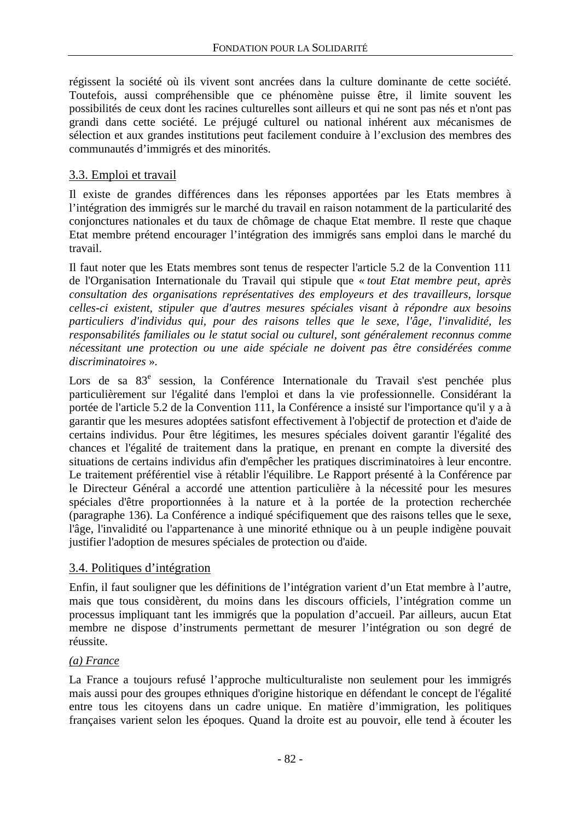régissent la société où ils vivent sont ancrées dans la culture dominante de cette société. Toutefois, aussi compréhensible que ce phénomène puisse être, il limite souvent les possibilités de ceux dont les racines culturelles sont ailleurs et qui ne sont pas nés et n'ont pas grandi dans cette société. Le préjugé culturel ou national inhérent aux mécanismes de sélection et aux grandes institutions peut facilement conduire à l'exclusion des membres des communautés d'immigrés et des minorités.

## 3.3. Emploi et travail

Il existe de grandes différences dans les réponses apportées par les Etats membres à l'intégration des immigrés sur le marché du travail en raison notamment de la particularité des conjonctures nationales et du taux de chômage de chaque Etat membre. Il reste que chaque Etat membre prétend encourager l'intégration des immigrés sans emploi dans le marché du travail.

Il faut noter que les Etats membres sont tenus de respecter l'article 5.2 de la Convention 111 de l'Organisation Internationale du Travail qui stipule que « *tout Etat membre peut, après consultation des organisations représentatives des employeurs et des travailleurs, lorsque celles-ci existent, stipuler que d'autres mesures spéciales visant à répondre aux besoins particuliers d'individus qui, pour des raisons telles que le sexe, l'âge, l'invalidité, les responsabilités familiales ou le statut social ou culturel, sont généralement reconnus comme nécessitant une protection ou une aide spéciale ne doivent pas être considérées comme discriminatoires* ».

Lors de sa 83<sup>e</sup> session, la Conférence Internationale du Travail s'est penchée plus particulièrement sur l'égalité dans l'emploi et dans la vie professionnelle. Considérant la portée de l'article 5.2 de la Convention 111, la Conférence a insisté sur l'importance qu'il y a à garantir que les mesures adoptées satisfont effectivement à l'objectif de protection et d'aide de certains individus. Pour être légitimes, les mesures spéciales doivent garantir l'égalité des chances et l'égalité de traitement dans la pratique, en prenant en compte la diversité des situations de certains individus afin d'empêcher les pratiques discriminatoires à leur encontre. Le traitement préférentiel vise à rétablir l'équilibre. Le Rapport présenté à la Conférence par le Directeur Général a accordé une attention particulière à la nécessité pour les mesures spéciales d'être proportionnées à la nature et à la portée de la protection recherchée (paragraphe 136). La Conférence a indiqué spécifiquement que des raisons telles que le sexe, l'âge, l'invalidité ou l'appartenance à une minorité ethnique ou à un peuple indigène pouvait justifier l'adoption de mesures spéciales de protection ou d'aide.

## 3.4. Politiques d'intégration

Enfin, il faut souligner que les définitions de l'intégration varient d'un Etat membre à l'autre, mais que tous considèrent, du moins dans les discours officiels, l'intégration comme un processus impliquant tant les immigrés que la population d'accueil. Par ailleurs, aucun Etat membre ne dispose d'instruments permettant de mesurer l'intégration ou son degré de réussite.

## *(a) France*

La France a toujours refusé l'approche multiculturaliste non seulement pour les immigrés mais aussi pour des groupes ethniques d'origine historique en défendant le concept de l'égalité entre tous les citoyens dans un cadre unique. En matière d'immigration, les politiques françaises varient selon les époques. Quand la droite est au pouvoir, elle tend à écouter les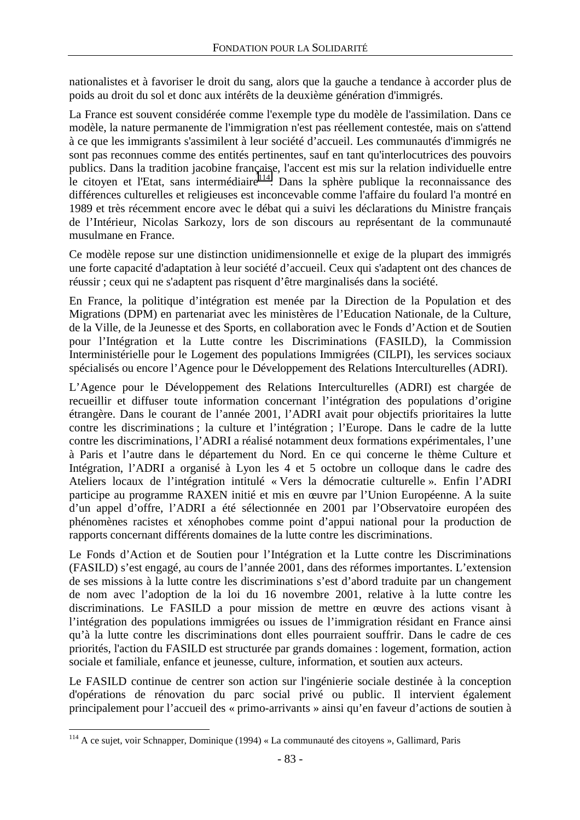nationalistes et à favoriser le droit du sang, alors que la gauche a tendance à accorder plus de poids au droit du sol et donc aux intérêts de la deuxième génération d'immigrés.

La France est souvent considérée comme l'exemple type du modèle de l'assimilation. Dans ce modèle, la nature permanente de l'immigration n'est pas réellement contestée, mais on s'attend à ce que les immigrants s'assimilent à leur société d'accueil. Les communautés d'immigrés ne sont pas reconnues comme des entités pertinentes, sauf en tant qu'interlocutrices des pouvoirs publics. Dans la tradition jacobine française, l'accent est mis sur la relation individuelle entre le citoyen et l'Etat, sans intermédiaire<sup>114</sup>. Dans la sphère publique la reconnaissance des différences culturelles et religieuses est inconcevable comme l'affaire du foulard l'a montré en 1989 et très récemment encore avec le débat qui a suivi les déclarations du Ministre français de l'Intérieur, Nicolas Sarkozy, lors de son discours au représentant de la communauté musulmane en France.

Ce modèle repose sur une distinction unidimensionnelle et exige de la plupart des immigrés une forte capacité d'adaptation à leur société d'accueil. Ceux qui s'adaptent ont des chances de réussir ; ceux qui ne s'adaptent pas risquent d'être marginalisés dans la société.

En France, la politique d'intégration est menée par la Direction de la Population et des Migrations (DPM) en partenariat avec les ministères de l'Education Nationale, de la Culture, de la Ville, de la Jeunesse et des Sports, en collaboration avec le Fonds d'Action et de Soutien pour l'Intégration et la Lutte contre les Discriminations (FASILD), la Commission Interministérielle pour le Logement des populations Immigrées (CILPI), les services sociaux spécialisés ou encore l'Agence pour le Développement des Relations Interculturelles (ADRI).

L'Agence pour le Développement des Relations Interculturelles (ADRI) est chargée de recueillir et diffuser toute information concernant l'intégration des populations d'origine étrangère. Dans le courant de l'année 2001, l'ADRI avait pour objectifs prioritaires la lutte contre les discriminations ; la culture et l'intégration ; l'Europe. Dans le cadre de la lutte contre les discriminations, l'ADRI a réalisé notamment deux formations expérimentales, l'une à Paris et l'autre dans le département du Nord. En ce qui concerne le thème Culture et Intégration, l'ADRI a organisé à Lyon les 4 et 5 octobre un colloque dans le cadre des Ateliers locaux de l'intégration intitulé « Vers la démocratie culturelle ». Enfin l'ADRI participe au programme RAXEN initié et mis en œuvre par l'Union Européenne. A la suite d'un appel d'offre, l'ADRI a été sélectionnée en 2001 par l'Observatoire européen des phénomènes racistes et xénophobes comme point d'appui national pour la production de rapports concernant différents domaines de la lutte contre les discriminations.

Le Fonds d'Action et de Soutien pour l'Intégration et la Lutte contre les Discriminations (FASILD) s'est engagé, au cours de l'année 2001, dans des réformes importantes. L'extension de ses missions à la lutte contre les discriminations s'est d'abord traduite par un changement de nom avec l'adoption de la loi du 16 novembre 2001, relative à la lutte contre les discriminations. Le FASILD a pour mission de mettre en œuvre des actions visant à l'intégration des populations immigrées ou issues de l'immigration résidant en France ainsi qu'à la lutte contre les discriminations dont elles pourraient souffrir. Dans le cadre de ces priorités, l'action du FASILD est structurée par grands domaines : logement, formation, action sociale et familiale, enfance et jeunesse, culture, information, et soutien aux acteurs.

Le FASILD continue de centrer son action sur l'ingénierie sociale destinée à la conception d'opérations de rénovation du parc social privé ou public. Il intervient également principalement pour l'accueil des « primo-arrivants » ainsi qu'en faveur d'actions de soutien à

<sup>114</sup> A ce sujet, voir Schnapper, Dominique (1994) « La communauté des citoyens », Gallimard, Paris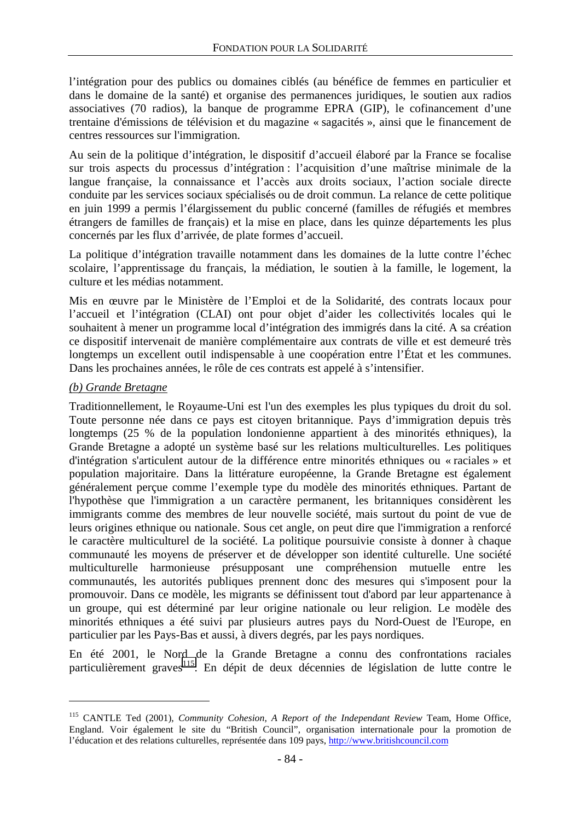l'intégration pour des publics ou domaines ciblés (au bénéfice de femmes en particulier et dans le domaine de la santé) et organise des permanences juridiques, le soutien aux radios associatives (70 radios), la banque de programme EPRA (GIP), le cofinancement d'une trentaine d'émissions de télévision et du magazine « sagacités », ainsi que le financement de centres ressources sur l'immigration.

Au sein de la politique d'intégration, le dispositif d'accueil élaboré par la France se focalise sur trois aspects du processus d'intégration : l'acquisition d'une maîtrise minimale de la langue française, la connaissance et l'accès aux droits sociaux, l'action sociale directe conduite par les services sociaux spécialisés ou de droit commun. La relance de cette politique en juin 1999 a permis l'élargissement du public concerné (familles de réfugiés et membres étrangers de familles de français) et la mise en place, dans les quinze départements les plus concernés par les flux d'arrivée, de plate formes d'accueil.

La politique d'intégration travaille notamment dans les domaines de la lutte contre l'échec scolaire, l'apprentissage du français, la médiation, le soutien à la famille, le logement, la culture et les médias notamment.

Mis en œuvre par le Ministère de l'Emploi et de la Solidarité, des contrats locaux pour l'accueil et l'intégration (CLAI) ont pour objet d'aider les collectivités locales qui le souhaitent à mener un programme local d'intégration des immigrés dans la cité. A sa création ce dispositif intervenait de manière complémentaire aux contrats de ville et est demeuré très longtemps un excellent outil indispensable à une coopération entre l'État et les communes. Dans les prochaines années, le rôle de ces contrats est appelé à s'intensifier.

#### *(b) Grande Bretagne*

 $\overline{a}$ 

Traditionnellement, le Royaume-Uni est l'un des exemples les plus typiques du droit du sol. Toute personne née dans ce pays est citoyen britannique. Pays d'immigration depuis très longtemps (25 % de la population londonienne appartient à des minorités ethniques), la Grande Bretagne a adopté un système basé sur les relations multiculturelles. Les politiques d'intégration s'articulent autour de la différence entre minorités ethniques ou « raciales » et population majoritaire. Dans la littérature européenne, la Grande Bretagne est également généralement perçue comme l'exemple type du modèle des minorités ethniques. Partant de l'hypothèse que l'immigration a un caractère permanent, les britanniques considèrent les immigrants comme des membres de leur nouvelle société, mais surtout du point de vue de leurs origines ethnique ou nationale. Sous cet angle, on peut dire que l'immigration a renforcé le caractère multiculturel de la société. La politique poursuivie consiste à donner à chaque communauté les moyens de préserver et de développer son identité culturelle. Une société multiculturelle harmonieuse présupposant une compréhension mutuelle entre les communautés, les autorités publiques prennent donc des mesures qui s'imposent pour la promouvoir. Dans ce modèle, les migrants se définissent tout d'abord par leur appartenance à un groupe, qui est déterminé par leur origine nationale ou leur religion. Le modèle des minorités ethniques a été suivi par plusieurs autres pays du Nord-Ouest de l'Europe, en particulier par les Pays-Bas et aussi, à divers degrés, par les pays nordiques.

En été 2001, le Nord de la Grande Bretagne a connu des confrontations raciales particulièrement graves<sup>115</sup>. En dépit de deux décennies de législation de lutte contre le

<sup>115</sup> CANTLE Ted (2001), *Community Cohesion*, *A Report of the Independant Review* Team, Home Office, England. Voir également le site du "British Council", organisation internationale pour la promotion de l'éducation et des relations culturelles, représentée dans 109 pays, http://www.britishcouncil.com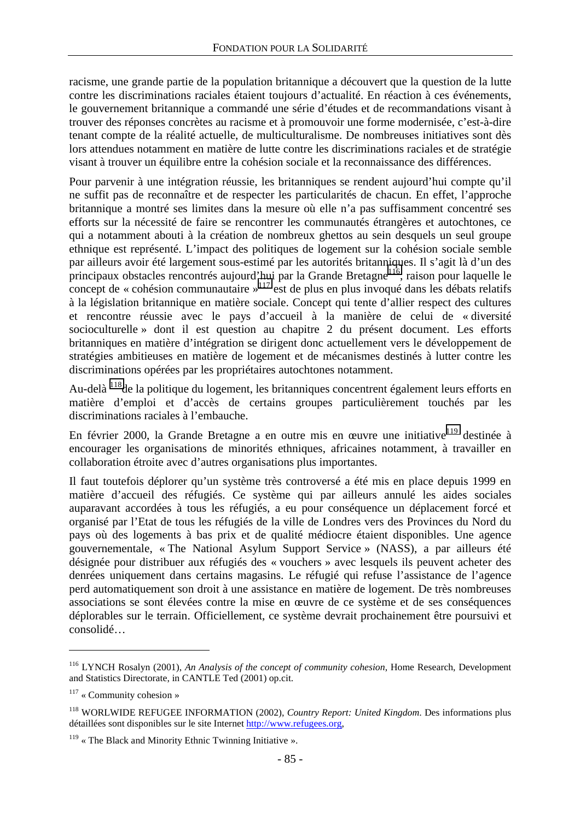racisme, une grande partie de la population britannique a découvert que la question de la lutte contre les discriminations raciales étaient toujours d'actualité. En réaction à ces événements, le gouvernement britannique a commandé une série d'études et de recommandations visant à trouver des réponses concrètes au racisme et à promouvoir une forme modernisée, c'est-à-dire tenant compte de la réalité actuelle, de multiculturalisme. De nombreuses initiatives sont dès lors attendues notamment en matière de lutte contre les discriminations raciales et de stratégie visant à trouver un équilibre entre la cohésion sociale et la reconnaissance des différences.

Pour parvenir à une intégration réussie, les britanniques se rendent aujourd'hui compte qu'il ne suffit pas de reconnaître et de respecter les particularités de chacun. En effet, l'approche britannique a montré ses limites dans la mesure où elle n'a pas suffisamment concentré ses efforts sur la nécessité de faire se rencontrer les communautés étrangères et autochtones, ce qui a notamment abouti à la création de nombreux ghettos au sein desquels un seul groupe ethnique est représenté. L'impact des politiques de logement sur la cohésion sociale semble par ailleurs avoir été largement sous-estimé par les autorités britanniques. Il s'agit là d'un des principaux obstacles rencontrés aujourd'hui par la Grande Bretagne<sup>116</sup>, raison pour laquelle le concept de « cohésion communautaire »<sup>117</sup> est de plus en plus invoqué dans les débats relatifs à la législation britannique en matière sociale. Concept qui tente d'allier respect des cultures et rencontre réussie avec le pays d'accueil à la manière de celui de « diversité socioculturelle » dont il est question au chapitre 2 du présent document. Les efforts britanniques en matière d'intégration se dirigent donc actuellement vers le développement de stratégies ambitieuses en matière de logement et de mécanismes destinés à lutter contre les discriminations opérées par les propriétaires autochtones notamment.

Au-delà <sup>118</sup>de la politique du logement, les britanniques concentrent également leurs efforts en matière d'emploi et d'accès de certains groupes particulièrement touchés par les discriminations raciales à l'embauche.

En février 2000, la Grande Bretagne a en outre mis en œuvre une initiative<sup>119</sup> destinée à encourager les organisations de minorités ethniques, africaines notamment, à travailler en collaboration étroite avec d'autres organisations plus importantes.

Il faut toutefois déplorer qu'un système très controversé a été mis en place depuis 1999 en matière d'accueil des réfugiés. Ce système qui par ailleurs annulé les aides sociales auparavant accordées à tous les réfugiés, a eu pour conséquence un déplacement forcé et organisé par l'Etat de tous les réfugiés de la ville de Londres vers des Provinces du Nord du pays où des logements à bas prix et de qualité médiocre étaient disponibles. Une agence gouvernementale, « The National Asylum Support Service » (NASS), a par ailleurs été désignée pour distribuer aux réfugiés des « vouchers » avec lesquels ils peuvent acheter des denrées uniquement dans certains magasins. Le réfugié qui refuse l'assistance de l'agence perd automatiquement son droit à une assistance en matière de logement. De très nombreuses associations se sont élevées contre la mise en œuvre de ce système et de ses conséquences déplorables sur le terrain. Officiellement, ce système devrait prochainement être poursuivi et consolidé…

<sup>116</sup> LYNCH Rosalyn (2001), *An Analysis of the concept of community cohesion*, Home Research, Development and Statistics Directorate, in CANTLE Ted (2001) op.cit.

 $117$  « Community cohesion »

<sup>118</sup> WORLWIDE REFUGEE INFORMATION (2002), *Country Report: United Kingdom*. Des informations plus détaillées sont disponibles sur le site Internet http://www.refugees.org,

 $119$  « The Black and Minority Ethnic Twinning Initiative ».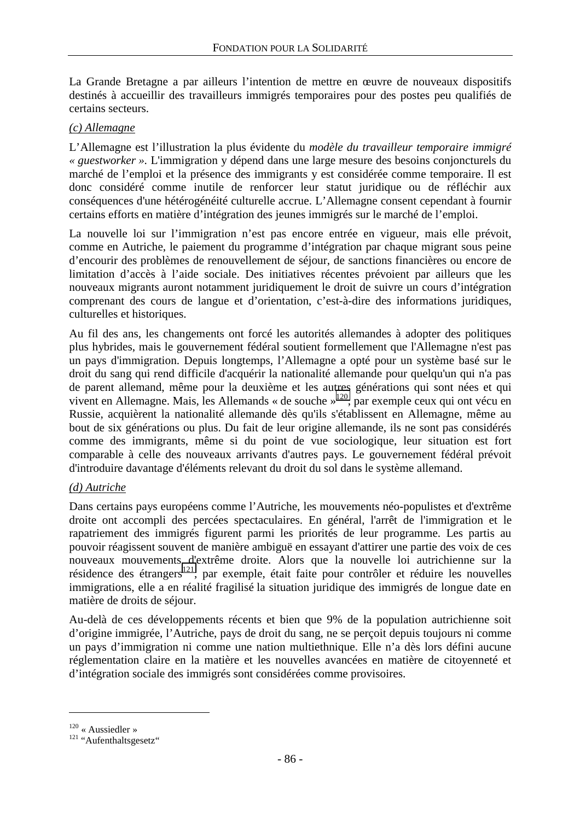La Grande Bretagne a par ailleurs l'intention de mettre en œuvre de nouveaux dispositifs destinés à accueillir des travailleurs immigrés temporaires pour des postes peu qualifiés de certains secteurs.

#### *(c) Allemagne*

L'Allemagne est l'illustration la plus évidente du *modèle du travailleur temporaire immigré « guestworker ».* L'immigration y dépend dans une large mesure des besoins conjoncturels du marché de l'emploi et la présence des immigrants y est considérée comme temporaire. Il est donc considéré comme inutile de renforcer leur statut juridique ou de réfléchir aux conséquences d'une hétérogénéité culturelle accrue. L'Allemagne consent cependant à fournir certains efforts en matière d'intégration des jeunes immigrés sur le marché de l'emploi.

La nouvelle loi sur l'immigration n'est pas encore entrée en vigueur, mais elle prévoit, comme en Autriche, le paiement du programme d'intégration par chaque migrant sous peine d'encourir des problèmes de renouvellement de séjour, de sanctions financières ou encore de limitation d'accès à l'aide sociale. Des initiatives récentes prévoient par ailleurs que les nouveaux migrants auront notamment juridiquement le droit de suivre un cours d'intégration comprenant des cours de langue et d'orientation, c'est-à-dire des informations juridiques, culturelles et historiques.

Au fil des ans, les changements ont forcé les autorités allemandes à adopter des politiques plus hybrides, mais le gouvernement fédéral soutient formellement que l'Allemagne n'est pas un pays d'immigration. Depuis longtemps, l'Allemagne a opté pour un système basé sur le droit du sang qui rend difficile d'acquérir la nationalité allemande pour quelqu'un qui n'a pas de parent allemand, même pour la deuxième et les autres générations qui sont nées et qui vivent en Allemagne. Mais, les Allemands « de souche »120, par exemple ceux qui ont vécu en Russie, acquièrent la nationalité allemande dès qu'ils s'établissent en Allemagne, même au bout de six générations ou plus. Du fait de leur origine allemande, ils ne sont pas considérés comme des immigrants, même si du point de vue sociologique, leur situation est fort comparable à celle des nouveaux arrivants d'autres pays. Le gouvernement fédéral prévoit d'introduire davantage d'éléments relevant du droit du sol dans le système allemand.

### *(d) Autriche*

Dans certains pays européens comme l'Autriche, les mouvements néo-populistes et d'extrême droite ont accompli des percées spectaculaires. En général, l'arrêt de l'immigration et le rapatriement des immigrés figurent parmi les priorités de leur programme. Les partis au pouvoir réagissent souvent de manière ambiguë en essayant d'attirer une partie des voix de ces nouveaux mouvements d'extrême droite. Alors que la nouvelle loi autrichienne sur la résidence des étrangers<sup>121</sup>, par exemple, était faite pour contrôler et réduire les nouvelles immigrations, elle a en réalité fragilisé la situation juridique des immigrés de longue date en matière de droits de séjour.

Au-delà de ces développements récents et bien que 9% de la population autrichienne soit d'origine immigrée, l'Autriche, pays de droit du sang, ne se perçoit depuis toujours ni comme un pays d'immigration ni comme une nation multiethnique. Elle n'a dès lors défini aucune réglementation claire en la matière et les nouvelles avancées en matière de citoyenneté et d'intégration sociale des immigrés sont considérées comme provisoires.

 $120$  « Aussiedler »<br> $121$  "Aufenthaltsgesetz"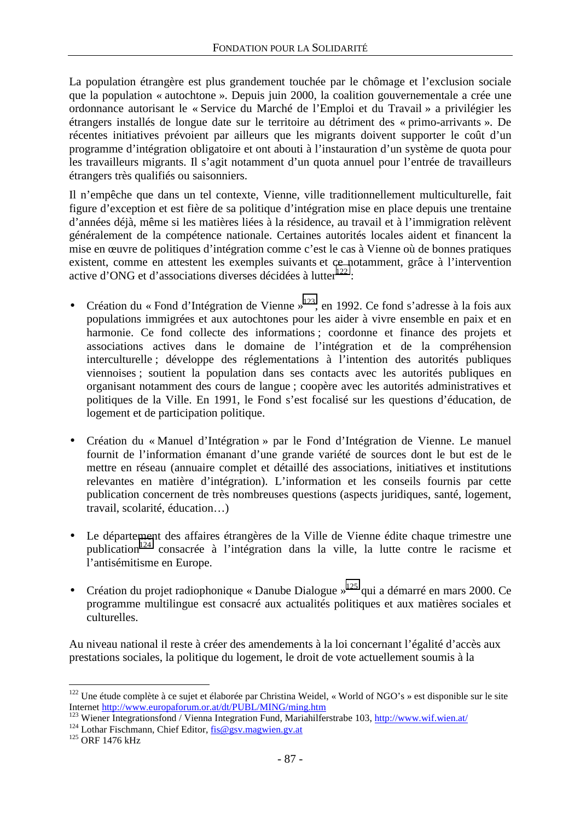La population étrangère est plus grandement touchée par le chômage et l'exclusion sociale que la population « autochtone ». Depuis juin 2000, la coalition gouvernementale a crée une ordonnance autorisant le « Service du Marché de l'Emploi et du Travail » a privilégier les étrangers installés de longue date sur le territoire au détriment des « primo-arrivants ». De récentes initiatives prévoient par ailleurs que les migrants doivent supporter le coût d'un programme d'intégration obligatoire et ont abouti à l'instauration d'un système de quota pour les travailleurs migrants. Il s'agit notamment d'un quota annuel pour l'entrée de travailleurs étrangers très qualifiés ou saisonniers.

Il n'empêche que dans un tel contexte, Vienne, ville traditionnellement multiculturelle, fait figure d'exception et est fière de sa politique d'intégration mise en place depuis une trentaine d'années déjà, même si les matières liées à la résidence, au travail et à l'immigration relèvent généralement de la compétence nationale. Certaines autorités locales aident et financent la mise en œuvre de politiques d'intégration comme c'est le cas à Vienne où de bonnes pratiques existent, comme en attestent les exemples suivants et ce notamment, grâce à l'intervention active d'ONG et d'associations diverses décidées à lutter $^{122}$ :

- Création du « Fond d'Intégration de Vienne »<sup>123</sup>, en 1992. Ce fond s'adresse à la fois aux populations immigrées et aux autochtones pour les aider à vivre ensemble en paix et en harmonie. Ce fond collecte des informations ; coordonne et finance des projets et associations actives dans le domaine de l'intégration et de la compréhension interculturelle ; développe des réglementations à l'intention des autorités publiques viennoises ; soutient la population dans ses contacts avec les autorités publiques en organisant notamment des cours de langue ; coopère avec les autorités administratives et politiques de la Ville. En 1991, le Fond s'est focalisé sur les questions d'éducation, de logement et de participation politique.
- Création du « Manuel d'Intégration » par le Fond d'Intégration de Vienne. Le manuel fournit de l'information émanant d'une grande variété de sources dont le but est de le mettre en réseau (annuaire complet et détaillé des associations, initiatives et institutions relevantes en matière d'intégration). L'information et les conseils fournis par cette publication concernent de très nombreuses questions (aspects juridiques, santé, logement, travail, scolarité, éducation…)
- Le département des affaires étrangères de la Ville de Vienne édite chaque trimestre une publication<sup>124</sup> consacrée à l'intégration dans la ville, la lutte contre le racisme et l'antisémitisme en Europe.
- Création du projet radiophonique « Danube Dialogue »<sup>125</sup> qui a démarré en mars 2000. Ce programme multilingue est consacré aux actualités politiques et aux matières sociales et culturelles.

Au niveau national il reste à créer des amendements à la loi concernant l'égalité d'accès aux prestations sociales, la politique du logement, le droit de vote actuellement soumis à la

 $122$  Une étude complète à ce sujet et élaborée par Christina Weidel, « World of NGO's » est disponible sur le site Internet http://www.europaforum.or.at/dt/PUBL/MING/ming.htm<br>
<sup>123</sup> Wiener Integrationsfond / Vienna Integration Fund, Mariahilferstrabe 103, <u>http://www.wif.wien.at/</u><br>
<sup>124</sup> Lothar Fischmann, Chief Editor, <u>fis@gsv.magwien</u>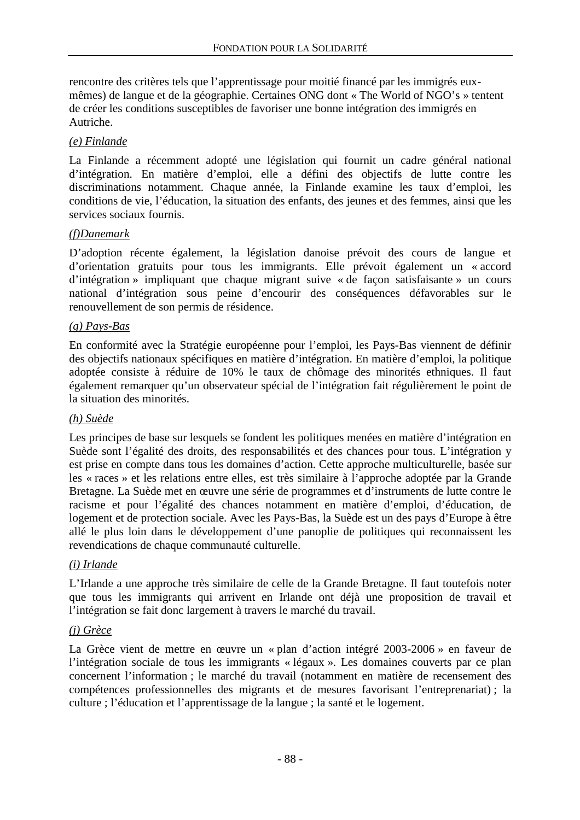rencontre des critères tels que l'apprentissage pour moitié financé par les immigrés euxmêmes) de langue et de la géographie. Certaines ONG dont « The World of NGO's » tentent de créer les conditions susceptibles de favoriser une bonne intégration des immigrés en Autriche.

### *(e) Finlande*

La Finlande a récemment adopté une législation qui fournit un cadre général national d'intégration. En matière d'emploi, elle a défini des objectifs de lutte contre les discriminations notamment. Chaque année, la Finlande examine les taux d'emploi, les conditions de vie, l'éducation, la situation des enfants, des jeunes et des femmes, ainsi que les services sociaux fournis.

### *(f)Danemark*

D'adoption récente également, la législation danoise prévoit des cours de langue et d'orientation gratuits pour tous les immigrants. Elle prévoit également un « accord d'intégration » impliquant que chaque migrant suive « de façon satisfaisante » un cours national d'intégration sous peine d'encourir des conséquences défavorables sur le renouvellement de son permis de résidence.

### *(g) Pays-Bas*

En conformité avec la Stratégie européenne pour l'emploi, les Pays-Bas viennent de définir des objectifs nationaux spécifiques en matière d'intégration. En matière d'emploi, la politique adoptée consiste à réduire de 10% le taux de chômage des minorités ethniques. Il faut également remarquer qu'un observateur spécial de l'intégration fait régulièrement le point de la situation des minorités.

### *(h) Suède*

Les principes de base sur lesquels se fondent les politiques menées en matière d'intégration en Suède sont l'égalité des droits, des responsabilités et des chances pour tous. L'intégration y est prise en compte dans tous les domaines d'action. Cette approche multiculturelle, basée sur les « races » et les relations entre elles, est très similaire à l'approche adoptée par la Grande Bretagne. La Suède met en œuvre une série de programmes et d'instruments de lutte contre le racisme et pour l'égalité des chances notamment en matière d'emploi, d'éducation, de logement et de protection sociale. Avec les Pays-Bas, la Suède est un des pays d'Europe à être allé le plus loin dans le développement d'une panoplie de politiques qui reconnaissent les revendications de chaque communauté culturelle.

### *(i) Irlande*

L'Irlande a une approche très similaire de celle de la Grande Bretagne. Il faut toutefois noter que tous les immigrants qui arrivent en Irlande ont déjà une proposition de travail et l'intégration se fait donc largement à travers le marché du travail.

### *(j) Grèce*

La Grèce vient de mettre en œuvre un « plan d'action intégré 2003-2006 » en faveur de l'intégration sociale de tous les immigrants « légaux ». Les domaines couverts par ce plan concernent l'information ; le marché du travail (notamment en matière de recensement des compétences professionnelles des migrants et de mesures favorisant l'entreprenariat) ; la culture ; l'éducation et l'apprentissage de la langue ; la santé et le logement.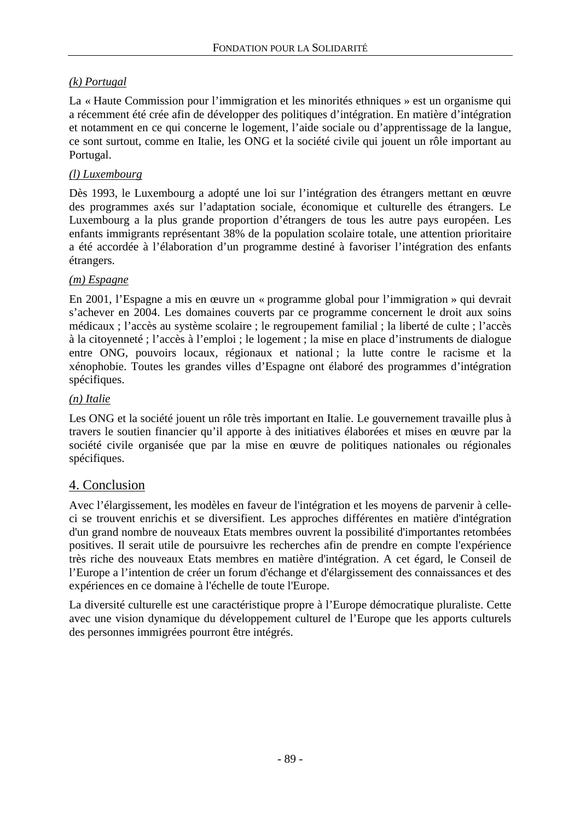## *(k) Portugal*

La « Haute Commission pour l'immigration et les minorités ethniques » est un organisme qui a récemment été crée afin de développer des politiques d'intégration. En matière d'intégration et notamment en ce qui concerne le logement, l'aide sociale ou d'apprentissage de la langue, ce sont surtout, comme en Italie, les ONG et la société civile qui jouent un rôle important au Portugal.

### *(l) Luxembourg*

Dès 1993, le Luxembourg a adopté une loi sur l'intégration des étrangers mettant en œuvre des programmes axés sur l'adaptation sociale, économique et culturelle des étrangers. Le Luxembourg a la plus grande proportion d'étrangers de tous les autre pays européen. Les enfants immigrants représentant 38% de la population scolaire totale, une attention prioritaire a été accordée à l'élaboration d'un programme destiné à favoriser l'intégration des enfants étrangers.

### *(m) Espagne*

En 2001, l'Espagne a mis en œuvre un « programme global pour l'immigration » qui devrait s'achever en 2004. Les domaines couverts par ce programme concernent le droit aux soins médicaux ; l'accès au système scolaire ; le regroupement familial ; la liberté de culte ; l'accès à la citoyenneté ; l'accès à l'emploi ; le logement ; la mise en place d'instruments de dialogue entre ONG, pouvoirs locaux, régionaux et national ; la lutte contre le racisme et la xénophobie. Toutes les grandes villes d'Espagne ont élaboré des programmes d'intégration spécifiques.

### *(n) Italie*

Les ONG et la société jouent un rôle très important en Italie. Le gouvernement travaille plus à travers le soutien financier qu'il apporte à des initiatives élaborées et mises en œuvre par la société civile organisée que par la mise en œuvre de politiques nationales ou régionales spécifiques.

## 4. Conclusion

Avec l'élargissement, les modèles en faveur de l'intégration et les moyens de parvenir à celleci se trouvent enrichis et se diversifient. Les approches différentes en matière d'intégration d'un grand nombre de nouveaux Etats membres ouvrent la possibilité d'importantes retombées positives. Il serait utile de poursuivre les recherches afin de prendre en compte l'expérience très riche des nouveaux Etats membres en matière d'intégration. A cet égard, le Conseil de l'Europe a l'intention de créer un forum d'échange et d'élargissement des connaissances et des expériences en ce domaine à l'échelle de toute l'Europe.

La diversité culturelle est une caractéristique propre à l'Europe démocratique pluraliste. Cette avec une vision dynamique du développement culturel de l'Europe que les apports culturels des personnes immigrées pourront être intégrés.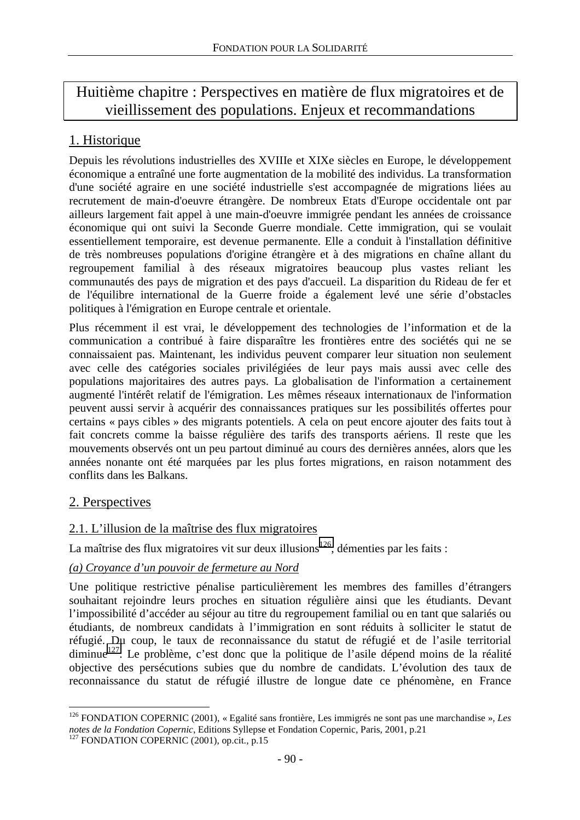# Huitième chapitre : Perspectives en matière de flux migratoires et de vieillissement des populations. Enjeux et recommandations

# 1. Historique

Depuis les révolutions industrielles des XVIIIe et XIXe siècles en Europe, le développement économique a entraîné une forte augmentation de la mobilité des individus. La transformation d'une société agraire en une société industrielle s'est accompagnée de migrations liées au recrutement de main-d'oeuvre étrangère. De nombreux Etats d'Europe occidentale ont par ailleurs largement fait appel à une main-d'oeuvre immigrée pendant les années de croissance économique qui ont suivi la Seconde Guerre mondiale. Cette immigration, qui se voulait essentiellement temporaire, est devenue permanente. Elle a conduit à l'installation définitive de très nombreuses populations d'origine étrangère et à des migrations en chaîne allant du regroupement familial à des réseaux migratoires beaucoup plus vastes reliant les communautés des pays de migration et des pays d'accueil. La disparition du Rideau de fer et de l'équilibre international de la Guerre froide a également levé une série d'obstacles politiques à l'émigration en Europe centrale et orientale.

Plus récemment il est vrai, le développement des technologies de l'information et de la communication a contribué à faire disparaître les frontières entre des sociétés qui ne se connaissaient pas. Maintenant, les individus peuvent comparer leur situation non seulement avec celle des catégories sociales privilégiées de leur pays mais aussi avec celle des populations majoritaires des autres pays. La globalisation de l'information a certainement augmenté l'intérêt relatif de l'émigration. Les mêmes réseaux internationaux de l'information peuvent aussi servir à acquérir des connaissances pratiques sur les possibilités offertes pour certains « pays cibles » des migrants potentiels. A cela on peut encore ajouter des faits tout à fait concrets comme la baisse régulière des tarifs des transports aériens. Il reste que les mouvements observés ont un peu partout diminué au cours des dernières années, alors que les années nonante ont été marquées par les plus fortes migrations, en raison notamment des conflits dans les Balkans.

# 2. Perspectives

 $\overline{a}$ 

## 2.1. L'illusion de la maîtrise des flux migratoires

La maîtrise des flux migratoires vit sur deux illusions<sup>126</sup>, démenties par les faits :

## *(a) Croyance d'un pouvoir de fermeture au Nord*

Une politique restrictive pénalise particulièrement les membres des familles d'étrangers souhaitant rejoindre leurs proches en situation régulière ainsi que les étudiants. Devant l'impossibilité d'accéder au séjour au titre du regroupement familial ou en tant que salariés ou étudiants, de nombreux candidats à l'immigration en sont réduits à solliciter le statut de réfugié. Du coup, le taux de reconnaissance du statut de réfugié et de l'asile territorial diminue<sup>127</sup>. Le problème, c'est donc que la politique de l'asile dépend moins de la réalité objective des persécutions subies que du nombre de candidats. L'évolution des taux de reconnaissance du statut de réfugié illustre de longue date ce phénomène, en France

<sup>126</sup> FONDATION COPERNIC (2001), « Egalité sans frontière, Les immigrés ne sont pas une marchandise », *Les notes de la Fondation Copernic*, Editions Syllepse et Fondation Copernic, Paris, 2001, p.21 <sup>127</sup> FONDATION COPERNIC (2001), op.cit., p.15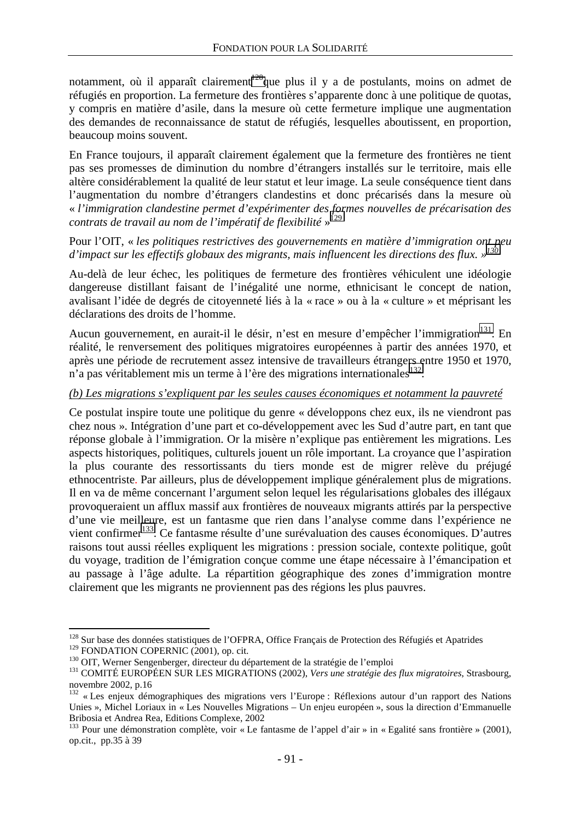notamment, où il apparaît clairement<sup>128</sup>que plus il y a de postulants, moins on admet de réfugiés en proportion. La fermeture des frontières s'apparente donc à une politique de quotas, y compris en matière d'asile, dans la mesure où cette fermeture implique une augmentation des demandes de reconnaissance de statut de réfugiés, lesquelles aboutissent, en proportion, beaucoup moins souvent.

En France toujours, il apparaît clairement également que la fermeture des frontières ne tient pas ses promesses de diminution du nombre d'étrangers installés sur le territoire, mais elle altère considérablement la qualité de leur statut et leur image. La seule conséquence tient dans l'augmentation du nombre d'étrangers clandestins et donc précarisés dans la mesure où « *l'immigration clandestine permet d'expérimenter des formes nouvelles de précarisation des contrats de travail au nom de l'impératif de flexibilité* » 129

Pour l'OIT, « *les politiques restrictives des gouvernements en matière d'immigration ont peu d'impact sur les effectifs globaux des migrants, mais influencent les directions des flux. »130*

Au-delà de leur échec, les politiques de fermeture des frontières véhiculent une idéologie dangereuse distillant faisant de l'inégalité une norme, ethnicisant le concept de nation, avalisant l'idée de degrés de citoyenneté liés à la « race » ou à la « culture » et méprisant les déclarations des droits de l'homme.

Aucun gouvernement, en aurait-il le désir, n'est en mesure d'empêcher l'immigration<sup>131</sup>. En réalité, le renversement des politiques migratoires européennes à partir des années 1970, et après une période de recrutement assez intensive de travailleurs étrangers entre 1950 et 1970, n'a pas véritablement mis un terme à l'ère des migrations internationales  $132$ .

### *(b) Les migrations s'expliquent par les seules causes économiques et notamment la pauvreté*

Ce postulat inspire toute une politique du genre « développons chez eux, ils ne viendront pas chez nous ». Intégration d'une part et co-développement avec les Sud d'autre part, en tant que réponse globale à l'immigration. Or la misère n'explique pas entièrement les migrations. Les aspects historiques, politiques, culturels jouent un rôle important. La croyance que l'aspiration la plus courante des ressortissants du tiers monde est de migrer relève du préjugé ethnocentriste. Par ailleurs, plus de développement implique généralement plus de migrations. Il en va de même concernant l'argument selon lequel les régularisations globales des illégaux provoqueraient un afflux massif aux frontières de nouveaux migrants attirés par la perspective d'une vie meilleure, est un fantasme que rien dans l'analyse comme dans l'expérience ne vient confirmer<sup>133</sup>. Ce fantasme résulte d'une surévaluation des causes économiques. D'autres raisons tout aussi réelles expliquent les migrations : pression sociale, contexte politique, goût du voyage, tradition de l'émigration conçue comme une étape nécessaire à l'émancipation et au passage à l'âge adulte. La répartition géographique des zones d'immigration montre clairement que les migrants ne proviennent pas des régions les plus pauvres.

<sup>&</sup>lt;sup>128</sup> Sur base des données statistiques de l'OFPRA, Office Français de Protection des Réfugiés et Apatrides

<sup>&</sup>lt;sup>129</sup> FONDATION COPERNIC (2001), op. cit.<br><sup>130</sup> OIT, Werner Sengenberger, directeur du département de la stratégie de l'emploi<br><sup>131</sup> COMITÉ EUROPÉEN SUR LES MIGRATIONS (2002), *Vers une stratégie des flux migratoires*, St novembre 2002, p.16

<sup>&</sup>lt;sup>132</sup> « Les enjeux démographiques des migrations vers l'Europe : Réflexions autour d'un rapport des Nations Unies », Michel Loriaux in « Les Nouvelles Migrations – Un enjeu européen », sous la direction d'Emmanuelle Bribosia et Andrea Rea, Editions Complexe, 2002

<sup>&</sup>lt;sup>133</sup> Pour une démonstration complète, voir « Le fantasme de l'appel d'air » in « Egalité sans frontière » (2001), op.cit., pp.35 à 39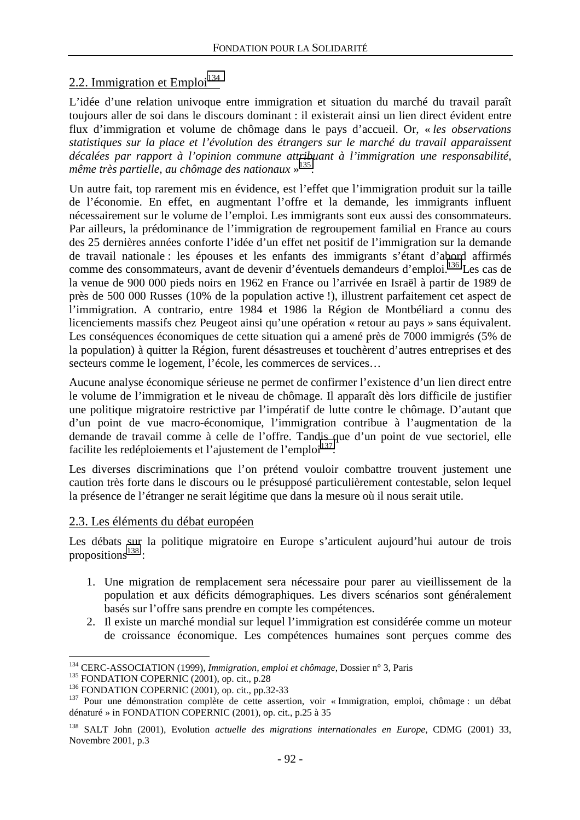## 2.2. Immigration et Emploi $134$

L'idée d'une relation univoque entre immigration et situation du marché du travail paraît toujours aller de soi dans le discours dominant : il existerait ainsi un lien direct évident entre flux d'immigration et volume de chômage dans le pays d'accueil. Or, « *les observations statistiques sur la place et l'évolution des étrangers sur le marché du travail apparaissent décalées par rapport à l'opinion commune attribuant à l'immigration une responsabilité, même très partielle, au chômage des nationaux* » 135.

Un autre fait, top rarement mis en évidence, est l'effet que l'immigration produit sur la taille de l'économie. En effet, en augmentant l'offre et la demande, les immigrants influent nécessairement sur le volume de l'emploi. Les immigrants sont eux aussi des consommateurs. Par ailleurs, la prédominance de l'immigration de regroupement familial en France au cours des 25 dernières années conforte l'idée d'un effet net positif de l'immigration sur la demande de travail nationale : les épouses et les enfants des immigrants s'étant d'abord affirmés comme des consommateurs, avant de devenir d'éventuels demandeurs d'emploi.<sup>136</sup> Les cas de la venue de 900 000 pieds noirs en 1962 en France ou l'arrivée en Israël à partir de 1989 de près de 500 000 Russes (10% de la population active !), illustrent parfaitement cet aspect de l'immigration. A contrario, entre 1984 et 1986 la Région de Montbéliard a connu des licenciements massifs chez Peugeot ainsi qu'une opération « retour au pays » sans équivalent. Les conséquences économiques de cette situation qui a amené près de 7000 immigrés (5% de la population) à quitter la Région, furent désastreuses et touchèrent d'autres entreprises et des secteurs comme le logement, l'école, les commerces de services…

Aucune analyse économique sérieuse ne permet de confirmer l'existence d'un lien direct entre le volume de l'immigration et le niveau de chômage. Il apparaît dès lors difficile de justifier une politique migratoire restrictive par l'impératif de lutte contre le chômage. D'autant que d'un point de vue macro-économique, l'immigration contribue à l'augmentation de la demande de travail comme à celle de l'offre. Tandis que d'un point de vue sectoriel, elle facilite les redéploiements et l'ajustement de l'emploi<sup>137</sup>.

Les diverses discriminations que l'on prétend vouloir combattre trouvent justement une caution très forte dans le discours ou le présupposé particulièrement contestable, selon lequel la présence de l'étranger ne serait légitime que dans la mesure où il nous serait utile.

### 2.3. Les éléments du débat européen

Les débats sur la politique migratoire en Europe s'articulent aujourd'hui autour de trois propositions<sup>138</sup>:

- 1. Une migration de remplacement sera nécessaire pour parer au vieillissement de la population et aux déficits démographiques. Les divers scénarios sont généralement basés sur l'offre sans prendre en compte les compétences.
- 2. Il existe un marché mondial sur lequel l'immigration est considérée comme un moteur de croissance économique. Les compétences humaines sont perçues comme des

<sup>&</sup>lt;sup>134</sup> CERC-ASSOCIATION (1999), Immigration, emploi et chômage, Dossier n° 3, Paris

<sup>&</sup>lt;sup>136</sup> FONDATION COPERNIC (2001), op. cit., p.28<br><sup>136</sup> FONDATION COPERNIC (2001), op. cit., pp.32-33<br><sup>137</sup> Pour une démonstration complète de cette assertion, voir « Immigration, emploi, chômage : un débat dénaturé » in FONDATION COPERNIC (2001), op. cit., p.25 à 35

<sup>138</sup> SALT John (2001), Evolution *actuelle des migrations internationales en Europe*, CDMG (2001) 33, Novembre 2001, p.3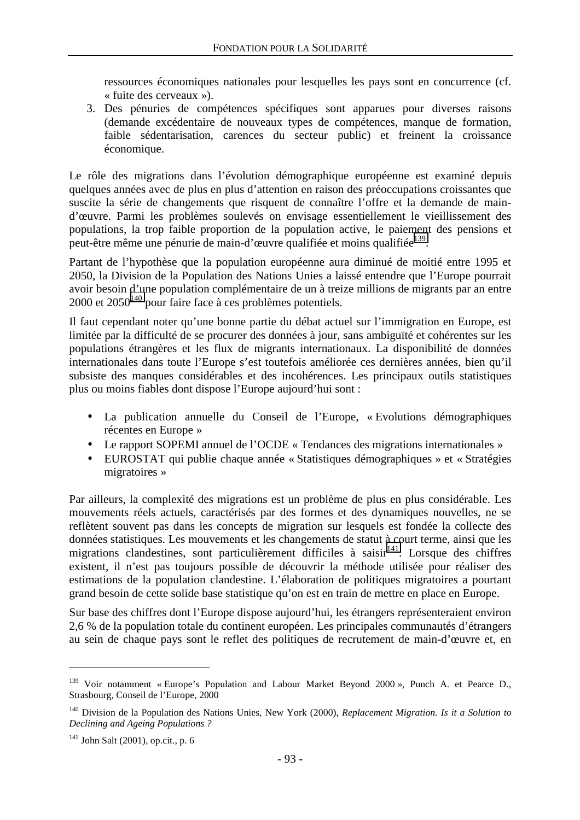ressources économiques nationales pour lesquelles les pays sont en concurrence (cf. « fuite des cerveaux »).

3. Des pénuries de compétences spécifiques sont apparues pour diverses raisons (demande excédentaire de nouveaux types de compétences, manque de formation, faible sédentarisation, carences du secteur public) et freinent la croissance économique.

Le rôle des migrations dans l'évolution démographique européenne est examiné depuis quelques années avec de plus en plus d'attention en raison des préoccupations croissantes que suscite la série de changements que risquent de connaître l'offre et la demande de maind'œuvre. Parmi les problèmes soulevés on envisage essentiellement le vieillissement des populations, la trop faible proportion de la population active, le paiement des pensions et peut-être même une pénurie de main-d'œuvre qualifiée et moins qualifiée<sup>139</sup>.

Partant de l'hypothèse que la population européenne aura diminué de moitié entre 1995 et 2050, la Division de la Population des Nations Unies a laissé entendre que l'Europe pourrait avoir besoin d'une population complémentaire de un à treize millions de migrants par an entre  $2000$  et  $2050^{140}$  pour faire face à ces problèmes potentiels.

Il faut cependant noter qu'une bonne partie du débat actuel sur l'immigration en Europe, est limitée par la difficulté de se procurer des données à jour, sans ambiguïté et cohérentes sur les populations étrangères et les flux de migrants internationaux. La disponibilité de données internationales dans toute l'Europe s'est toutefois améliorée ces dernières années, bien qu'il subsiste des manques considérables et des incohérences. Les principaux outils statistiques plus ou moins fiables dont dispose l'Europe aujourd'hui sont :

- La publication annuelle du Conseil de l'Europe, « Evolutions démographiques récentes en Europe »
- Le rapport SOPEMI annuel de l'OCDE « Tendances des migrations internationales »
- EUROSTAT qui publie chaque année « Statistiques démographiques » et « Stratégies migratoires »

Par ailleurs, la complexité des migrations est un problème de plus en plus considérable. Les mouvements réels actuels, caractérisés par des formes et des dynamiques nouvelles, ne se reflètent souvent pas dans les concepts de migration sur lesquels est fondée la collecte des données statistiques. Les mouvements et les changements de statut à court terme, ainsi que les migrations clandestines, sont particulièrement difficiles à saisir $^{141}$ . Lorsque des chiffres existent, il n'est pas toujours possible de découvrir la méthode utilisée pour réaliser des estimations de la population clandestine. L'élaboration de politiques migratoires a pourtant grand besoin de cette solide base statistique qu'on est en train de mettre en place en Europe.

Sur base des chiffres dont l'Europe dispose aujourd'hui, les étrangers représenteraient environ 2,6 % de la population totale du continent européen. Les principales communautés d'étrangers au sein de chaque pays sont le reflet des politiques de recrutement de main-d'œuvre et, en

<sup>&</sup>lt;sup>139</sup> Voir notamment « Europe's Population and Labour Market Beyond 2000 », Punch A. et Pearce D., Strasbourg, Conseil de l'Europe, 2000

<sup>140</sup> Division de la Population des Nations Unies, New York (2000), *Replacement Migration. Is it a Solution to Declining and Ageing Populations ?*

 $141$  John Salt (2001), op.cit., p. 6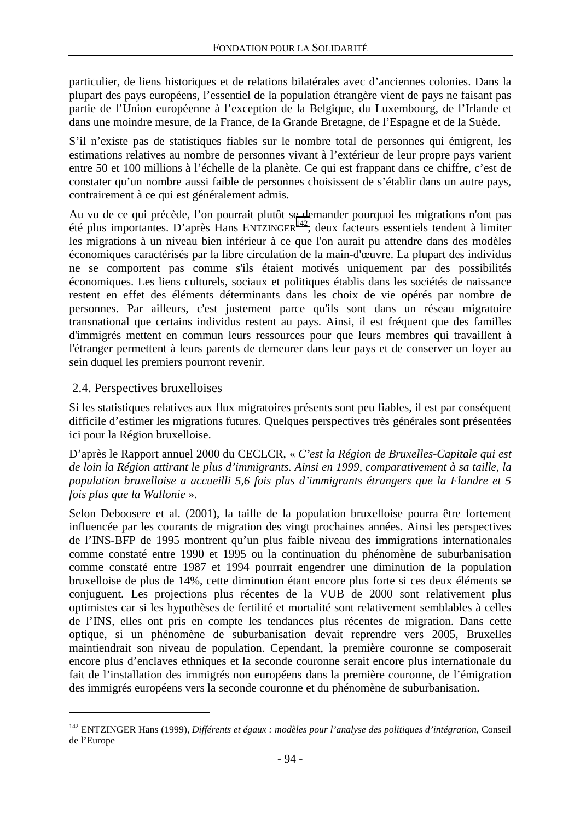particulier, de liens historiques et de relations bilatérales avec d'anciennes colonies. Dans la plupart des pays européens, l'essentiel de la population étrangère vient de pays ne faisant pas partie de l'Union européenne à l'exception de la Belgique, du Luxembourg, de l'Irlande et dans une moindre mesure, de la France, de la Grande Bretagne, de l'Espagne et de la Suède.

S'il n'existe pas de statistiques fiables sur le nombre total de personnes qui émigrent, les estimations relatives au nombre de personnes vivant à l'extérieur de leur propre pays varient entre 50 et 100 millions à l'échelle de la planète. Ce qui est frappant dans ce chiffre, c'est de constater qu'un nombre aussi faible de personnes choisissent de s'établir dans un autre pays, contrairement à ce qui est généralement admis.

Au vu de ce qui précède, l'on pourrait plutôt se demander pourquoi les migrations n'ont pas été plus importantes. D'après Hans ENTZINGER142, deux facteurs essentiels tendent à limiter les migrations à un niveau bien inférieur à ce que l'on aurait pu attendre dans des modèles économiques caractérisés par la libre circulation de la main-d'œuvre. La plupart des individus ne se comportent pas comme s'ils étaient motivés uniquement par des possibilités économiques. Les liens culturels, sociaux et politiques établis dans les sociétés de naissance restent en effet des éléments déterminants dans les choix de vie opérés par nombre de personnes. Par ailleurs, c'est justement parce qu'ils sont dans un réseau migratoire transnational que certains individus restent au pays. Ainsi, il est fréquent que des familles d'immigrés mettent en commun leurs ressources pour que leurs membres qui travaillent à l'étranger permettent à leurs parents de demeurer dans leur pays et de conserver un foyer au sein duquel les premiers pourront revenir.

## 2.4. Perspectives bruxelloises

 $\overline{a}$ 

Si les statistiques relatives aux flux migratoires présents sont peu fiables, il est par conséquent difficile d'estimer les migrations futures. Quelques perspectives très générales sont présentées ici pour la Région bruxelloise.

D'après le Rapport annuel 2000 du CECLCR, « *C'est la Région de Bruxelles-Capitale qui est de loin la Région attirant le plus d'immigrants. Ainsi en 1999, comparativement à sa taille, la population bruxelloise a accueilli 5,6 fois plus d'immigrants étrangers que la Flandre et 5 fois plus que la Wallonie* ».

Selon Deboosere et al. (2001), la taille de la population bruxelloise pourra être fortement influencée par les courants de migration des vingt prochaines années. Ainsi les perspectives de l'INS-BFP de 1995 montrent qu'un plus faible niveau des immigrations internationales comme constaté entre 1990 et 1995 ou la continuation du phénomène de suburbanisation comme constaté entre 1987 et 1994 pourrait engendrer une diminution de la population bruxelloise de plus de 14%, cette diminution étant encore plus forte si ces deux éléments se conjuguent. Les projections plus récentes de la VUB de 2000 sont relativement plus optimistes car si les hypothèses de fertilité et mortalité sont relativement semblables à celles de l'INS, elles ont pris en compte les tendances plus récentes de migration. Dans cette optique, si un phénomène de suburbanisation devait reprendre vers 2005, Bruxelles maintiendrait son niveau de population. Cependant, la première couronne se composerait encore plus d'enclaves ethniques et la seconde couronne serait encore plus internationale du fait de l'installation des immigrés non européens dans la première couronne, de l'émigration des immigrés européens vers la seconde couronne et du phénomène de suburbanisation.

<sup>142</sup> ENTZINGER Hans (1999), *Différents et égaux : modèles pour l'analyse des politiques d'intégration*, Conseil de l'Europe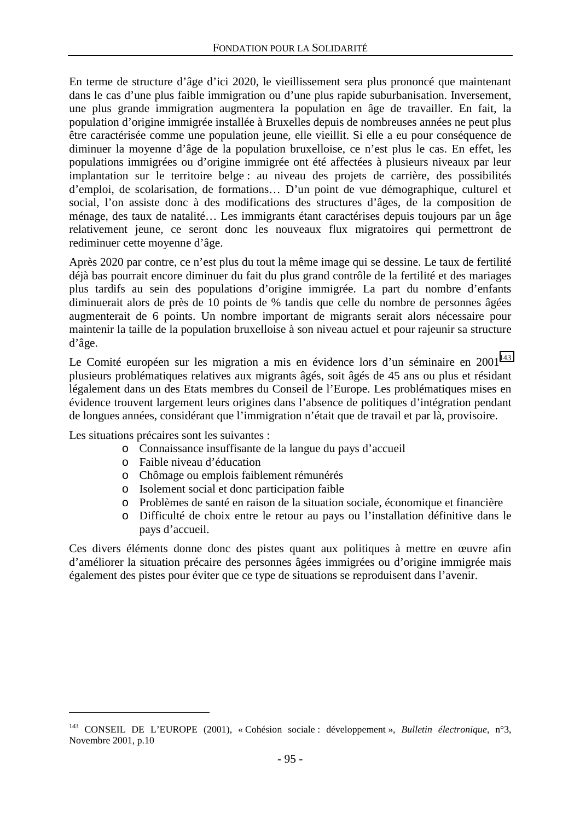En terme de structure d'âge d'ici 2020, le vieillissement sera plus prononcé que maintenant dans le cas d'une plus faible immigration ou d'une plus rapide suburbanisation. Inversement, une plus grande immigration augmentera la population en âge de travailler. En fait, la population d'origine immigrée installée à Bruxelles depuis de nombreuses années ne peut plus être caractérisée comme une population jeune, elle vieillit. Si elle a eu pour conséquence de diminuer la moyenne d'âge de la population bruxelloise, ce n'est plus le cas. En effet, les populations immigrées ou d'origine immigrée ont été affectées à plusieurs niveaux par leur implantation sur le territoire belge : au niveau des projets de carrière, des possibilités d'emploi, de scolarisation, de formations… D'un point de vue démographique, culturel et social, l'on assiste donc à des modifications des structures d'âges, de la composition de ménage, des taux de natalité… Les immigrants étant caractérises depuis toujours par un âge relativement jeune, ce seront donc les nouveaux flux migratoires qui permettront de rediminuer cette moyenne d'âge.

Après 2020 par contre, ce n'est plus du tout la même image qui se dessine. Le taux de fertilité déjà bas pourrait encore diminuer du fait du plus grand contrôle de la fertilité et des mariages plus tardifs au sein des populations d'origine immigrée. La part du nombre d'enfants diminuerait alors de près de 10 points de % tandis que celle du nombre de personnes âgées augmenterait de 6 points. Un nombre important de migrants serait alors nécessaire pour maintenir la taille de la population bruxelloise à son niveau actuel et pour rajeunir sa structure d'âge.

Le Comité européen sur les migration a mis en évidence lors d'un séminaire en  $2001<sup>143</sup>$ plusieurs problématiques relatives aux migrants âgés, soit âgés de 45 ans ou plus et résidant légalement dans un des Etats membres du Conseil de l'Europe. Les problématiques mises en évidence trouvent largement leurs origines dans l'absence de politiques d'intégration pendant de longues années, considérant que l'immigration n'était que de travail et par là, provisoire.

Les situations précaires sont les suivantes :

 $\overline{a}$ 

- o Connaissance insuffisante de la langue du pays d'accueil
- o Faible niveau d'éducation
- o Chômage ou emplois faiblement rémunérés
- o Isolement social et donc participation faible
- o Problèmes de santé en raison de la situation sociale, économique et financière
- o Difficulté de choix entre le retour au pays ou l'installation définitive dans le pays d'accueil.

Ces divers éléments donne donc des pistes quant aux politiques à mettre en œuvre afin d'améliorer la situation précaire des personnes âgées immigrées ou d'origine immigrée mais également des pistes pour éviter que ce type de situations se reproduisent dans l'avenir.

<sup>143</sup> CONSEIL DE L'EUROPE (2001), « Cohésion sociale : développement », *Bulletin électronique*, n°3, Novembre 2001, p.10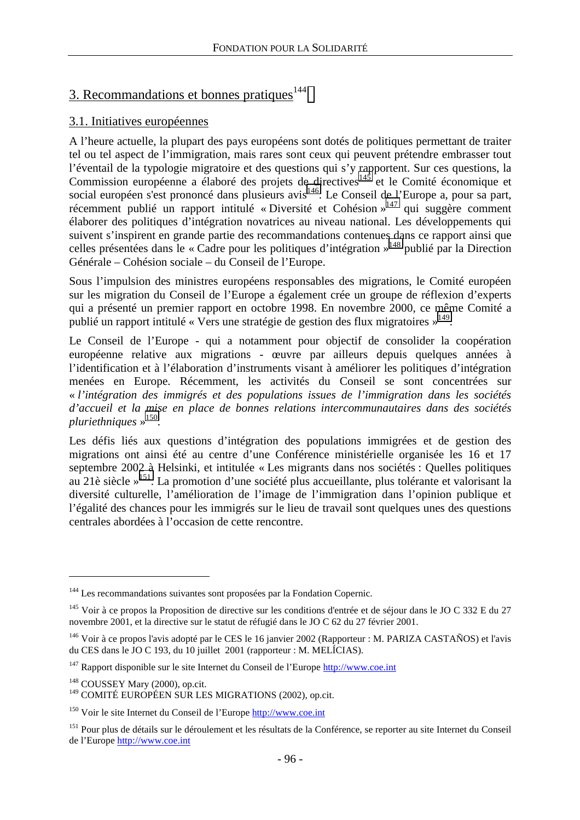# 3. Recommandations et bonnes pratiques $144$

## 3.1. Initiatives européennes

A l'heure actuelle, la plupart des pays européens sont dotés de politiques permettant de traiter tel ou tel aspect de l'immigration, mais rares sont ceux qui peuvent prétendre embrasser tout l'éventail de la typologie migratoire et des questions qui s'y rapportent. Sur ces questions, la Commission européenne a élaboré des projets de directives145 et le Comité économique et social européen s'est prononcé dans plusieurs avis146. Le Conseil de l'Europe a, pour sa part, récemment publié un rapport intitulé « Diversité et Cohésion »<sup>147</sup> qui suggère comment élaborer des politiques d'intégration novatrices au niveau national. Les développements qui suivent s'inspirent en grande partie des recommandations contenues dans ce rapport ainsi que celles présentées dans le « Cadre pour les politiques d'intégration »148 publié par la Direction Générale – Cohésion sociale – du Conseil de l'Europe.

Sous l'impulsion des ministres européens responsables des migrations, le Comité européen sur les migration du Conseil de l'Europe a également crée un groupe de réflexion d'experts qui a présenté un premier rapport en octobre 1998. En novembre 2000, ce même Comité a publié un rapport intitulé « Vers une stratégie de gestion des flux migratoires »149.

Le Conseil de l'Europe - qui a notamment pour objectif de consolider la coopération européenne relative aux migrations - œuvre par ailleurs depuis quelques années à l'identification et à l'élaboration d'instruments visant à améliorer les politiques d'intégration menées en Europe. Récemment, les activités du Conseil se sont concentrées sur « *l'intégration des immigrés et des populations issues de l'immigration dans les sociétés d'accueil et la mise en place de bonnes relations intercommunautaires dans des sociétés pluriethniques* » 150.

Les défis liés aux questions d'intégration des populations immigrées et de gestion des migrations ont ainsi été au centre d'une Conférence ministérielle organisée les 16 et 17 septembre 2002 à Helsinki, et intitulée « Les migrants dans nos sociétés : Quelles politiques au 21è siècle »151. La promotion d'une société plus accueillante, plus tolérante et valorisant la diversité culturelle, l'amélioration de l'image de l'immigration dans l'opinion publique et l'égalité des chances pour les immigrés sur le lieu de travail sont quelques unes des questions centrales abordées à l'occasion de cette rencontre.

<sup>&</sup>lt;sup>144</sup> Les recommandations suivantes sont proposées par la Fondation Copernic.

<sup>&</sup>lt;sup>145</sup> Voir à ce propos la Proposition de directive sur les conditions d'entrée et de séjour dans le JO C 332 E du 27 novembre 2001, et la directive sur le statut de réfugié dans le JO C 62 du 27 février 2001.

<sup>&</sup>lt;sup>146</sup> Voir à ce propos l'avis adopté par le CES le 16 janvier 2002 (Rapporteur : M. PARIZA CASTAÑOS) et l'avis du CES dans le JO C 193, du 10 juillet 2001 (rapporteur : M. MELÍCIAS).

 $147$  Rapport disponible sur le site Internet du Conseil de l'Europe http://www.coe.int

<sup>&</sup>lt;sup>148</sup> COUSSEY Mary (2000), op.cit.

<sup>149</sup> COMITÉ EUROPÉEN SUR LES MIGRATIONS (2002), op.cit.

<sup>150</sup> Voir le site Internet du Conseil de l'Europe http://www.coe.int

<sup>&</sup>lt;sup>151</sup> Pour plus de détails sur le déroulement et les résultats de la Conférence, se reporter au site Internet du Conseil de l'Europe http://www.coe.int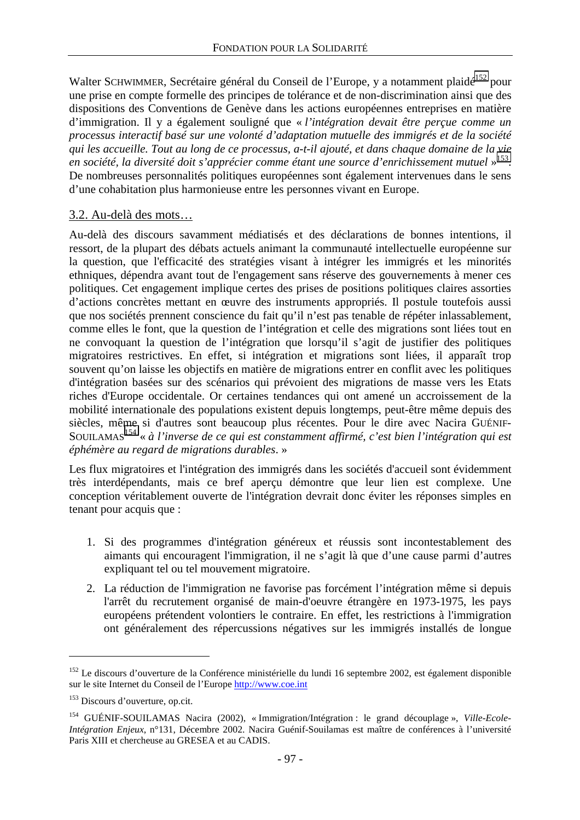Walter SCHWIMMER, Secrétaire général du Conseil de l'Europe, y a notamment plaidé<sup>152</sup> pour une prise en compte formelle des principes de tolérance et de non-discrimination ainsi que des dispositions des Conventions de Genève dans les actions européennes entreprises en matière d'immigration. Il y a également souligné que « *l'intégration devait être perçue comme un processus interactif basé sur une volonté d'adaptation mutuelle des immigrés et de la société qui les accueille. Tout au long de ce processus, a-t-il ajouté, et dans chaque domaine de la vie en société, la diversité doit s'apprécier comme étant une source d'enrichissement mutuel* » 153. De nombreuses personnalités politiques européennes sont également intervenues dans le sens d'une cohabitation plus harmonieuse entre les personnes vivant en Europe.

#### 3.2. Au-delà des mots…

Au-delà des discours savamment médiatisés et des déclarations de bonnes intentions, il ressort, de la plupart des débats actuels animant la communauté intellectuelle européenne sur la question, que l'efficacité des stratégies visant à intégrer les immigrés et les minorités ethniques, dépendra avant tout de l'engagement sans réserve des gouvernements à mener ces politiques. Cet engagement implique certes des prises de positions politiques claires assorties d'actions concrètes mettant en œuvre des instruments appropriés. Il postule toutefois aussi que nos sociétés prennent conscience du fait qu'il n'est pas tenable de répéter inlassablement, comme elles le font, que la question de l'intégration et celle des migrations sont liées tout en ne convoquant la question de l'intégration que lorsqu'il s'agit de justifier des politiques migratoires restrictives. En effet, si intégration et migrations sont liées, il apparaît trop souvent qu'on laisse les objectifs en matière de migrations entrer en conflit avec les politiques d'intégration basées sur des scénarios qui prévoient des migrations de masse vers les Etats riches d'Europe occidentale. Or certaines tendances qui ont amené un accroissement de la mobilité internationale des populations existent depuis longtemps, peut-être même depuis des siècles, même si d'autres sont beaucoup plus récentes. Pour le dire avec Nacira GUÉNIF-SOUILAMAS<sup>154</sup> « à l'inverse de ce qui est constamment affirmé, c'est bien l'intégration qui est *éphémère au regard de migrations durables*. »

Les flux migratoires et l'intégration des immigrés dans les sociétés d'accueil sont évidemment très interdépendants, mais ce bref aperçu démontre que leur lien est complexe. Une conception véritablement ouverte de l'intégration devrait donc éviter les réponses simples en tenant pour acquis que :

- 1. Si des programmes d'intégration généreux et réussis sont incontestablement des aimants qui encouragent l'immigration, il ne s'agit là que d'une cause parmi d'autres expliquant tel ou tel mouvement migratoire.
- 2. La réduction de l'immigration ne favorise pas forcément l'intégration même si depuis l'arrêt du recrutement organisé de main-d'oeuvre étrangère en 1973-1975, les pays européens prétendent volontiers le contraire. En effet, les restrictions à l'immigration ont généralement des répercussions négatives sur les immigrés installés de longue

 $152$  Le discours d'ouverture de la Conférence ministérielle du lundi 16 septembre 2002, est également disponible sur le site Internet du Conseil de l'Europe http://www.coe.int

<sup>153</sup> Discours d'ouverture, op.cit.

<sup>154</sup> GUÉNIF-SOUILAMAS Nacira (2002), « Immigration/Intégration : le grand découplage », *Ville-Ecole-Intégration Enjeux*, n°131, Décembre 2002. Nacira Guénif-Souilamas est maître de conférences à l'université Paris XIII et chercheuse au GRESEA et au CADIS.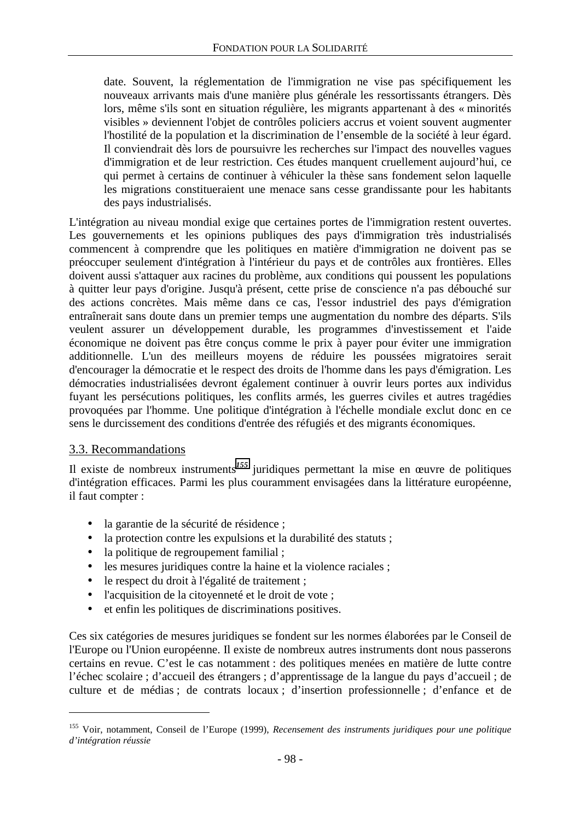date. Souvent, la réglementation de l'immigration ne vise pas spécifiquement les nouveaux arrivants mais d'une manière plus générale les ressortissants étrangers. Dès lors, même s'ils sont en situation régulière, les migrants appartenant à des « minorités visibles » deviennent l'objet de contrôles policiers accrus et voient souvent augmenter l'hostilité de la population et la discrimination de l'ensemble de la société à leur égard. Il conviendrait dès lors de poursuivre les recherches sur l'impact des nouvelles vagues d'immigration et de leur restriction. Ces études manquent cruellement aujourd'hui, ce qui permet à certains de continuer à véhiculer la thèse sans fondement selon laquelle les migrations constitueraient une menace sans cesse grandissante pour les habitants des pays industrialisés.

L'intégration au niveau mondial exige que certaines portes de l'immigration restent ouvertes. Les gouvernements et les opinions publiques des pays d'immigration très industrialisés commencent à comprendre que les politiques en matière d'immigration ne doivent pas se préoccuper seulement d'intégration à l'intérieur du pays et de contrôles aux frontières. Elles doivent aussi s'attaquer aux racines du problème, aux conditions qui poussent les populations à quitter leur pays d'origine. Jusqu'à présent, cette prise de conscience n'a pas débouché sur des actions concrètes. Mais même dans ce cas, l'essor industriel des pays d'émigration entraînerait sans doute dans un premier temps une augmentation du nombre des départs. S'ils veulent assurer un développement durable, les programmes d'investissement et l'aide économique ne doivent pas être conçus comme le prix à payer pour éviter une immigration additionnelle. L'un des meilleurs moyens de réduire les poussées migratoires serait d'encourager la démocratie et le respect des droits de l'homme dans les pays d'émigration. Les démocraties industrialisées devront également continuer à ouvrir leurs portes aux individus fuyant les persécutions politiques, les conflits armés, les guerres civiles et autres tragédies provoquées par l'homme. Une politique d'intégration à l'échelle mondiale exclut donc en ce sens le durcissement des conditions d'entrée des réfugiés et des migrants économiques.

### 3.3. Recommandations

 $\overline{a}$ 

Il existe de nombreux instruments*<sup>155</sup>* juridiques permettant la mise en œuvre de politiques d'intégration efficaces. Parmi les plus couramment envisagées dans la littérature européenne, il faut compter :

- la garantie de la sécurité de résidence ;
- la protection contre les expulsions et la durabilité des statuts ;
- la politique de regroupement familial;
- les mesures juridiques contre la haine et la violence raciales ;
- le respect du droit à l'égalité de traitement ;
- l'acquisition de la citoyenneté et le droit de vote ;
- et enfin les politiques de discriminations positives.

Ces six catégories de mesures juridiques se fondent sur les normes élaborées par le Conseil de l'Europe ou l'Union européenne. Il existe de nombreux autres instruments dont nous passerons certains en revue. C'est le cas notamment : des politiques menées en matière de lutte contre l'échec scolaire ; d'accueil des étrangers ; d'apprentissage de la langue du pays d'accueil ; de culture et de médias ; de contrats locaux ; d'insertion professionnelle ; d'enfance et de

<sup>155</sup> Voir, notamment, Conseil de l'Europe (1999), *Recensement des instruments juridiques pour une politique d'intégration réussie*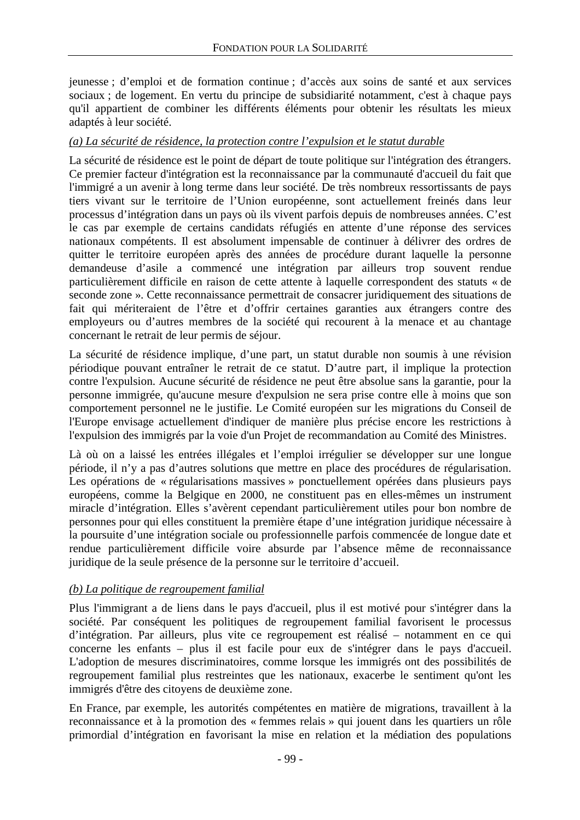jeunesse ; d'emploi et de formation continue ; d'accès aux soins de santé et aux services sociaux ; de logement. En vertu du principe de subsidiarité notamment, c'est à chaque pays qu'il appartient de combiner les différents éléments pour obtenir les résultats les mieux adaptés à leur société.

### *(a) La sécurité de résidence, la protection contre l'expulsion et le statut durable*

La sécurité de résidence est le point de départ de toute politique sur l'intégration des étrangers. Ce premier facteur d'intégration est la reconnaissance par la communauté d'accueil du fait que l'immigré a un avenir à long terme dans leur société. De très nombreux ressortissants de pays tiers vivant sur le territoire de l'Union européenne, sont actuellement freinés dans leur processus d'intégration dans un pays où ils vivent parfois depuis de nombreuses années. C'est le cas par exemple de certains candidats réfugiés en attente d'une réponse des services nationaux compétents. Il est absolument impensable de continuer à délivrer des ordres de quitter le territoire européen après des années de procédure durant laquelle la personne demandeuse d'asile a commencé une intégration par ailleurs trop souvent rendue particulièrement difficile en raison de cette attente à laquelle correspondent des statuts « de seconde zone ». Cette reconnaissance permettrait de consacrer juridiquement des situations de fait qui mériteraient de l'être et d'offrir certaines garanties aux étrangers contre des employeurs ou d'autres membres de la société qui recourent à la menace et au chantage concernant le retrait de leur permis de séjour.

La sécurité de résidence implique, d'une part, un statut durable non soumis à une révision périodique pouvant entraîner le retrait de ce statut. D'autre part, il implique la protection contre l'expulsion. Aucune sécurité de résidence ne peut être absolue sans la garantie, pour la personne immigrée, qu'aucune mesure d'expulsion ne sera prise contre elle à moins que son comportement personnel ne le justifie. Le Comité européen sur les migrations du Conseil de l'Europe envisage actuellement d'indiquer de manière plus précise encore les restrictions à l'expulsion des immigrés par la voie d'un Projet de recommandation au Comité des Ministres.

Là où on a laissé les entrées illégales et l'emploi irrégulier se développer sur une longue période, il n'y a pas d'autres solutions que mettre en place des procédures de régularisation. Les opérations de « régularisations massives » ponctuellement opérées dans plusieurs pays européens, comme la Belgique en 2000, ne constituent pas en elles-mêmes un instrument miracle d'intégration. Elles s'avèrent cependant particulièrement utiles pour bon nombre de personnes pour qui elles constituent la première étape d'une intégration juridique nécessaire à la poursuite d'une intégration sociale ou professionnelle parfois commencée de longue date et rendue particulièrement difficile voire absurde par l'absence même de reconnaissance juridique de la seule présence de la personne sur le territoire d'accueil.

### *(b) La politique de regroupement familial*

Plus l'immigrant a de liens dans le pays d'accueil, plus il est motivé pour s'intégrer dans la société. Par conséquent les politiques de regroupement familial favorisent le processus d'intégration. Par ailleurs, plus vite ce regroupement est réalisé – notamment en ce qui concerne les enfants – plus il est facile pour eux de s'intégrer dans le pays d'accueil. L'adoption de mesures discriminatoires, comme lorsque les immigrés ont des possibilités de regroupement familial plus restreintes que les nationaux, exacerbe le sentiment qu'ont les immigrés d'être des citoyens de deuxième zone.

En France, par exemple, les autorités compétentes en matière de migrations, travaillent à la reconnaissance et à la promotion des « femmes relais » qui jouent dans les quartiers un rôle primordial d'intégration en favorisant la mise en relation et la médiation des populations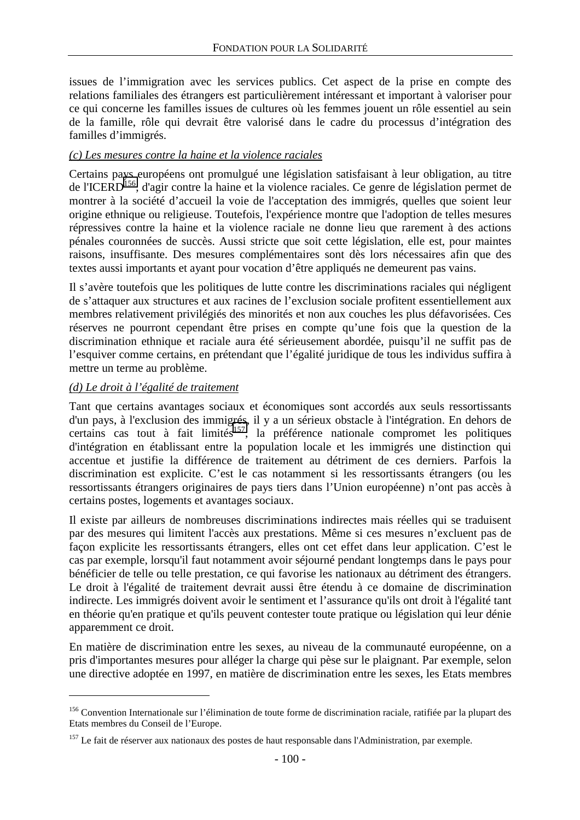issues de l'immigration avec les services publics. Cet aspect de la prise en compte des relations familiales des étrangers est particulièrement intéressant et important à valoriser pour ce qui concerne les familles issues de cultures où les femmes jouent un rôle essentiel au sein de la famille, rôle qui devrait être valorisé dans le cadre du processus d'intégration des familles d'immigrés.

### *(c) Les mesures contre la haine et la violence raciales*

Certains pays européens ont promulgué une législation satisfaisant à leur obligation, au titre de l'ICERD156, d'agir contre la haine et la violence raciales. Ce genre de législation permet de montrer à la société d'accueil la voie de l'acceptation des immigrés, quelles que soient leur origine ethnique ou religieuse. Toutefois, l'expérience montre que l'adoption de telles mesures répressives contre la haine et la violence raciale ne donne lieu que rarement à des actions pénales couronnées de succès. Aussi stricte que soit cette législation, elle est, pour maintes raisons, insuffisante. Des mesures complémentaires sont dès lors nécessaires afin que des textes aussi importants et ayant pour vocation d'être appliqués ne demeurent pas vains.

Il s'avère toutefois que les politiques de lutte contre les discriminations raciales qui négligent de s'attaquer aux structures et aux racines de l'exclusion sociale profitent essentiellement aux membres relativement privilégiés des minorités et non aux couches les plus défavorisées. Ces réserves ne pourront cependant être prises en compte qu'une fois que la question de la discrimination ethnique et raciale aura été sérieusement abordée, puisqu'il ne suffit pas de l'esquiver comme certains, en prétendant que l'égalité juridique de tous les individus suffira à mettre un terme au problème.

### *(d) Le droit à l'égalité de traitement*

 $\overline{a}$ 

Tant que certains avantages sociaux et économiques sont accordés aux seuls ressortissants d'un pays, à l'exclusion des immigrés, il y a un sérieux obstacle à l'intégration. En dehors de certains cas tout à fait limités<sup>157</sup>, la préférence nationale compromet les politiques d'intégration en établissant entre la population locale et les immigrés une distinction qui accentue et justifie la différence de traitement au détriment de ces derniers. Parfois la discrimination est explicite. C'est le cas notamment si les ressortissants étrangers (ou les ressortissants étrangers originaires de pays tiers dans l'Union européenne) n'ont pas accès à certains postes, logements et avantages sociaux.

Il existe par ailleurs de nombreuses discriminations indirectes mais réelles qui se traduisent par des mesures qui limitent l'accès aux prestations. Même si ces mesures n'excluent pas de façon explicite les ressortissants étrangers, elles ont cet effet dans leur application. C'est le cas par exemple, lorsqu'il faut notamment avoir séjourné pendant longtemps dans le pays pour bénéficier de telle ou telle prestation, ce qui favorise les nationaux au détriment des étrangers. Le droit à l'égalité de traitement devrait aussi être étendu à ce domaine de discrimination indirecte. Les immigrés doivent avoir le sentiment et l'assurance qu'ils ont droit à l'égalité tant en théorie qu'en pratique et qu'ils peuvent contester toute pratique ou législation qui leur dénie apparemment ce droit.

En matière de discrimination entre les sexes, au niveau de la communauté européenne, on a pris d'importantes mesures pour alléger la charge qui pèse sur le plaignant. Par exemple, selon une directive adoptée en 1997, en matière de discrimination entre les sexes, les Etats membres

<sup>&</sup>lt;sup>156</sup> Convention Internationale sur l'élimination de toute forme de discrimination raciale, ratifiée par la plupart des Etats membres du Conseil de l'Europe.

<sup>&</sup>lt;sup>157</sup> Le fait de réserver aux nationaux des postes de haut responsable dans l'Administration, par exemple.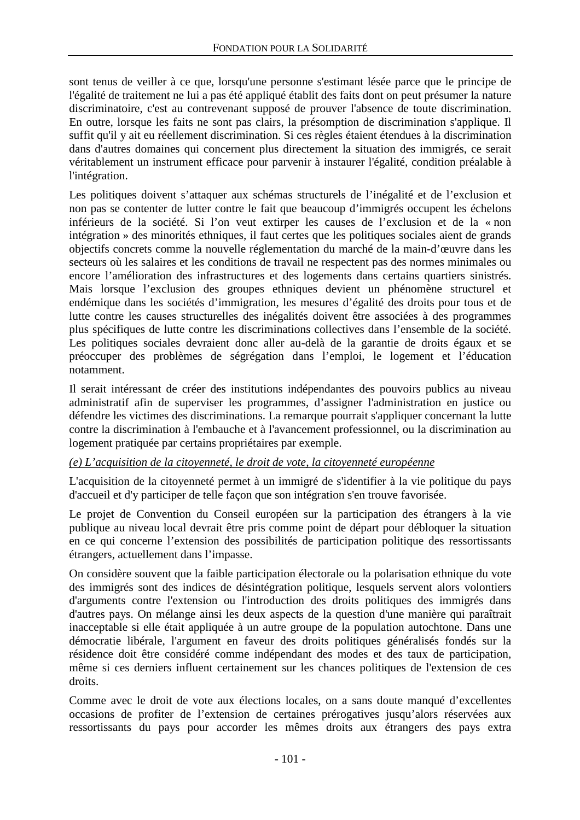sont tenus de veiller à ce que, lorsqu'une personne s'estimant lésée parce que le principe de l'égalité de traitement ne lui a pas été appliqué établit des faits dont on peut présumer la nature discriminatoire, c'est au contrevenant supposé de prouver l'absence de toute discrimination. En outre, lorsque les faits ne sont pas clairs, la présomption de discrimination s'applique. Il suffit qu'il y ait eu réellement discrimination. Si ces règles étaient étendues à la discrimination dans d'autres domaines qui concernent plus directement la situation des immigrés, ce serait véritablement un instrument efficace pour parvenir à instaurer l'égalité, condition préalable à l'intégration.

Les politiques doivent s'attaquer aux schémas structurels de l'inégalité et de l'exclusion et non pas se contenter de lutter contre le fait que beaucoup d'immigrés occupent les échelons inférieurs de la société. Si l'on veut extirper les causes de l'exclusion et de la « non intégration » des minorités ethniques, il faut certes que les politiques sociales aient de grands objectifs concrets comme la nouvelle réglementation du marché de la main-d'œuvre dans les secteurs où les salaires et les conditions de travail ne respectent pas des normes minimales ou encore l'amélioration des infrastructures et des logements dans certains quartiers sinistrés. Mais lorsque l'exclusion des groupes ethniques devient un phénomène structurel et endémique dans les sociétés d'immigration, les mesures d'égalité des droits pour tous et de lutte contre les causes structurelles des inégalités doivent être associées à des programmes plus spécifiques de lutte contre les discriminations collectives dans l'ensemble de la société. Les politiques sociales devraient donc aller au-delà de la garantie de droits égaux et se préoccuper des problèmes de ségrégation dans l'emploi, le logement et l'éducation notamment.

Il serait intéressant de créer des institutions indépendantes des pouvoirs publics au niveau administratif afin de superviser les programmes, d'assigner l'administration en justice ou défendre les victimes des discriminations. La remarque pourrait s'appliquer concernant la lutte contre la discrimination à l'embauche et à l'avancement professionnel, ou la discrimination au logement pratiquée par certains propriétaires par exemple.

## *(e) L'acquisition de la citoyenneté, le droit de vote, la citoyenneté européenne*

L'acquisition de la citoyenneté permet à un immigré de s'identifier à la vie politique du pays d'accueil et d'y participer de telle façon que son intégration s'en trouve favorisée.

Le projet de Convention du Conseil européen sur la participation des étrangers à la vie publique au niveau local devrait être pris comme point de départ pour débloquer la situation en ce qui concerne l'extension des possibilités de participation politique des ressortissants étrangers, actuellement dans l'impasse.

On considère souvent que la faible participation électorale ou la polarisation ethnique du vote des immigrés sont des indices de désintégration politique, lesquels servent alors volontiers d'arguments contre l'extension ou l'introduction des droits politiques des immigrés dans d'autres pays. On mélange ainsi les deux aspects de la question d'une manière qui paraîtrait inacceptable si elle était appliquée à un autre groupe de la population autochtone. Dans une démocratie libérale, l'argument en faveur des droits politiques généralisés fondés sur la résidence doit être considéré comme indépendant des modes et des taux de participation, même si ces derniers influent certainement sur les chances politiques de l'extension de ces droits.

Comme avec le droit de vote aux élections locales, on a sans doute manqué d'excellentes occasions de profiter de l'extension de certaines prérogatives jusqu'alors réservées aux ressortissants du pays pour accorder les mêmes droits aux étrangers des pays extra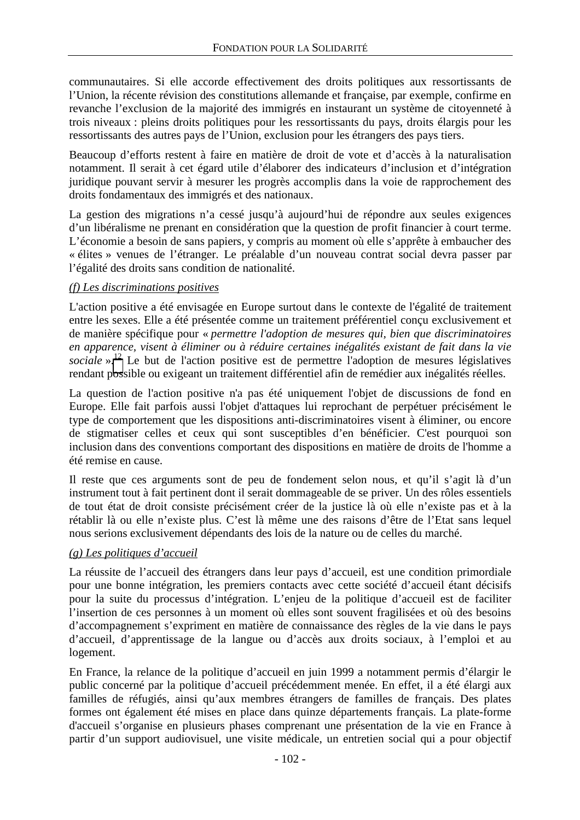communautaires. Si elle accorde effectivement des droits politiques aux ressortissants de l'Union, la récente révision des constitutions allemande et française, par exemple, confirme en revanche l'exclusion de la majorité des immigrés en instaurant un système de citoyenneté à trois niveaux : pleins droits politiques pour les ressortissants du pays, droits élargis pour les ressortissants des autres pays de l'Union, exclusion pour les étrangers des pays tiers.

Beaucoup d'efforts restent à faire en matière de droit de vote et d'accès à la naturalisation notamment. Il serait à cet égard utile d'élaborer des indicateurs d'inclusion et d'intégration juridique pouvant servir à mesurer les progrès accomplis dans la voie de rapprochement des droits fondamentaux des immigrés et des nationaux.

La gestion des migrations n'a cessé jusqu'à aujourd'hui de répondre aux seules exigences d'un libéralisme ne prenant en considération que la question de profit financier à court terme. L'économie a besoin de sans papiers, y compris au moment où elle s'apprête à embaucher des « élites » venues de l'étranger. Le préalable d'un nouveau contrat social devra passer par l'égalité des droits sans condition de nationalité.

### *(f) Les discriminations positives*

L'action positive a été envisagée en Europe surtout dans le contexte de l'égalité de traitement entre les sexes. Elle a été présentée comme un traitement préférentiel conçu exclusivement et de manière spécifique pour « *permettre l'adoption de mesures qui, bien que discriminatoires en apparence, visent à éliminer ou à réduire certaines inégalités existant de fait dans la vie*  sociale ».<sup>12</sup> Le but de l'action positive est de permettre l'adoption de mesures législatives rendant possible ou exigeant un traitement différentiel afin de remédier aux inégalités réelles.

La question de l'action positive n'a pas été uniquement l'objet de discussions de fond en Europe. Elle fait parfois aussi l'objet d'attaques lui reprochant de perpétuer précisément le type de comportement que les dispositions anti-discriminatoires visent à éliminer, ou encore de stigmatiser celles et ceux qui sont susceptibles d'en bénéficier. C'est pourquoi son inclusion dans des conventions comportant des dispositions en matière de droits de l'homme a été remise en cause.

Il reste que ces arguments sont de peu de fondement selon nous, et qu'il s'agit là d'un instrument tout à fait pertinent dont il serait dommageable de se priver. Un des rôles essentiels de tout état de droit consiste précisément créer de la justice là où elle n'existe pas et à la rétablir là ou elle n'existe plus. C'est là même une des raisons d'être de l'Etat sans lequel nous serions exclusivement dépendants des lois de la nature ou de celles du marché.

### *(g) Les politiques d'accueil*

La réussite de l'accueil des étrangers dans leur pays d'accueil, est une condition primordiale pour une bonne intégration, les premiers contacts avec cette société d'accueil étant décisifs pour la suite du processus d'intégration. L'enjeu de la politique d'accueil est de faciliter l'insertion de ces personnes à un moment où elles sont souvent fragilisées et où des besoins d'accompagnement s'expriment en matière de connaissance des règles de la vie dans le pays d'accueil, d'apprentissage de la langue ou d'accès aux droits sociaux, à l'emploi et au logement.

En France, la relance de la politique d'accueil en juin 1999 a notamment permis d'élargir le public concerné par la politique d'accueil précédemment menée. En effet, il a été élargi aux familles de réfugiés, ainsi qu'aux membres étrangers de familles de français. Des plates formes ont également été mises en place dans quinze départements français. La plate-forme d'accueil s'organise en plusieurs phases comprenant une présentation de la vie en France à partir d'un support audiovisuel, une visite médicale, un entretien social qui a pour objectif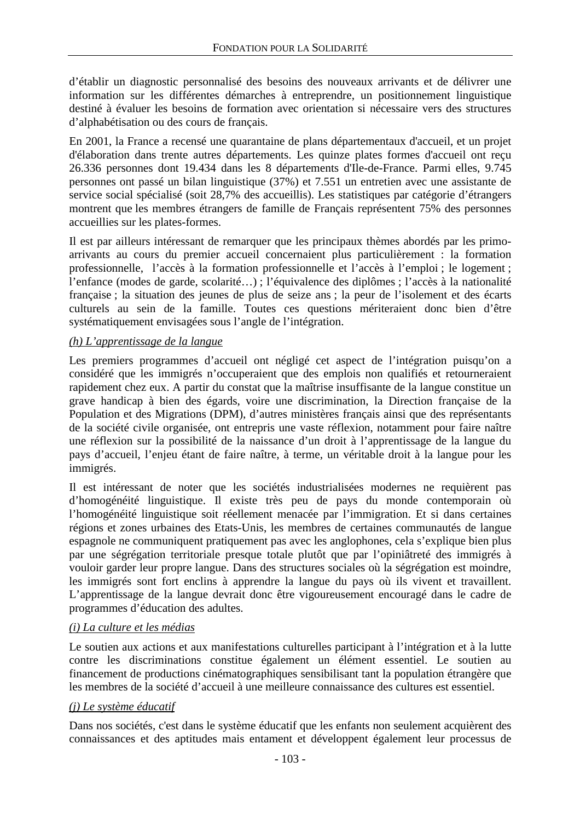d'établir un diagnostic personnalisé des besoins des nouveaux arrivants et de délivrer une information sur les différentes démarches à entreprendre, un positionnement linguistique destiné à évaluer les besoins de formation avec orientation si nécessaire vers des structures d'alphabétisation ou des cours de français.

En 2001, la France a recensé une quarantaine de plans départementaux d'accueil, et un projet d'élaboration dans trente autres départements. Les quinze plates formes d'accueil ont reçu 26.336 personnes dont 19.434 dans les 8 départements d'Ile-de-France. Parmi elles, 9.745 personnes ont passé un bilan linguistique (37%) et 7.551 un entretien avec une assistante de service social spécialisé (soit 28,7% des accueillis). Les statistiques par catégorie d'étrangers montrent que les membres étrangers de famille de Français représentent 75% des personnes accueillies sur les plates-formes.

Il est par ailleurs intéressant de remarquer que les principaux thèmes abordés par les primoarrivants au cours du premier accueil concernaient plus particulièrement : la formation professionnelle, l'accès à la formation professionnelle et l'accès à l'emploi ; le logement ; l'enfance (modes de garde, scolarité…) ; l'équivalence des diplômes ; l'accès à la nationalité française ; la situation des jeunes de plus de seize ans ; la peur de l'isolement et des écarts culturels au sein de la famille. Toutes ces questions mériteraient donc bien d'être systématiquement envisagées sous l'angle de l'intégration.

#### *(h) L'apprentissage de la langue*

Les premiers programmes d'accueil ont négligé cet aspect de l'intégration puisqu'on a considéré que les immigrés n'occuperaient que des emplois non qualifiés et retourneraient rapidement chez eux. A partir du constat que la maîtrise insuffisante de la langue constitue un grave handicap à bien des égards, voire une discrimination, la Direction française de la Population et des Migrations (DPM), d'autres ministères français ainsi que des représentants de la société civile organisée, ont entrepris une vaste réflexion, notamment pour faire naître une réflexion sur la possibilité de la naissance d'un droit à l'apprentissage de la langue du pays d'accueil, l'enjeu étant de faire naître, à terme, un véritable droit à la langue pour les immigrés.

Il est intéressant de noter que les sociétés industrialisées modernes ne requièrent pas d'homogénéité linguistique. Il existe très peu de pays du monde contemporain où l'homogénéité linguistique soit réellement menacée par l'immigration. Et si dans certaines régions et zones urbaines des Etats-Unis, les membres de certaines communautés de langue espagnole ne communiquent pratiquement pas avec les anglophones, cela s'explique bien plus par une ségrégation territoriale presque totale plutôt que par l'opiniâtreté des immigrés à vouloir garder leur propre langue. Dans des structures sociales où la ségrégation est moindre, les immigrés sont fort enclins à apprendre la langue du pays où ils vivent et travaillent. L'apprentissage de la langue devrait donc être vigoureusement encouragé dans le cadre de programmes d'éducation des adultes.

### *(i) La culture et les médias*

Le soutien aux actions et aux manifestations culturelles participant à l'intégration et à la lutte contre les discriminations constitue également un élément essentiel. Le soutien au financement de productions cinématographiques sensibilisant tant la population étrangère que les membres de la société d'accueil à une meilleure connaissance des cultures est essentiel.

#### *(j) Le système éducatif*

Dans nos sociétés, c'est dans le système éducatif que les enfants non seulement acquièrent des connaissances et des aptitudes mais entament et développent également leur processus de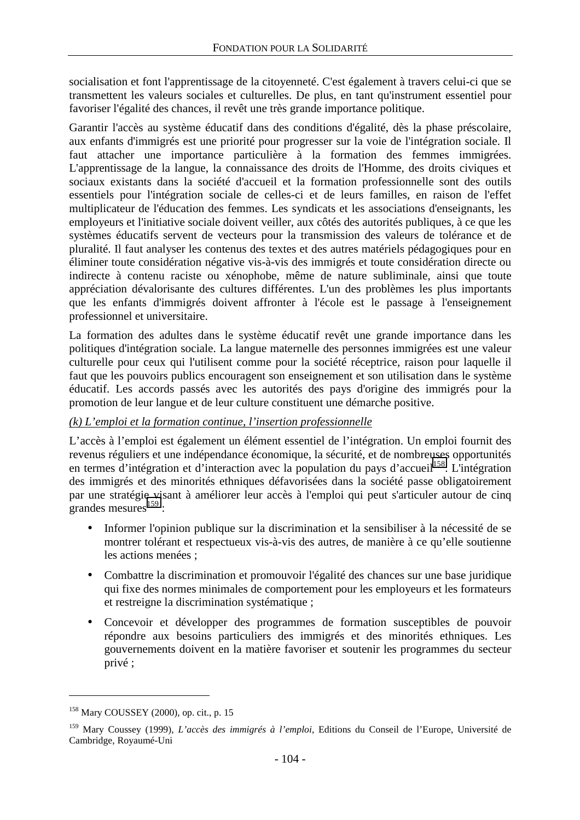socialisation et font l'apprentissage de la citoyenneté. C'est également à travers celui-ci que se transmettent les valeurs sociales et culturelles. De plus, en tant qu'instrument essentiel pour favoriser l'égalité des chances, il revêt une très grande importance politique.

Garantir l'accès au système éducatif dans des conditions d'égalité, dès la phase préscolaire, aux enfants d'immigrés est une priorité pour progresser sur la voie de l'intégration sociale. Il faut attacher une importance particulière à la formation des femmes immigrées. L'apprentissage de la langue, la connaissance des droits de l'Homme, des droits civiques et sociaux existants dans la société d'accueil et la formation professionnelle sont des outils essentiels pour l'intégration sociale de celles-ci et de leurs familles, en raison de l'effet multiplicateur de l'éducation des femmes. Les syndicats et les associations d'enseignants, les employeurs et l'initiative sociale doivent veiller, aux côtés des autorités publiques, à ce que les systèmes éducatifs servent de vecteurs pour la transmission des valeurs de tolérance et de pluralité. Il faut analyser les contenus des textes et des autres matériels pédagogiques pour en éliminer toute considération négative vis-à-vis des immigrés et toute considération directe ou indirecte à contenu raciste ou xénophobe, même de nature subliminale, ainsi que toute appréciation dévalorisante des cultures différentes. L'un des problèmes les plus importants que les enfants d'immigrés doivent affronter à l'école est le passage à l'enseignement professionnel et universitaire.

La formation des adultes dans le système éducatif revêt une grande importance dans les politiques d'intégration sociale. La langue maternelle des personnes immigrées est une valeur culturelle pour ceux qui l'utilisent comme pour la société réceptrice, raison pour laquelle il faut que les pouvoirs publics encouragent son enseignement et son utilisation dans le système éducatif. Les accords passés avec les autorités des pays d'origine des immigrés pour la promotion de leur langue et de leur culture constituent une démarche positive.

## *(k) L'emploi et la formation continue, l'insertion professionnelle*

L'accès à l'emploi est également un élément essentiel de l'intégration. Un emploi fournit des revenus réguliers et une indépendance économique, la sécurité, et de nombreuses opportunités en termes d'intégration et d'interaction avec la population du pays d'accueil<sup>158</sup>. L'intégration des immigrés et des minorités ethniques défavorisées dans la société passe obligatoirement par une stratégie visant à améliorer leur accès à l'emploi qui peut s'articuler autour de cinq erandes mesures $^{159}$  :

- Informer l'opinion publique sur la discrimination et la sensibiliser à la nécessité de se montrer tolérant et respectueux vis-à-vis des autres, de manière à ce qu'elle soutienne les actions menées ;
- Combattre la discrimination et promouvoir l'égalité des chances sur une base juridique qui fixe des normes minimales de comportement pour les employeurs et les formateurs et restreigne la discrimination systématique ;
- Concevoir et développer des programmes de formation susceptibles de pouvoir répondre aux besoins particuliers des immigrés et des minorités ethniques. Les gouvernements doivent en la matière favoriser et soutenir les programmes du secteur privé ;

<sup>158</sup> Mary COUSSEY (2000), op. cit., p. 15

<sup>159</sup> Mary Coussey (1999), *L'accès des immigrés à l'emploi*, Editions du Conseil de l'Europe, Université de Cambridge, Royaumé-Uni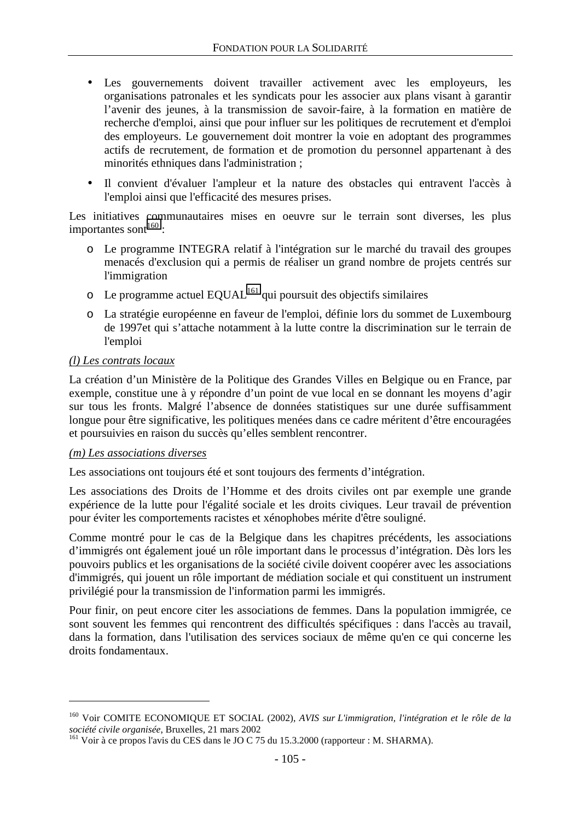- Les gouvernements doivent travailler activement avec les employeurs, les organisations patronales et les syndicats pour les associer aux plans visant à garantir l'avenir des jeunes, à la transmission de savoir-faire, à la formation en matière de recherche d'emploi, ainsi que pour influer sur les politiques de recrutement et d'emploi des employeurs. Le gouvernement doit montrer la voie en adoptant des programmes actifs de recrutement, de formation et de promotion du personnel appartenant à des minorités ethniques dans l'administration ;
- Il convient d'évaluer l'ampleur et la nature des obstacles qui entravent l'accès à l'emploi ainsi que l'efficacité des mesures prises.

Les initiatives communautaires mises en oeuvre sur le terrain sont diverses, les plus importantes sont $^{160}$  :

- o Le programme INTEGRA relatif à l'intégration sur le marché du travail des groupes menacés d'exclusion qui a permis de réaliser un grand nombre de projets centrés sur l'immigration
- $\circ$  Le programme actuel EQUAL<sup>161</sup> qui poursuit des objectifs similaires
- o La stratégie européenne en faveur de l'emploi, définie lors du sommet de Luxembourg de 1997et qui s'attache notamment à la lutte contre la discrimination sur le terrain de l'emploi

### *(l) Les contrats locaux*

La création d'un Ministère de la Politique des Grandes Villes en Belgique ou en France, par exemple, constitue une à y répondre d'un point de vue local en se donnant les moyens d'agir sur tous les fronts. Malgré l'absence de données statistiques sur une durée suffisamment longue pour être significative, les politiques menées dans ce cadre méritent d'être encouragées et poursuivies en raison du succès qu'elles semblent rencontrer.

### *(m) Les associations diverses*

 $\overline{a}$ 

Les associations ont toujours été et sont toujours des ferments d'intégration.

Les associations des Droits de l'Homme et des droits civiles ont par exemple une grande expérience de la lutte pour l'égalité sociale et les droits civiques. Leur travail de prévention pour éviter les comportements racistes et xénophobes mérite d'être souligné.

Comme montré pour le cas de la Belgique dans les chapitres précédents, les associations d'immigrés ont également joué un rôle important dans le processus d'intégration. Dès lors les pouvoirs publics et les organisations de la société civile doivent coopérer avec les associations d'immigrés, qui jouent un rôle important de médiation sociale et qui constituent un instrument privilégié pour la transmission de l'information parmi les immigrés.

Pour finir, on peut encore citer les associations de femmes. Dans la population immigrée, ce sont souvent les femmes qui rencontrent des difficultés spécifiques : dans l'accès au travail, dans la formation, dans l'utilisation des services sociaux de même qu'en ce qui concerne les droits fondamentaux.

<sup>&</sup>lt;sup>160</sup> Voir COMITE ECONOMIQUE ET SOCIAL (2002), *AVIS sur L'immigration, l'intégration et le rôle de la société civile organisée*, Bruxelles, 21 mars 2002

<sup>&</sup>lt;sup>161</sup> Voir à ce propos l'avis du CES dans le JO C 75 du 15.3.2000 (rapporteur : M. SHARMA).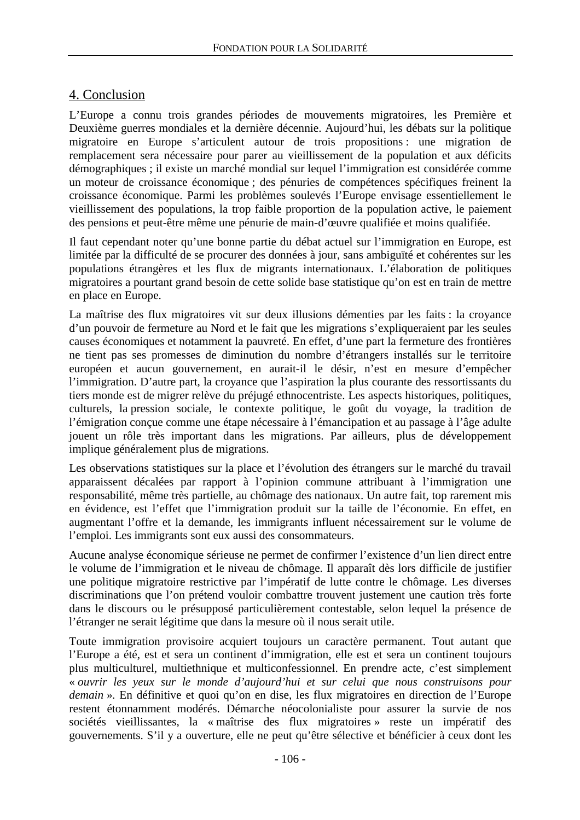# 4. Conclusion

L'Europe a connu trois grandes périodes de mouvements migratoires, les Première et Deuxième guerres mondiales et la dernière décennie. Aujourd'hui, les débats sur la politique migratoire en Europe s'articulent autour de trois propositions : une migration de remplacement sera nécessaire pour parer au vieillissement de la population et aux déficits démographiques ; il existe un marché mondial sur lequel l'immigration est considérée comme un moteur de croissance économique ; des pénuries de compétences spécifiques freinent la croissance économique. Parmi les problèmes soulevés l'Europe envisage essentiellement le vieillissement des populations, la trop faible proportion de la population active, le paiement des pensions et peut-être même une pénurie de main-d'œuvre qualifiée et moins qualifiée.

Il faut cependant noter qu'une bonne partie du débat actuel sur l'immigration en Europe, est limitée par la difficulté de se procurer des données à jour, sans ambiguïté et cohérentes sur les populations étrangères et les flux de migrants internationaux. L'élaboration de politiques migratoires a pourtant grand besoin de cette solide base statistique qu'on est en train de mettre en place en Europe.

La maîtrise des flux migratoires vit sur deux illusions démenties par les faits : la croyance d'un pouvoir de fermeture au Nord et le fait que les migrations s'expliqueraient par les seules causes économiques et notamment la pauvreté. En effet, d'une part la fermeture des frontières ne tient pas ses promesses de diminution du nombre d'étrangers installés sur le territoire européen et aucun gouvernement, en aurait-il le désir, n'est en mesure d'empêcher l'immigration. D'autre part, la croyance que l'aspiration la plus courante des ressortissants du tiers monde est de migrer relève du préjugé ethnocentriste. Les aspects historiques, politiques, culturels, la pression sociale, le contexte politique, le goût du voyage, la tradition de l'émigration conçue comme une étape nécessaire à l'émancipation et au passage à l'âge adulte jouent un rôle très important dans les migrations. Par ailleurs, plus de développement implique généralement plus de migrations.

Les observations statistiques sur la place et l'évolution des étrangers sur le marché du travail apparaissent décalées par rapport à l'opinion commune attribuant à l'immigration une responsabilité, même très partielle, au chômage des nationaux. Un autre fait, top rarement mis en évidence, est l'effet que l'immigration produit sur la taille de l'économie. En effet, en augmentant l'offre et la demande, les immigrants influent nécessairement sur le volume de l'emploi. Les immigrants sont eux aussi des consommateurs.

Aucune analyse économique sérieuse ne permet de confirmer l'existence d'un lien direct entre le volume de l'immigration et le niveau de chômage. Il apparaît dès lors difficile de justifier une politique migratoire restrictive par l'impératif de lutte contre le chômage. Les diverses discriminations que l'on prétend vouloir combattre trouvent justement une caution très forte dans le discours ou le présupposé particulièrement contestable, selon lequel la présence de l'étranger ne serait légitime que dans la mesure où il nous serait utile.

Toute immigration provisoire acquiert toujours un caractère permanent. Tout autant que l'Europe a été, est et sera un continent d'immigration, elle est et sera un continent toujours plus multiculturel, multiethnique et multiconfessionnel. En prendre acte, c'est simplement « *ouvrir les yeux sur le monde d'aujourd'hui et sur celui que nous construisons pour demain* ». En définitive et quoi qu'on en dise, les flux migratoires en direction de l'Europe restent étonnamment modérés. Démarche néocolonialiste pour assurer la survie de nos sociétés vieillissantes, la « maîtrise des flux migratoires » reste un impératif des gouvernements. S'il y a ouverture, elle ne peut qu'être sélective et bénéficier à ceux dont les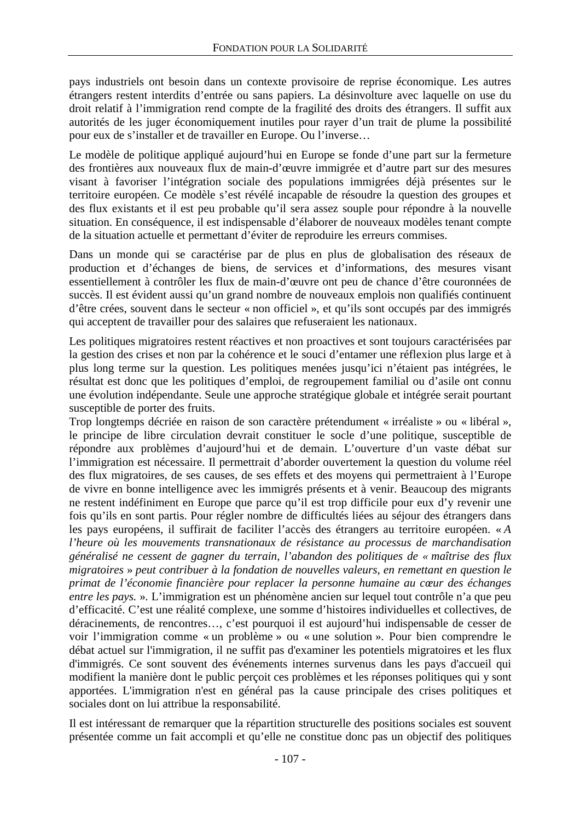pays industriels ont besoin dans un contexte provisoire de reprise économique. Les autres étrangers restent interdits d'entrée ou sans papiers. La désinvolture avec laquelle on use du droit relatif à l'immigration rend compte de la fragilité des droits des étrangers. Il suffit aux autorités de les juger économiquement inutiles pour rayer d'un trait de plume la possibilité pour eux de s'installer et de travailler en Europe. Ou l'inverse…

Le modèle de politique appliqué aujourd'hui en Europe se fonde d'une part sur la fermeture des frontières aux nouveaux flux de main-d'œuvre immigrée et d'autre part sur des mesures visant à favoriser l'intégration sociale des populations immigrées déjà présentes sur le territoire européen. Ce modèle s'est révélé incapable de résoudre la question des groupes et des flux existants et il est peu probable qu'il sera assez souple pour répondre à la nouvelle situation. En conséquence, il est indispensable d'élaborer de nouveaux modèles tenant compte de la situation actuelle et permettant d'éviter de reproduire les erreurs commises.

Dans un monde qui se caractérise par de plus en plus de globalisation des réseaux de production et d'échanges de biens, de services et d'informations, des mesures visant essentiellement à contrôler les flux de main-d'œuvre ont peu de chance d'être couronnées de succès. Il est évident aussi qu'un grand nombre de nouveaux emplois non qualifiés continuent d'être crées, souvent dans le secteur « non officiel », et qu'ils sont occupés par des immigrés qui acceptent de travailler pour des salaires que refuseraient les nationaux.

Les politiques migratoires restent réactives et non proactives et sont toujours caractérisées par la gestion des crises et non par la cohérence et le souci d'entamer une réflexion plus large et à plus long terme sur la question. Les politiques menées jusqu'ici n'étaient pas intégrées, le résultat est donc que les politiques d'emploi, de regroupement familial ou d'asile ont connu une évolution indépendante. Seule une approche stratégique globale et intégrée serait pourtant susceptible de porter des fruits.

Trop longtemps décriée en raison de son caractère prétendument « irréaliste » ou « libéral », le principe de libre circulation devrait constituer le socle d'une politique, susceptible de répondre aux problèmes d'aujourd'hui et de demain. L'ouverture d'un vaste débat sur l'immigration est nécessaire. Il permettrait d'aborder ouvertement la question du volume réel des flux migratoires, de ses causes, de ses effets et des moyens qui permettraient à l'Europe de vivre en bonne intelligence avec les immigrés présents et à venir. Beaucoup des migrants ne restent indéfiniment en Europe que parce qu'il est trop difficile pour eux d'y revenir une fois qu'ils en sont partis. Pour régler nombre de difficultés liées au séjour des étrangers dans les pays européens, il suffirait de faciliter l'accès des étrangers au territoire européen. « *A l'heure où les mouvements transnationaux de résistance au processus de marchandisation généralisé ne cessent de gagner du terrain, l'abandon des politiques de « maîtrise des flux migratoires* » *peut contribuer à la fondation de nouvelles valeurs, en remettant en question le primat de l'économie financière pour replacer la personne humaine au cœur des échanges entre les pays.* ». L'immigration est un phénomène ancien sur lequel tout contrôle n'a que peu d'efficacité. C'est une réalité complexe, une somme d'histoires individuelles et collectives, de déracinements, de rencontres…, c'est pourquoi il est aujourd'hui indispensable de cesser de voir l'immigration comme « un problème » ou « une solution ». Pour bien comprendre le débat actuel sur l'immigration, il ne suffit pas d'examiner les potentiels migratoires et les flux d'immigrés. Ce sont souvent des événements internes survenus dans les pays d'accueil qui modifient la manière dont le public perçoit ces problèmes et les réponses politiques qui y sont apportées. L'immigration n'est en général pas la cause principale des crises politiques et sociales dont on lui attribue la responsabilité.

Il est intéressant de remarquer que la répartition structurelle des positions sociales est souvent présentée comme un fait accompli et qu'elle ne constitue donc pas un objectif des politiques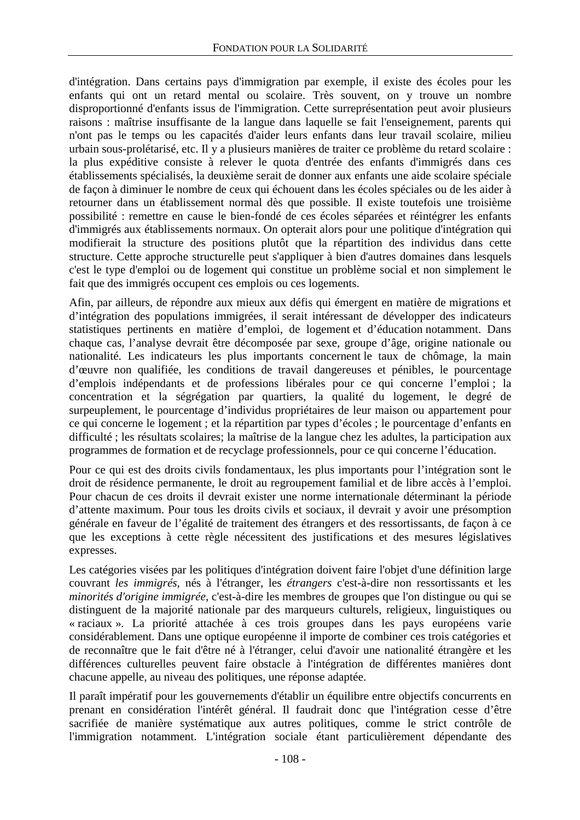d'intégration. Dans certains pays d'immigration par exemple, il existe des écoles pour les enfants qui ont un retard mental ou scolaire. Très souvent, on y trouve un nombre disproportionné d'enfants issus de l'immigration. Cette surreprésentation peut avoir plusieurs raisons : maîtrise insuffisante de la langue dans laquelle se fait l'enseignement, parents qui n'ont pas le temps ou les capacités d'aider leurs enfants dans leur travail scolaire, milieu urbain sous-prolétarisé, etc. Il y a plusieurs manières de traiter ce problème du retard scolaire : la plus expéditive consiste à relever le quota d'entrée des enfants d'immigrés dans ces établissements spécialisés, la deuxième serait de donner aux enfants une aide scolaire spéciale de façon à diminuer le nombre de ceux qui échouent dans les écoles spéciales ou de les aider à retourner dans un établissement normal dès que possible. Il existe toutefois une troisième possibilité : remettre en cause le bien-fondé de ces écoles séparées et réintégrer les enfants d'immigrés aux établissements normaux. On opterait alors pour une politique d'intégration qui modifierait la structure des positions plutôt que la répartition des individus dans cette structure. Cette approche structurelle peut s'appliquer à bien d'autres domaines dans lesquels c'est le type d'emploi ou de logement qui constitue un problème social et non simplement le fait que des immigrés occupent ces emplois ou ces logements.

Afin, par ailleurs, de répondre aux mieux aux défis qui émergent en matière de migrations et d'intégration des populations immigrées, il serait intéressant de développer des indicateurs statistiques pertinents en matière d'emploi, de logement et d'éducation notamment. Dans chaque cas, l'analyse devrait être décomposée par sexe, groupe d'âge, origine nationale ou nationalité. Les indicateurs les plus importants concernent le taux de chômage, la main d'œuvre non qualifiée, les conditions de travail dangereuses et pénibles, le pourcentage d'emplois indépendants et de professions libérales pour ce qui concerne l'emploi ; la concentration et la ségrégation par quartiers, la qualité du logement, le degré de surpeuplement, le pourcentage d'individus propriétaires de leur maison ou appartement pour ce qui concerne le logement ; et la répartition par types d'écoles ; le pourcentage d'enfants en difficulté ; les résultats scolaires; la maîtrise de la langue chez les adultes, la participation aux programmes de formation et de recyclage professionnels, pour ce qui concerne l'éducation.

Pour ce qui est des droits civils fondamentaux, les plus importants pour l'intégration sont le droit de résidence permanente, le droit au regroupement familial et de libre accès à l'emploi. Pour chacun de ces droits il devrait exister une norme internationale déterminant la période d'attente maximum. Pour tous les droits civils et sociaux, il devrait y avoir une présomption générale en faveur de l'égalité de traitement des étrangers et des ressortissants, de façon à ce que les exceptions à cette règle nécessitent des justifications et des mesures législatives expresses.

Les catégories visées par les politiques d'intégration doivent faire l'objet d'une définition large couvrant *les immigrés*, nés à l'étranger, les *étrangers* c'est-à-dire non ressortissants et les *minorités d'origine immigrée*, c'est-à-dire les membres de groupes que l'on distingue ou qui se distinguent de la majorité nationale par des marqueurs culturels, religieux, linguistiques ou « raciaux ». La priorité attachée à ces trois groupes dans les pays européens varie considérablement. Dans une optique européenne il importe de combiner ces trois catégories et de reconnaître que le fait d'être né à l'étranger, celui d'avoir une nationalité étrangère et les différences culturelles peuvent faire obstacle à l'intégration de différentes manières dont chacune appelle, au niveau des politiques, une réponse adaptée.

Il paraît impératif pour les gouvernements d'établir un équilibre entre objectifs concurrents en prenant en considération l'intérêt général. Il faudrait donc que l'intégration cesse d'être sacrifiée de manière systématique aux autres politiques, comme le strict contrôle de l'immigration notamment. L'intégration sociale étant particulièrement dépendante des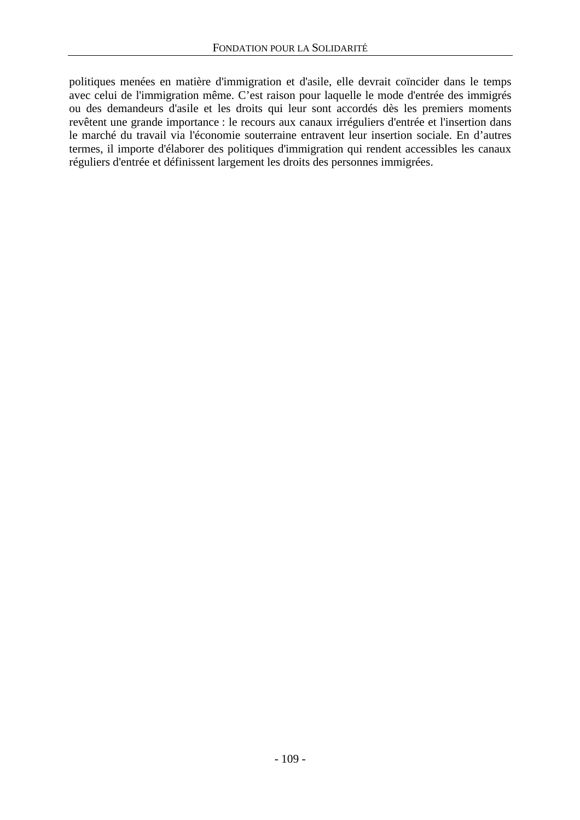politiques menées en matière d'immigration et d'asile, elle devrait coïncider dans le temps avec celui de l'immigration même. C'est raison pour laquelle le mode d'entrée des immigrés ou des demandeurs d'asile et les droits qui leur sont accordés dès les premiers moments revêtent une grande importance : le recours aux canaux irréguliers d'entrée et l'insertion dans le marché du travail via l'économie souterraine entravent leur insertion sociale. En d'autres termes, il importe d'élaborer des politiques d'immigration qui rendent accessibles les canaux réguliers d'entrée et définissent largement les droits des personnes immigrées.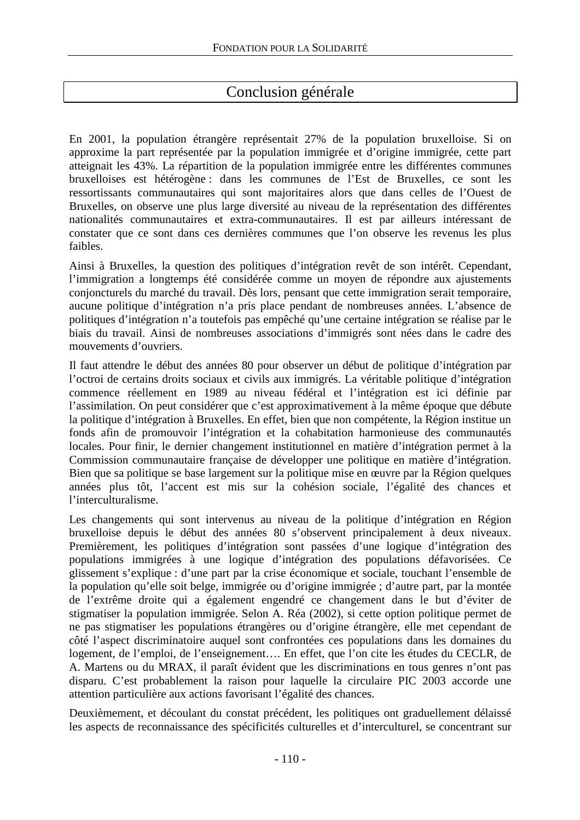## Conclusion générale

En 2001, la population étrangère représentait 27% de la population bruxelloise. Si on approxime la part représentée par la population immigrée et d'origine immigrée, cette part atteignait les 43%. La répartition de la population immigrée entre les différentes communes bruxelloises est hétérogène : dans les communes de l'Est de Bruxelles, ce sont les ressortissants communautaires qui sont majoritaires alors que dans celles de l'Ouest de Bruxelles, on observe une plus large diversité au niveau de la représentation des différentes nationalités communautaires et extra-communautaires. Il est par ailleurs intéressant de constater que ce sont dans ces dernières communes que l'on observe les revenus les plus faibles.

Ainsi à Bruxelles, la question des politiques d'intégration revêt de son intérêt. Cependant, l'immigration a longtemps été considérée comme un moyen de répondre aux ajustements conjoncturels du marché du travail. Dès lors, pensant que cette immigration serait temporaire, aucune politique d'intégration n'a pris place pendant de nombreuses années. L'absence de politiques d'intégration n'a toutefois pas empêché qu'une certaine intégration se réalise par le biais du travail. Ainsi de nombreuses associations d'immigrés sont nées dans le cadre des mouvements d'ouvriers.

Il faut attendre le début des années 80 pour observer un début de politique d'intégration par l'octroi de certains droits sociaux et civils aux immigrés. La véritable politique d'intégration commence réellement en 1989 au niveau fédéral et l'intégration est ici définie par l'assimilation. On peut considérer que c'est approximativement à la même époque que débute la politique d'intégration à Bruxelles. En effet, bien que non compétente, la Région institue un fonds afin de promouvoir l'intégration et la cohabitation harmonieuse des communautés locales. Pour finir, le dernier changement institutionnel en matière d'intégration permet à la Commission communautaire française de développer une politique en matière d'intégration. Bien que sa politique se base largement sur la politique mise en œuvre par la Région quelques années plus tôt, l'accent est mis sur la cohésion sociale, l'égalité des chances et l'interculturalisme.

Les changements qui sont intervenus au niveau de la politique d'intégration en Région bruxelloise depuis le début des années 80 s'observent principalement à deux niveaux. Premièrement, les politiques d'intégration sont passées d'une logique d'intégration des populations immigrées à une logique d'intégration des populations défavorisées. Ce glissement s'explique : d'une part par la crise économique et sociale, touchant l'ensemble de la population qu'elle soit belge, immigrée ou d'origine immigrée ; d'autre part, par la montée de l'extrême droite qui a également engendré ce changement dans le but d'éviter de stigmatiser la population immigrée. Selon A. Réa (2002), si cette option politique permet de ne pas stigmatiser les populations étrangères ou d'origine étrangère, elle met cependant de côté l'aspect discriminatoire auquel sont confrontées ces populations dans les domaines du logement, de l'emploi, de l'enseignement…. En effet, que l'on cite les études du CECLR, de A. Martens ou du MRAX, il paraît évident que les discriminations en tous genres n'ont pas disparu. C'est probablement la raison pour laquelle la circulaire PIC 2003 accorde une attention particulière aux actions favorisant l'égalité des chances.

Deuxièmement, et découlant du constat précédent, les politiques ont graduellement délaissé les aspects de reconnaissance des spécificités culturelles et d'interculturel, se concentrant sur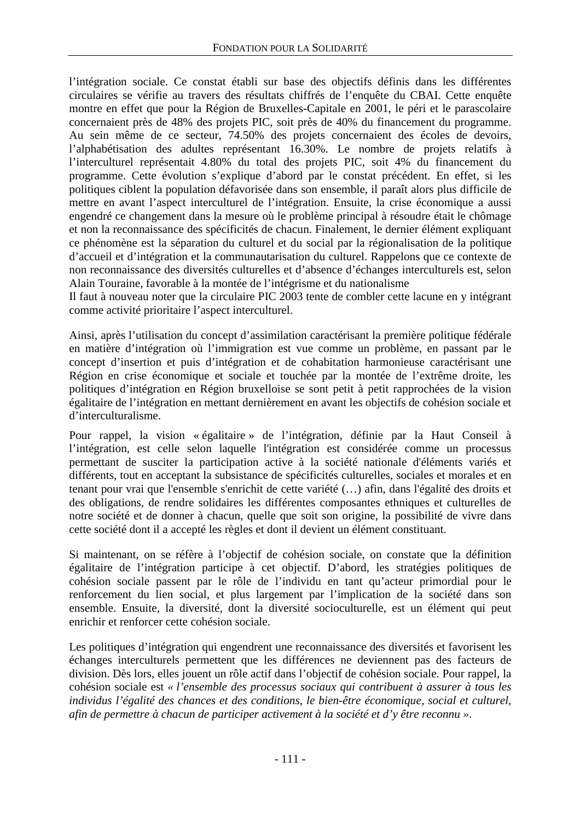l'intégration sociale. Ce constat établi sur base des objectifs définis dans les différentes circulaires se vérifie au travers des résultats chiffrés de l'enquête du CBAI. Cette enquête montre en effet que pour la Région de Bruxelles-Capitale en 2001, le péri et le parascolaire concernaient près de 48% des projets PIC, soit près de 40% du financement du programme. Au sein même de ce secteur, 74.50% des projets concernaient des écoles de devoirs, l'alphabétisation des adultes représentant 16.30%. Le nombre de projets relatifs à l'interculturel représentait 4.80% du total des projets PIC, soit 4% du financement du programme. Cette évolution s'explique d'abord par le constat précédent. En effet, si les politiques ciblent la population défavorisée dans son ensemble, il paraît alors plus difficile de mettre en avant l'aspect interculturel de l'intégration. Ensuite, la crise économique a aussi engendré ce changement dans la mesure où le problème principal à résoudre était le chômage et non la reconnaissance des spécificités de chacun. Finalement, le dernier élément expliquant ce phénomène est la séparation du culturel et du social par la régionalisation de la politique d'accueil et d'intégration et la communautarisation du culturel. Rappelons que ce contexte de non reconnaissance des diversités culturelles et d'absence d'échanges interculturels est, selon Alain Touraine, favorable à la montée de l'intégrisme et du nationalisme

Il faut à nouveau noter que la circulaire PIC 2003 tente de combler cette lacune en y intégrant comme activité prioritaire l'aspect interculturel.

Ainsi, après l'utilisation du concept d'assimilation caractérisant la première politique fédérale en matière d'intégration où l'immigration est vue comme un problème, en passant par le concept d'insertion et puis d'intégration et de cohabitation harmonieuse caractérisant une Région en crise économique et sociale et touchée par la montée de l'extrême droite, les politiques d'intégration en Région bruxelloise se sont petit à petit rapprochées de la vision égalitaire de l'intégration en mettant dernièrement en avant les objectifs de cohésion sociale et d'interculturalisme.

Pour rappel, la vision « égalitaire » de l'intégration, définie par la Haut Conseil à l'intégration, est celle selon laquelle l'intégration est considérée comme un processus permettant de susciter la participation active à la société nationale d'éléments variés et différents, tout en acceptant la subsistance de spécificités culturelles, sociales et morales et en tenant pour vrai que l'ensemble s'enrichit de cette variété (…) afin, dans l'égalité des droits et des obligations, de rendre solidaires les différentes composantes ethniques et culturelles de notre société et de donner à chacun, quelle que soit son origine, la possibilité de vivre dans cette société dont il a accepté les règles et dont il devient un élément constituant.

Si maintenant, on se réfère à l'objectif de cohésion sociale, on constate que la définition égalitaire de l'intégration participe à cet objectif. D'abord, les stratégies politiques de cohésion sociale passent par le rôle de l'individu en tant qu'acteur primordial pour le renforcement du lien social, et plus largement par l'implication de la société dans son ensemble. Ensuite, la diversité, dont la diversité socioculturelle, est un élément qui peut enrichir et renforcer cette cohésion sociale.

Les politiques d'intégration qui engendrent une reconnaissance des diversités et favorisent les échanges interculturels permettent que les différences ne deviennent pas des facteurs de division. Dès lors, elles jouent un rôle actif dans l'objectif de cohésion sociale. Pour rappel, la cohésion sociale est *« l'ensemble des processus sociaux qui contribuent à assurer à tous les individus l'égalité des chances et des conditions, le bien-être économique, social et culturel, afin de permettre à chacun de participer activement à la société et d'y être reconnu »*.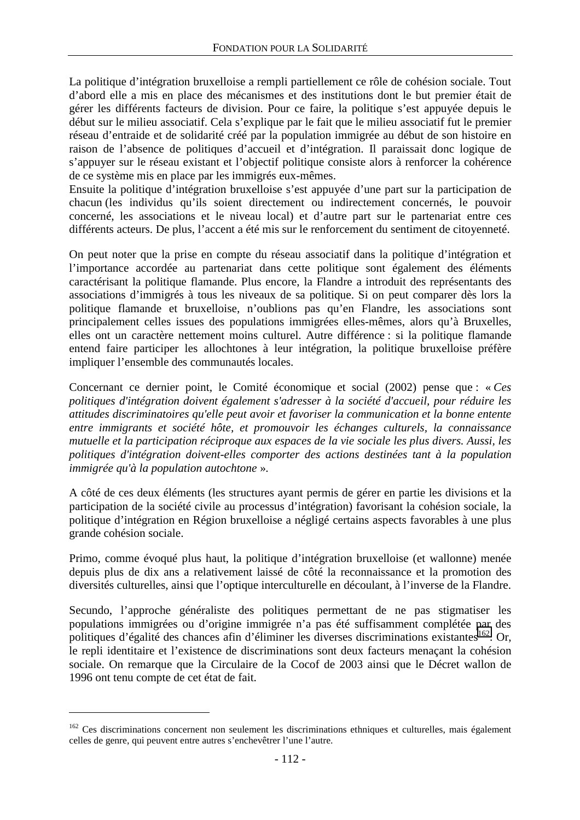La politique d'intégration bruxelloise a rempli partiellement ce rôle de cohésion sociale. Tout d'abord elle a mis en place des mécanismes et des institutions dont le but premier était de gérer les différents facteurs de division. Pour ce faire, la politique s'est appuyée depuis le début sur le milieu associatif. Cela s'explique par le fait que le milieu associatif fut le premier réseau d'entraide et de solidarité créé par la population immigrée au début de son histoire en raison de l'absence de politiques d'accueil et d'intégration. Il paraissait donc logique de s'appuyer sur le réseau existant et l'objectif politique consiste alors à renforcer la cohérence de ce système mis en place par les immigrés eux-mêmes.

Ensuite la politique d'intégration bruxelloise s'est appuyée d'une part sur la participation de chacun (les individus qu'ils soient directement ou indirectement concernés, le pouvoir concerné, les associations et le niveau local) et d'autre part sur le partenariat entre ces différents acteurs. De plus, l'accent a été mis sur le renforcement du sentiment de citoyenneté.

On peut noter que la prise en compte du réseau associatif dans la politique d'intégration et l'importance accordée au partenariat dans cette politique sont également des éléments caractérisant la politique flamande. Plus encore, la Flandre a introduit des représentants des associations d'immigrés à tous les niveaux de sa politique. Si on peut comparer dès lors la politique flamande et bruxelloise, n'oublions pas qu'en Flandre, les associations sont principalement celles issues des populations immigrées elles-mêmes, alors qu'à Bruxelles, elles ont un caractère nettement moins culturel. Autre différence : si la politique flamande entend faire participer les allochtones à leur intégration, la politique bruxelloise préfère impliquer l'ensemble des communautés locales.

Concernant ce dernier point, le Comité économique et social (2002) pense que : « *Ces politiques d'intégration doivent également s'adresser à la société d'accueil, pour réduire les attitudes discriminatoires qu'elle peut avoir et favoriser la communication et la bonne entente entre immigrants et société hôte, et promouvoir les échanges culturels, la connaissance mutuelle et la participation réciproque aux espaces de la vie sociale les plus divers. Aussi, les politiques d'intégration doivent-elles comporter des actions destinées tant à la population immigrée qu'à la population autochtone* ».

A côté de ces deux éléments (les structures ayant permis de gérer en partie les divisions et la participation de la société civile au processus d'intégration) favorisant la cohésion sociale, la politique d'intégration en Région bruxelloise a négligé certains aspects favorables à une plus grande cohésion sociale.

Primo, comme évoqué plus haut, la politique d'intégration bruxelloise (et wallonne) menée depuis plus de dix ans a relativement laissé de côté la reconnaissance et la promotion des diversités culturelles, ainsi que l'optique interculturelle en découlant, à l'inverse de la Flandre.

Secundo, l'approche généraliste des politiques permettant de ne pas stigmatiser les populations immigrées ou d'origine immigrée n'a pas été suffisamment complétée par des politiques d'égalité des chances afin d'éliminer les diverses discriminations existantes<sup>162</sup>. Or, le repli identitaire et l'existence de discriminations sont deux facteurs menaçant la cohésion sociale. On remarque que la Circulaire de la Cocof de 2003 ainsi que le Décret wallon de 1996 ont tenu compte de cet état de fait.

 $\overline{a}$ 

<sup>&</sup>lt;sup>162</sup> Ces discriminations concernent non seulement les discriminations ethniques et culturelles, mais également celles de genre, qui peuvent entre autres s'enchevêtrer l'une l'autre.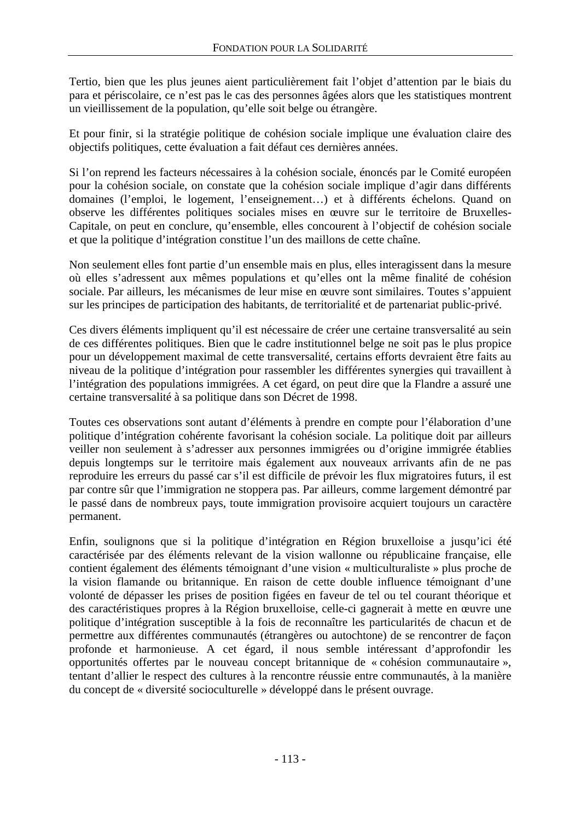Tertio, bien que les plus jeunes aient particulièrement fait l'objet d'attention par le biais du para et périscolaire, ce n'est pas le cas des personnes âgées alors que les statistiques montrent un vieillissement de la population, qu'elle soit belge ou étrangère.

Et pour finir, si la stratégie politique de cohésion sociale implique une évaluation claire des objectifs politiques, cette évaluation a fait défaut ces dernières années.

Si l'on reprend les facteurs nécessaires à la cohésion sociale, énoncés par le Comité européen pour la cohésion sociale, on constate que la cohésion sociale implique d'agir dans différents domaines (l'emploi, le logement, l'enseignement…) et à différents échelons. Quand on observe les différentes politiques sociales mises en œuvre sur le territoire de Bruxelles-Capitale, on peut en conclure, qu'ensemble, elles concourent à l'objectif de cohésion sociale et que la politique d'intégration constitue l'un des maillons de cette chaîne.

Non seulement elles font partie d'un ensemble mais en plus, elles interagissent dans la mesure où elles s'adressent aux mêmes populations et qu'elles ont la même finalité de cohésion sociale. Par ailleurs, les mécanismes de leur mise en œuvre sont similaires. Toutes s'appuient sur les principes de participation des habitants, de territorialité et de partenariat public-privé.

Ces divers éléments impliquent qu'il est nécessaire de créer une certaine transversalité au sein de ces différentes politiques. Bien que le cadre institutionnel belge ne soit pas le plus propice pour un développement maximal de cette transversalité, certains efforts devraient être faits au niveau de la politique d'intégration pour rassembler les différentes synergies qui travaillent à l'intégration des populations immigrées. A cet égard, on peut dire que la Flandre a assuré une certaine transversalité à sa politique dans son Décret de 1998.

Toutes ces observations sont autant d'éléments à prendre en compte pour l'élaboration d'une politique d'intégration cohérente favorisant la cohésion sociale. La politique doit par ailleurs veiller non seulement à s'adresser aux personnes immigrées ou d'origine immigrée établies depuis longtemps sur le territoire mais également aux nouveaux arrivants afin de ne pas reproduire les erreurs du passé car s'il est difficile de prévoir les flux migratoires futurs, il est par contre sûr que l'immigration ne stoppera pas. Par ailleurs, comme largement démontré par le passé dans de nombreux pays, toute immigration provisoire acquiert toujours un caractère permanent.

Enfin, soulignons que si la politique d'intégration en Région bruxelloise a jusqu'ici été caractérisée par des éléments relevant de la vision wallonne ou républicaine française, elle contient également des éléments témoignant d'une vision « multiculturaliste » plus proche de la vision flamande ou britannique. En raison de cette double influence témoignant d'une volonté de dépasser les prises de position figées en faveur de tel ou tel courant théorique et des caractéristiques propres à la Région bruxelloise, celle-ci gagnerait à mette en œuvre une politique d'intégration susceptible à la fois de reconnaître les particularités de chacun et de permettre aux différentes communautés (étrangères ou autochtone) de se rencontrer de façon profonde et harmonieuse. A cet égard, il nous semble intéressant d'approfondir les opportunités offertes par le nouveau concept britannique de « cohésion communautaire », tentant d'allier le respect des cultures à la rencontre réussie entre communautés, à la manière du concept de « diversité socioculturelle » développé dans le présent ouvrage.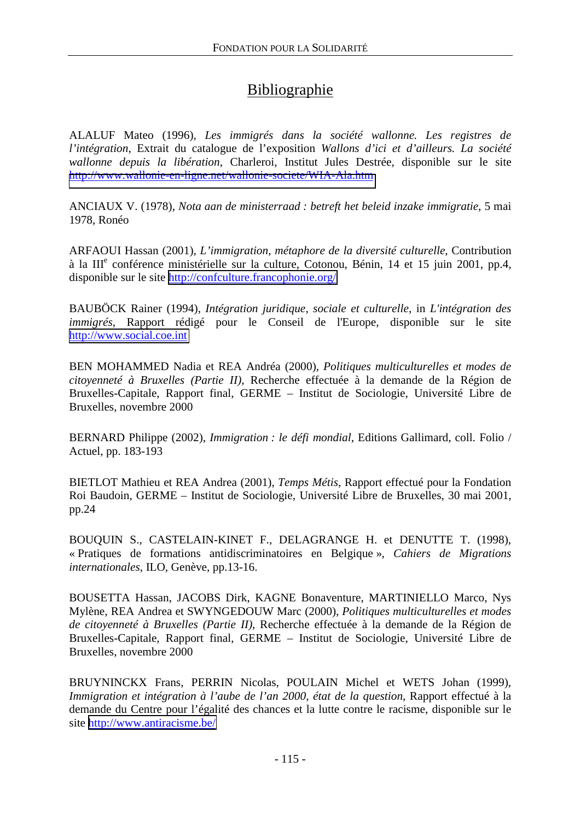## Bibliographie

ALALUF Mateo (1996), *Les immigrés dans la société wallonne. Les registres de l'intégration*, Extrait du catalogue de l'exposition *Wallons d'ici et d'ailleurs. La société wallonne depuis la libération*, Charleroi, Institut Jules Destrée, disponible sur le site <http://www.wallonie-en-ligne.net/wallonie-societe/WIA-Ala.htm>

ANCIAUX V. (1978), *Nota aan de ministerraad : betreft het beleid inzake immigratie*, 5 mai 1978, Ronéo

ARFAOUI Hassan (2001), *L'immigration, métaphore de la diversité culturelle*, Contribution à la IIIe conférence ministérielle sur la culture, Cotonou, Bénin, 14 et 15 juin 2001, pp.4, disponible sur le site <http://confculture.francophonie.org/>

BAUBÖCK Rainer (1994), *Intégration juridique, sociale et culturelle*, in *L'intégration des immigrés*, Rapport rédigé pour le Conseil de l'Europe, disponible sur le site [http://www.social.coe.int](http://www.social.coe.int/)

BEN MOHAMMED Nadia et REA Andréa (2000), *Politiques multiculturelles et modes de citoyenneté à Bruxelles (Partie II)*, Recherche effectuée à la demande de la Région de Bruxelles-Capitale, Rapport final, GERME – Institut de Sociologie, Université Libre de Bruxelles, novembre 2000

BERNARD Philippe (2002), *Immigration : le défi mondial*, Editions Gallimard, coll. Folio / Actuel, pp. 183-193

BIETLOT Mathieu et REA Andrea (2001), *Temps Métis*, Rapport effectué pour la Fondation Roi Baudoin, GERME – Institut de Sociologie, Université Libre de Bruxelles, 30 mai 2001, pp.24

BOUQUIN S., CASTELAIN-KINET F., DELAGRANGE H. et DENUTTE T. (1998), « Pratiques de formations antidiscriminatoires en Belgique », *Cahiers de Migrations internationales*, ILO, Genève, pp.13-16.

BOUSETTA Hassan, JACOBS Dirk, KAGNE Bonaventure, MARTINIELLO Marco, Nys Mylène, REA Andrea et SWYNGEDOUW Marc (2000), *Politiques multiculturelles et modes de citoyenneté à Bruxelles (Partie II)*, Recherche effectuée à la demande de la Région de Bruxelles-Capitale, Rapport final, GERME – Institut de Sociologie, Université Libre de Bruxelles, novembre 2000

BRUYNINCKX Frans, PERRIN Nicolas, POULAIN Michel et WETS Johan (1999), *Immigration et intégration à l'aube de l'an 2000, état de la question*, Rapport effectué à la demande du Centre pour l'égalité des chances et la lutte contre le racisme, disponible sur le site <http://www.antiracisme.be/>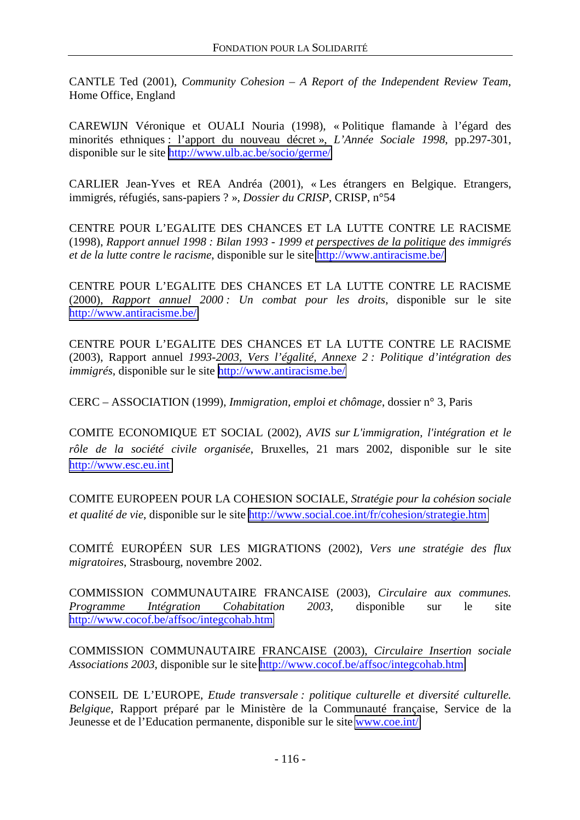CANTLE Ted (2001), *Community Cohesion – A Report of the Independent Review Team*, Home Office, England

CAREWIJN Véronique et OUALI Nouria (1998), « Politique flamande à l'égard des minorités ethniques : l'apport du nouveau décret », *L'Année Sociale 1998*, pp.297-301, disponible sur le site <http://www.ulb.ac.be/socio/germe/>

CARLIER Jean-Yves et REA Andréa (2001), « Les étrangers en Belgique. Etrangers, immigrés, réfugiés, sans-papiers ? », *Dossier du CRISP*, CRISP, n°54

CENTRE POUR L'EGALITE DES CHANCES ET LA LUTTE CONTRE LE RACISME (1998), *Rapport annuel 1998 : Bilan 1993 - 1999 et perspectives de la politique des immigrés et de la lutte contre le racisme*, disponible sur le site<http://www.antiracisme.be/>

CENTRE POUR L'EGALITE DES CHANCES ET LA LUTTE CONTRE LE RACISME (2000), *Rapport annuel 2000 : Un combat pour les droits*, disponible sur le site <http://www.antiracisme.be/>

CENTRE POUR L'EGALITE DES CHANCES ET LA LUTTE CONTRE LE RACISME (2003), Rapport annuel *1993-2003, Vers l'égalité, Annexe 2 : Politique d'intégration des immigrés*, disponible sur le site <http://www.antiracisme.be/>

CERC – ASSOCIATION (1999), *Immigration, emploi et chômage*, dossier n° 3, Paris

COMITE ECONOMIQUE ET SOCIAL (2002), *AVIS sur L'immigration, l'intégration et le rôle de la société civile organisée*, Bruxelles, 21 mars 2002, disponible sur le site [http://www.esc.eu.int](http://www.esc.eu.int/)

COMITE EUROPEEN POUR LA COHESION SOCIALE, *Stratégie pour la cohésion sociale et qualité de vie*, disponible sur le site<http://www.social.coe.int/fr/cohesion/strategie.htm>

COMITÉ EUROPÉEN SUR LES MIGRATIONS (2002), *Vers une stratégie des flux migratoires*, Strasbourg, novembre 2002.

COMMISSION COMMUNAUTAIRE FRANCAISE (2003), *Circulaire aux communes. Programme Intégration Cohabitation 2003*, disponible sur le site <http://www.cocof.be/affsoc/integcohab.htm>

COMMISSION COMMUNAUTAIRE FRANCAISE (2003), *Circulaire Insertion sociale Associations 2003*, disponible sur le site<http://www.cocof.be/affsoc/integcohab.htm>

CONSEIL DE L'EUROPE, *Etude transversale : politique culturelle et diversité culturelle. Belgique*, Rapport préparé par le Ministère de la Communauté française, Service de la Jeunesse et de l'Education permanente, disponible sur le site [www.coe.int/](http://www.coe.int/)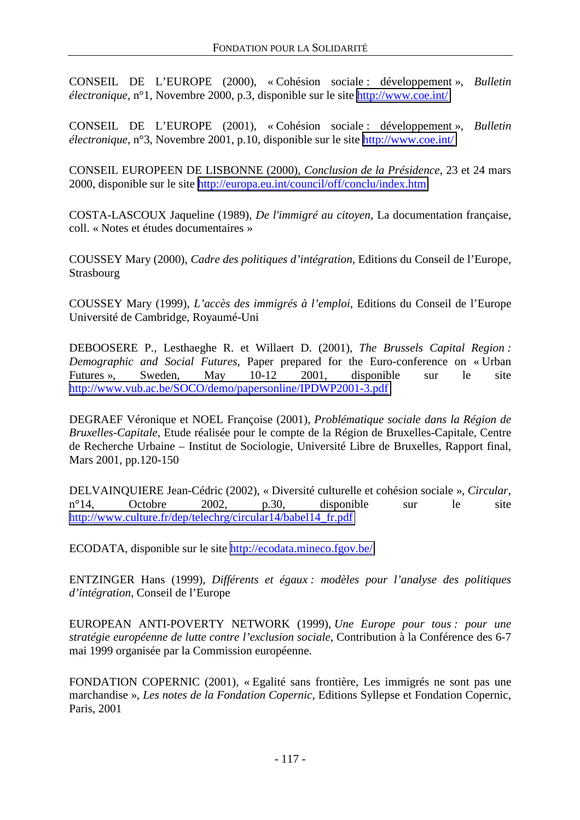CONSEIL DE L'EUROPE (2000), « Cohésion sociale : développement », *Bulletin électronique*, n°1, Novembre 2000, p.3, disponible sur le site<http://www.coe.int/>

CONSEIL DE L'EUROPE (2001), « Cohésion sociale : développement », *Bulletin électronique*, n°3, Novembre 2001, p.10, disponible sur le site<http://www.coe.int/>

CONSEIL EUROPEEN DE LISBONNE (2000), *Conclusion de la Présidence*, 23 et 24 mars 2000, disponible sur le site <http://europa.eu.int/council/off/conclu/index.htm>

COSTA-LASCOUX Jaqueline (1989), *De l'immigré au citoyen*, La documentation française, coll. « Notes et études documentaires »

COUSSEY Mary (2000), *Cadre des politiques d'intégration*, Editions du Conseil de l'Europe, Strasbourg

COUSSEY Mary (1999), *L'accès des immigrés à l'emploi*, Editions du Conseil de l'Europe Université de Cambridge, Royaumé-Uni

DEBOOSERE P., Lesthaeghe R. et Willaert D. (2001), *The Brussels Capital Region : Demographic and Social Futures*, Paper prepared for the Euro-conference on « Urban Futures », Sweden, May 10-12 2001, disponible sur le site <http://www.vub.ac.be/SOCO/demo/papersonline/IPDWP2001-3.pdf>

DEGRAEF Véronique et NOEL Françoise (2001), *Problématique sociale dans la Région de Bruxelles-Capitale*, Etude réalisée pour le compte de la Région de Bruxelles-Capitale, Centre de Recherche Urbaine – Institut de Sociologie, Université Libre de Bruxelles, Rapport final, Mars 2001, pp.120-150

DELVAINQUIERE Jean-Cédric (2002), « Diversité culturelle et cohésion sociale », *Circular*, n°14, Octobre 2002, p.30, disponible sur le site [http://www.culture.fr/dep/telechrg/circular14/babel14\\_fr.pdf](http://www.culture.fr/dep/telechrg/circular14/babel14_fr.pdf)

ECODATA, disponible sur le site<http://ecodata.mineco.fgov.be/>

ENTZINGER Hans (1999), *Différents et égaux : modèles pour l'analyse des politiques d'intégration*, Conseil de l'Europe

EUROPEAN ANTI-POVERTY NETWORK (1999), *Une Europe pour tous : pour une stratégie européenne de lutte contre l'exclusion sociale*, Contribution à la Conférence des 6-7 mai 1999 organisée par la Commission européenne.

FONDATION COPERNIC (2001), « Egalité sans frontière, Les immigrés ne sont pas une marchandise », *Les notes de la Fondation Copernic*, Editions Syllepse et Fondation Copernic, Paris, 2001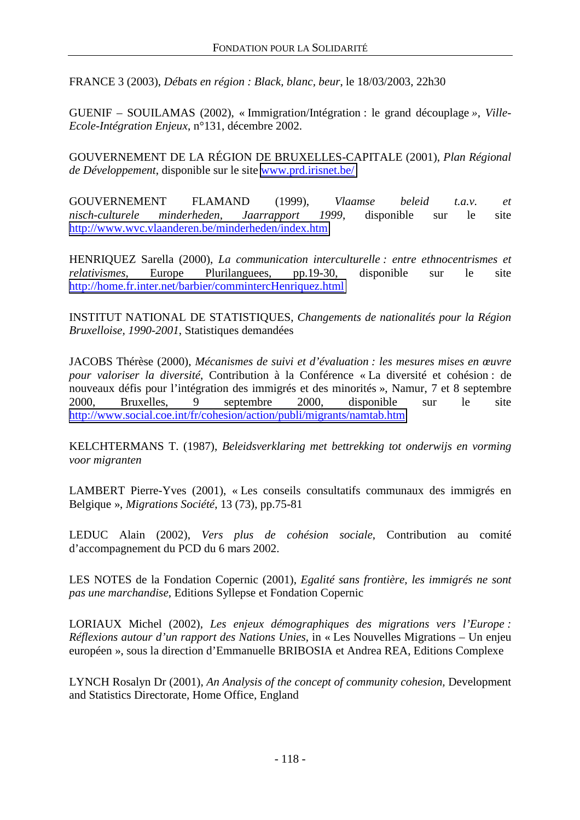FRANCE 3 (2003), *Débats en région : Black, blanc, beur*, le 18/03/2003, 22h30

GUENIF – SOUILAMAS (2002), « Immigration/Intégration : le grand découplage *»*, *Ville-Ecole-Intégration Enjeux*, n°131, décembre 2002.

GOUVERNEMENT DE LA RÉGION DE BRUXELLES-CAPITALE (2001), *Plan Régional de Développement*, disponible sur le site [www.prd.irisnet.be/](http://www.prd.irisnet.be/)

GOUVERNEMENT FLAMAND (1999), *Vlaamse beleid t.a.v. et nisch-culturele minderheden, Jaarrapport 1999*, disponible sur le site <http://www.wvc.vlaanderen.be/minderheden/index.htm>

HENRIQUEZ Sarella (2000), *La communication interculturelle : entre ethnocentrismes et relativismes*, Europe Plurilanguees, pp.19-30, disponible sur le site <http://home.fr.inter.net/barbier/commintercHenriquez.html>

INSTITUT NATIONAL DE STATISTIQUES, *Changements de nationalités pour la Région Bruxelloise, 1990-2001*, Statistiques demandées

JACOBS Thérèse (2000), *Mécanismes de suivi et d'évaluation : les mesures mises en œuvre pour valoriser la diversité*, Contribution à la Conférence « La diversité et cohésion : de nouveaux défis pour l'intégration des immigrés et des minorités », Namur, 7 et 8 septembre 2000, Bruxelles, 9 septembre 2000, disponible sur le site <http://www.social.coe.int/fr/cohesion/action/publi/migrants/namtab.htm>

KELCHTERMANS T. (1987), *Beleidsverklaring met bettrekking tot onderwijs en vorming voor migranten*

LAMBERT Pierre-Yves (2001), « Les conseils consultatifs communaux des immigrés en Belgique », *Migrations Société*, 13 (73), pp.75-81

LEDUC Alain (2002), *Vers plus de cohésion sociale*, Contribution au comité d'accompagnement du PCD du 6 mars 2002.

LES NOTES de la Fondation Copernic (2001), *Egalité sans frontière, les immigrés ne sont pas une marchandise*, Editions Syllepse et Fondation Copernic

LORIAUX Michel (2002), *Les enjeux démographiques des migrations vers l'Europe : Réflexions autour d'un rapport des Nations Unies*, in « Les Nouvelles Migrations – Un enjeu européen », sous la direction d'Emmanuelle BRIBOSIA et Andrea REA, Editions Complexe

LYNCH Rosalyn Dr (2001), *An Analysis of the concept of community cohesion,* Development and Statistics Directorate, Home Office, England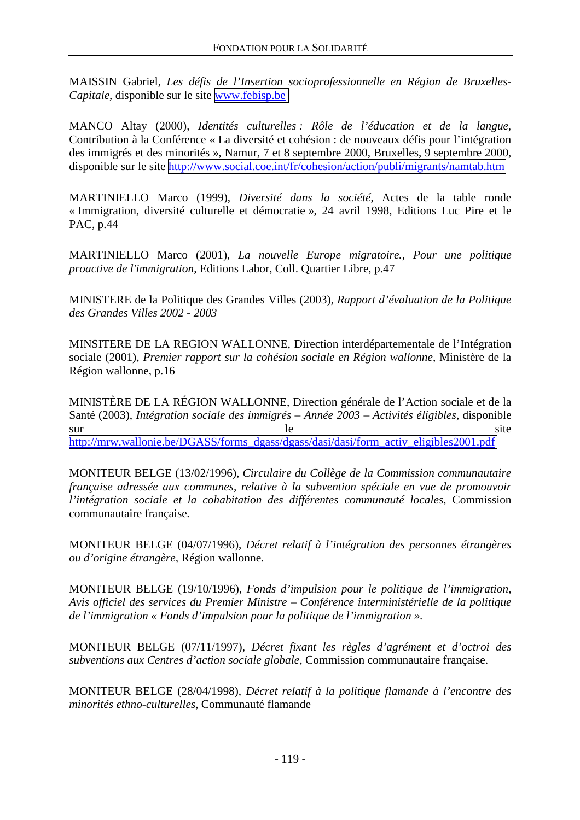MAISSIN Gabriel, *Les défis de l'Insertion socioprofessionnelle en Région de Bruxelles-Capitale*, disponible sur le site [www.febisp.be](http://www.febisp.be/)

MANCO Altay (2000), *Identités culturelles : Rôle de l'éducation et de la langue*, Contribution à la Conférence « La diversité et cohésion : de nouveaux défis pour l'intégration des immigrés et des minorités », Namur, 7 et 8 septembre 2000, Bruxelles, 9 septembre 2000, disponible sur le site <http://www.social.coe.int/fr/cohesion/action/publi/migrants/namtab.htm>

MARTINIELLO Marco (1999), *Diversité dans la société*, Actes de la table ronde « Immigration, diversité culturelle et démocratie », 24 avril 1998, Editions Luc Pire et le PAC, p.44

MARTINIELLO Marco (2001), *La nouvelle Europe migratoire., Pour une politique proactive de l'immigration*, Editions Labor, Coll. Quartier Libre, p.47

MINISTERE de la Politique des Grandes Villes (2003), *Rapport d'évaluation de la Politique des Grandes Villes 2002 - 2003* 

MINSITERE DE LA REGION WALLONNE, Direction interdépartementale de l'Intégration sociale (2001), *Premier rapport sur la cohésion sociale en Région wallonne*, Ministère de la Région wallonne, p.16

MINISTÈRE DE LA RÉGION WALLONNE, Direction générale de l'Action sociale et de la Santé (2003), *Intégration sociale des immigrés – Année 2003 – Activités éligibles*, disponible sur le site [http://mrw.wallonie.be/DGASS/forms\\_dgass/dgass/dasi/dasi/form\\_activ\\_eligibles2001.pdf](http://mrw.wallonie.be/DGASS/forms_dgass/dgass/dasi/dasi/form_activ_eligibles2001.pdf)

MONITEUR BELGE (13/02/1996), *Circulaire du Collège de la Commission communautaire française adressée aux communes, relative à la subvention spéciale en vue de promouvoir l'intégration sociale et la cohabitation des différentes communauté locales,* Commission communautaire française*.*

MONITEUR BELGE (04/07/1996), *Décret relatif à l'intégration des personnes étrangères ou d'origine étrangère,* Région wallonne*.* 

MONITEUR BELGE (19/10/1996), *Fonds d'impulsion pour le politique de l'immigration, Avis officiel des services du Premier Ministre – Conférence interministérielle de la politique de l'immigration « Fonds d'impulsion pour la politique de l'immigration ».* 

MONITEUR BELGE (07/11/1997), *Décret fixant les règles d'agrément et d'octroi des subventions aux Centres d'action sociale globale,* Commission communautaire française.

MONITEUR BELGE (28/04/1998), *Décret relatif à la politique flamande à l'encontre des minorités ethno-culturelles,* Communauté flamande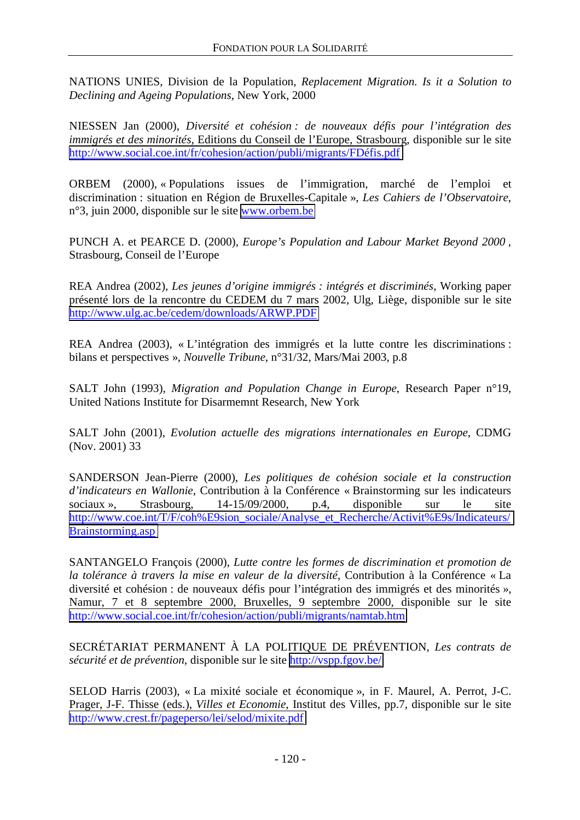NATIONS UNIES, Division de la Population, *Replacement Migration. Is it a Solution to Declining and Ageing Populations*, New York, 2000

NIESSEN Jan (2000), *Diversité et cohésion : de nouveaux défis pour l'intégration des immigrés et des minorités*, Editions du Conseil de l'Europe, Strasbourg, disponible sur le site [http://www.social.coe.int/fr/cohesion/action/publi/migrants/FDéfis.pdf](http://www.social.coe.int/fr/cohesion/action/publi/migrants/FD�fis.pdf)

ORBEM (2000), « Populations issues de l'immigration, marché de l'emploi et discrimination : situation en Région de Bruxelles-Capitale », *Les Cahiers de l'Observatoire*, n°3, juin 2000, disponible sur le site [www.orbem.be](http://www.orbem.be/)

PUNCH A. et PEARCE D. (2000), *Europe's Population and Labour Market Beyond 2000* , Strasbourg, Conseil de l'Europe

REA Andrea (2002), *Les jeunes d'origine immigrés : intégrés et discriminés*, Working paper présenté lors de la rencontre du CEDEM du 7 mars 2002, Ulg, Liège, disponible sur le site <http://www.ulg.ac.be/cedem/downloads/ARWP.PDF>

REA Andrea (2003), « L'intégration des immigrés et la lutte contre les discriminations : bilans et perspectives », *Nouvelle Tribune*, n°31/32, Mars/Mai 2003, p.8

SALT John (1993), *Migration and Population Change in Europe*, Research Paper n°19, United Nations Institute for Disarmemnt Research, New York

SALT John (2001), *Evolution actuelle des migrations internationales en Europe*, CDMG (Nov. 2001) 33

SANDERSON Jean-Pierre (2000), *Les politiques de cohésion sociale et la construction d'indicateurs en Wallonie*, Contribution à la Conférence « Brainstorming sur les indicateurs sociaux », Strasbourg, 14-15/09/2000, p.4, disponible sur le site [http://www.coe.int/T/F/coh%E9sion\\_sociale/Analyse\\_et\\_Recherche/Activit%E9s/Indicateurs/](http://www.coe.int/T/F/coh%E9sion_sociale/Analyse_et_Recherche/Activit%E9s/Indicateurs/Brainstorming.asp) [Brainstorming.asp](http://www.coe.int/T/F/coh%E9sion_sociale/Analyse_et_Recherche/Activit%E9s/Indicateurs/Brainstorming.asp)

SANTANGELO François (2000), *Lutte contre les formes de discrimination et promotion de la tolérance à travers la mise en valeur de la diversité*, Contribution à la Conférence « La diversité et cohésion : de nouveaux défis pour l'intégration des immigrés et des minorités », Namur, 7 et 8 septembre 2000, Bruxelles, 9 septembre 2000, disponible sur le site <http://www.social.coe.int/fr/cohesion/action/publi/migrants/namtab.htm>

SECRÉTARIAT PERMANENT À LA POLITIQUE DE PRÉVENTION, *Les contrats de sécurité et de prévention*, disponible sur le site<http://vspp.fgov.be/>

SELOD Harris (2003), « La mixité sociale et économique », in F. Maurel, A. Perrot, J-C. Prager, J-F. Thisse (eds.), *Villes et Economie*, Institut des Villes, pp.7, disponible sur le site <http://www.crest.fr/pageperso/lei/selod/mixite.pdf>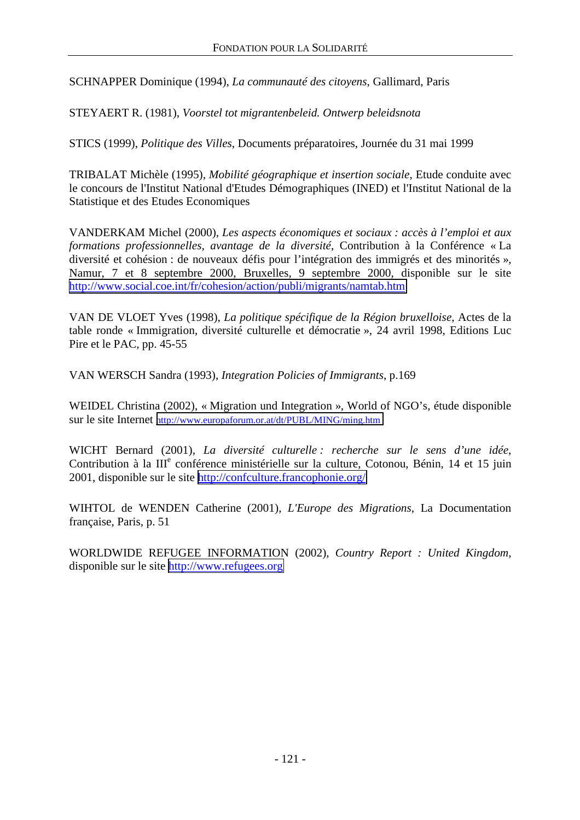SCHNAPPER Dominique (1994), *La communauté des citoyens*, Gallimard, Paris

STEYAERT R. (1981), *Voorstel tot migrantenbeleid. Ontwerp beleidsnota*

STICS (1999), *Politique des Villes*, Documents préparatoires, Journée du 31 mai 1999

TRIBALAT Michèle (1995), *Mobilité géographique et insertion sociale*, Etude conduite avec le concours de l'Institut National d'Etudes Démographiques (INED) et l'Institut National de la Statistique et des Etudes Economiques

VANDERKAM Michel (2000), *Les aspects économiques et sociaux : accès à l'emploi et aux formations professionnelles, avantage de la diversité*, Contribution à la Conférence « La diversité et cohésion : de nouveaux défis pour l'intégration des immigrés et des minorités », Namur, 7 et 8 septembre 2000, Bruxelles, 9 septembre 2000, disponible sur le site <http://www.social.coe.int/fr/cohesion/action/publi/migrants/namtab.htm>

VAN DE VLOET Yves (1998), *La politique spécifique de la Région bruxelloise*, Actes de la table ronde « Immigration, diversité culturelle et démocratie », 24 avril 1998, Editions Luc Pire et le PAC, pp. 45-55

VAN WERSCH Sandra (1993), *Integration Policies of Immigrants*, p.169

WEIDEL Christina (2002), « Migration und Integration », World of NGO's, étude disponible sur le site Internet <http://www.europaforum.or.at/dt/PUBL/MING/ming.htm>

WICHT Bernard (2001), *La diversité culturelle : recherche sur le sens d'une idée*, Contribution à la III<sup>e</sup> conférence ministérielle sur la culture, Cotonou, Bénin, 14 et 15 juin 2001, disponible sur le site <http://confculture.francophonie.org/>

WIHTOL de WENDEN Catherine (2001), *L'Europe des Migrations*, La Documentation française, Paris, p. 51

WORLDWIDE REFUGEE INFORMATION (2002), *Country Report : United Kingdom*, disponible sur le site [http://www.refugees.org](http://www.refugees.org/)